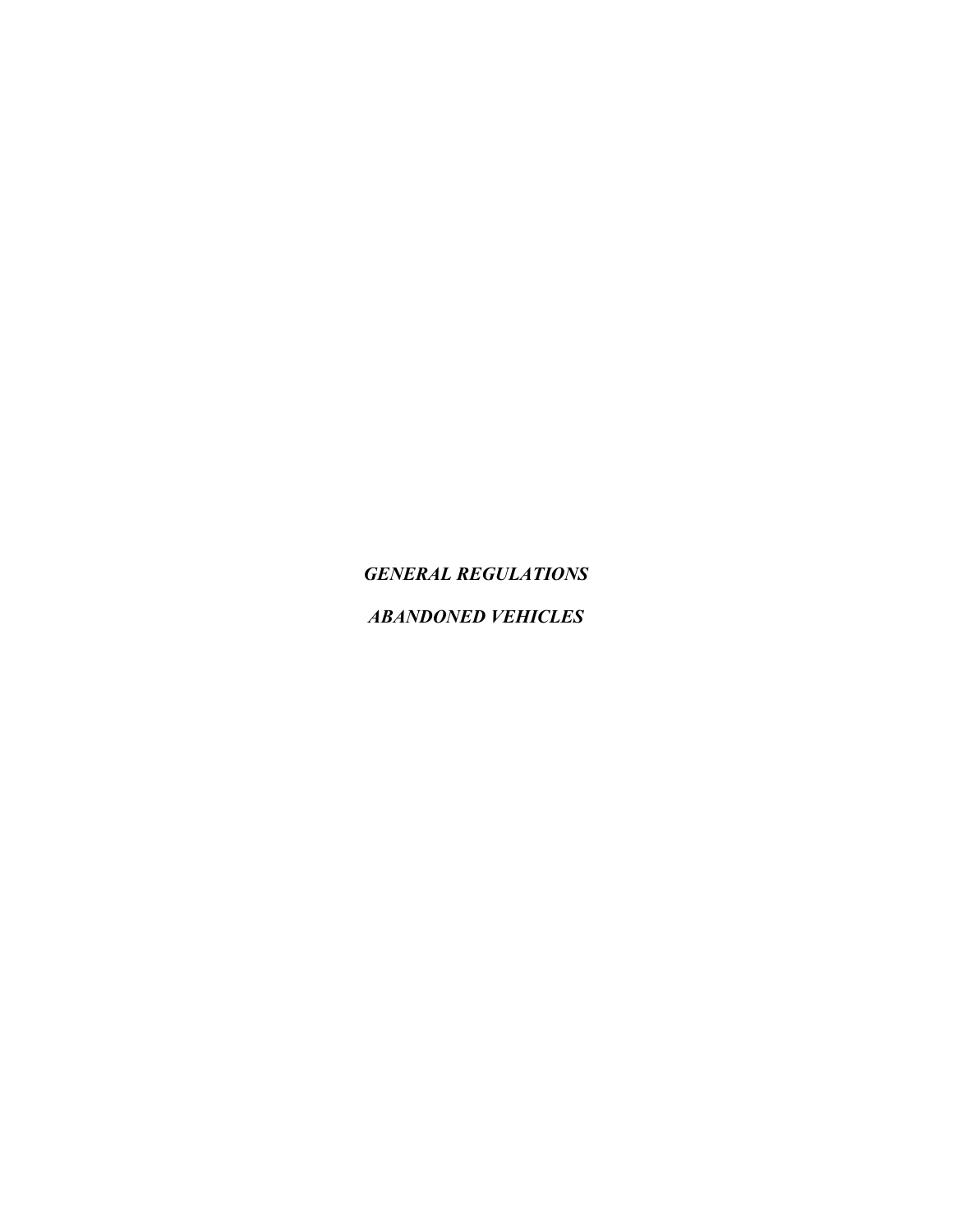*GENERAL REGULATIONS*

*ABANDONED VEHICLES*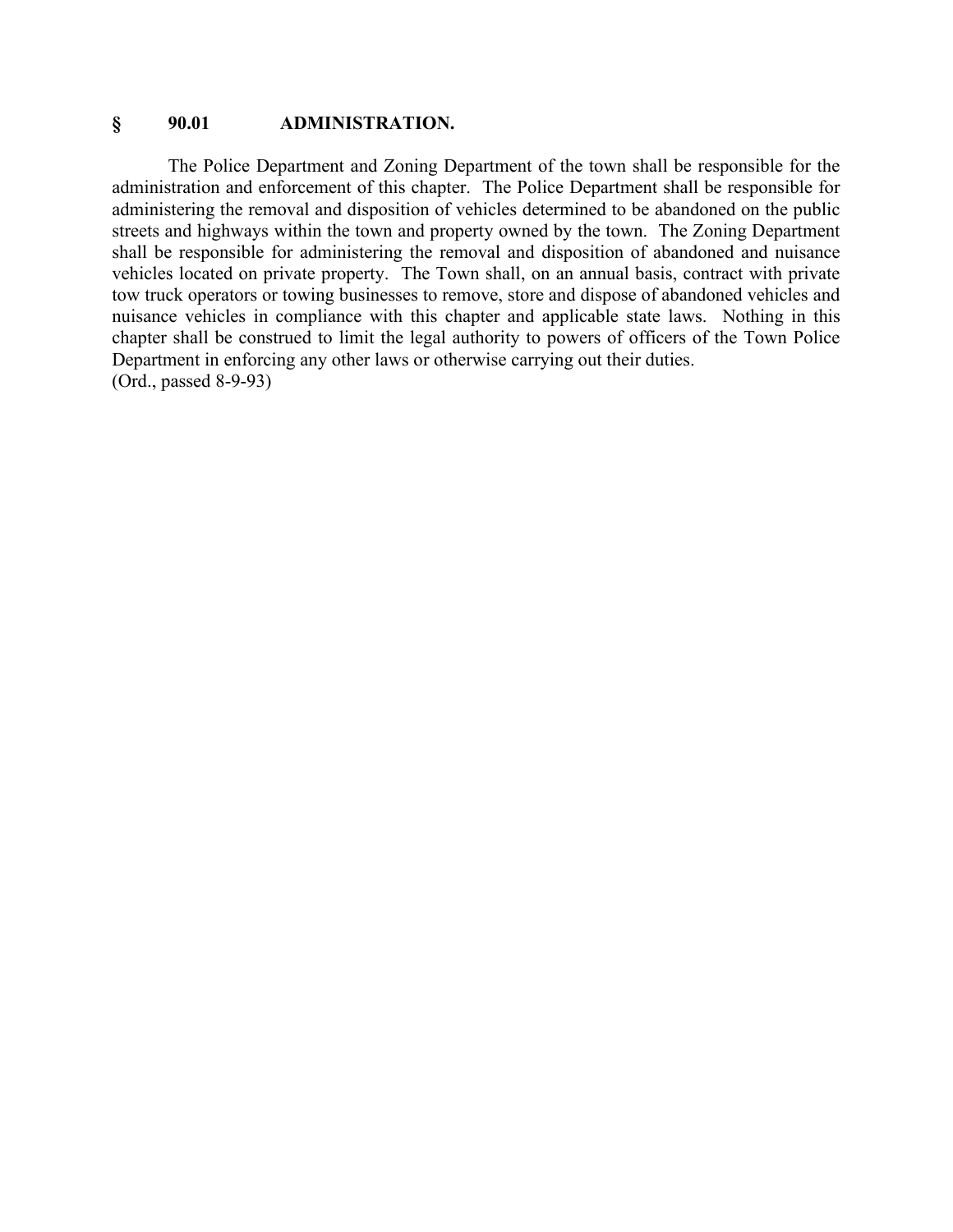#### **§ 90.01 ADMINISTRATION.**

The Police Department and Zoning Department of the town shall be responsible for the administration and enforcement of this chapter. The Police Department shall be responsible for administering the removal and disposition of vehicles determined to be abandoned on the public streets and highways within the town and property owned by the town. The Zoning Department shall be responsible for administering the removal and disposition of abandoned and nuisance vehicles located on private property. The Town shall, on an annual basis, contract with private tow truck operators or towing businesses to remove, store and dispose of abandoned vehicles and nuisance vehicles in compliance with this chapter and applicable state laws. Nothing in this chapter shall be construed to limit the legal authority to powers of officers of the Town Police Department in enforcing any other laws or otherwise carrying out their duties. (Ord., passed 8-9-93)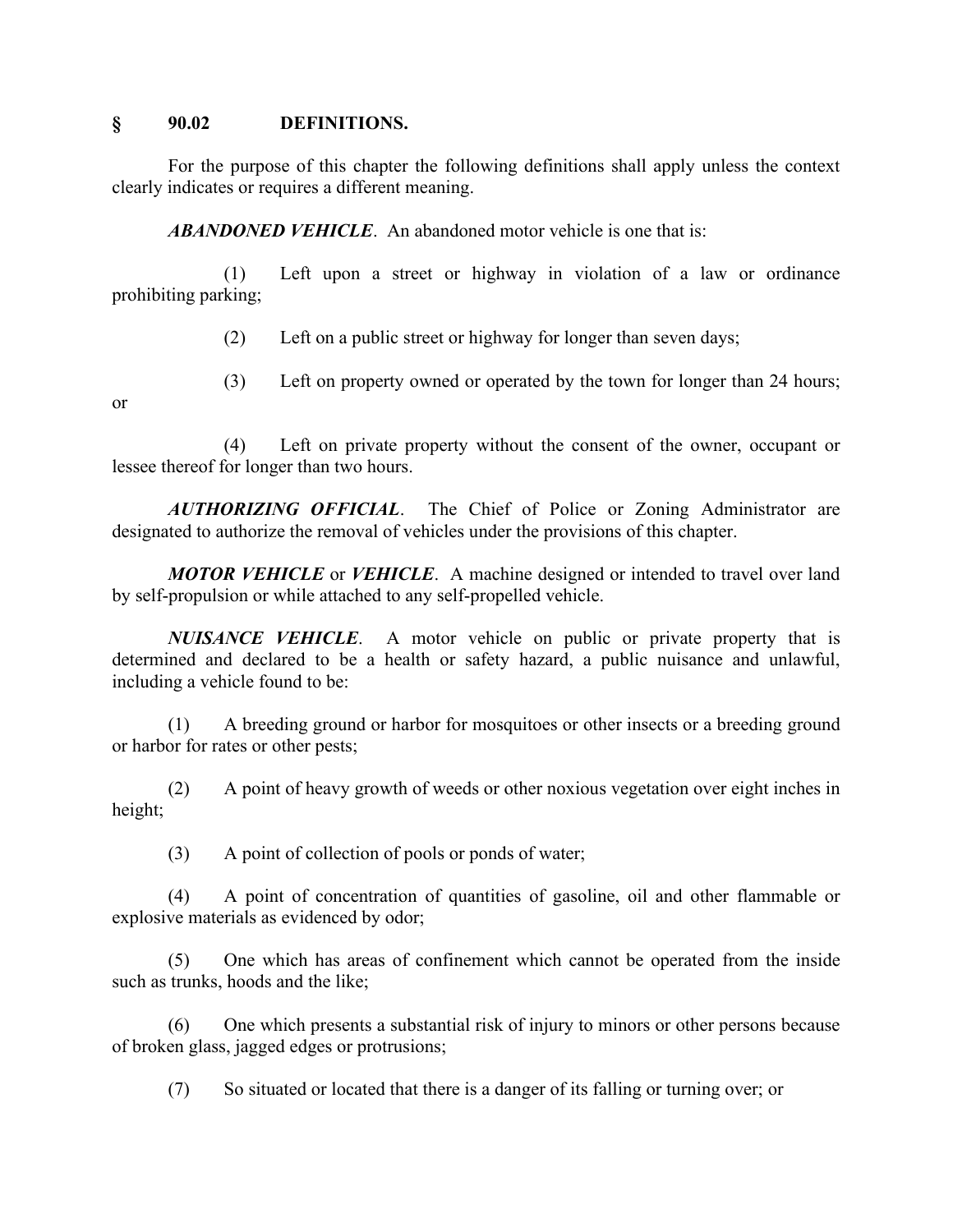#### **§ 90.02 DEFINITIONS.**

For the purpose of this chapter the following definitions shall apply unless the context clearly indicates or requires a different meaning.

*ABANDONED VEHICLE*. An abandoned motor vehicle is one that is:

(1) Left upon a street or highway in violation of a law or ordinance prohibiting parking;

- (2) Left on a public street or highway for longer than seven days;
- (3) Left on property owned or operated by the town for longer than 24 hours;

or

(4) Left on private property without the consent of the owner, occupant or lessee thereof for longer than two hours.

*AUTHORIZING OFFICIAL*. The Chief of Police or Zoning Administrator are designated to authorize the removal of vehicles under the provisions of this chapter.

*MOTOR VEHICLE* or *VEHICLE*. A machine designed or intended to travel over land by self-propulsion or while attached to any self-propelled vehicle.

*NUISANCE VEHICLE*. A motor vehicle on public or private property that is determined and declared to be a health or safety hazard, a public nuisance and unlawful, including a vehicle found to be:

(1) A breeding ground or harbor for mosquitoes or other insects or a breeding ground or harbor for rates or other pests;

(2) A point of heavy growth of weeds or other noxious vegetation over eight inches in height;

(3) A point of collection of pools or ponds of water;

(4) A point of concentration of quantities of gasoline, oil and other flammable or explosive materials as evidenced by odor;

(5) One which has areas of confinement which cannot be operated from the inside such as trunks, hoods and the like;

(6) One which presents a substantial risk of injury to minors or other persons because of broken glass, jagged edges or protrusions;

(7) So situated or located that there is a danger of its falling or turning over; or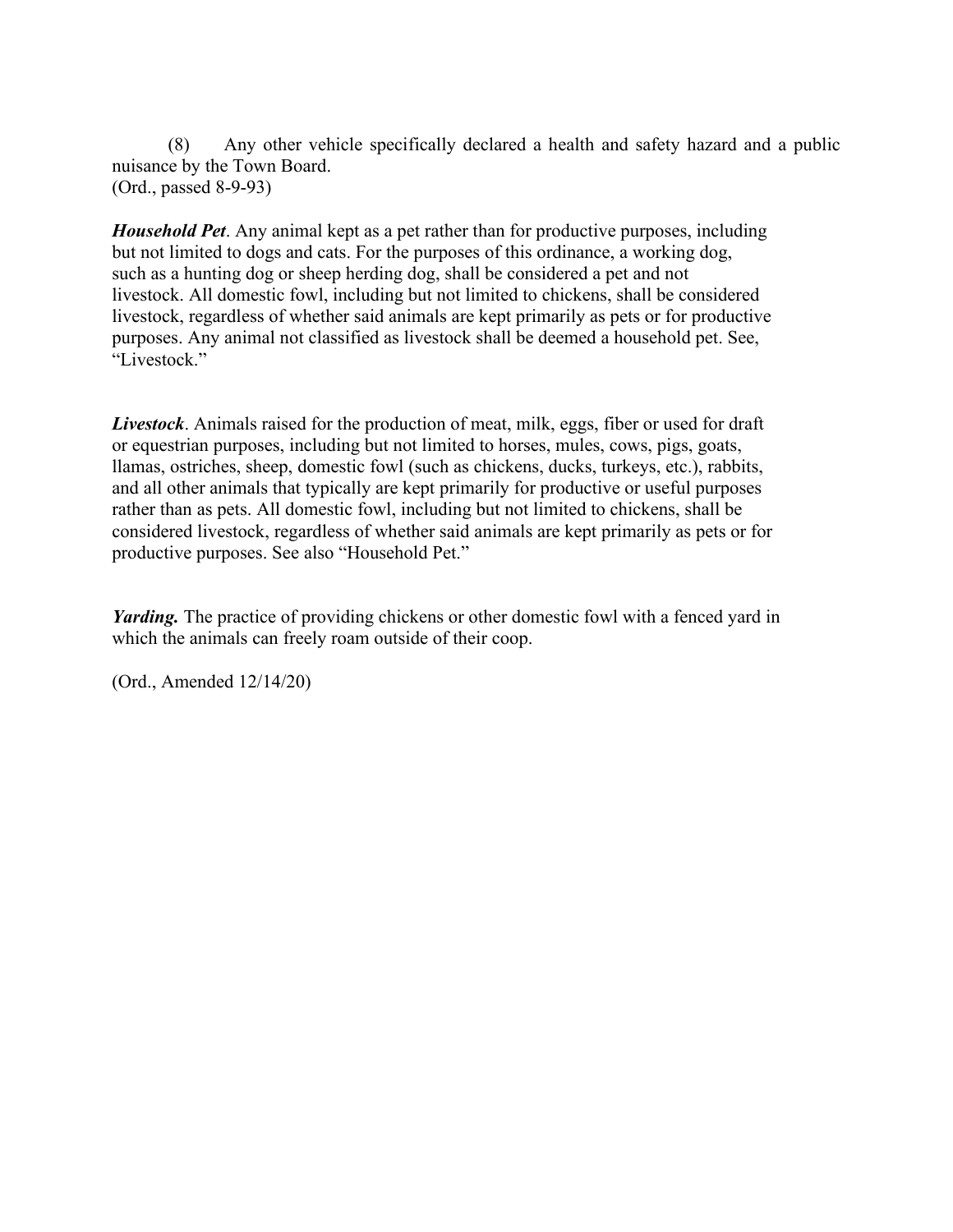(8) Any other vehicle specifically declared a health and safety hazard and a public nuisance by the Town Board. (Ord., passed 8-9-93)

*Household Pet*. Any animal kept as a pet rather than for productive purposes, including but not limited to dogs and cats. For the purposes of this ordinance, a working dog, such as a hunting dog or sheep herding dog, shall be considered a pet and not livestock. All domestic fowl, including but not limited to chickens, shall be considered livestock, regardless of whether said animals are kept primarily as pets or for productive purposes. Any animal not classified as livestock shall be deemed a household pet. See, "Livestock."

*Livestock*. Animals raised for the production of meat, milk, eggs, fiber or used for draft or equestrian purposes, including but not limited to horses, mules, cows, pigs, goats, llamas, ostriches, sheep, domestic fowl (such as chickens, ducks, turkeys, etc.), rabbits, and all other animals that typically are kept primarily for productive or useful purposes rather than as pets. All domestic fowl, including but not limited to chickens, shall be considered livestock, regardless of whether said animals are kept primarily as pets or for productive purposes. See also "Household Pet."

*Yarding.* The practice of providing chickens or other domestic fowl with a fenced yard in which the animals can freely roam outside of their coop.

(Ord., Amended 12/14/20)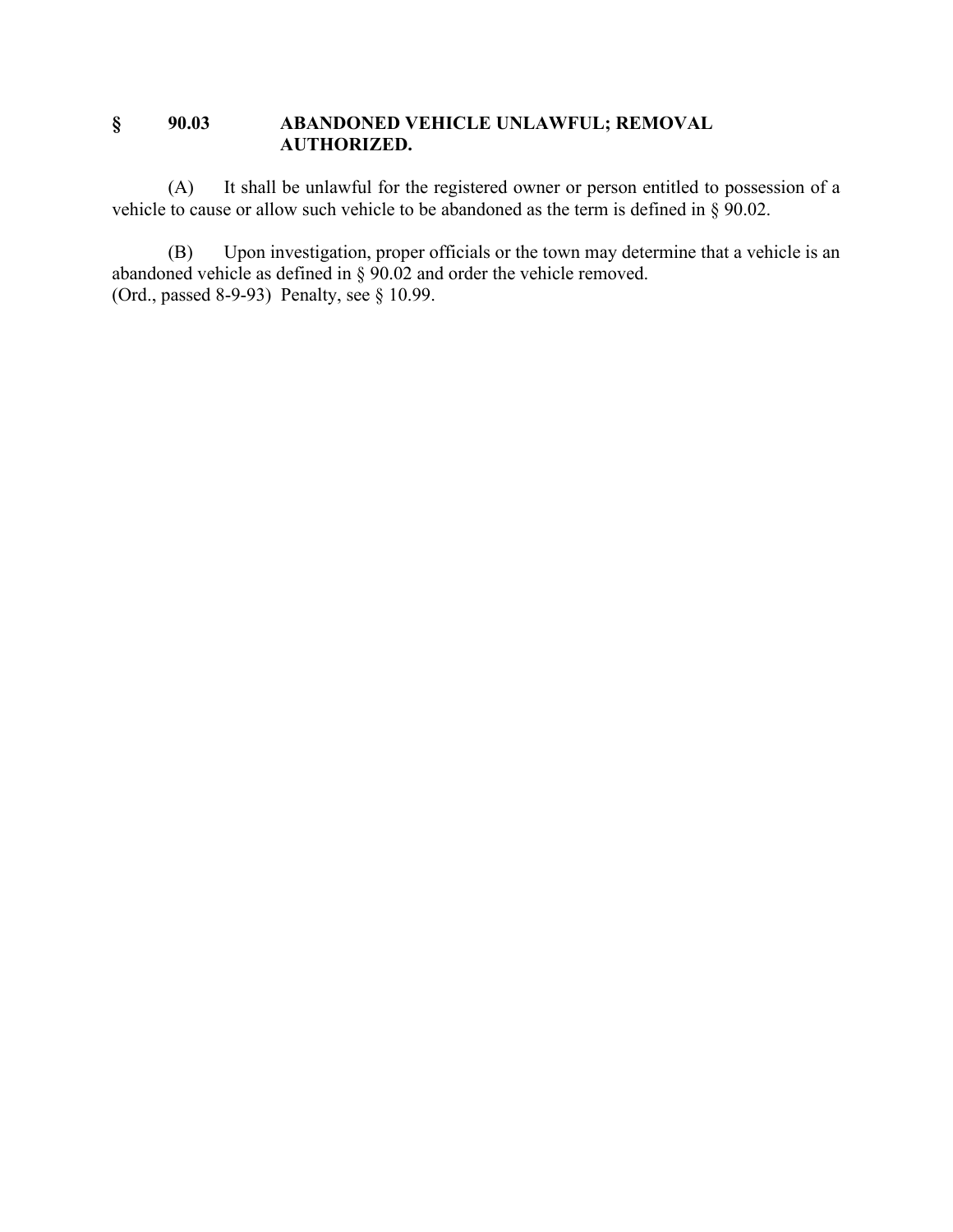## **§ 90.03 ABANDONED VEHICLE UNLAWFUL; REMOVAL AUTHORIZED.**

(A) It shall be unlawful for the registered owner or person entitled to possession of a vehicle to cause or allow such vehicle to be abandoned as the term is defined in § 90.02.

(B) Upon investigation, proper officials or the town may determine that a vehicle is an abandoned vehicle as defined in § 90.02 and order the vehicle removed. (Ord., passed 8-9-93) Penalty, see § 10.99.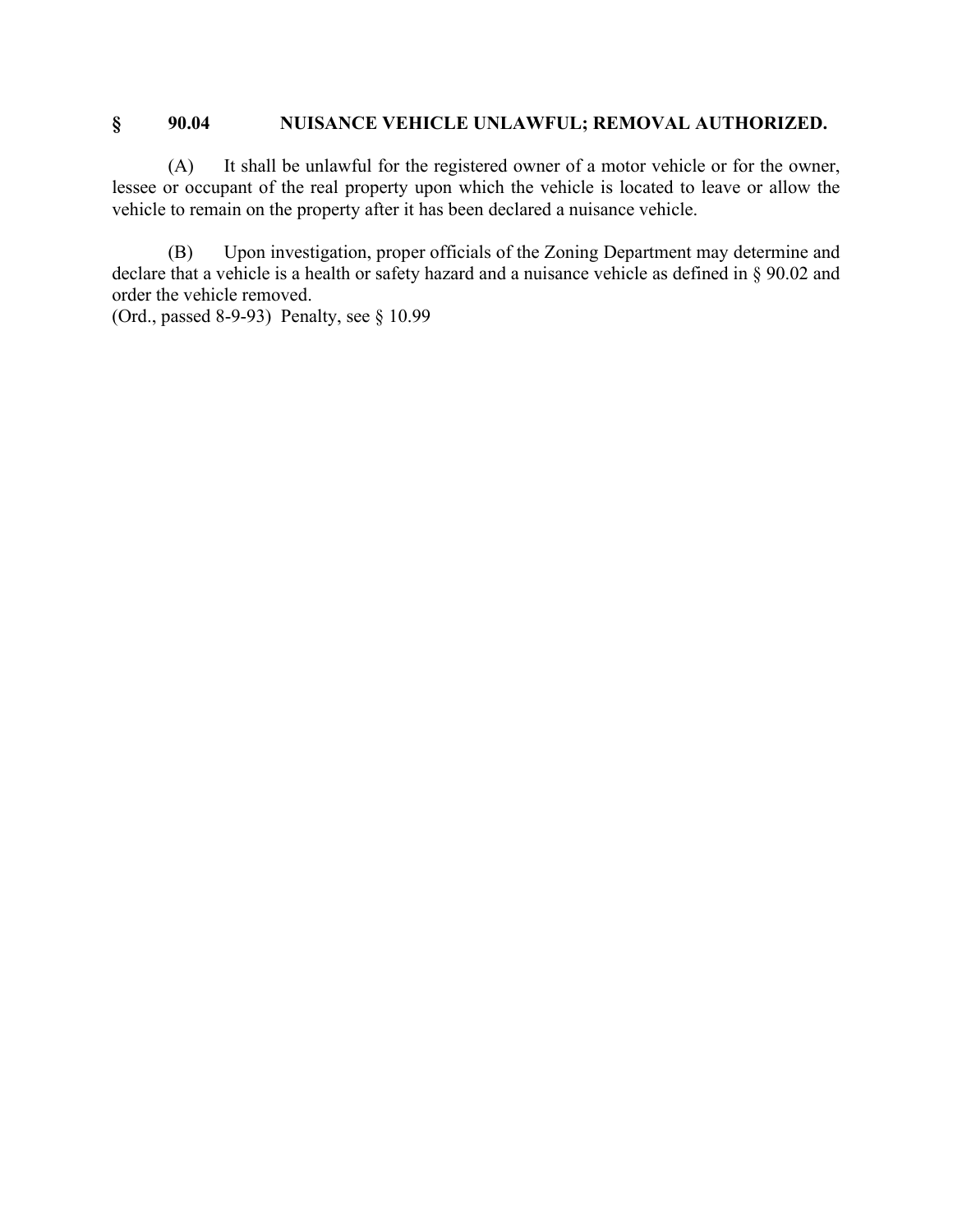## **§ 90.04 NUISANCE VEHICLE UNLAWFUL; REMOVAL AUTHORIZED.**

(A) It shall be unlawful for the registered owner of a motor vehicle or for the owner, lessee or occupant of the real property upon which the vehicle is located to leave or allow the vehicle to remain on the property after it has been declared a nuisance vehicle.

(B) Upon investigation, proper officials of the Zoning Department may determine and declare that a vehicle is a health or safety hazard and a nuisance vehicle as defined in § 90.02 and order the vehicle removed.

(Ord., passed 8-9-93) Penalty, see § 10.99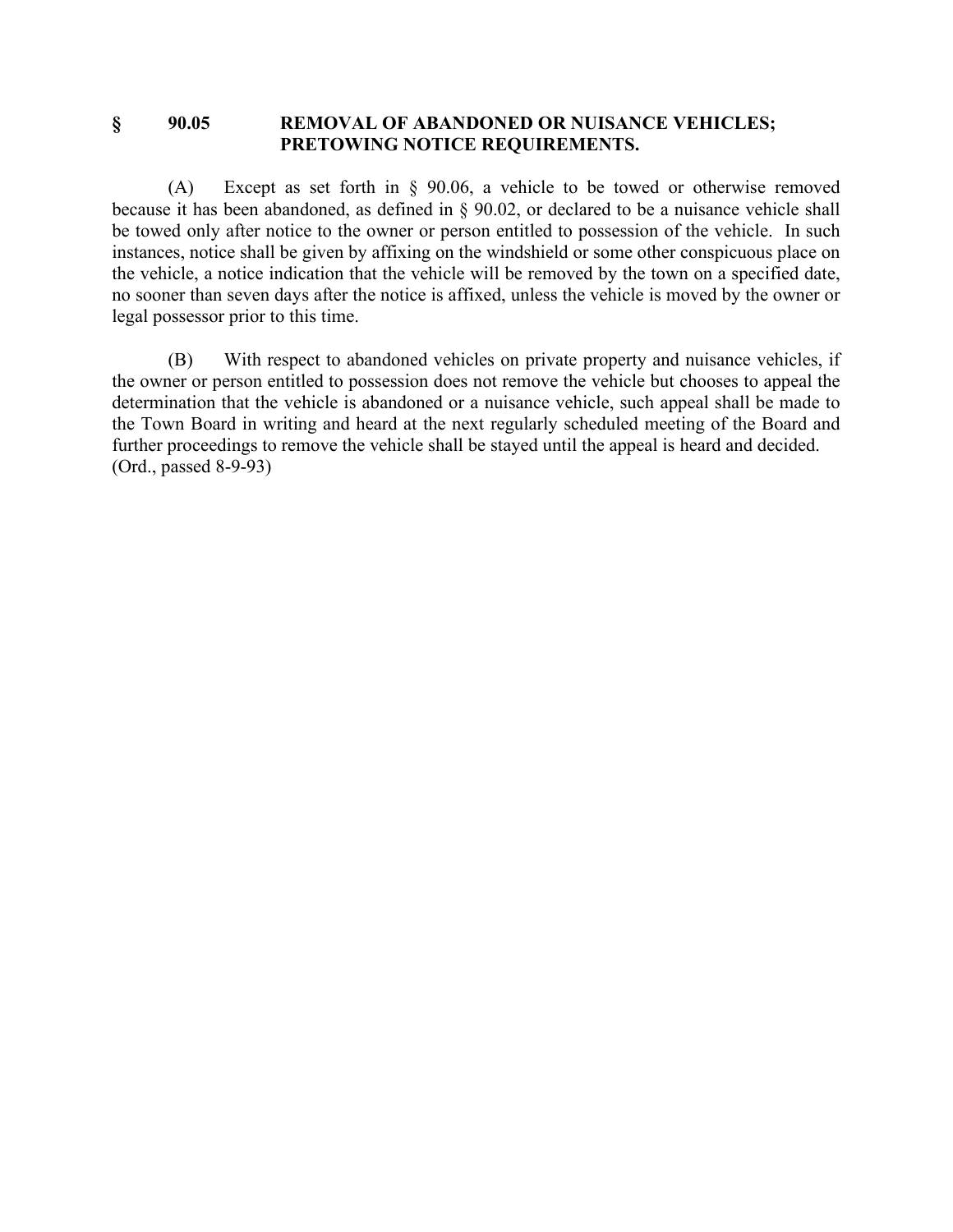#### **§ 90.05 REMOVAL OF ABANDONED OR NUISANCE VEHICLES; PRETOWING NOTICE REQUIREMENTS.**

(A) Except as set forth in § 90.06, a vehicle to be towed or otherwise removed because it has been abandoned, as defined in § 90.02, or declared to be a nuisance vehicle shall be towed only after notice to the owner or person entitled to possession of the vehicle. In such instances, notice shall be given by affixing on the windshield or some other conspicuous place on the vehicle, a notice indication that the vehicle will be removed by the town on a specified date, no sooner than seven days after the notice is affixed, unless the vehicle is moved by the owner or legal possessor prior to this time.

(B) With respect to abandoned vehicles on private property and nuisance vehicles, if the owner or person entitled to possession does not remove the vehicle but chooses to appeal the determination that the vehicle is abandoned or a nuisance vehicle, such appeal shall be made to the Town Board in writing and heard at the next regularly scheduled meeting of the Board and further proceedings to remove the vehicle shall be stayed until the appeal is heard and decided. (Ord., passed 8-9-93)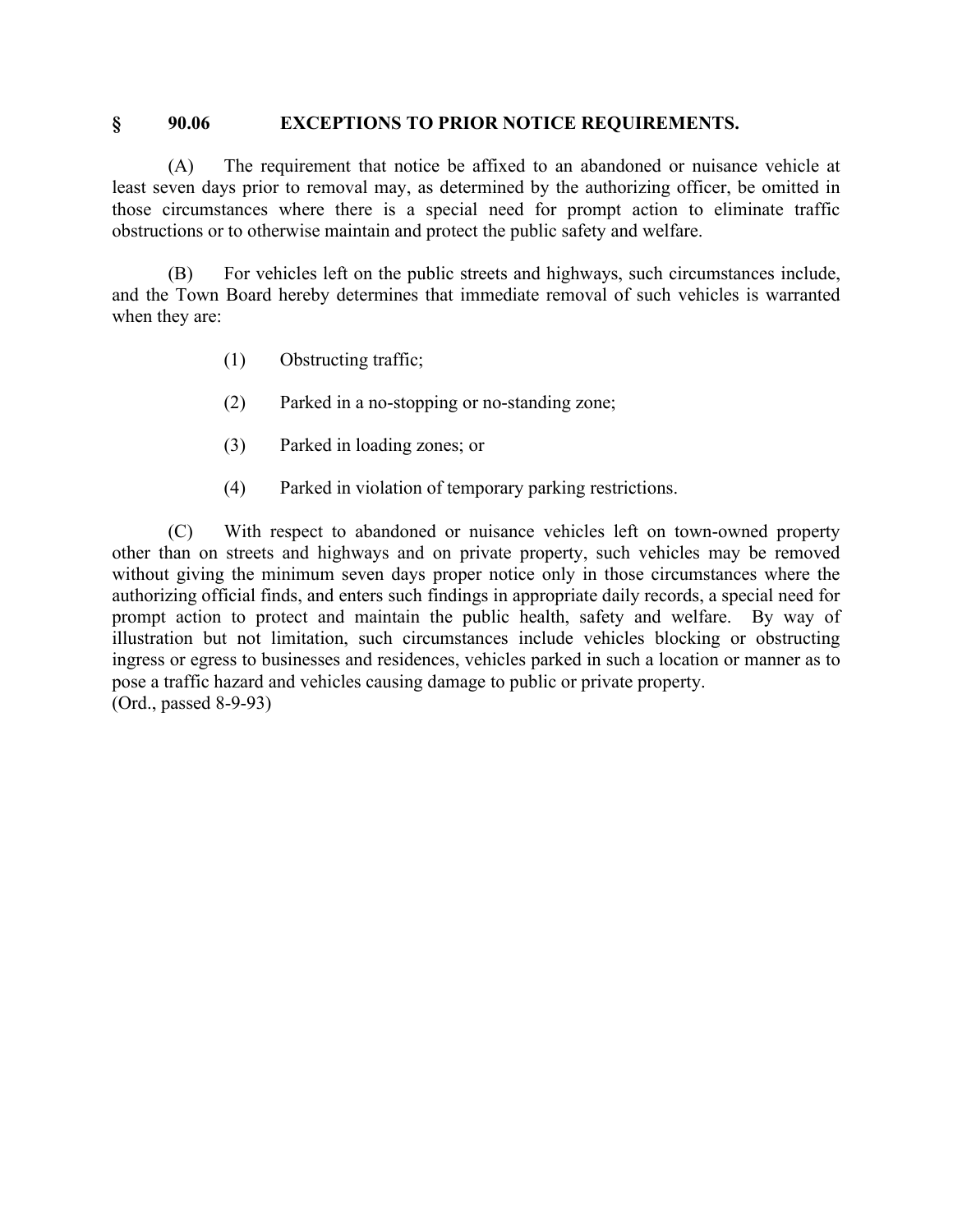#### **§ 90.06 EXCEPTIONS TO PRIOR NOTICE REQUIREMENTS.**

(A) The requirement that notice be affixed to an abandoned or nuisance vehicle at least seven days prior to removal may, as determined by the authorizing officer, be omitted in those circumstances where there is a special need for prompt action to eliminate traffic obstructions or to otherwise maintain and protect the public safety and welfare.

(B) For vehicles left on the public streets and highways, such circumstances include, and the Town Board hereby determines that immediate removal of such vehicles is warranted when they are:

- (1) Obstructing traffic;
- (2) Parked in a no-stopping or no-standing zone;
- (3) Parked in loading zones; or
- (4) Parked in violation of temporary parking restrictions.

(C) With respect to abandoned or nuisance vehicles left on town-owned property other than on streets and highways and on private property, such vehicles may be removed without giving the minimum seven days proper notice only in those circumstances where the authorizing official finds, and enters such findings in appropriate daily records, a special need for prompt action to protect and maintain the public health, safety and welfare. By way of illustration but not limitation, such circumstances include vehicles blocking or obstructing ingress or egress to businesses and residences, vehicles parked in such a location or manner as to pose a traffic hazard and vehicles causing damage to public or private property. (Ord., passed 8-9-93)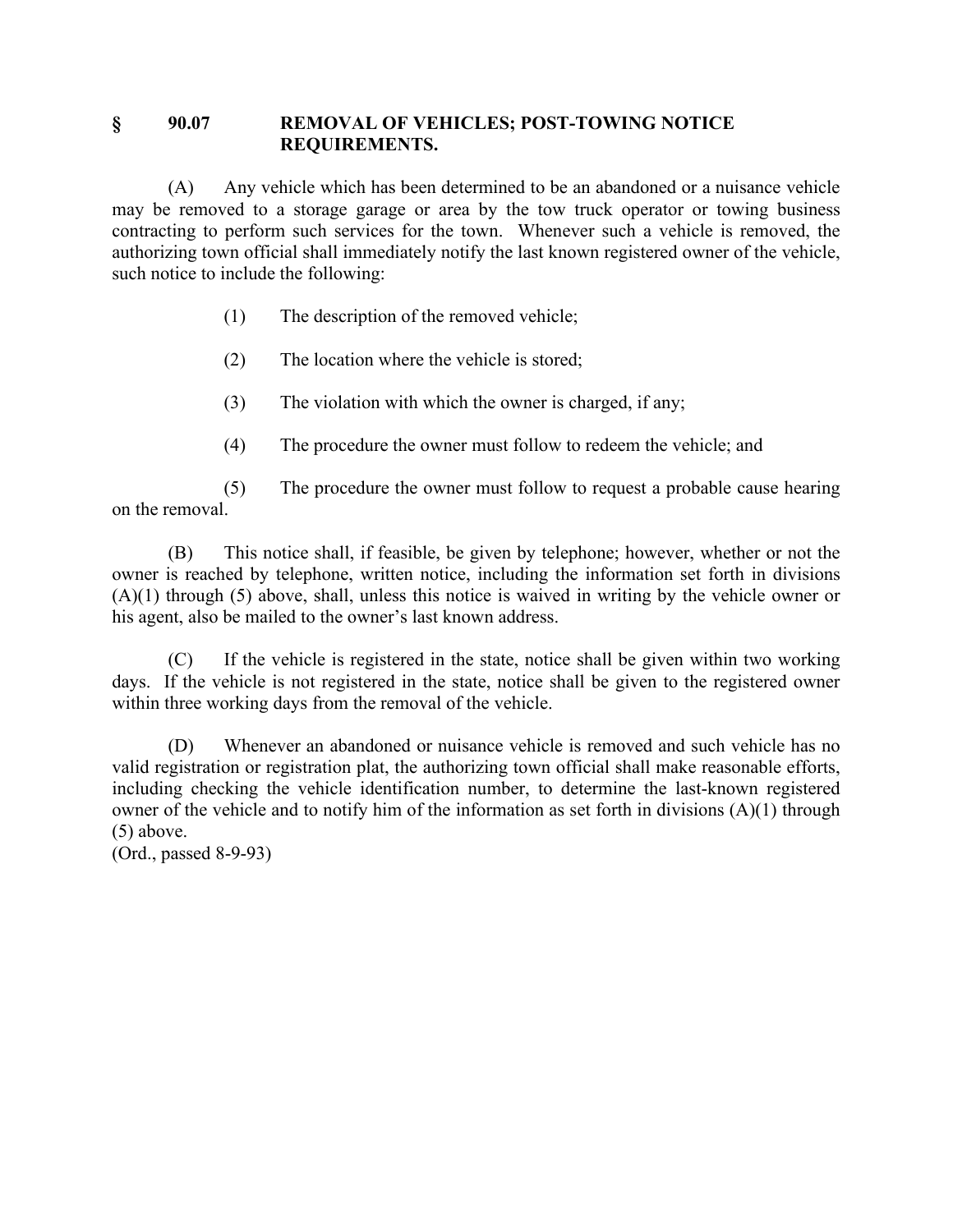### **§ 90.07 REMOVAL OF VEHICLES; POST-TOWING NOTICE REQUIREMENTS.**

(A) Any vehicle which has been determined to be an abandoned or a nuisance vehicle may be removed to a storage garage or area by the tow truck operator or towing business contracting to perform such services for the town. Whenever such a vehicle is removed, the authorizing town official shall immediately notify the last known registered owner of the vehicle, such notice to include the following:

- (1) The description of the removed vehicle;
- (2) The location where the vehicle is stored;
- (3) The violation with which the owner is charged, if any;
- (4) The procedure the owner must follow to redeem the vehicle; and

(5) The procedure the owner must follow to request a probable cause hearing on the removal.

(B) This notice shall, if feasible, be given by telephone; however, whether or not the owner is reached by telephone, written notice, including the information set forth in divisions (A)(1) through (5) above, shall, unless this notice is waived in writing by the vehicle owner or his agent, also be mailed to the owner's last known address.

(C) If the vehicle is registered in the state, notice shall be given within two working days. If the vehicle is not registered in the state, notice shall be given to the registered owner within three working days from the removal of the vehicle.

(D) Whenever an abandoned or nuisance vehicle is removed and such vehicle has no valid registration or registration plat, the authorizing town official shall make reasonable efforts, including checking the vehicle identification number, to determine the last-known registered owner of the vehicle and to notify him of the information as set forth in divisions (A)(1) through (5) above.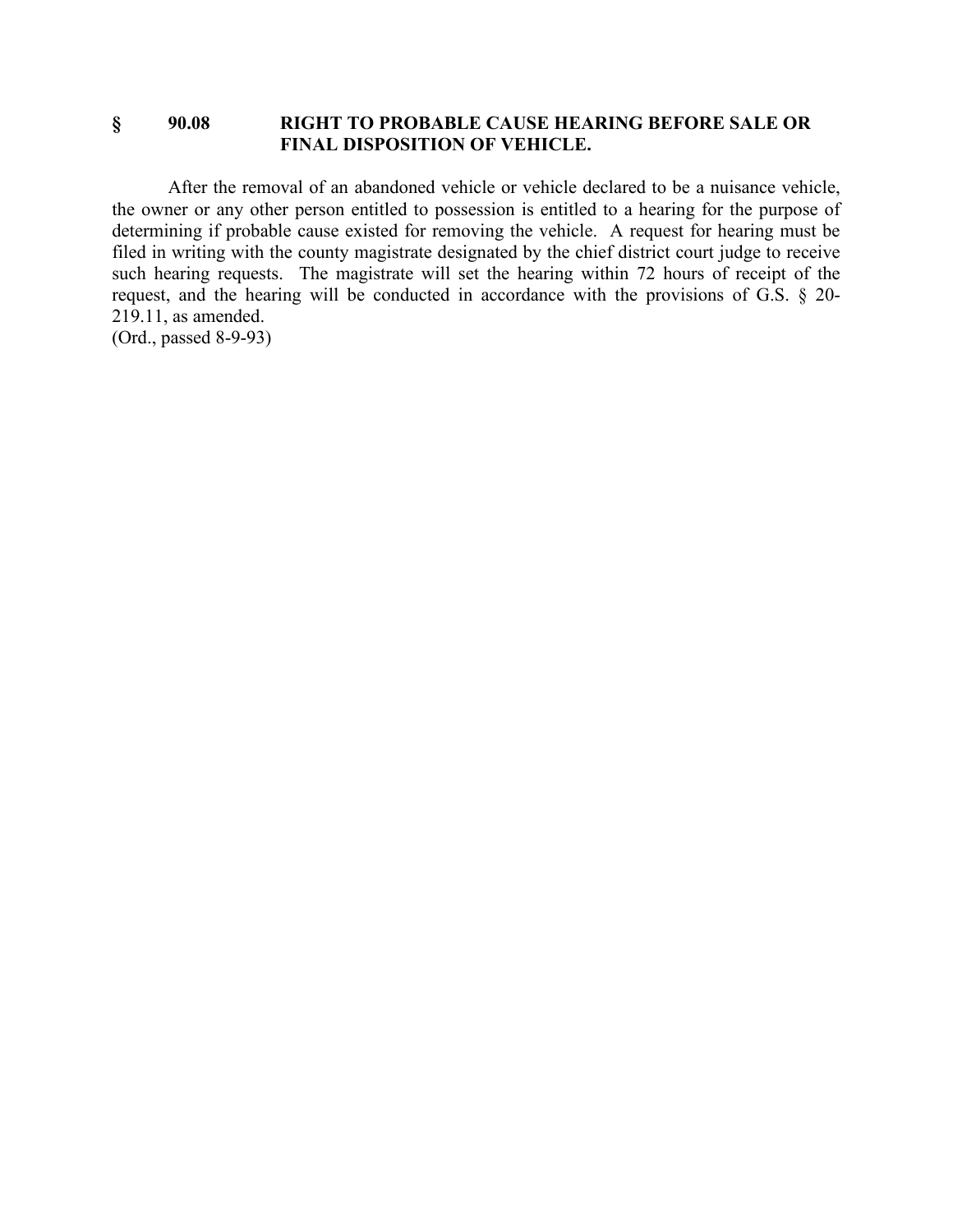### **§ 90.08 RIGHT TO PROBABLE CAUSE HEARING BEFORE SALE OR FINAL DISPOSITION OF VEHICLE.**

After the removal of an abandoned vehicle or vehicle declared to be a nuisance vehicle, the owner or any other person entitled to possession is entitled to a hearing for the purpose of determining if probable cause existed for removing the vehicle. A request for hearing must be filed in writing with the county magistrate designated by the chief district court judge to receive such hearing requests. The magistrate will set the hearing within 72 hours of receipt of the request, and the hearing will be conducted in accordance with the provisions of G.S. § 20- 219.11, as amended.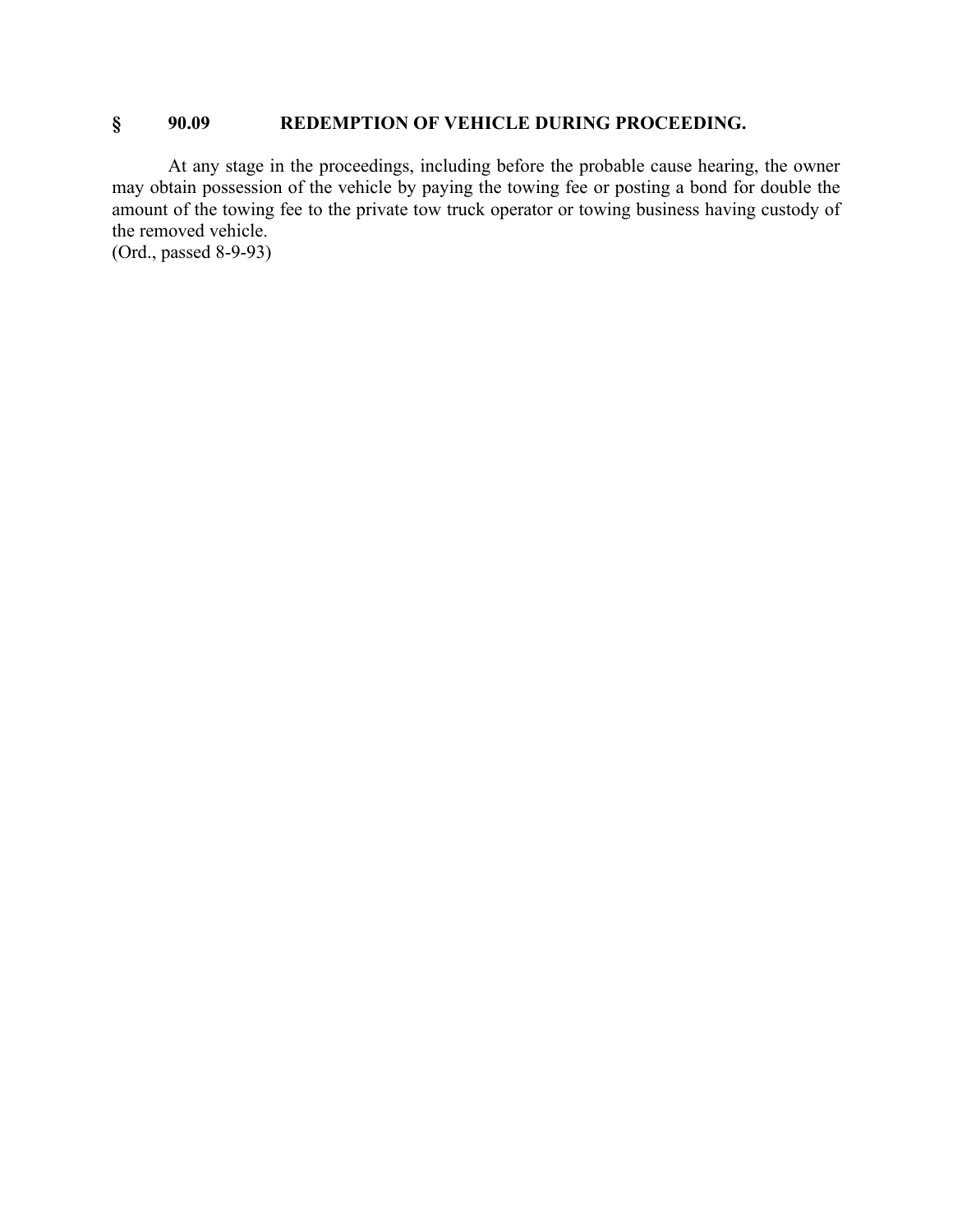## **§ 90.09 REDEMPTION OF VEHICLE DURING PROCEEDING.**

At any stage in the proceedings, including before the probable cause hearing, the owner may obtain possession of the vehicle by paying the towing fee or posting a bond for double the amount of the towing fee to the private tow truck operator or towing business having custody of the removed vehicle.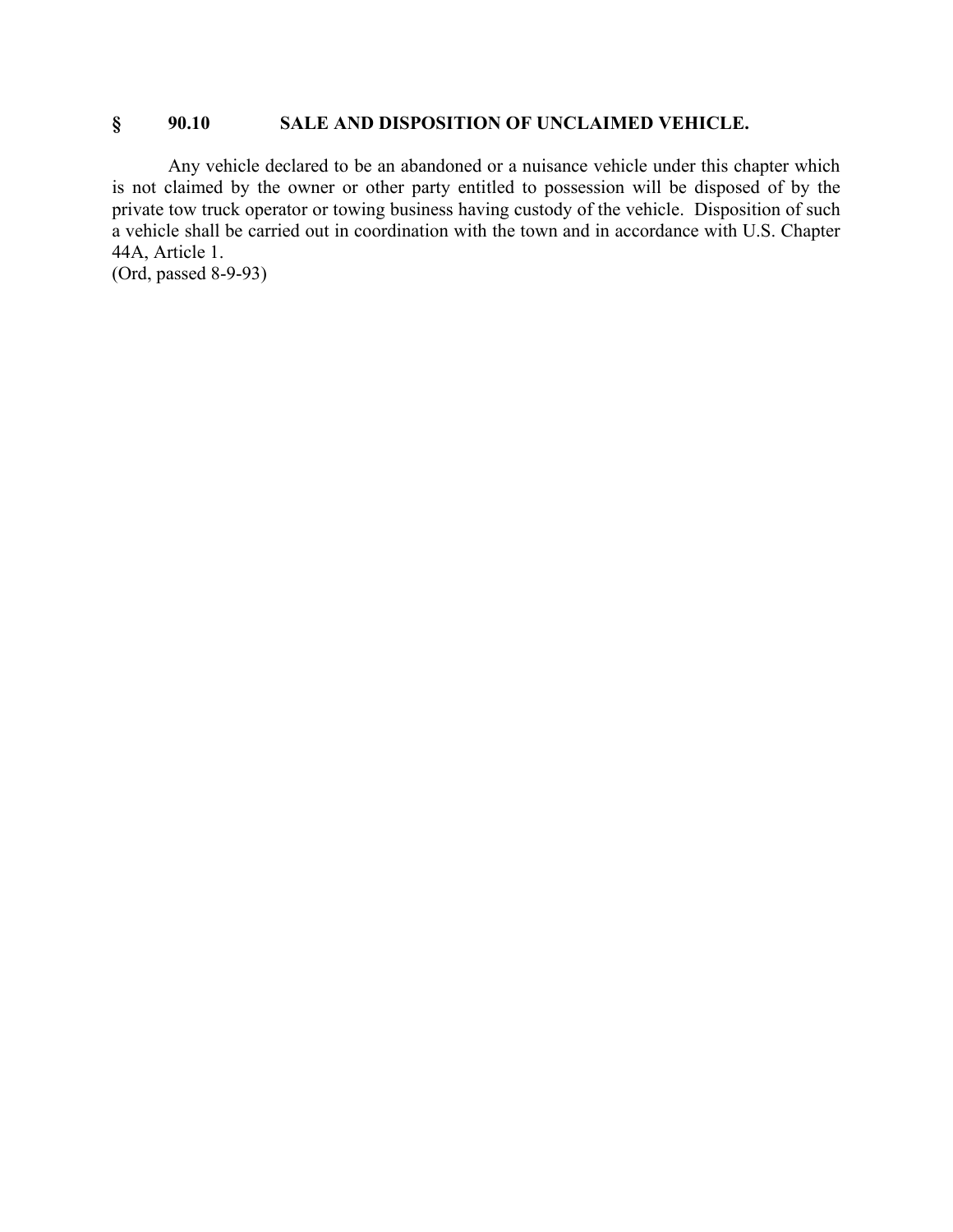## **§ 90.10 SALE AND DISPOSITION OF UNCLAIMED VEHICLE.**

Any vehicle declared to be an abandoned or a nuisance vehicle under this chapter which is not claimed by the owner or other party entitled to possession will be disposed of by the private tow truck operator or towing business having custody of the vehicle. Disposition of such a vehicle shall be carried out in coordination with the town and in accordance with U.S. Chapter 44A, Article 1.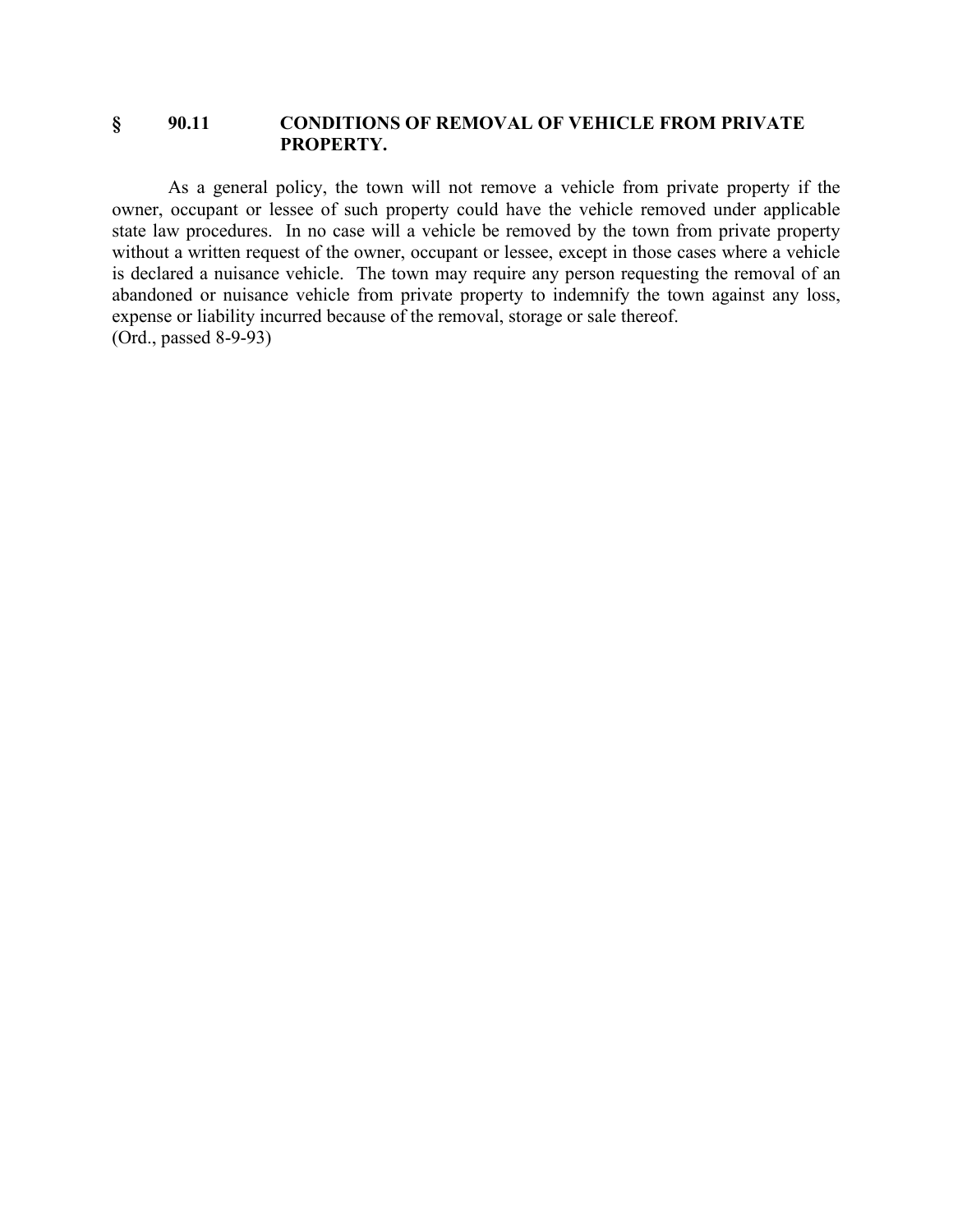### **§ 90.11 CONDITIONS OF REMOVAL OF VEHICLE FROM PRIVATE PROPERTY.**

As a general policy, the town will not remove a vehicle from private property if the owner, occupant or lessee of such property could have the vehicle removed under applicable state law procedures. In no case will a vehicle be removed by the town from private property without a written request of the owner, occupant or lessee, except in those cases where a vehicle is declared a nuisance vehicle. The town may require any person requesting the removal of an abandoned or nuisance vehicle from private property to indemnify the town against any loss, expense or liability incurred because of the removal, storage or sale thereof. (Ord., passed 8-9-93)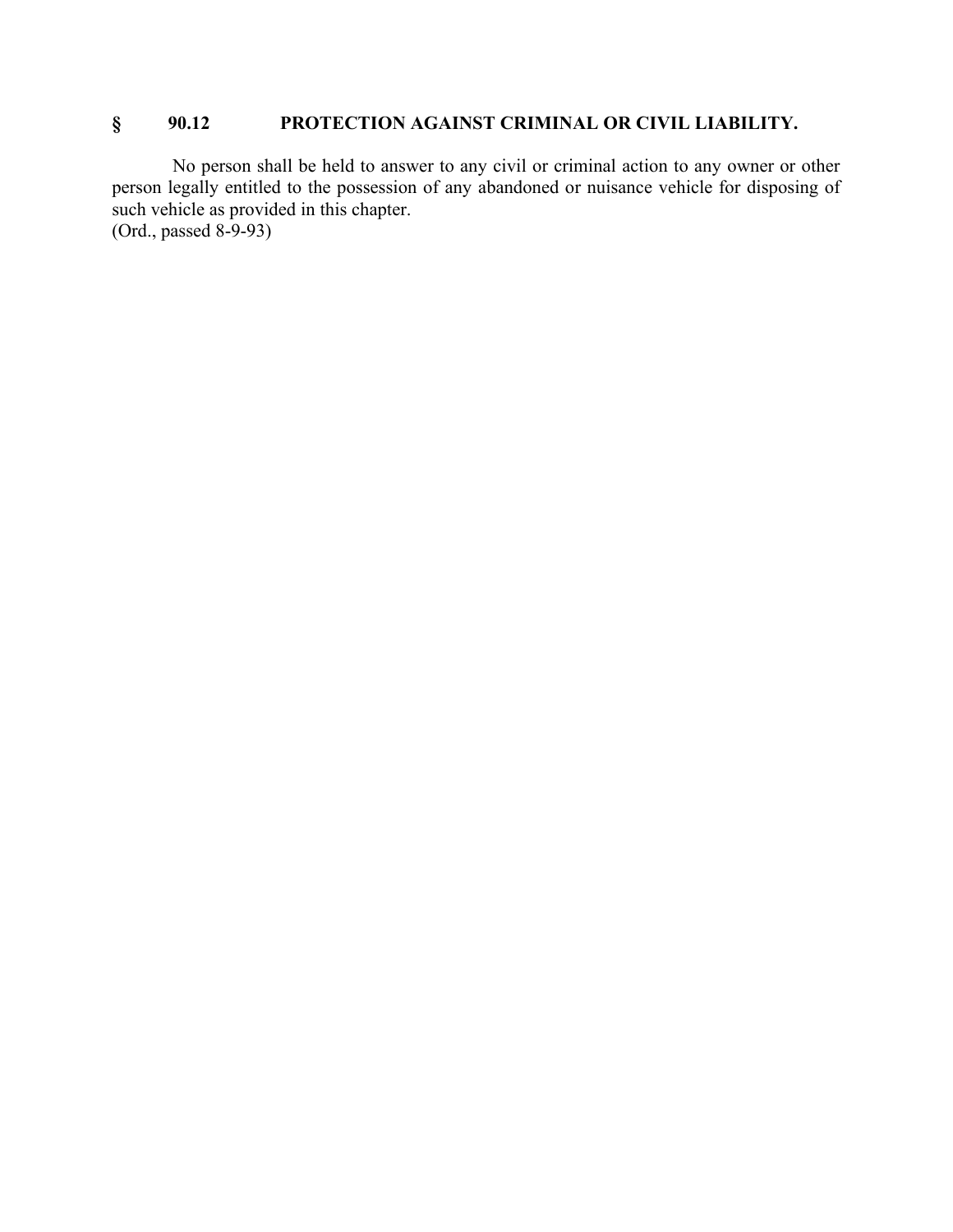# **§ 90.12 PROTECTION AGAINST CRIMINAL OR CIVIL LIABILITY.**

No person shall be held to answer to any civil or criminal action to any owner or other person legally entitled to the possession of any abandoned or nuisance vehicle for disposing of such vehicle as provided in this chapter.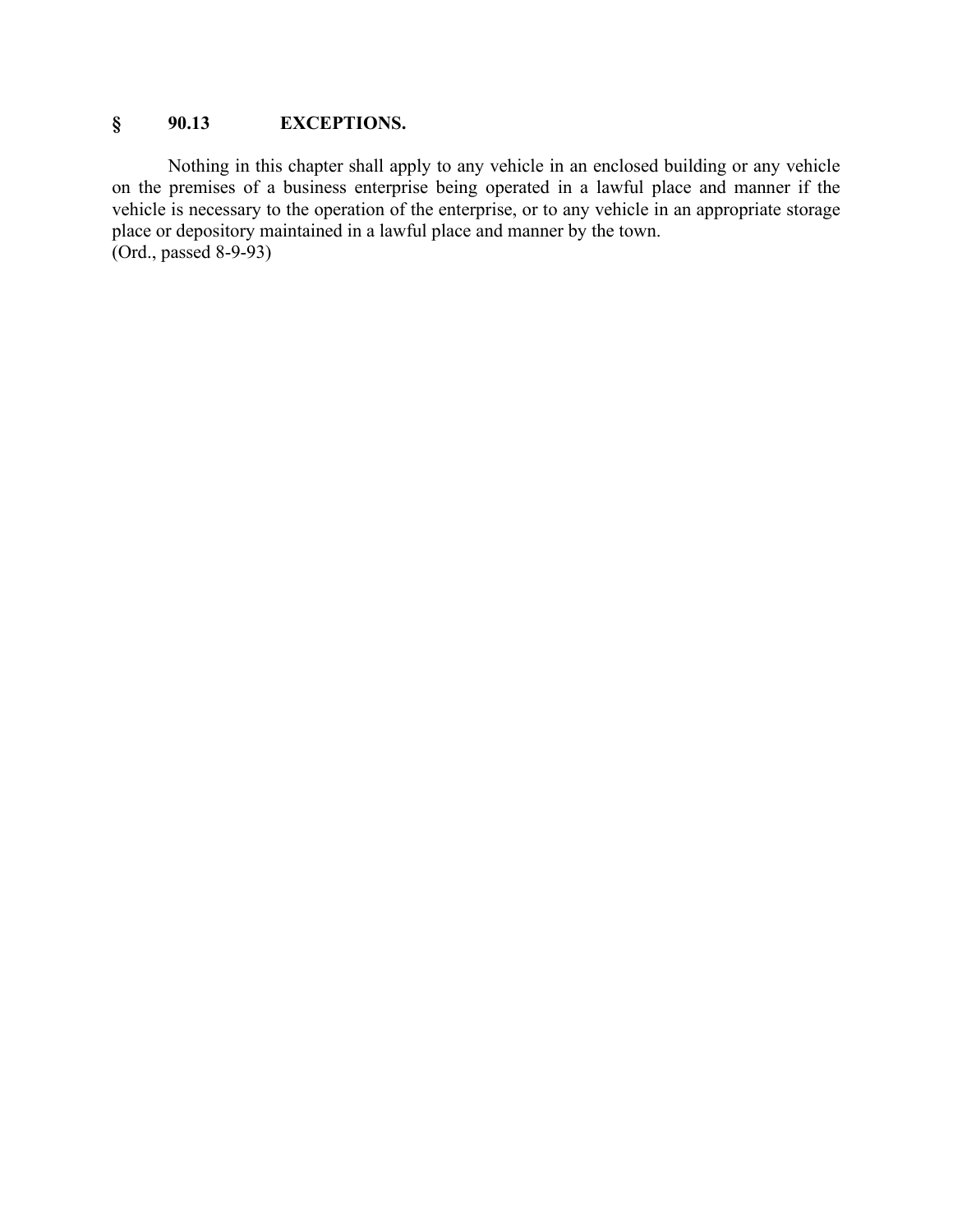# **§ 90.13 EXCEPTIONS.**

Nothing in this chapter shall apply to any vehicle in an enclosed building or any vehicle on the premises of a business enterprise being operated in a lawful place and manner if the vehicle is necessary to the operation of the enterprise, or to any vehicle in an appropriate storage place or depository maintained in a lawful place and manner by the town.  $(Ord., passed 8-9-93)$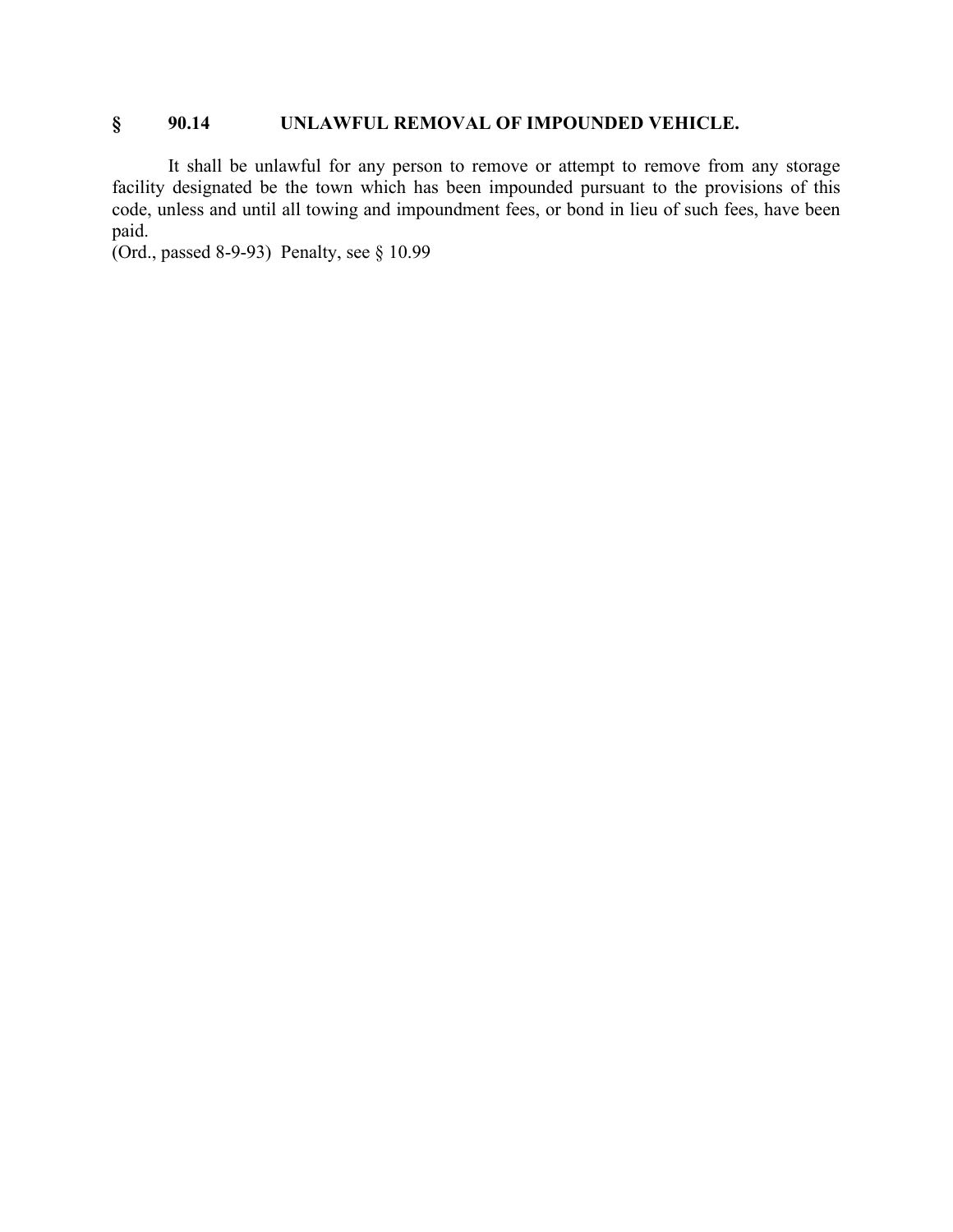# **§ 90.14 UNLAWFUL REMOVAL OF IMPOUNDED VEHICLE.**

It shall be unlawful for any person to remove or attempt to remove from any storage facility designated be the town which has been impounded pursuant to the provisions of this code, unless and until all towing and impoundment fees, or bond in lieu of such fees, have been paid.

(Ord., passed 8-9-93) Penalty, see § 10.99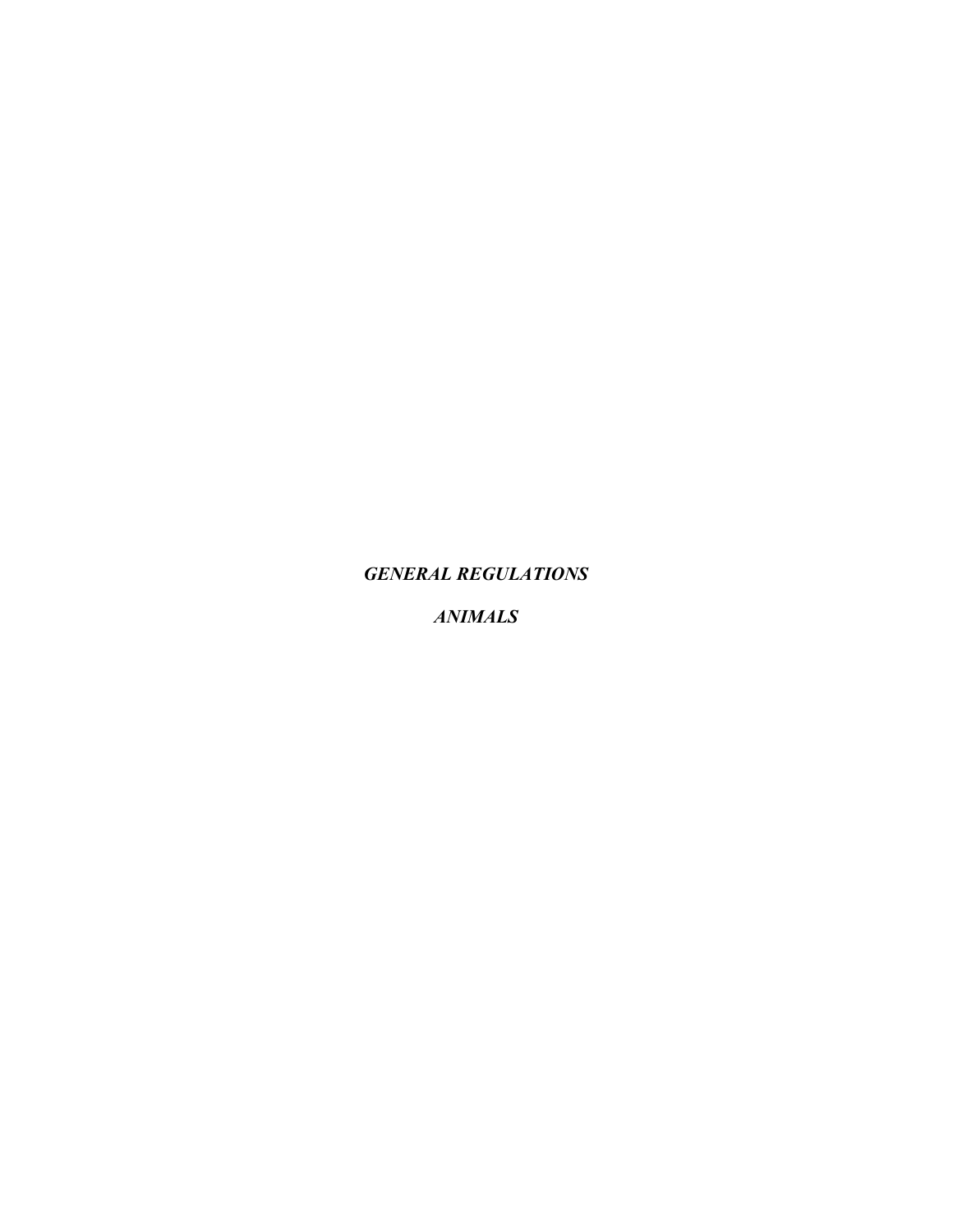*GENERAL REGULATIONS*

*ANIMALS*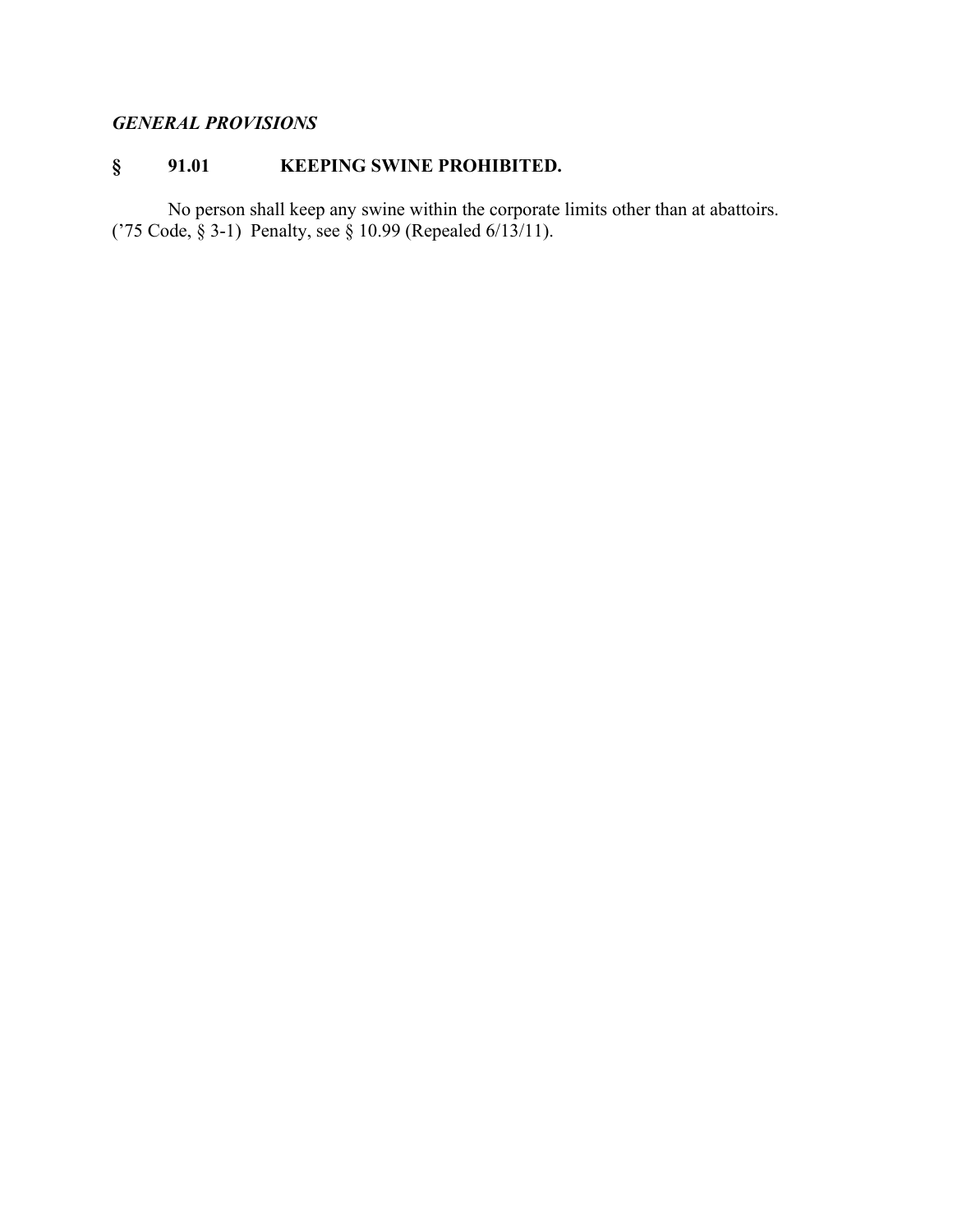# *GENERAL PROVISIONS*

# **§ 91.01 KEEPING SWINE PROHIBITED.**

No person shall keep any swine within the corporate limits other than at abattoirs. ('75 Code, § 3-1) Penalty, see § 10.99 (Repealed 6/13/11).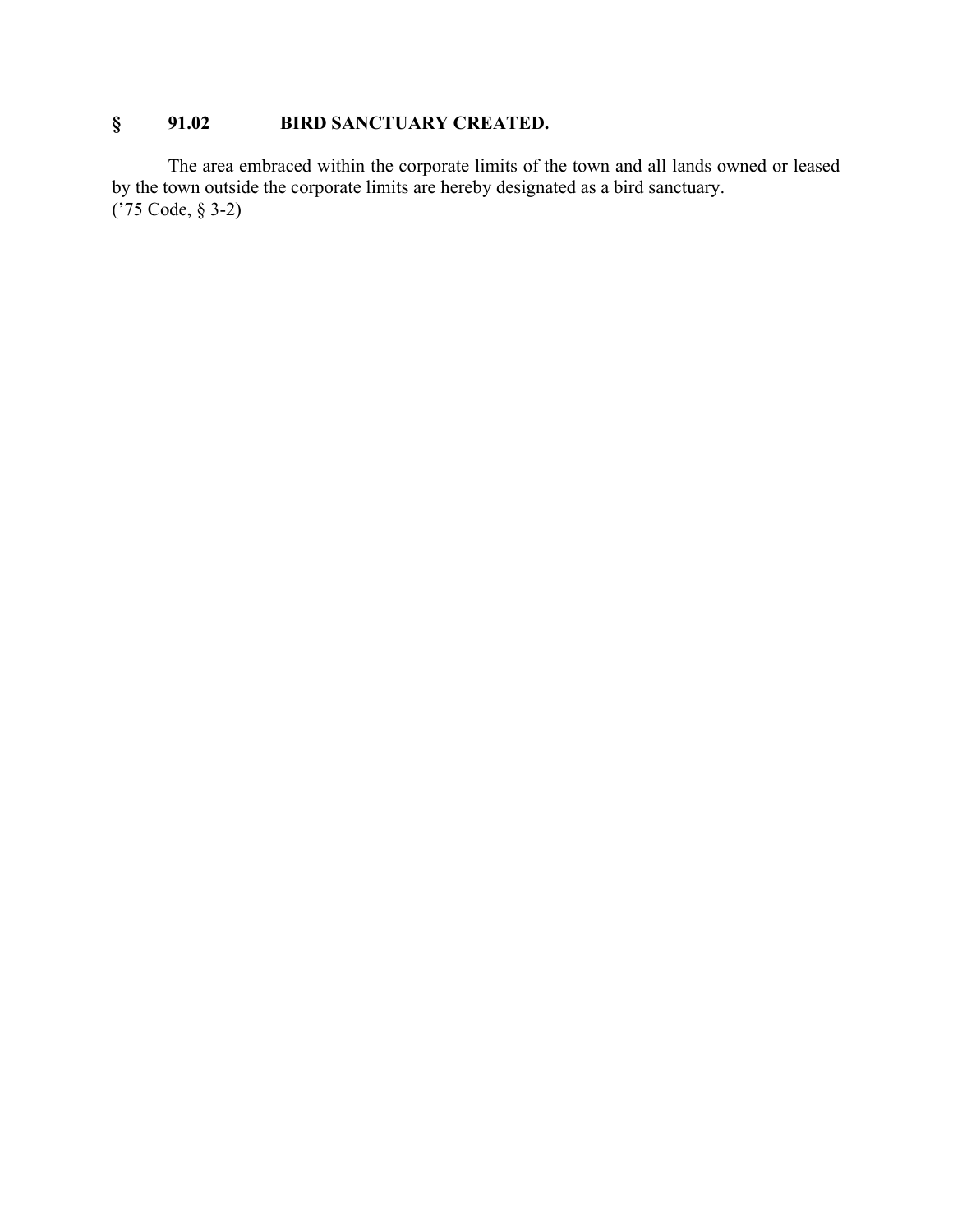# **§ 91.02 BIRD SANCTUARY CREATED.**

The area embraced within the corporate limits of the town and all lands owned or leased by the town outside the corporate limits are hereby designated as a bird sanctuary. ('75 Code, § 3-2)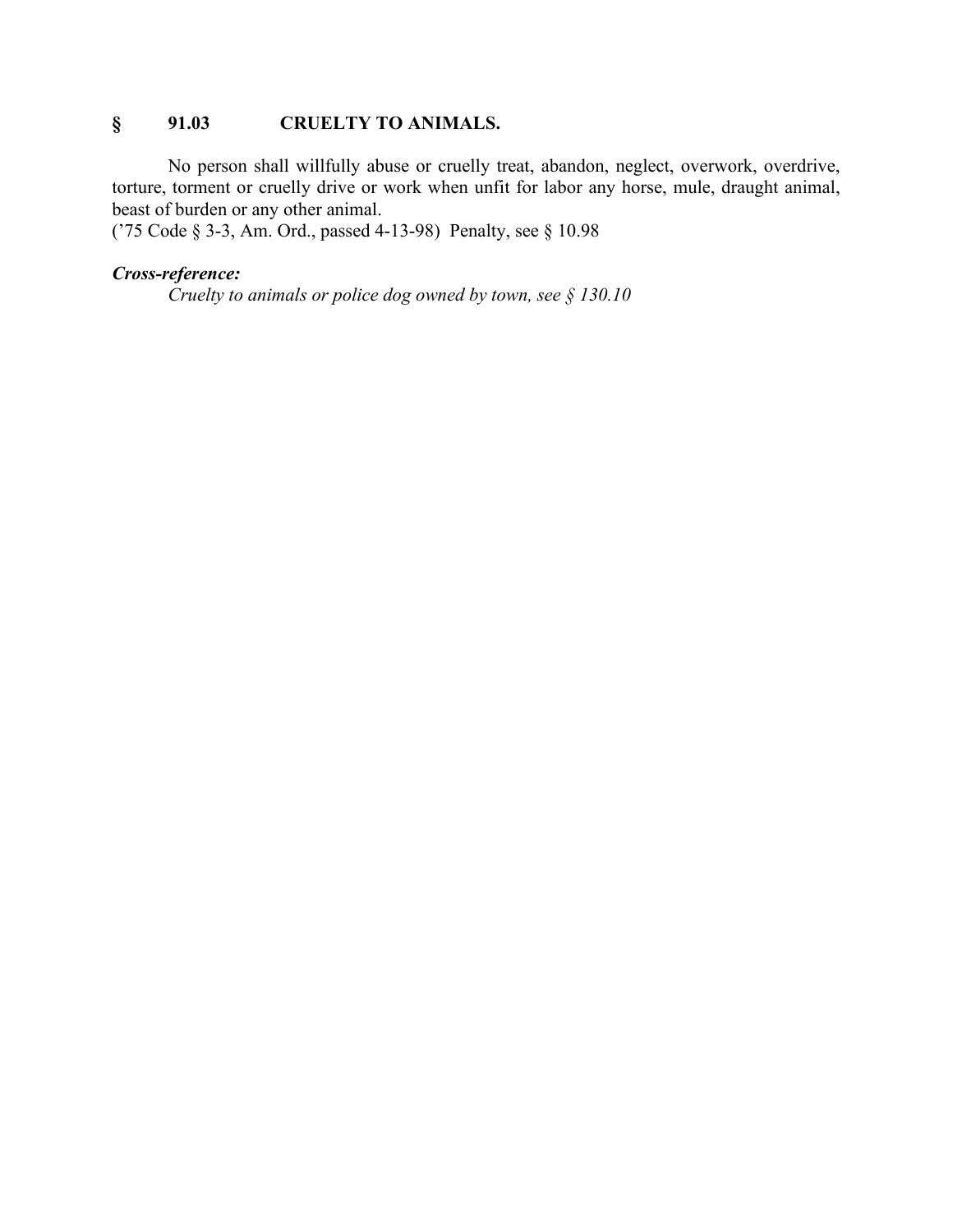## **§ 91.03 CRUELTY TO ANIMALS.**

No person shall willfully abuse or cruelly treat, abandon, neglect, overwork, overdrive, torture, torment or cruelly drive or work when unfit for labor any horse, mule, draught animal, beast of burden or any other animal.

('75 Code § 3-3, Am. Ord., passed 4-13-98) Penalty, see § 10.98

#### *Cross-reference:*

*Cruelty to animals or police dog owned by town, see § 130.10*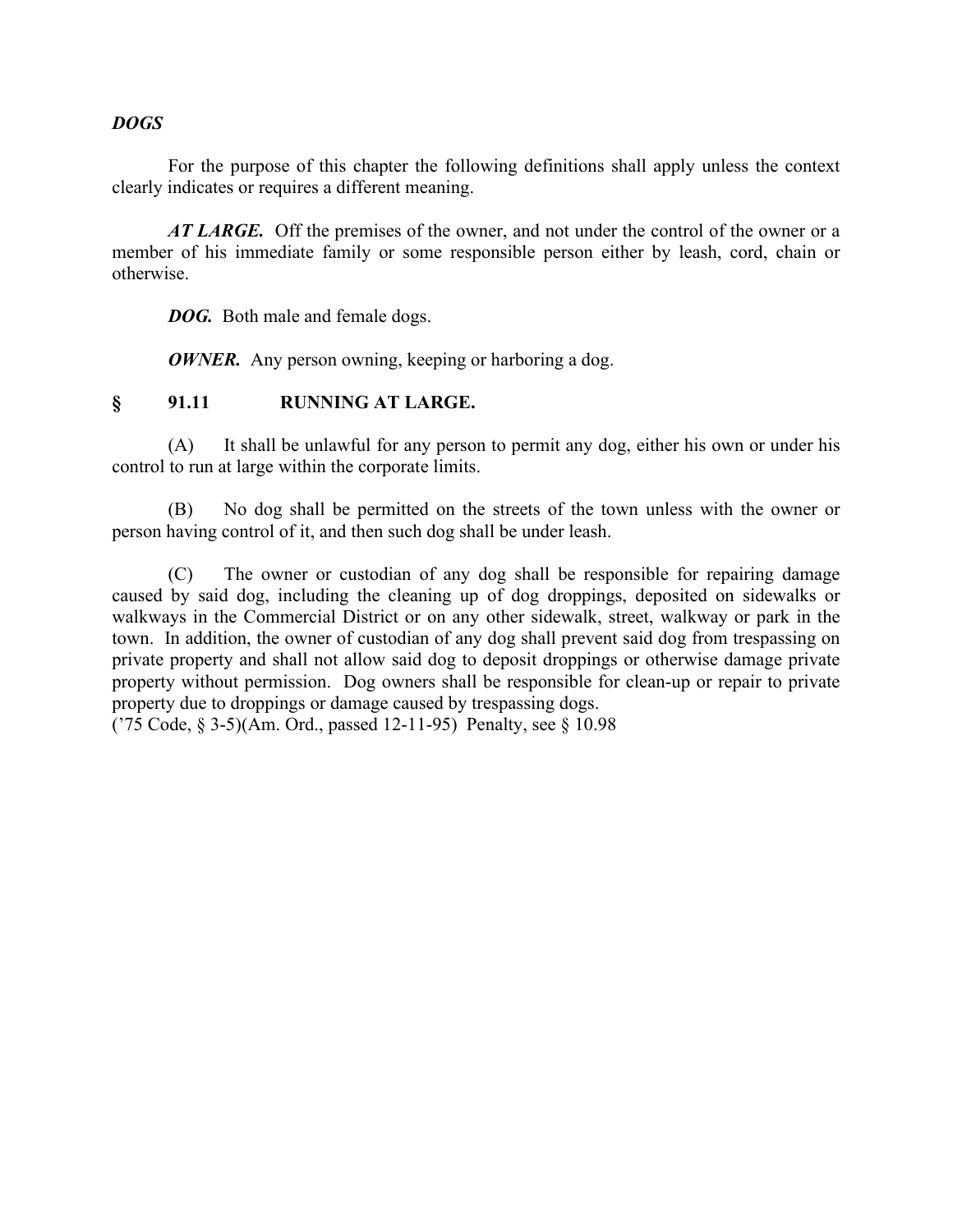### *DOGS*

For the purpose of this chapter the following definitions shall apply unless the context clearly indicates or requires a different meaning.

*AT LARGE.* Off the premises of the owner, and not under the control of the owner or a member of his immediate family or some responsible person either by leash, cord, chain or otherwise.

*DOG.* Both male and female dogs.

*OWNER.* Any person owning, keeping or harboring a dog.

### **§ 91.11 RUNNING AT LARGE.**

(A) It shall be unlawful for any person to permit any dog, either his own or under his control to run at large within the corporate limits.

(B) No dog shall be permitted on the streets of the town unless with the owner or person having control of it, and then such dog shall be under leash.

(C) The owner or custodian of any dog shall be responsible for repairing damage caused by said dog, including the cleaning up of dog droppings, deposited on sidewalks or walkways in the Commercial District or on any other sidewalk, street, walkway or park in the town. In addition, the owner of custodian of any dog shall prevent said dog from trespassing on private property and shall not allow said dog to deposit droppings or otherwise damage private property without permission. Dog owners shall be responsible for clean-up or repair to private property due to droppings or damage caused by trespassing dogs.

('75 Code, § 3-5)(Am. Ord., passed 12-11-95) Penalty, see § 10.98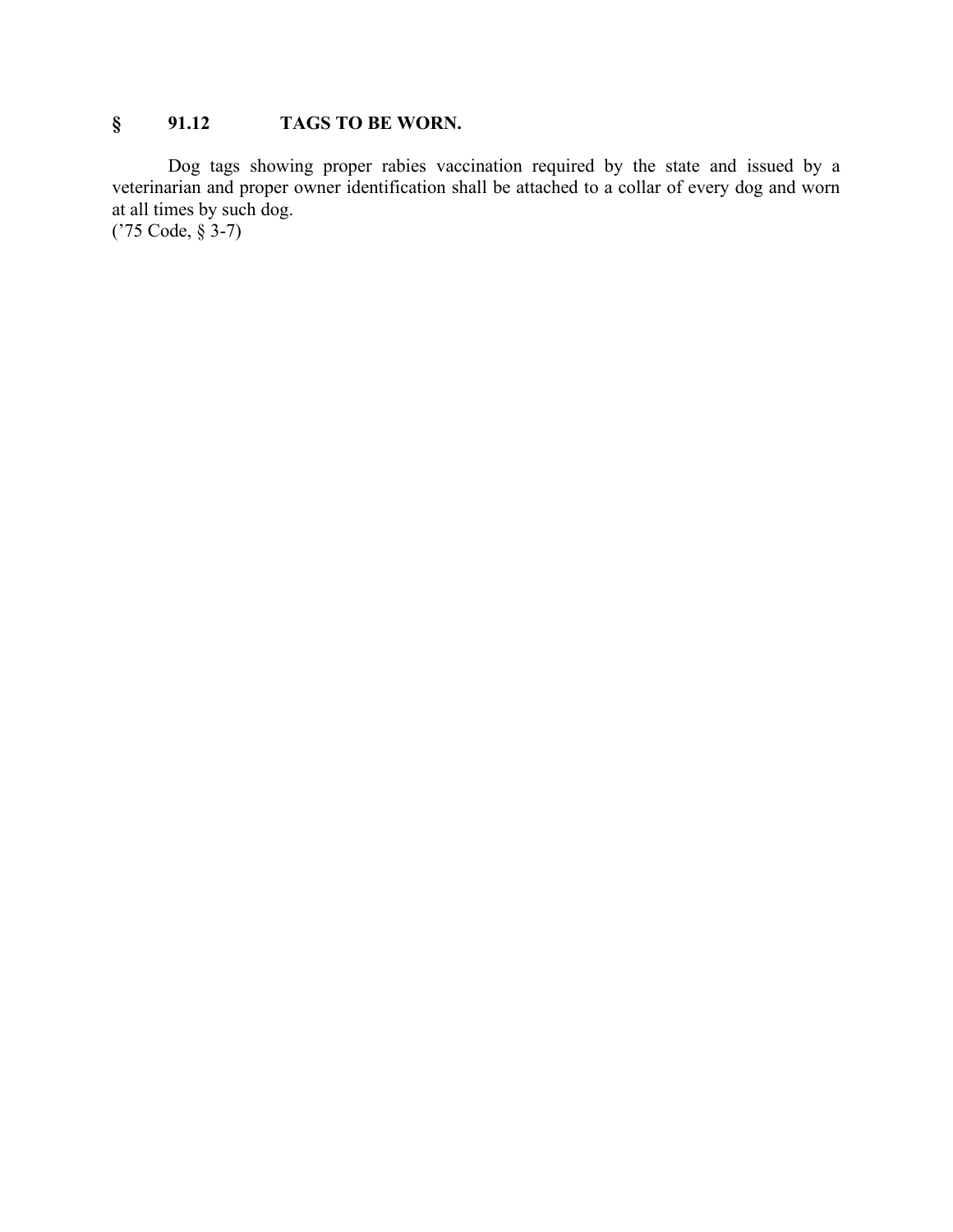# **§ 91.12 TAGS TO BE WORN.**

Dog tags showing proper rabies vaccination required by the state and issued by a veterinarian and proper owner identification shall be attached to a collar of every dog and worn at all times by such dog.

('75 Code, § 3-7)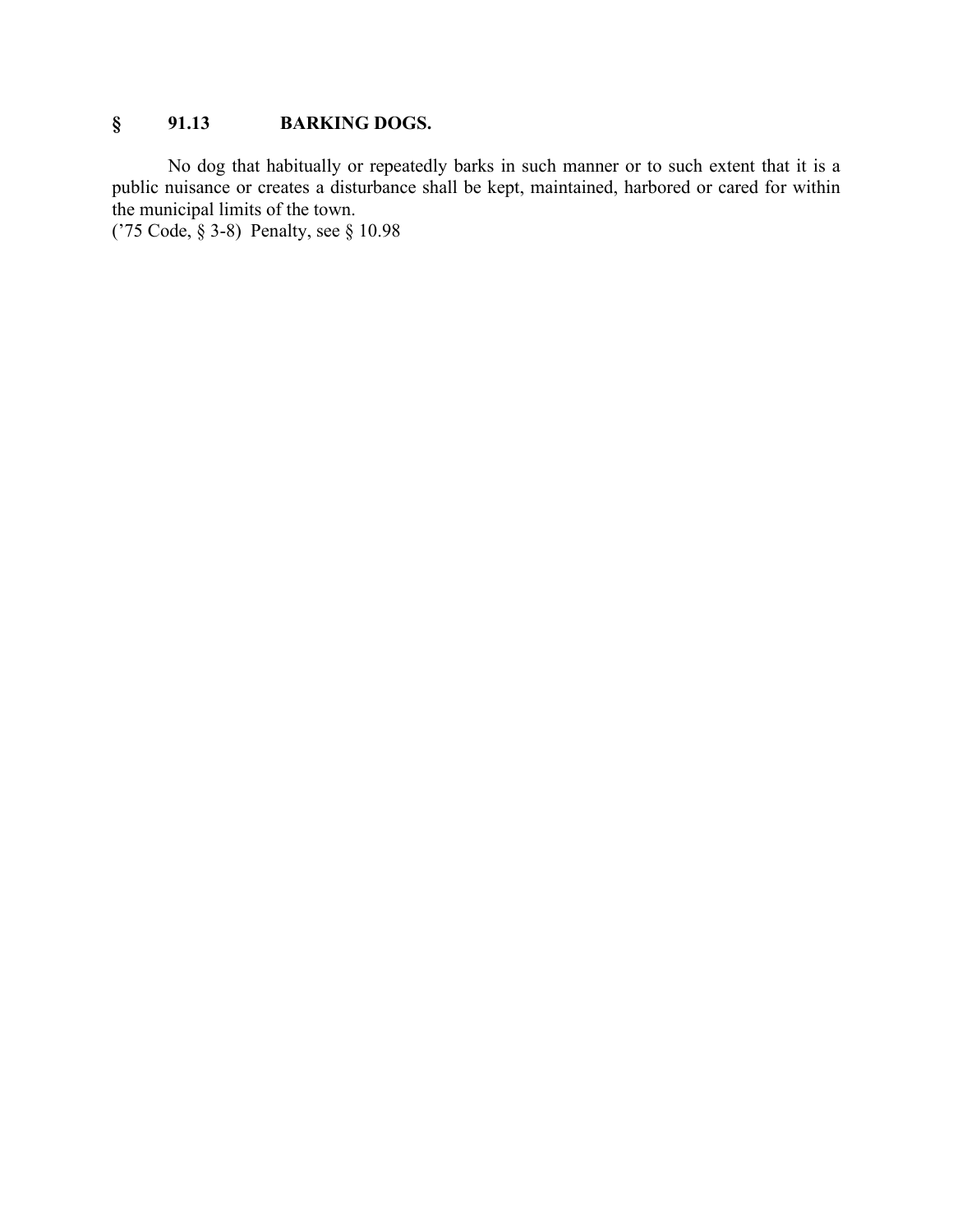# **§ 91.13 BARKING DOGS.**

No dog that habitually or repeatedly barks in such manner or to such extent that it is a public nuisance or creates a disturbance shall be kept, maintained, harbored or cared for within the municipal limits of the town.

('75 Code, § 3-8) Penalty, see § 10.98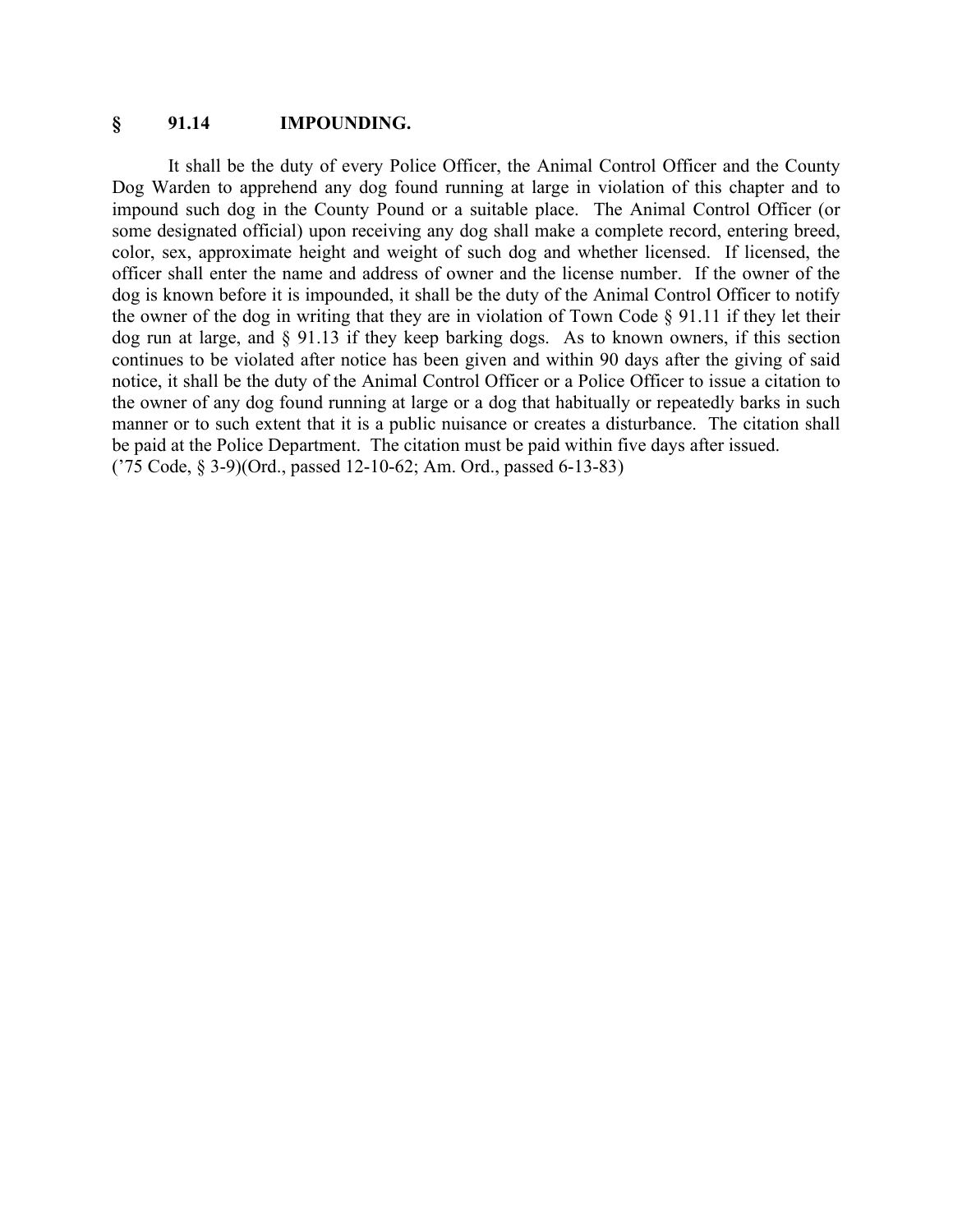#### **§ 91.14 IMPOUNDING.**

It shall be the duty of every Police Officer, the Animal Control Officer and the County Dog Warden to apprehend any dog found running at large in violation of this chapter and to impound such dog in the County Pound or a suitable place. The Animal Control Officer (or some designated official) upon receiving any dog shall make a complete record, entering breed, color, sex, approximate height and weight of such dog and whether licensed. If licensed, the officer shall enter the name and address of owner and the license number. If the owner of the dog is known before it is impounded, it shall be the duty of the Animal Control Officer to notify the owner of the dog in writing that they are in violation of Town Code § 91.11 if they let their dog run at large, and § 91.13 if they keep barking dogs. As to known owners, if this section continues to be violated after notice has been given and within 90 days after the giving of said notice, it shall be the duty of the Animal Control Officer or a Police Officer to issue a citation to the owner of any dog found running at large or a dog that habitually or repeatedly barks in such manner or to such extent that it is a public nuisance or creates a disturbance. The citation shall be paid at the Police Department. The citation must be paid within five days after issued. ('75 Code, § 3-9)(Ord., passed 12-10-62; Am. Ord., passed 6-13-83)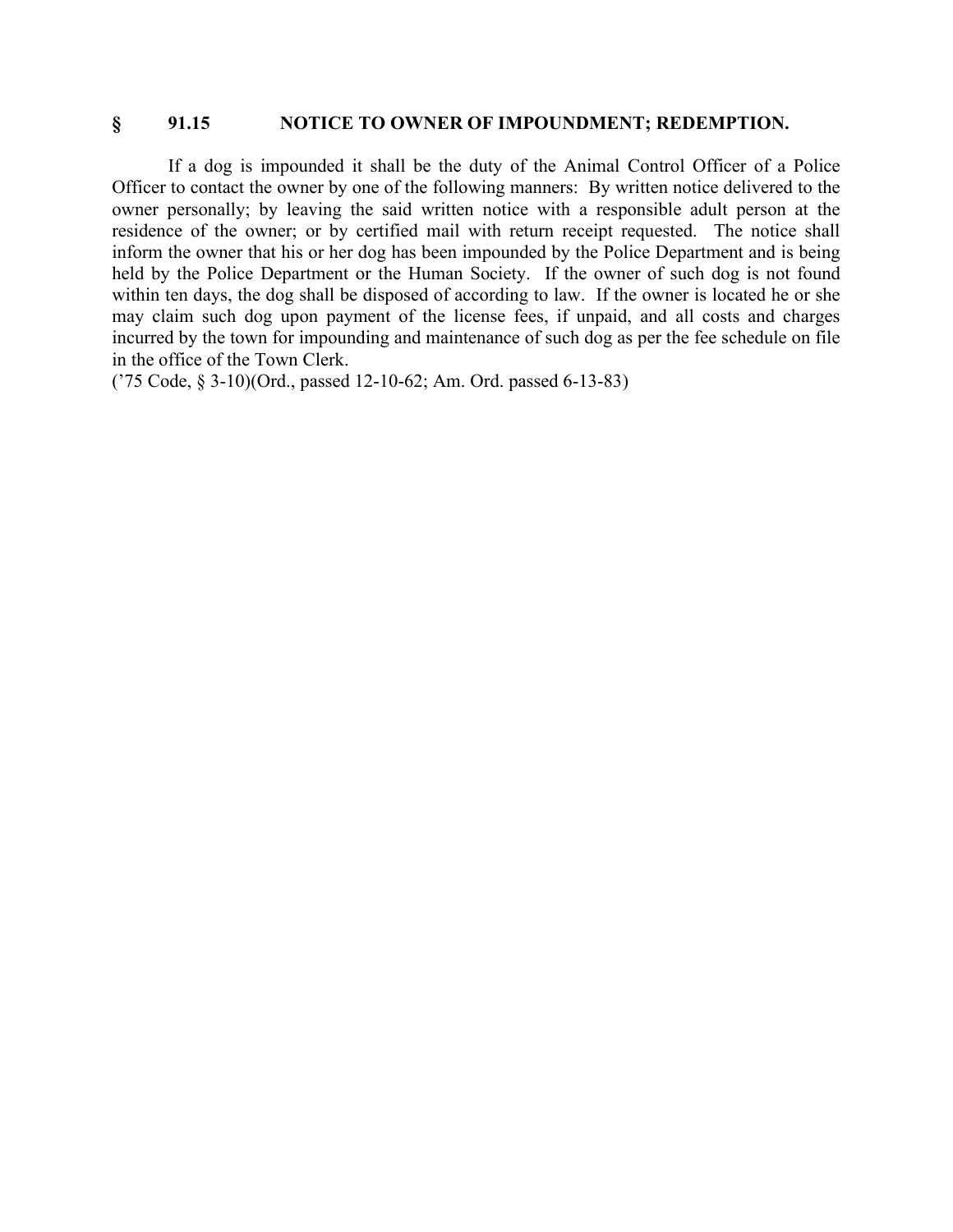#### **§ 91.15 NOTICE TO OWNER OF IMPOUNDMENT; REDEMPTION.**

If a dog is impounded it shall be the duty of the Animal Control Officer of a Police Officer to contact the owner by one of the following manners: By written notice delivered to the owner personally; by leaving the said written notice with a responsible adult person at the residence of the owner; or by certified mail with return receipt requested. The notice shall inform the owner that his or her dog has been impounded by the Police Department and is being held by the Police Department or the Human Society. If the owner of such dog is not found within ten days, the dog shall be disposed of according to law. If the owner is located he or she may claim such dog upon payment of the license fees, if unpaid, and all costs and charges incurred by the town for impounding and maintenance of such dog as per the fee schedule on file in the office of the Town Clerk.

('75 Code, § 3-10)(Ord., passed 12-10-62; Am. Ord. passed 6-13-83)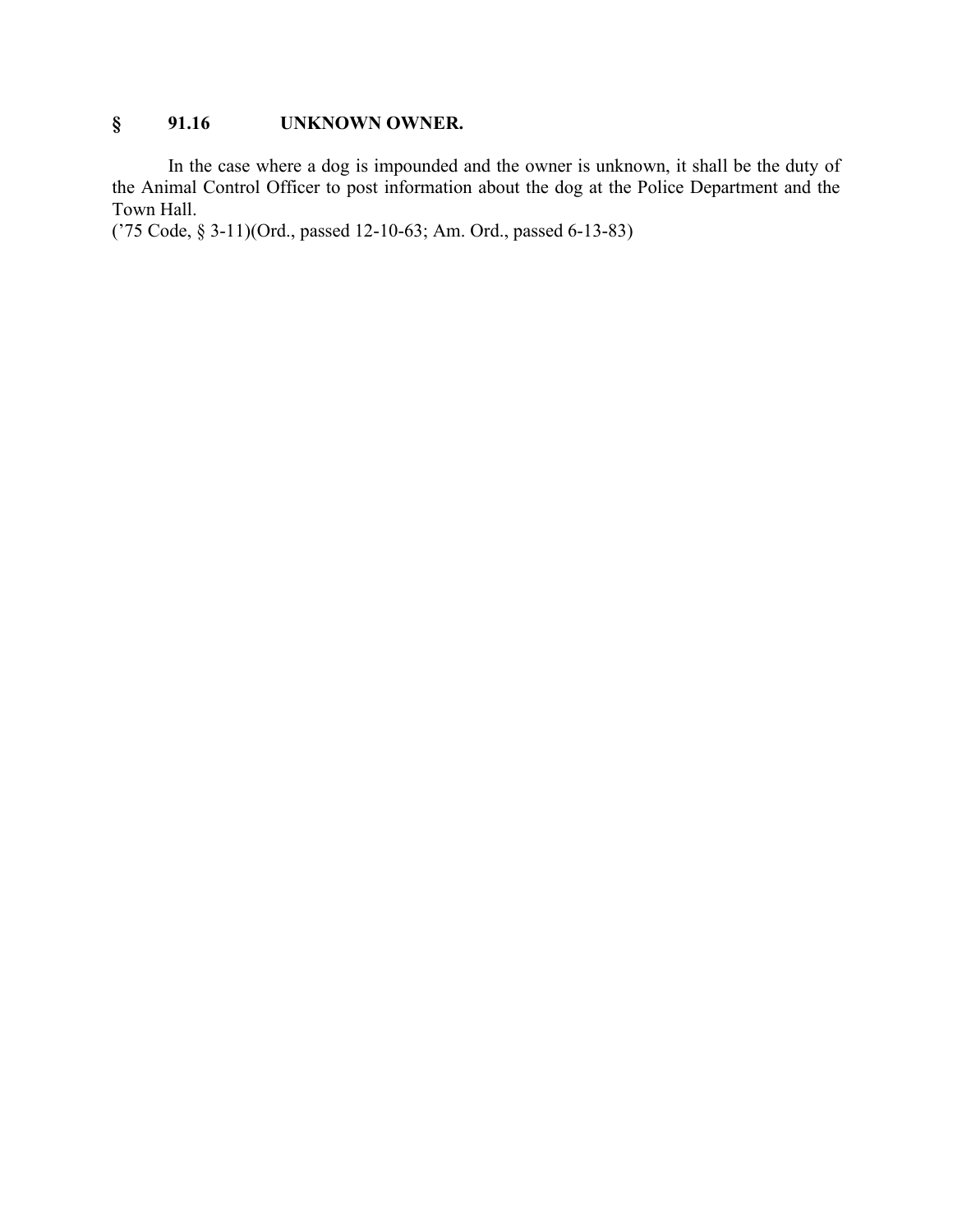# **§ 91.16 UNKNOWN OWNER.**

In the case where a dog is impounded and the owner is unknown, it shall be the duty of the Animal Control Officer to post information about the dog at the Police Department and the Town Hall.

('75 Code, § 3-11)(Ord., passed 12-10-63; Am. Ord., passed 6-13-83)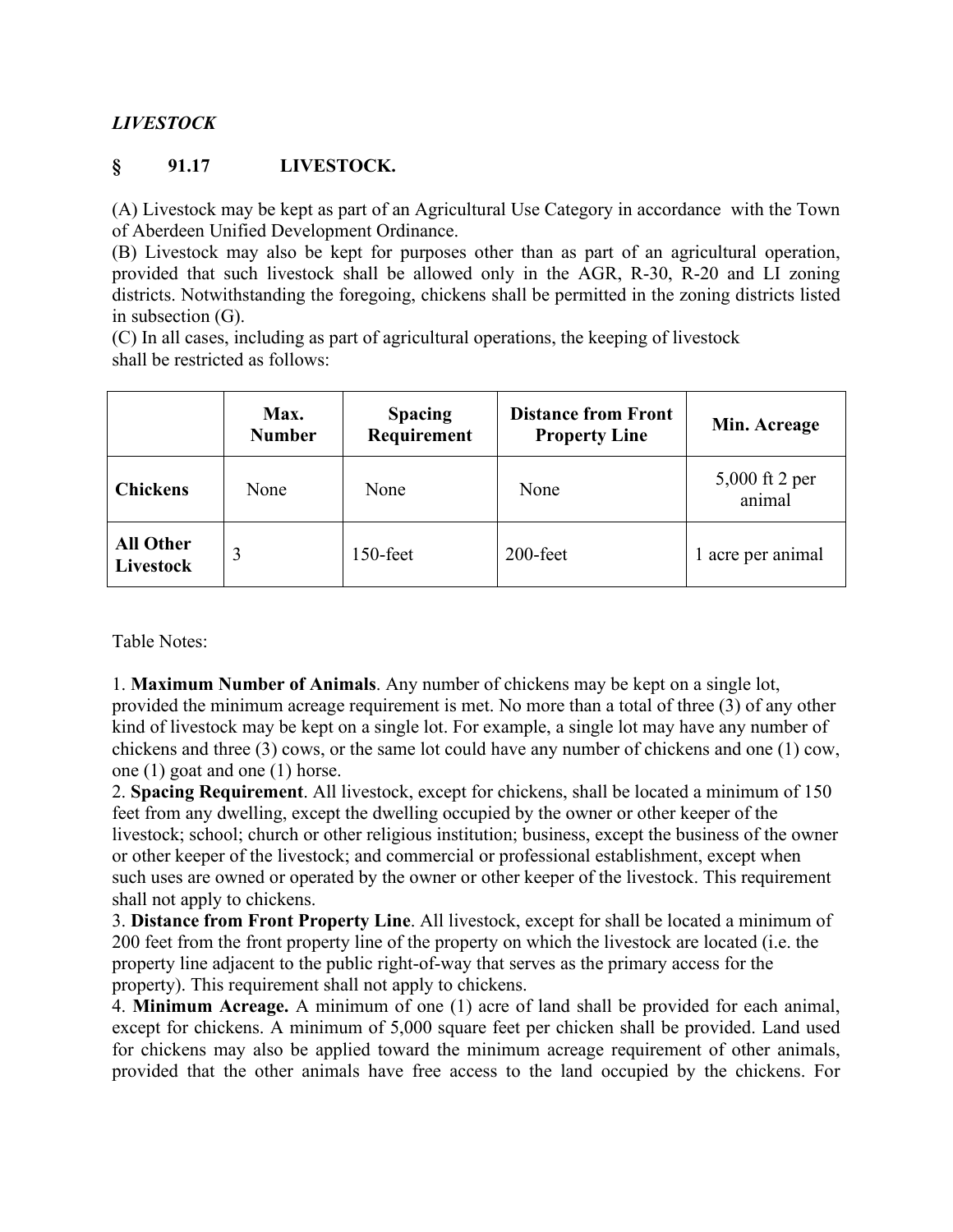# *LIVESTOCK*

## **§ 91.17 LIVESTOCK.**

(A) Livestock may be kept as part of an Agricultural Use Category in accordance with the Town of Aberdeen Unified Development Ordinance.

(B) Livestock may also be kept for purposes other than as part of an agricultural operation, provided that such livestock shall be allowed only in the AGR, R-30, R-20 and LI zoning districts. Notwithstanding the foregoing, chickens shall be permitted in the zoning districts listed in subsection (G).

(C) In all cases, including as part of agricultural operations, the keeping of livestock shall be restricted as follows:

|                               | Max.<br><b>Number</b> | <b>Spacing</b><br>Requirement | <b>Distance from Front</b><br><b>Property Line</b> | Min. Acreage             |
|-------------------------------|-----------------------|-------------------------------|----------------------------------------------------|--------------------------|
| <b>Chickens</b>               | None                  | None                          | None                                               | 5,000 ft 2 per<br>animal |
| <b>All Other</b><br>Livestock |                       | $150$ -feet                   | $200$ -feet                                        | 1 acre per animal        |

Table Notes:

1. **Maximum Number of Animals**. Any number of chickens may be kept on a single lot, provided the minimum acreage requirement is met. No more than a total of three (3) of any other kind of livestock may be kept on a single lot. For example, a single lot may have any number of chickens and three (3) cows, or the same lot could have any number of chickens and one (1) cow, one (1) goat and one (1) horse.

2. **Spacing Requirement**. All livestock, except for chickens, shall be located a minimum of 150 feet from any dwelling, except the dwelling occupied by the owner or other keeper of the livestock; school; church or other religious institution; business, except the business of the owner or other keeper of the livestock; and commercial or professional establishment, except when such uses are owned or operated by the owner or other keeper of the livestock. This requirement shall not apply to chickens.

3. **Distance from Front Property Line**. All livestock, except for shall be located a minimum of 200 feet from the front property line of the property on which the livestock are located (i.e. the property line adjacent to the public right‐of‐way that serves as the primary access for the property). This requirement shall not apply to chickens.

4. **Minimum Acreage.** A minimum of one (1) acre of land shall be provided for each animal, except for chickens. A minimum of 5,000 square feet per chicken shall be provided. Land used for chickens may also be applied toward the minimum acreage requirement of other animals, provided that the other animals have free access to the land occupied by the chickens. For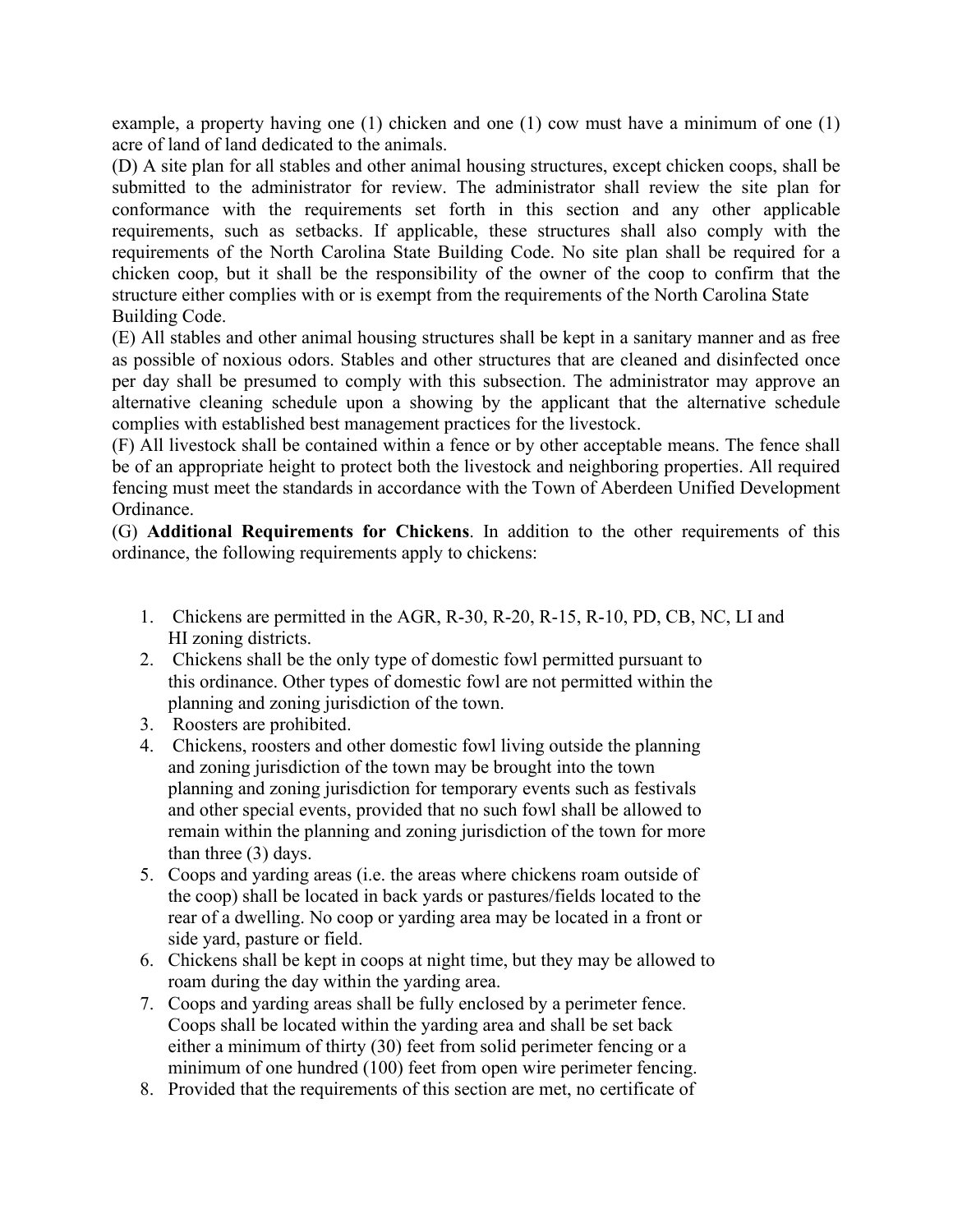example, a property having one (1) chicken and one (1) cow must have a minimum of one (1) acre of land of land dedicated to the animals.

(D) A site plan for all stables and other animal housing structures, except chicken coops, shall be submitted to the administrator for review. The administrator shall review the site plan for conformance with the requirements set forth in this section and any other applicable requirements, such as setbacks. If applicable, these structures shall also comply with the requirements of the North Carolina State Building Code. No site plan shall be required for a chicken coop, but it shall be the responsibility of the owner of the coop to confirm that the structure either complies with or is exempt from the requirements of the North Carolina State Building Code.

(E) All stables and other animal housing structures shall be kept in a sanitary manner and as free as possible of noxious odors. Stables and other structures that are cleaned and disinfected once per day shall be presumed to comply with this subsection. The administrator may approve an alternative cleaning schedule upon a showing by the applicant that the alternative schedule complies with established best management practices for the livestock.

(F) All livestock shall be contained within a fence or by other acceptable means. The fence shall be of an appropriate height to protect both the livestock and neighboring properties. All required fencing must meet the standards in accordance with the Town of Aberdeen Unified Development Ordinance.

(G) **Additional Requirements for Chickens**. In addition to the other requirements of this ordinance, the following requirements apply to chickens:

- 1. Chickens are permitted in the AGR, R-30, R-20, R-15, R-10, PD, CB, NC, LI and HI zoning districts.
- 2. Chickens shall be the only type of domestic fowl permitted pursuant to this ordinance. Other types of domestic fowl are not permitted within the planning and zoning jurisdiction of the town.
- 3. Roosters are prohibited.
- 4. Chickens, roosters and other domestic fowl living outside the planning and zoning jurisdiction of the town may be brought into the town planning and zoning jurisdiction for temporary events such as festivals and other special events, provided that no such fowl shall be allowed to remain within the planning and zoning jurisdiction of the town for more than three (3) days.
- 5. Coops and yarding areas (i.e. the areas where chickens roam outside of the coop) shall be located in back yards or pastures/fields located to the rear of a dwelling. No coop or yarding area may be located in a front or side yard, pasture or field.
- 6. Chickens shall be kept in coops at night time, but they may be allowed to roam during the day within the yarding area.
- 7. Coops and yarding areas shall be fully enclosed by a perimeter fence. Coops shall be located within the yarding area and shall be set back either a minimum of thirty (30) feet from solid perimeter fencing or a minimum of one hundred (100) feet from open wire perimeter fencing.
- 8. Provided that the requirements of this section are met, no certificate of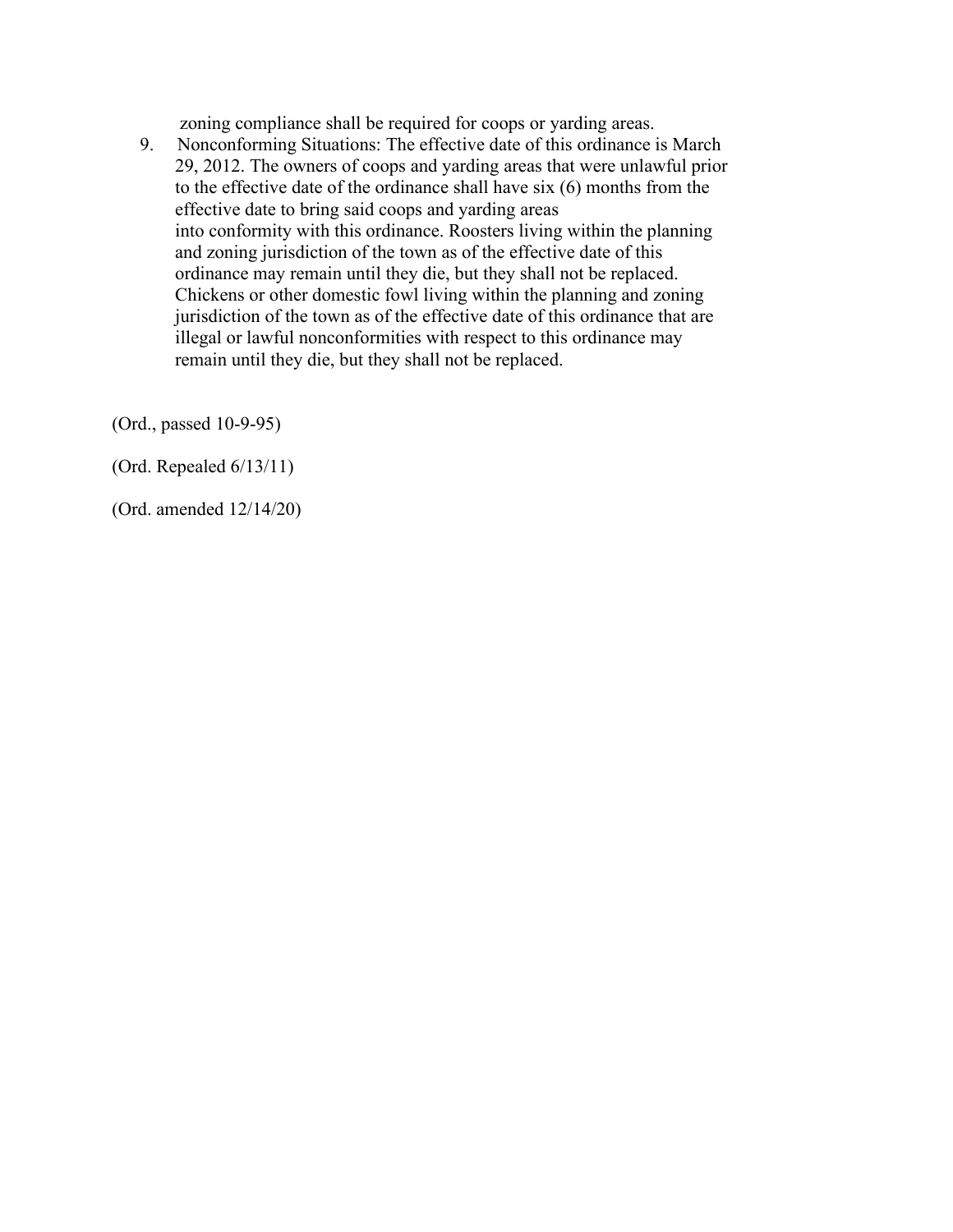zoning compliance shall be required for coops or yarding areas.

9. Nonconforming Situations: The effective date of this ordinance is March 29, 2012. The owners of coops and yarding areas that were unlawful prior to the effective date of the ordinance shall have six (6) months from the effective date to bring said coops and yarding areas into conformity with this ordinance. Roosters living within the planning and zoning jurisdiction of the town as of the effective date of this ordinance may remain until they die, but they shall not be replaced. Chickens or other domestic fowl living within the planning and zoning jurisdiction of the town as of the effective date of this ordinance that are illegal or lawful nonconformities with respect to this ordinance may remain until they die, but they shall not be replaced.

(Ord., passed 10-9-95)

(Ord. Repealed 6/13/11)

(Ord. amended 12/14/20)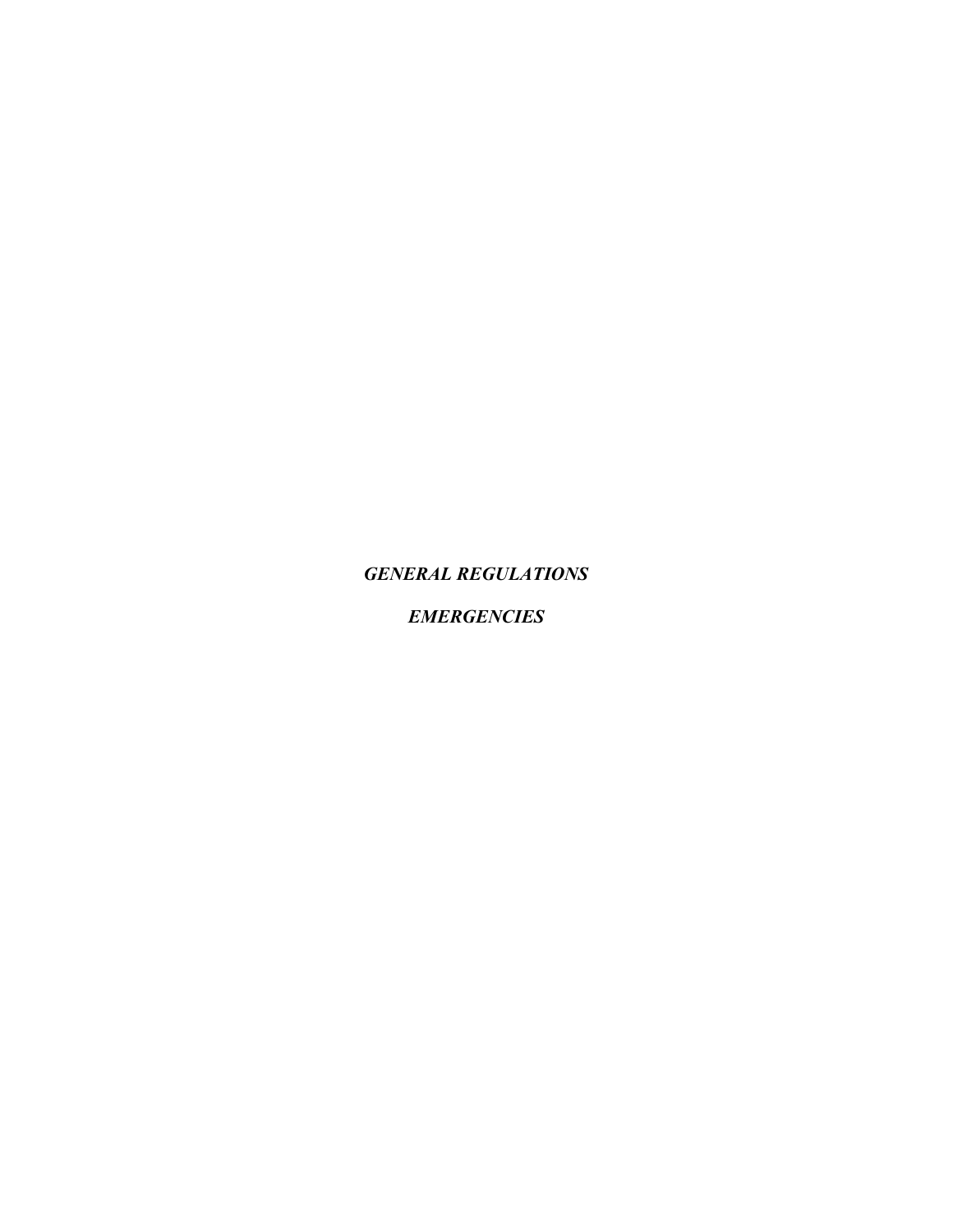*GENERAL REGULATIONS*

*EMERGENCIES*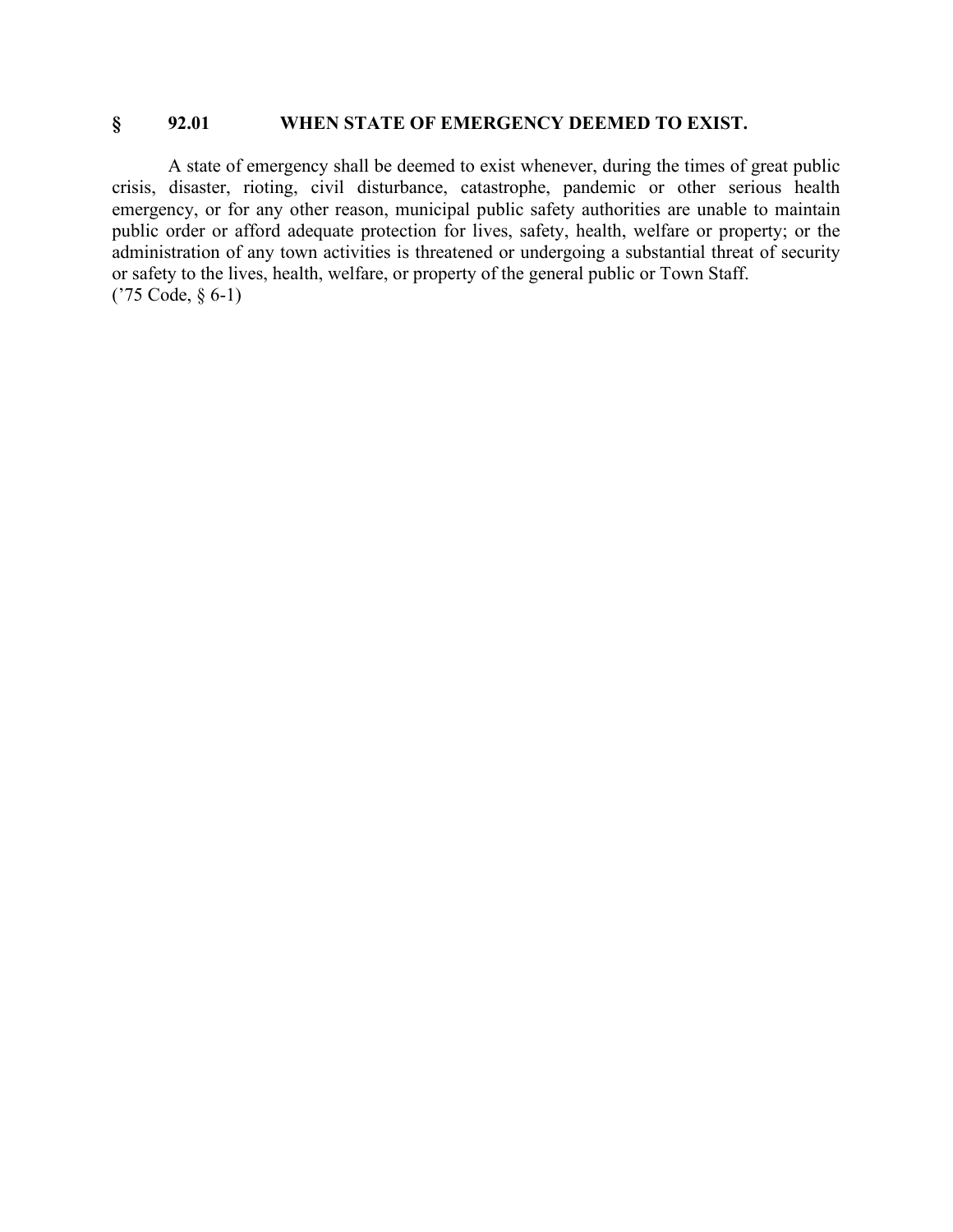## **§ 92.01 WHEN STATE OF EMERGENCY DEEMED TO EXIST.**

A state of emergency shall be deemed to exist whenever, during the times of great public crisis, disaster, rioting, civil disturbance, catastrophe, pandemic or other serious health emergency, or for any other reason, municipal public safety authorities are unable to maintain public order or afford adequate protection for lives, safety, health, welfare or property; or the administration of any town activities is threatened or undergoing a substantial threat of security or safety to the lives, health, welfare, or property of the general public or Town Staff. ('75 Code, § 6-1)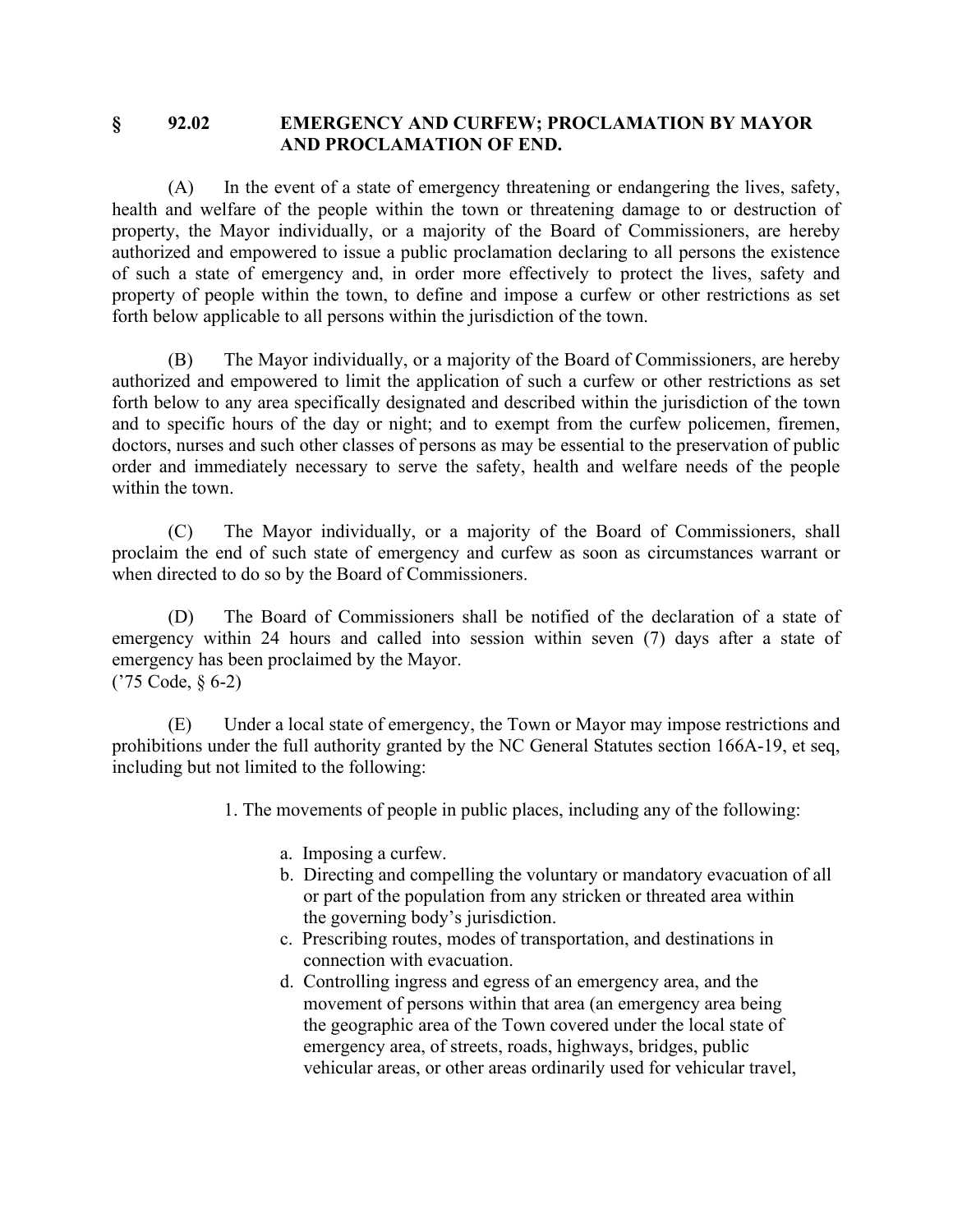### **§ 92.02 EMERGENCY AND CURFEW; PROCLAMATION BY MAYOR AND PROCLAMATION OF END.**

(A) In the event of a state of emergency threatening or endangering the lives, safety, health and welfare of the people within the town or threatening damage to or destruction of property, the Mayor individually, or a majority of the Board of Commissioners, are hereby authorized and empowered to issue a public proclamation declaring to all persons the existence of such a state of emergency and, in order more effectively to protect the lives, safety and property of people within the town, to define and impose a curfew or other restrictions as set forth below applicable to all persons within the jurisdiction of the town.

(B) The Mayor individually, or a majority of the Board of Commissioners, are hereby authorized and empowered to limit the application of such a curfew or other restrictions as set forth below to any area specifically designated and described within the jurisdiction of the town and to specific hours of the day or night; and to exempt from the curfew policemen, firemen, doctors, nurses and such other classes of persons as may be essential to the preservation of public order and immediately necessary to serve the safety, health and welfare needs of the people within the town.

(C) The Mayor individually, or a majority of the Board of Commissioners, shall proclaim the end of such state of emergency and curfew as soon as circumstances warrant or when directed to do so by the Board of Commissioners.

(D) The Board of Commissioners shall be notified of the declaration of a state of emergency within 24 hours and called into session within seven (7) days after a state of emergency has been proclaimed by the Mayor. ('75 Code, § 6-2)

(E) Under a local state of emergency, the Town or Mayor may impose restrictions and prohibitions under the full authority granted by the NC General Statutes section 166A-19, et seq, including but not limited to the following:

1. The movements of people in public places, including any of the following:

- a. Imposing a curfew.
- b. Directing and compelling the voluntary or mandatory evacuation of all or part of the population from any stricken or threated area within the governing body's jurisdiction.
- c. Prescribing routes, modes of transportation, and destinations in connection with evacuation.
- d. Controlling ingress and egress of an emergency area, and the movement of persons within that area (an emergency area being the geographic area of the Town covered under the local state of emergency area, of streets, roads, highways, bridges, public vehicular areas, or other areas ordinarily used for vehicular travel,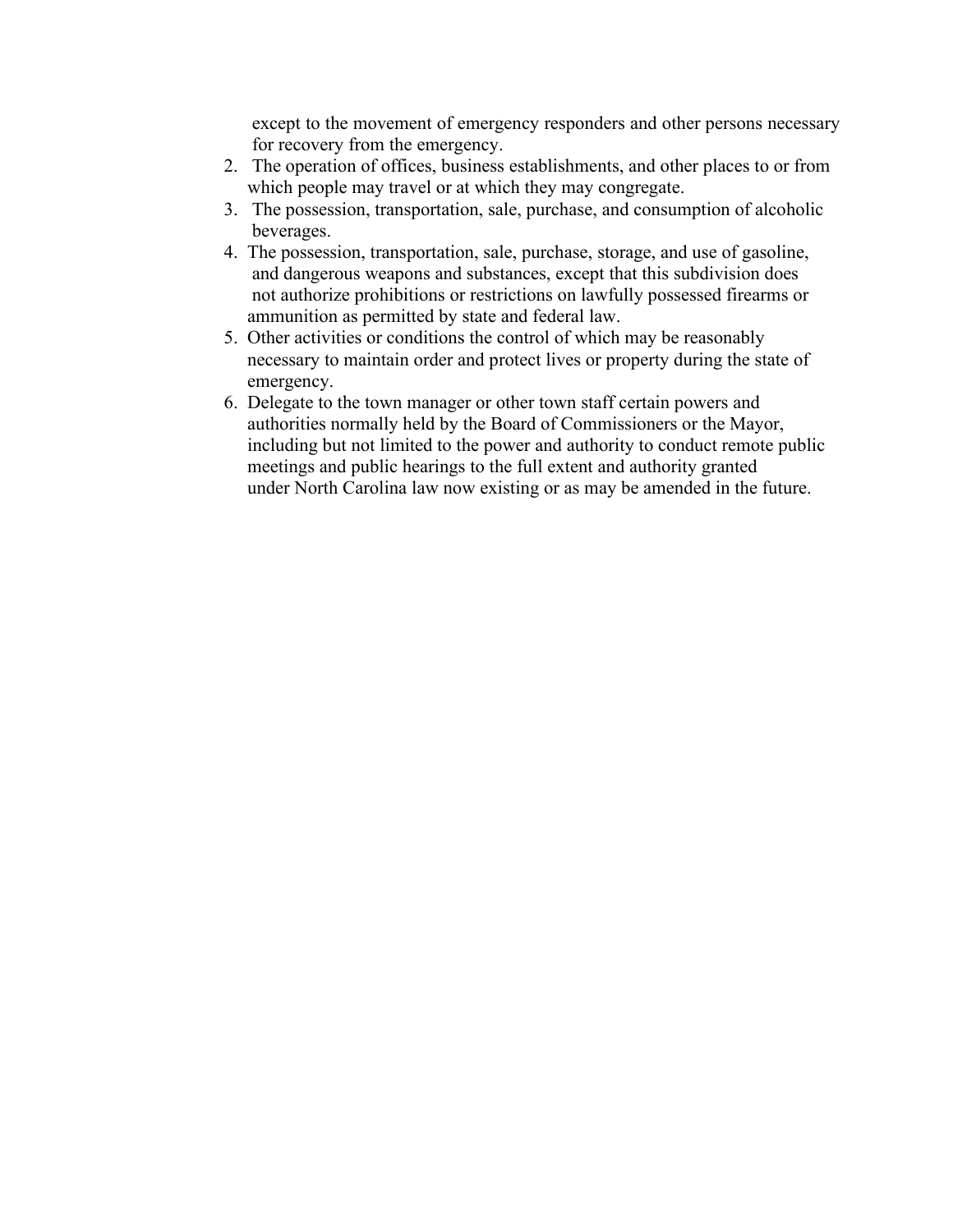except to the movement of emergency responders and other persons necessary for recovery from the emergency.

- 2. The operation of offices, business establishments, and other places to or from which people may travel or at which they may congregate.
- 3. The possession, transportation, sale, purchase, and consumption of alcoholic beverages.
- 4. The possession, transportation, sale, purchase, storage, and use of gasoline, and dangerous weapons and substances, except that this subdivision does not authorize prohibitions or restrictions on lawfully possessed firearms or ammunition as permitted by state and federal law.
- 5. Other activities or conditions the control of which may be reasonably necessary to maintain order and protect lives or property during the state of emergency.
- 6. Delegate to the town manager or other town staff certain powers and authorities normally held by the Board of Commissioners or the Mayor, including but not limited to the power and authority to conduct remote public meetings and public hearings to the full extent and authority granted under North Carolina law now existing or as may be amended in the future.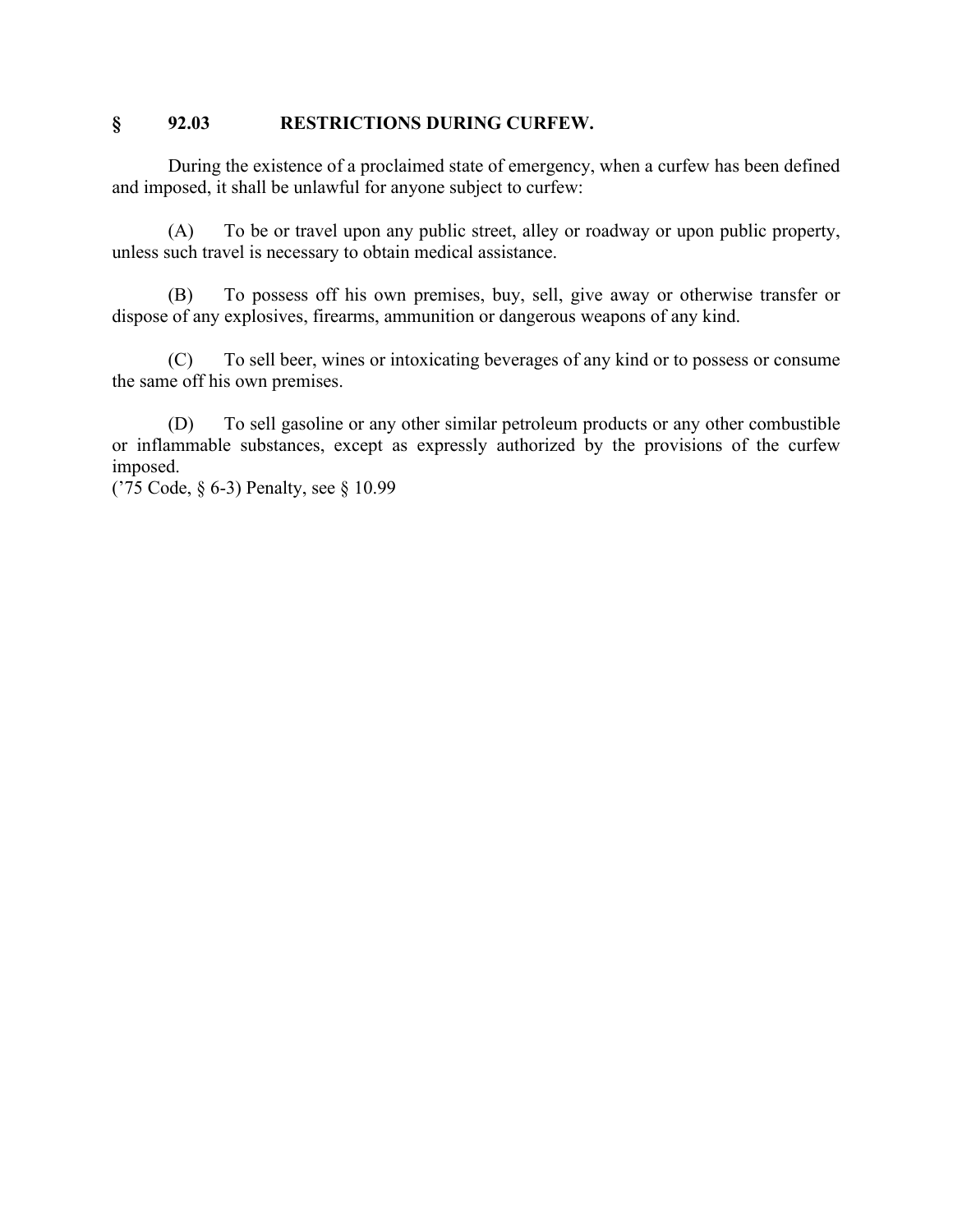## **§ 92.03 RESTRICTIONS DURING CURFEW.**

During the existence of a proclaimed state of emergency, when a curfew has been defined and imposed, it shall be unlawful for anyone subject to curfew:

(A) To be or travel upon any public street, alley or roadway or upon public property, unless such travel is necessary to obtain medical assistance.

(B) To possess off his own premises, buy, sell, give away or otherwise transfer or dispose of any explosives, firearms, ammunition or dangerous weapons of any kind.

(C) To sell beer, wines or intoxicating beverages of any kind or to possess or consume the same off his own premises.

(D) To sell gasoline or any other similar petroleum products or any other combustible or inflammable substances, except as expressly authorized by the provisions of the curfew imposed.

('75 Code, § 6-3) Penalty, see § 10.99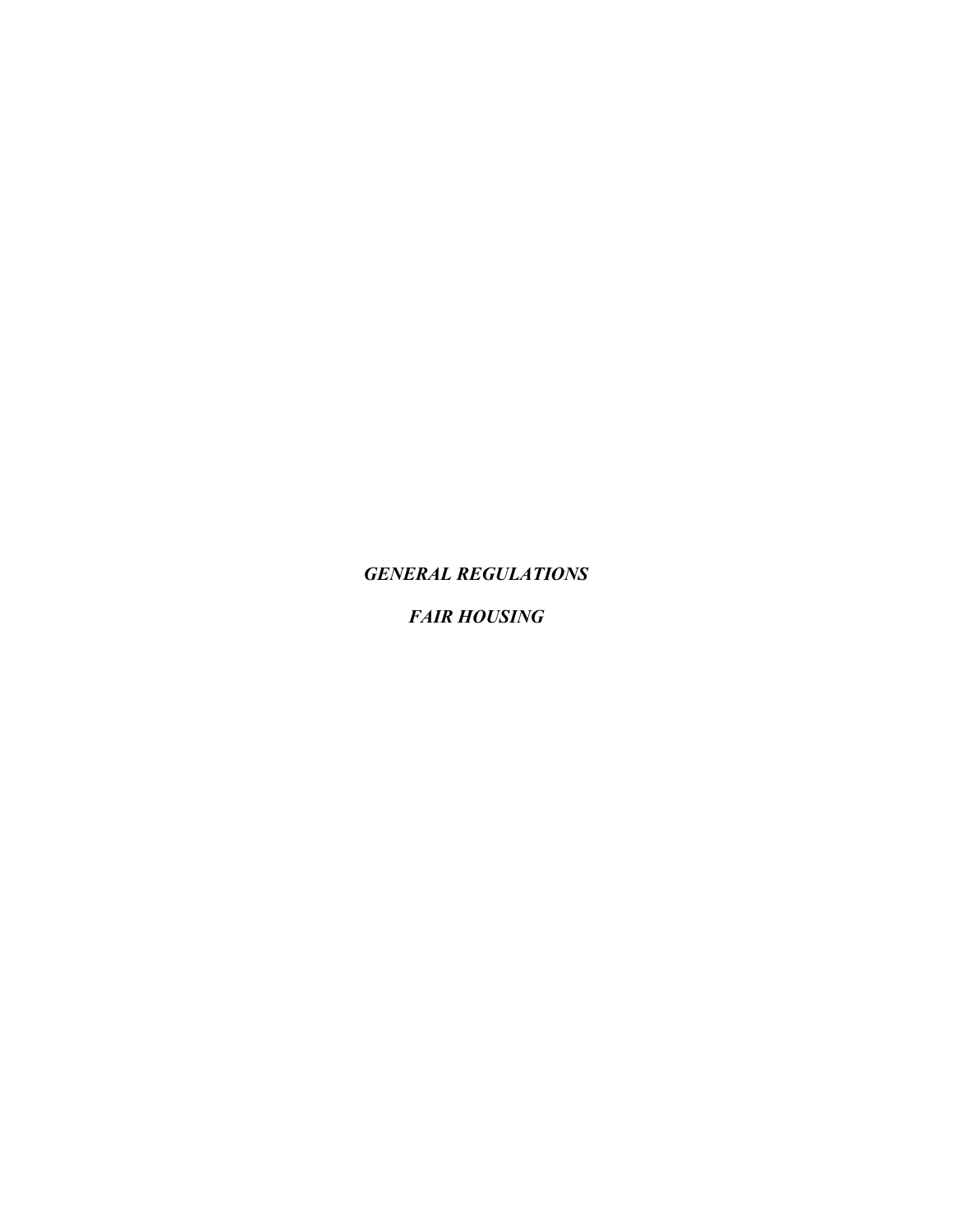*GENERAL REGULATIONS*

*FAIR HOUSING*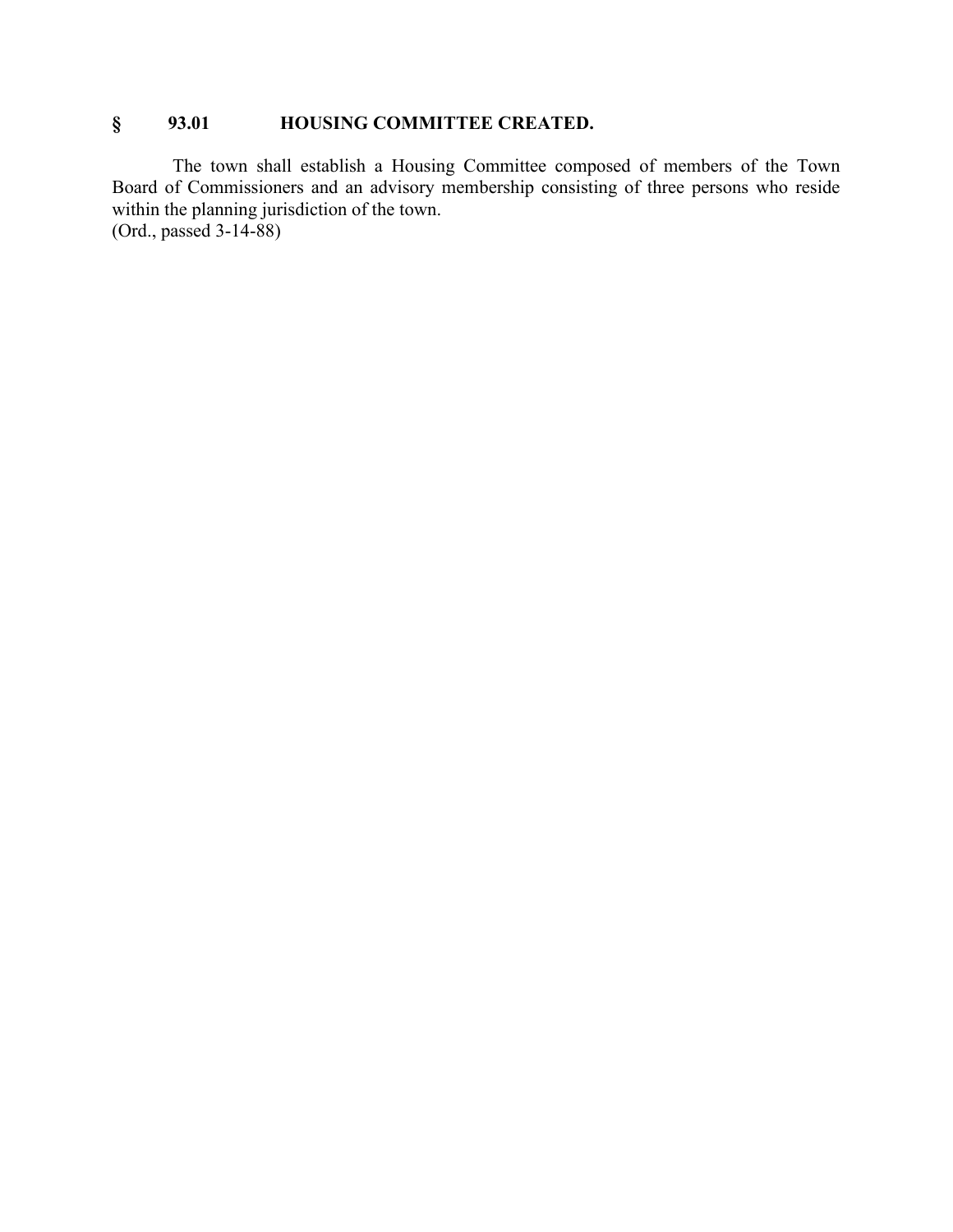# **§ 93.01 HOUSING COMMITTEE CREATED.**

The town shall establish a Housing Committee composed of members of the Town Board of Commissioners and an advisory membership consisting of three persons who reside within the planning jurisdiction of the town. (Ord., passed 3-14-88)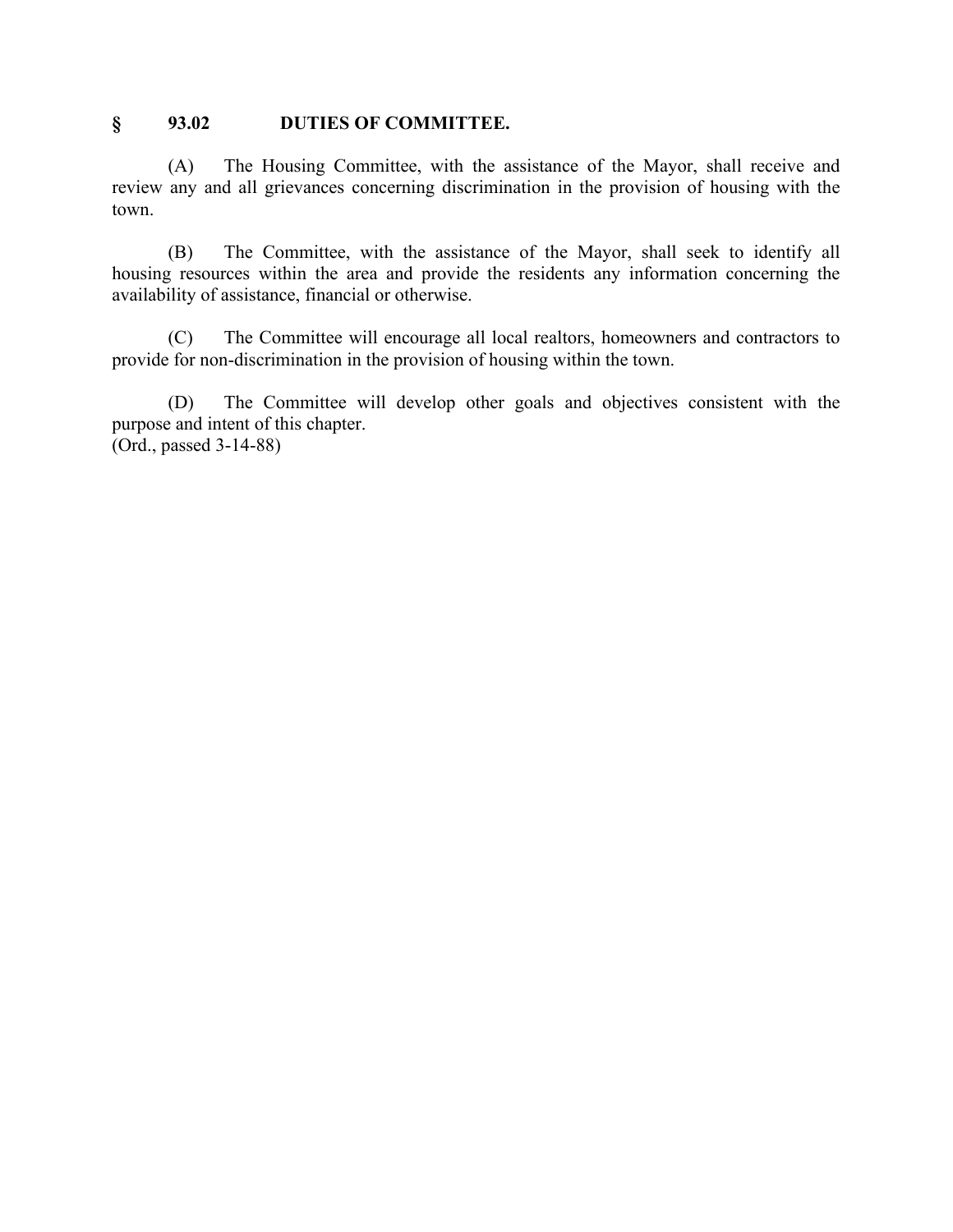### **§ 93.02 DUTIES OF COMMITTEE.**

(A) The Housing Committee, with the assistance of the Mayor, shall receive and review any and all grievances concerning discrimination in the provision of housing with the town.

(B) The Committee, with the assistance of the Mayor, shall seek to identify all housing resources within the area and provide the residents any information concerning the availability of assistance, financial or otherwise.

(C) The Committee will encourage all local realtors, homeowners and contractors to provide for non-discrimination in the provision of housing within the town.

(D) The Committee will develop other goals and objectives consistent with the purpose and intent of this chapter. (Ord., passed 3-14-88)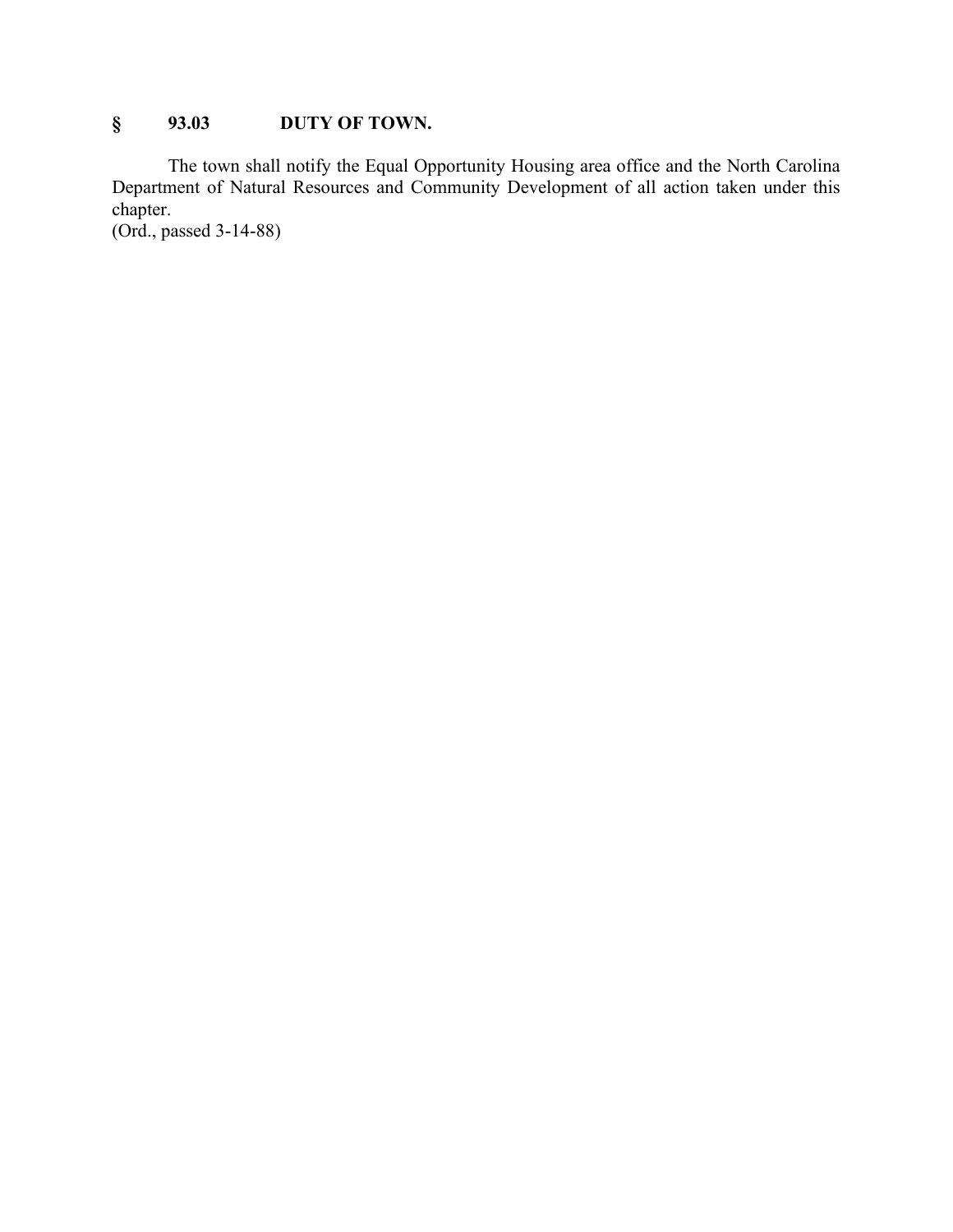# **§ 93.03 DUTY OF TOWN.**

The town shall notify the Equal Opportunity Housing area office and the North Carolina Department of Natural Resources and Community Development of all action taken under this chapter.

(Ord., passed 3-14-88)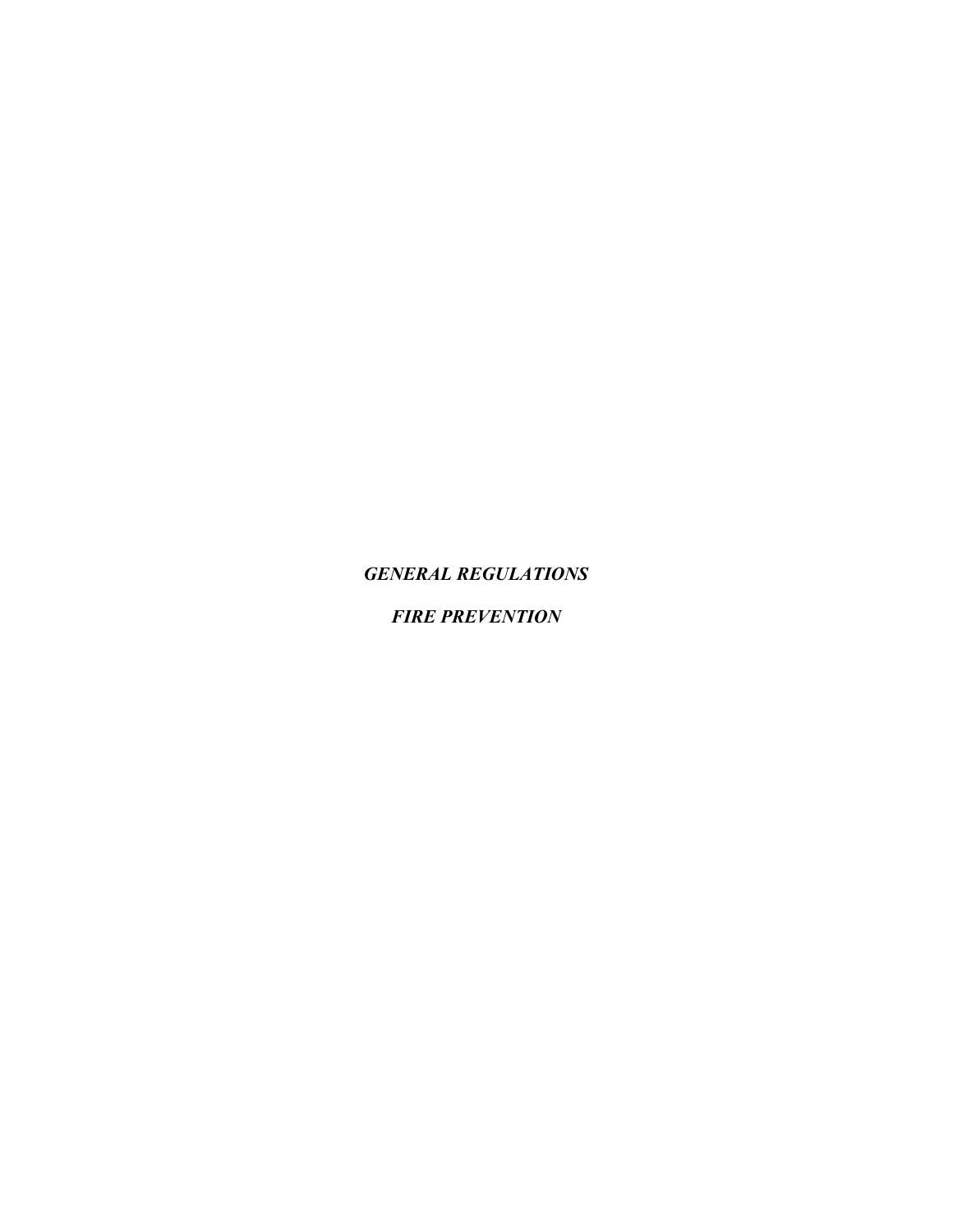*GENERAL REGULATIONS*

*FIRE PREVENTION*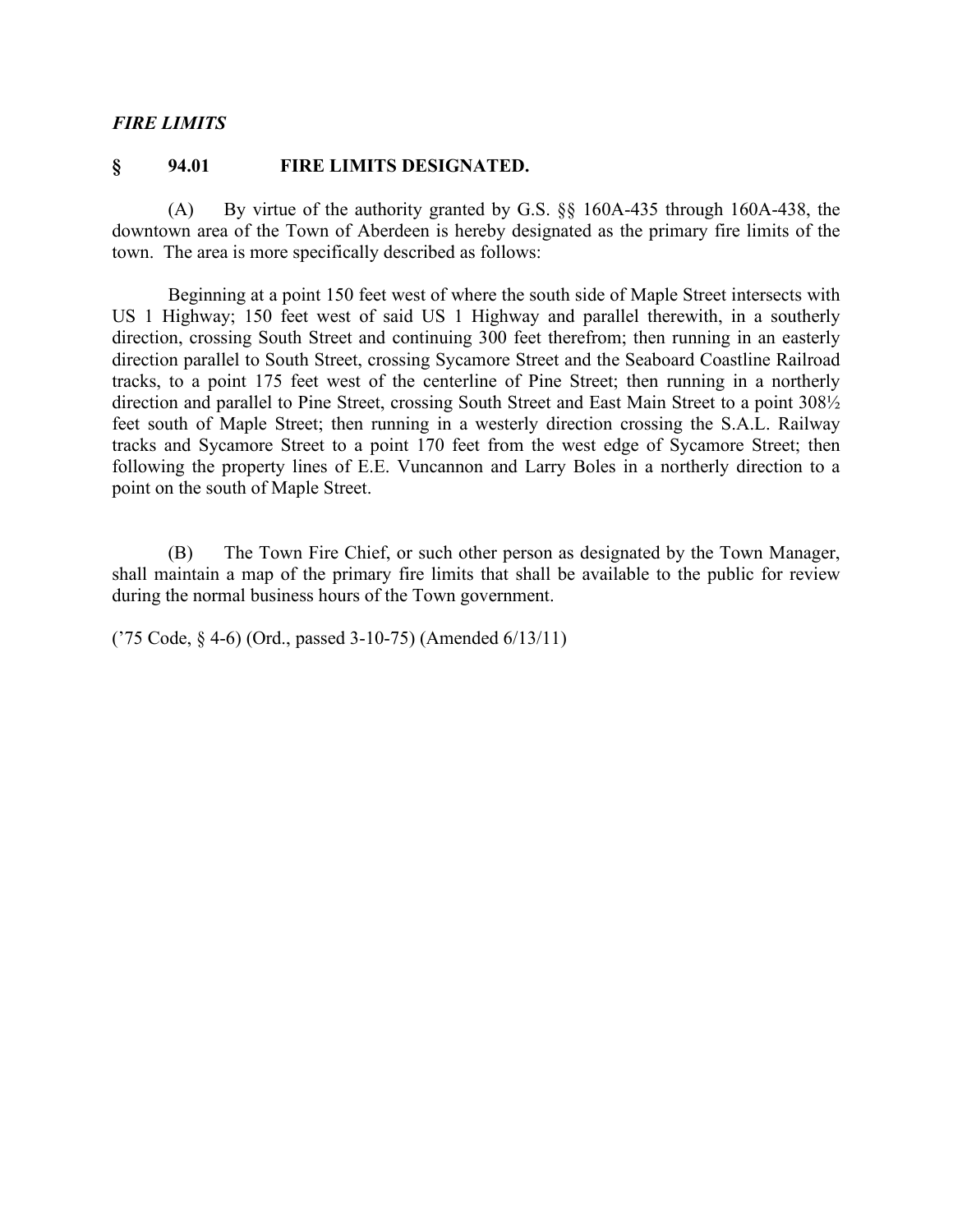### *FIRE LIMITS*

#### **§ 94.01 FIRE LIMITS DESIGNATED.**

(A) By virtue of the authority granted by G.S. §§ 160A-435 through 160A-438, the downtown area of the Town of Aberdeen is hereby designated as the primary fire limits of the town. The area is more specifically described as follows:

Beginning at a point 150 feet west of where the south side of Maple Street intersects with US 1 Highway; 150 feet west of said US 1 Highway and parallel therewith, in a southerly direction, crossing South Street and continuing 300 feet therefrom; then running in an easterly direction parallel to South Street, crossing Sycamore Street and the Seaboard Coastline Railroad tracks, to a point 175 feet west of the centerline of Pine Street; then running in a northerly direction and parallel to Pine Street, crossing South Street and East Main Street to a point 308½ feet south of Maple Street; then running in a westerly direction crossing the S.A.L. Railway tracks and Sycamore Street to a point 170 feet from the west edge of Sycamore Street; then following the property lines of E.E. Vuncannon and Larry Boles in a northerly direction to a point on the south of Maple Street.

(B) The Town Fire Chief, or such other person as designated by the Town Manager, shall maintain a map of the primary fire limits that shall be available to the public for review during the normal business hours of the Town government.

('75 Code, § 4-6) (Ord., passed 3-10-75) (Amended 6/13/11)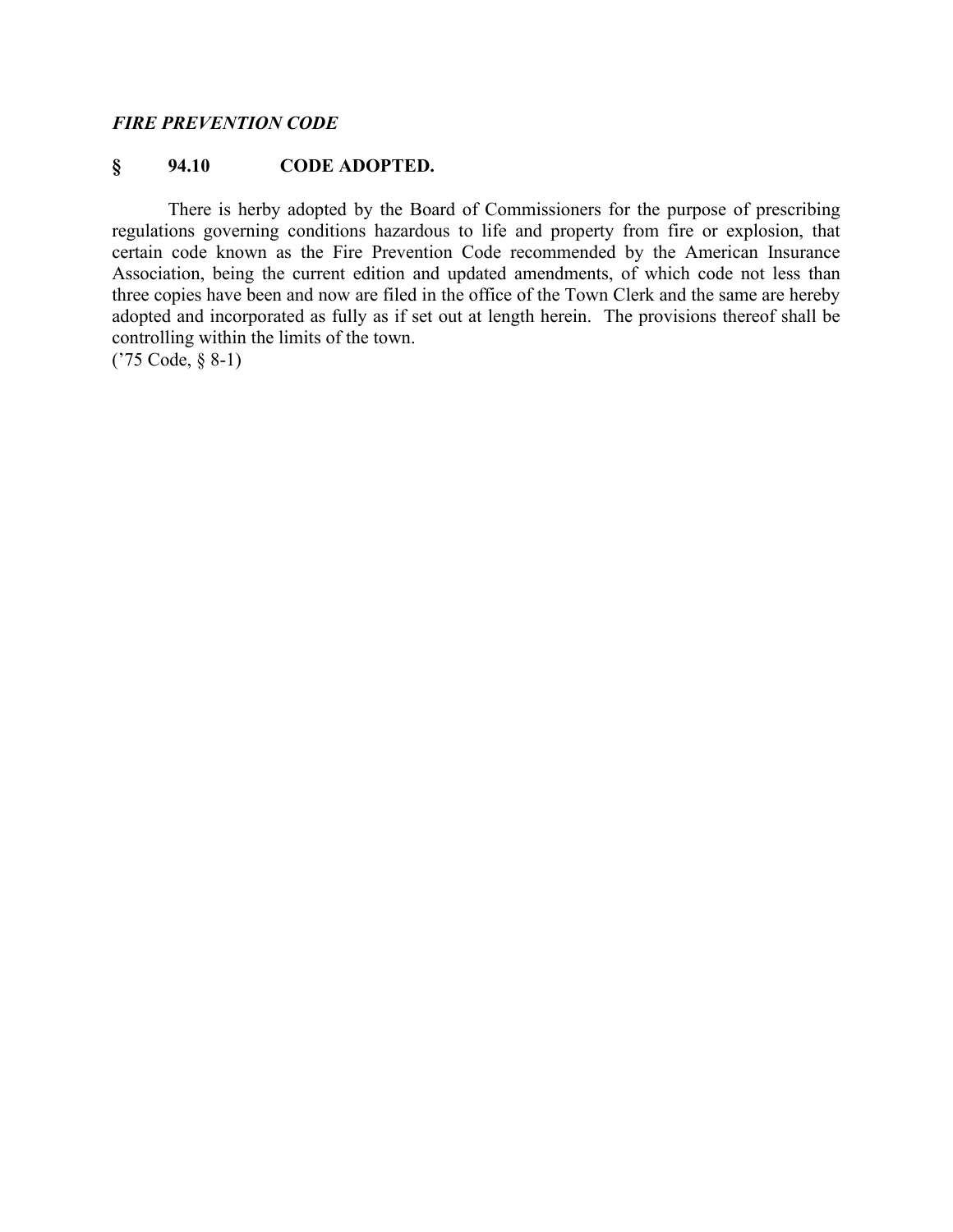#### *FIRE PREVENTION CODE*

## **§ 94.10 CODE ADOPTED.**

There is herby adopted by the Board of Commissioners for the purpose of prescribing regulations governing conditions hazardous to life and property from fire or explosion, that certain code known as the Fire Prevention Code recommended by the American Insurance Association, being the current edition and updated amendments, of which code not less than three copies have been and now are filed in the office of the Town Clerk and the same are hereby adopted and incorporated as fully as if set out at length herein. The provisions thereof shall be controlling within the limits of the town.

('75 Code, § 8-1)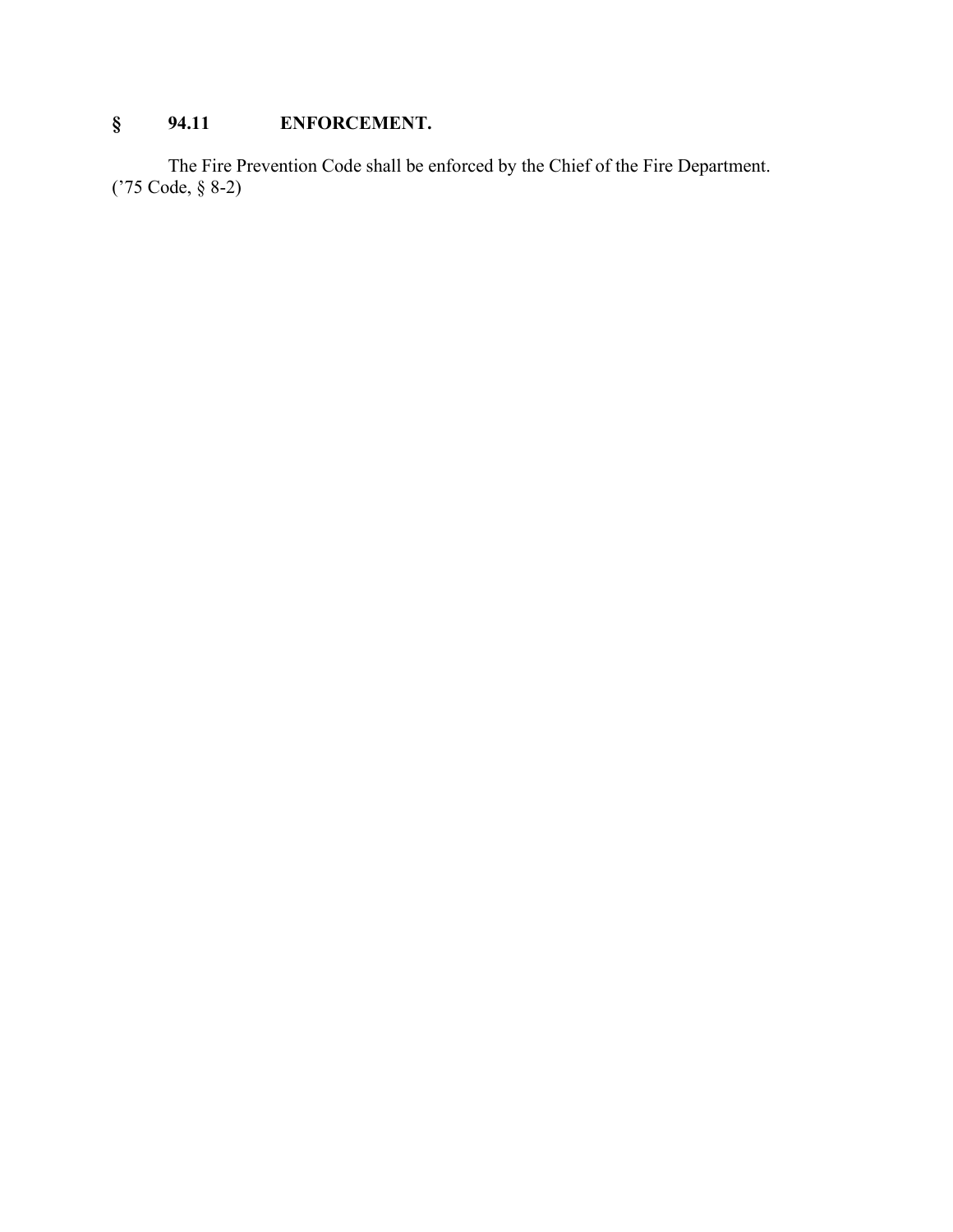# **§ 94.11 ENFORCEMENT.**

The Fire Prevention Code shall be enforced by the Chief of the Fire Department. ('75 Code, § 8-2)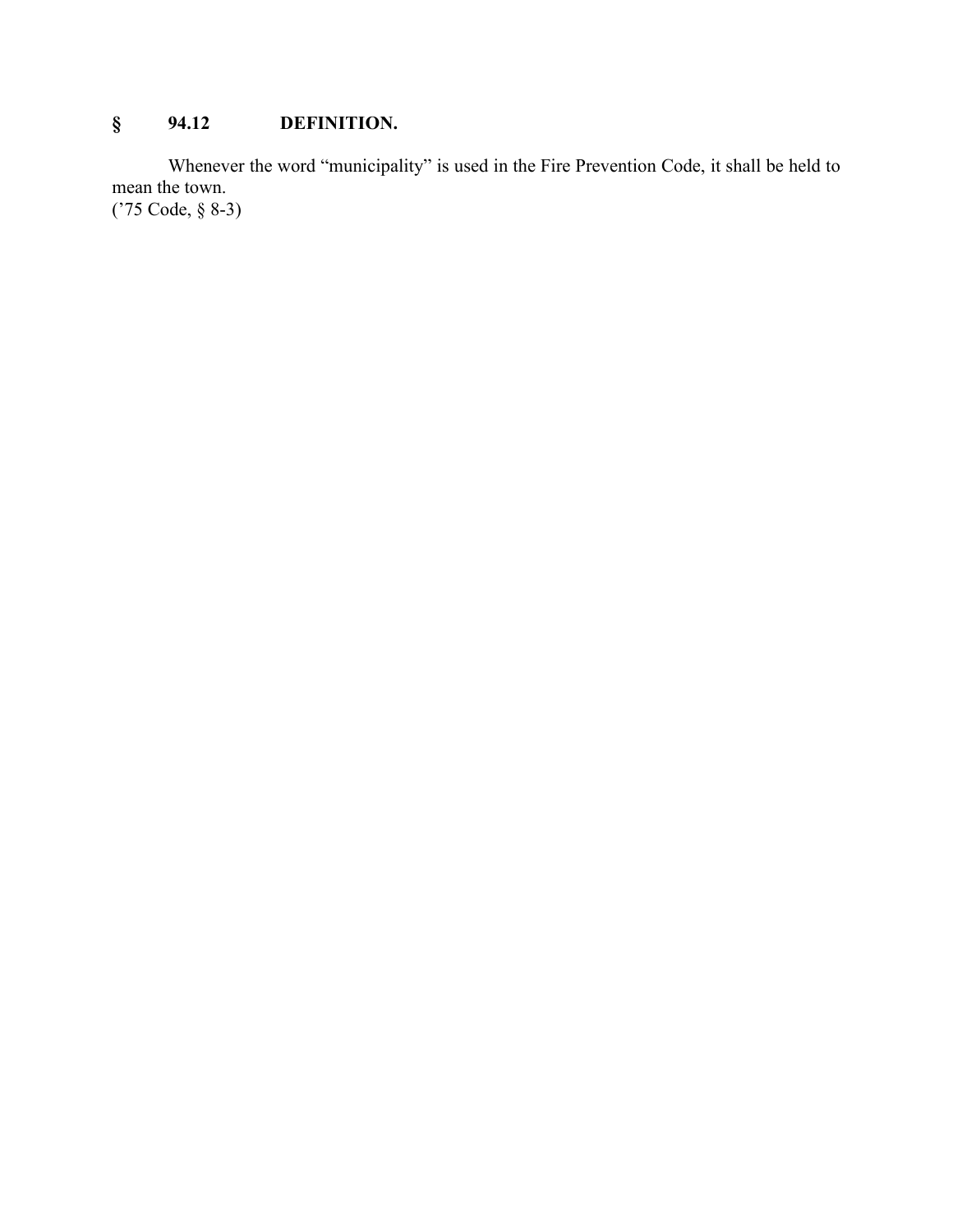# **§ 94.12 DEFINITION.**

Whenever the word "municipality" is used in the Fire Prevention Code, it shall be held to mean the town. ('75 Code, § 8-3)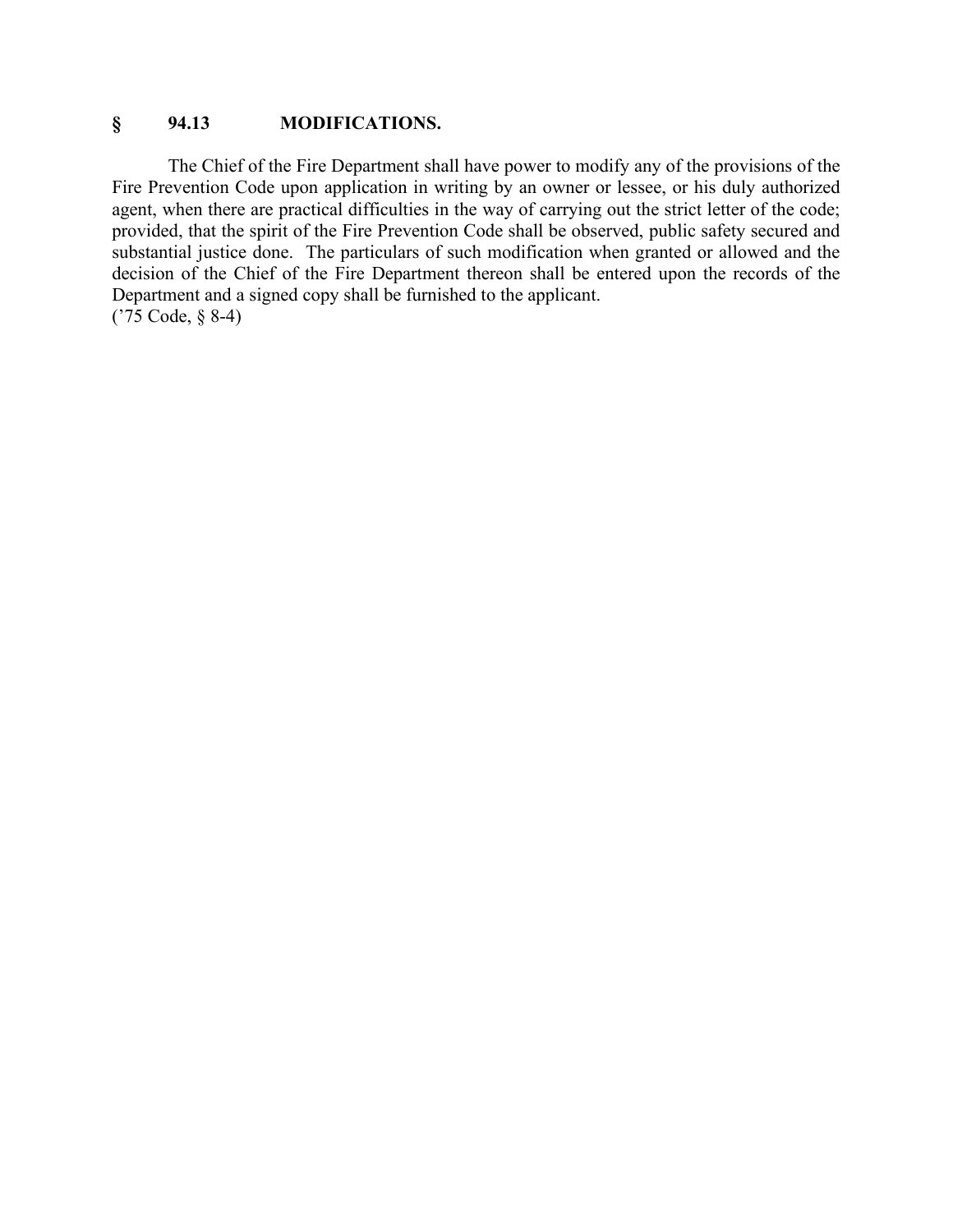### **§ 94.13 MODIFICATIONS.**

The Chief of the Fire Department shall have power to modify any of the provisions of the Fire Prevention Code upon application in writing by an owner or lessee, or his duly authorized agent, when there are practical difficulties in the way of carrying out the strict letter of the code; provided, that the spirit of the Fire Prevention Code shall be observed, public safety secured and substantial justice done. The particulars of such modification when granted or allowed and the decision of the Chief of the Fire Department thereon shall be entered upon the records of the Department and a signed copy shall be furnished to the applicant. ('75 Code, § 8-4)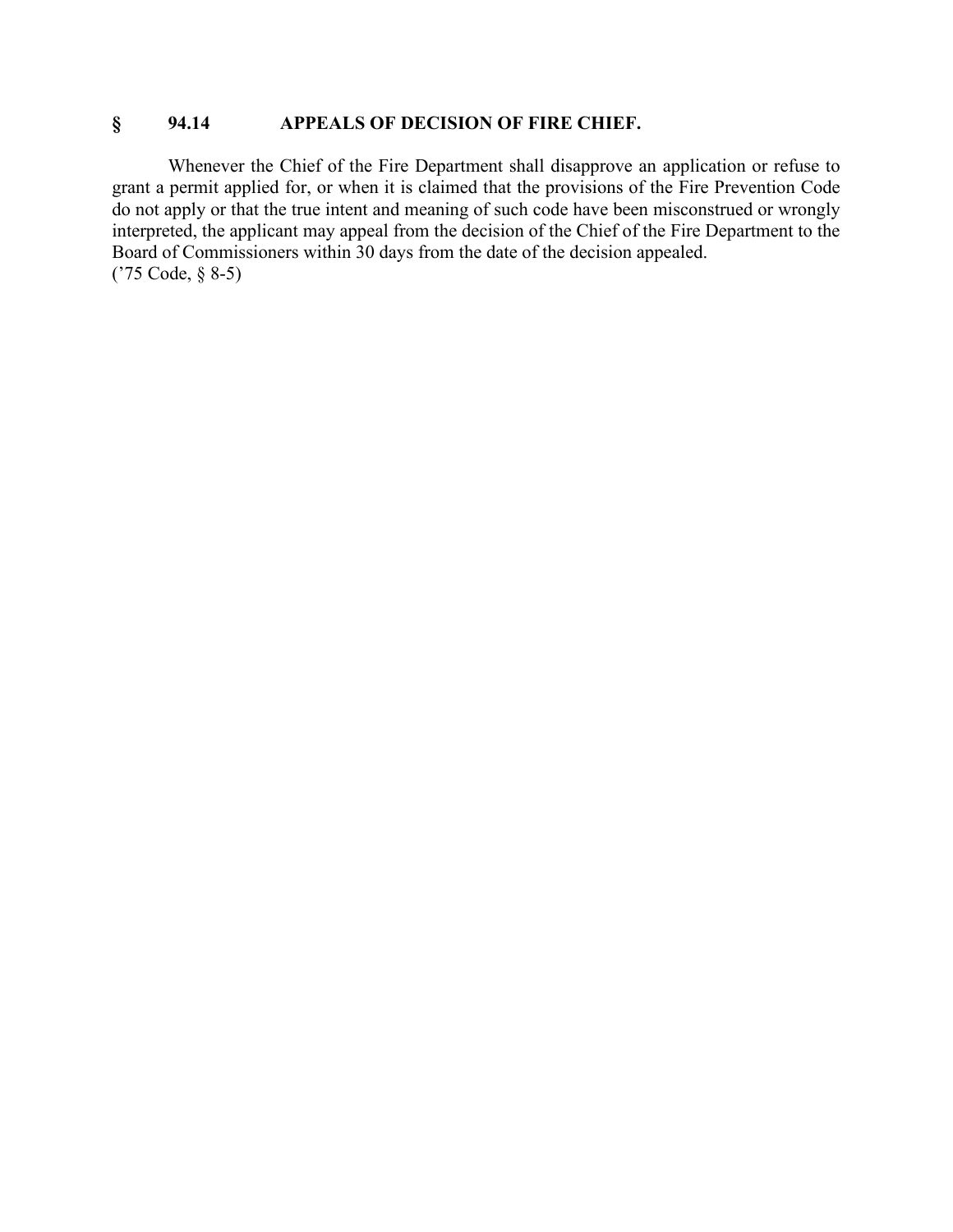## **§ 94.14 APPEALS OF DECISION OF FIRE CHIEF.**

Whenever the Chief of the Fire Department shall disapprove an application or refuse to grant a permit applied for, or when it is claimed that the provisions of the Fire Prevention Code do not apply or that the true intent and meaning of such code have been misconstrued or wrongly interpreted, the applicant may appeal from the decision of the Chief of the Fire Department to the Board of Commissioners within 30 days from the date of the decision appealed. ('75 Code, § 8-5)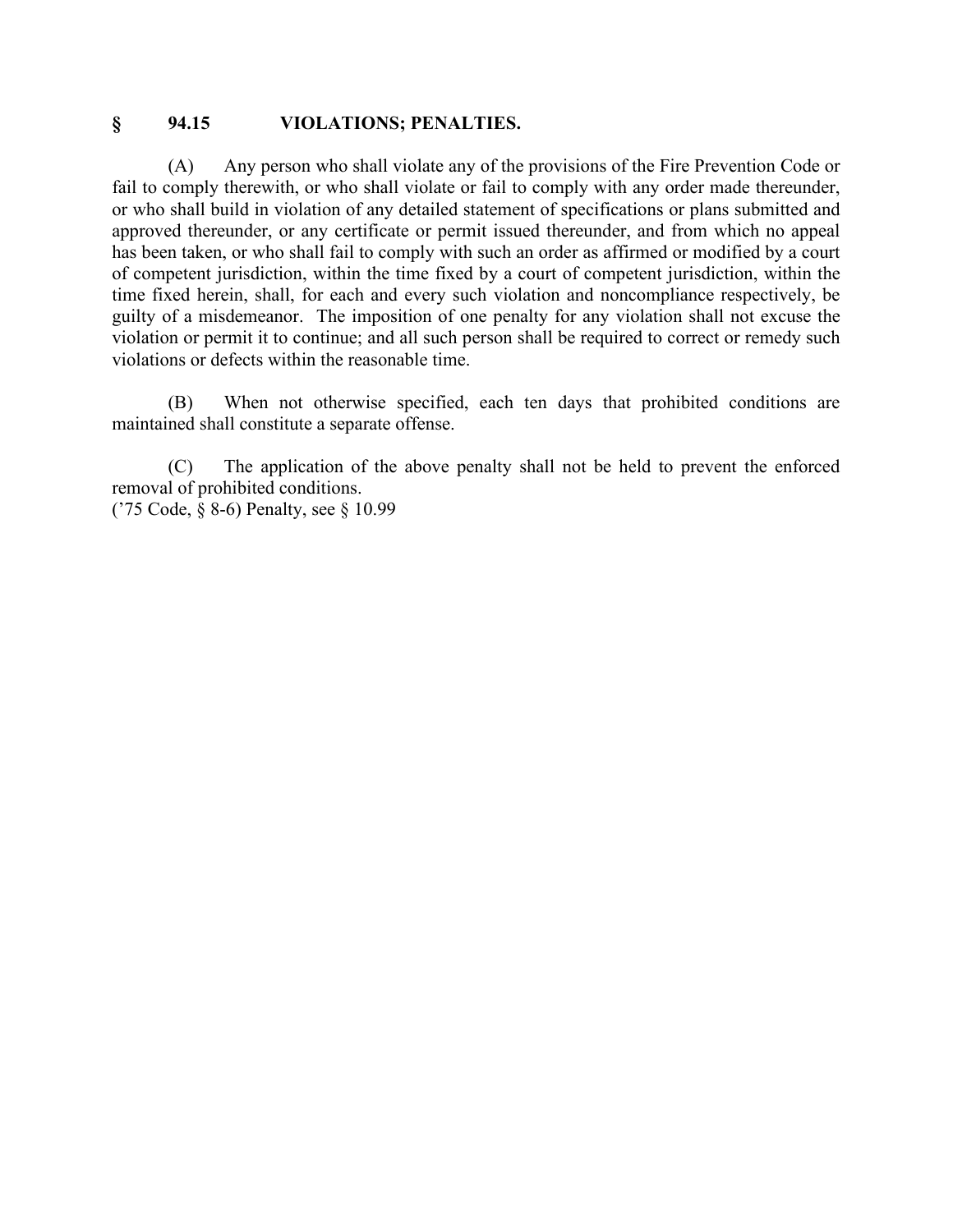#### **§ 94.15 VIOLATIONS; PENALTIES.**

(A) Any person who shall violate any of the provisions of the Fire Prevention Code or fail to comply therewith, or who shall violate or fail to comply with any order made thereunder, or who shall build in violation of any detailed statement of specifications or plans submitted and approved thereunder, or any certificate or permit issued thereunder, and from which no appeal has been taken, or who shall fail to comply with such an order as affirmed or modified by a court of competent jurisdiction, within the time fixed by a court of competent jurisdiction, within the time fixed herein, shall, for each and every such violation and noncompliance respectively, be guilty of a misdemeanor. The imposition of one penalty for any violation shall not excuse the violation or permit it to continue; and all such person shall be required to correct or remedy such violations or defects within the reasonable time.

(B) When not otherwise specified, each ten days that prohibited conditions are maintained shall constitute a separate offense.

(C) The application of the above penalty shall not be held to prevent the enforced removal of prohibited conditions.

('75 Code, § 8-6) Penalty, see § 10.99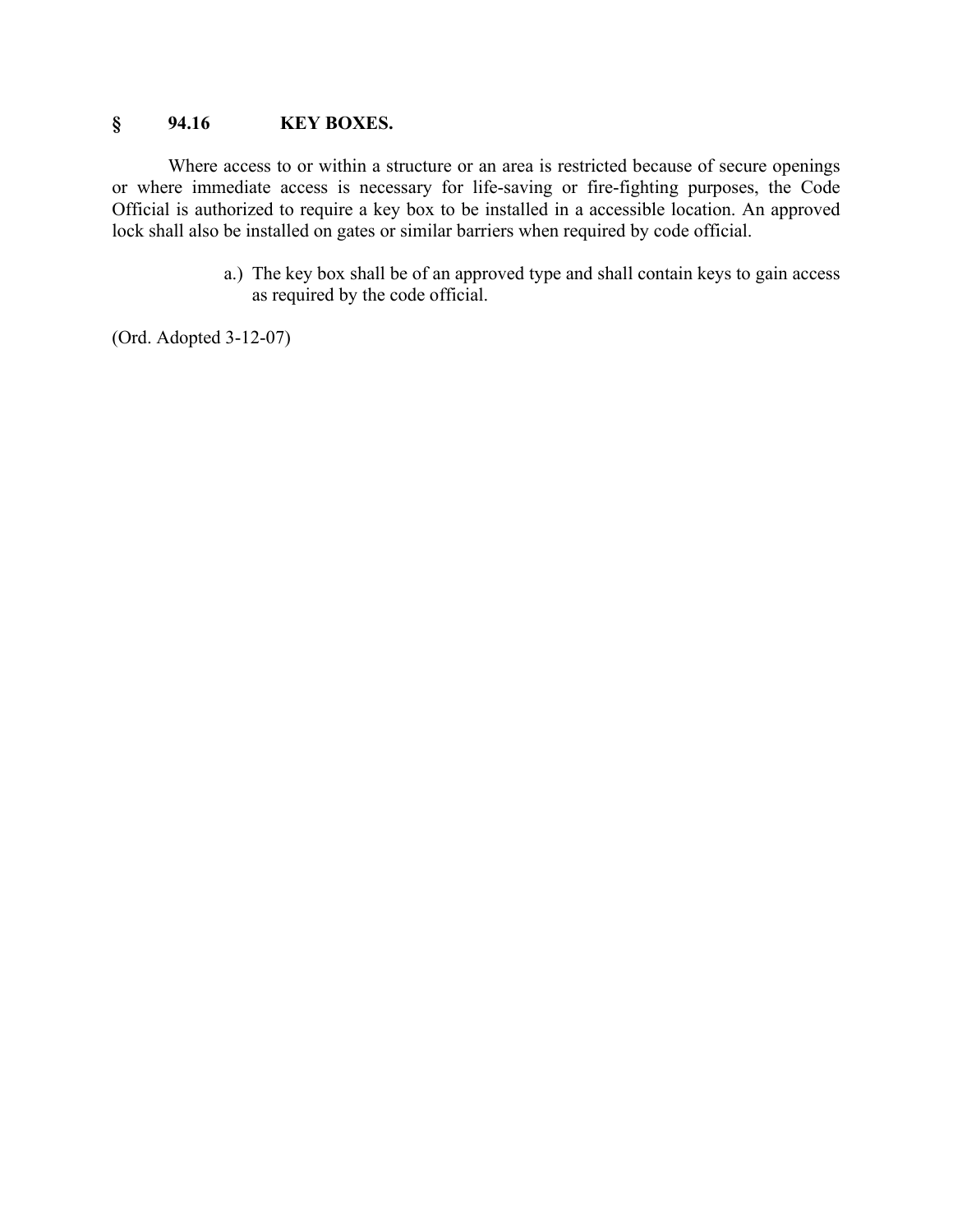### **§ 94.16 KEY BOXES.**

Where access to or within a structure or an area is restricted because of secure openings or where immediate access is necessary for life-saving or fire-fighting purposes, the Code Official is authorized to require a key box to be installed in a accessible location. An approved lock shall also be installed on gates or similar barriers when required by code official.

> a.) The key box shall be of an approved type and shall contain keys to gain access as required by the code official.

(Ord. Adopted 3-12-07)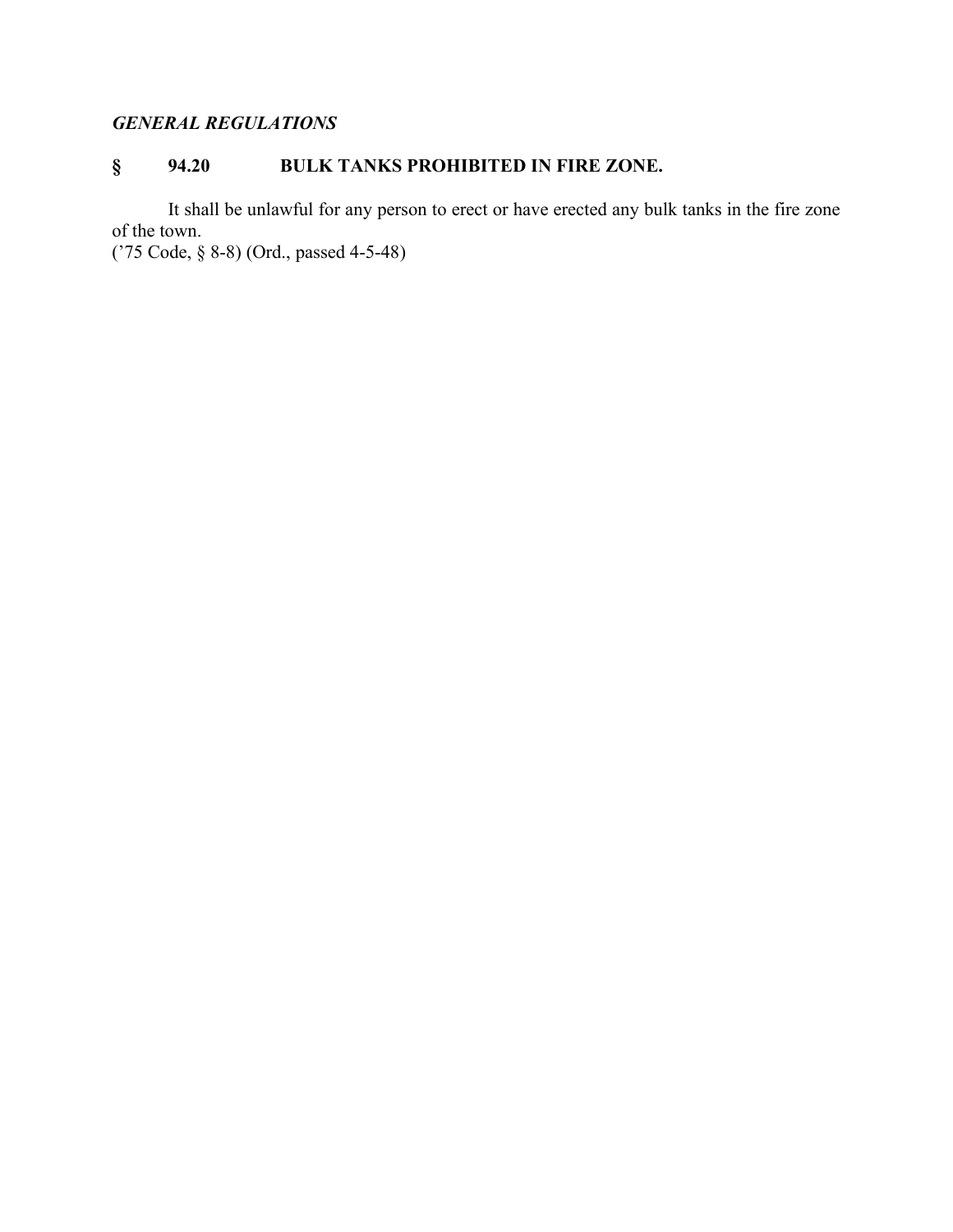# *GENERAL REGULATIONS*

# **§ 94.20 BULK TANKS PROHIBITED IN FIRE ZONE.**

It shall be unlawful for any person to erect or have erected any bulk tanks in the fire zone of the town.

('75 Code, § 8-8) (Ord., passed 4-5-48)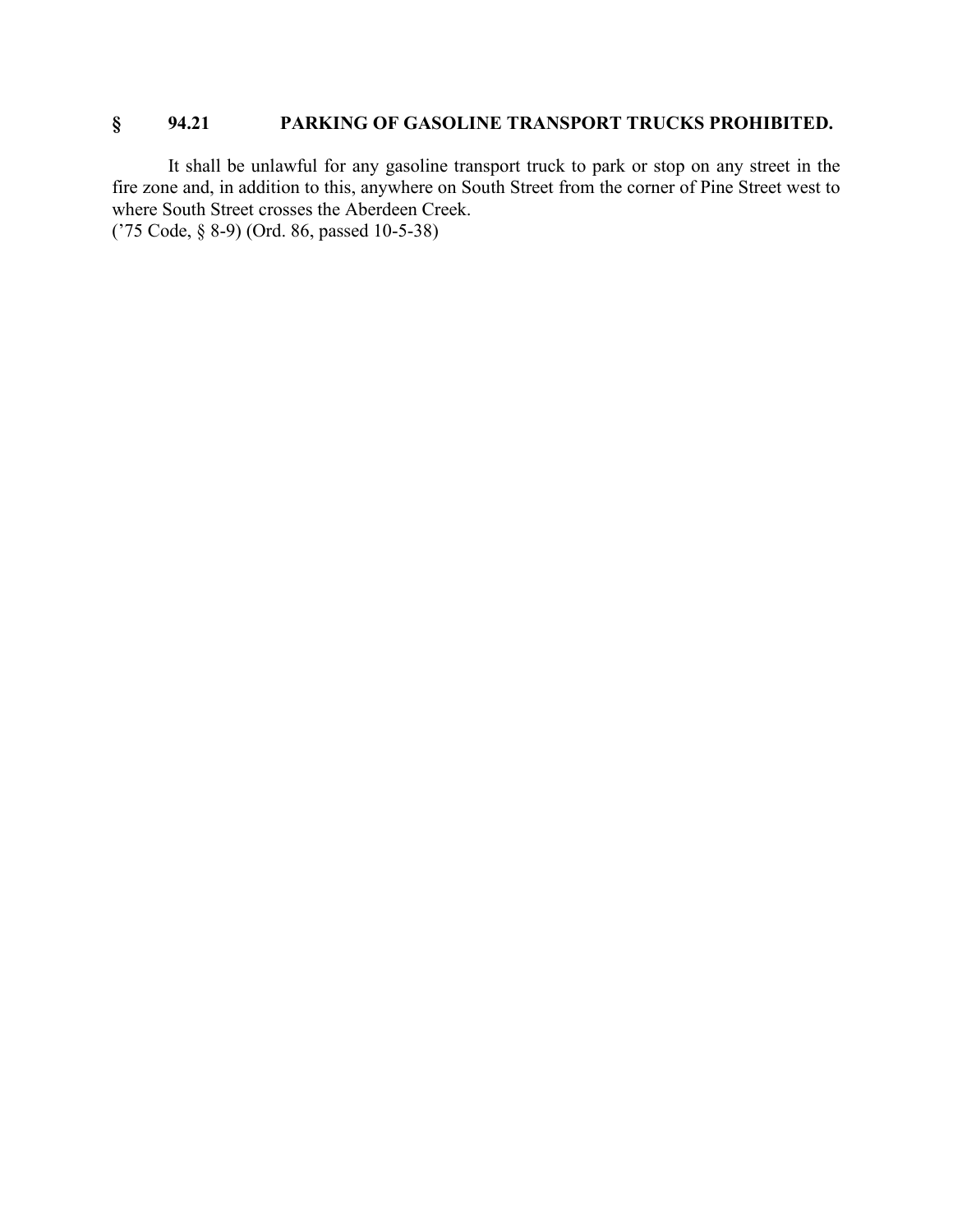# **§ 94.21 PARKING OF GASOLINE TRANSPORT TRUCKS PROHIBITED.**

It shall be unlawful for any gasoline transport truck to park or stop on any street in the fire zone and, in addition to this, anywhere on South Street from the corner of Pine Street west to where South Street crosses the Aberdeen Creek.

('75 Code, § 8-9) (Ord. 86, passed 10-5-38)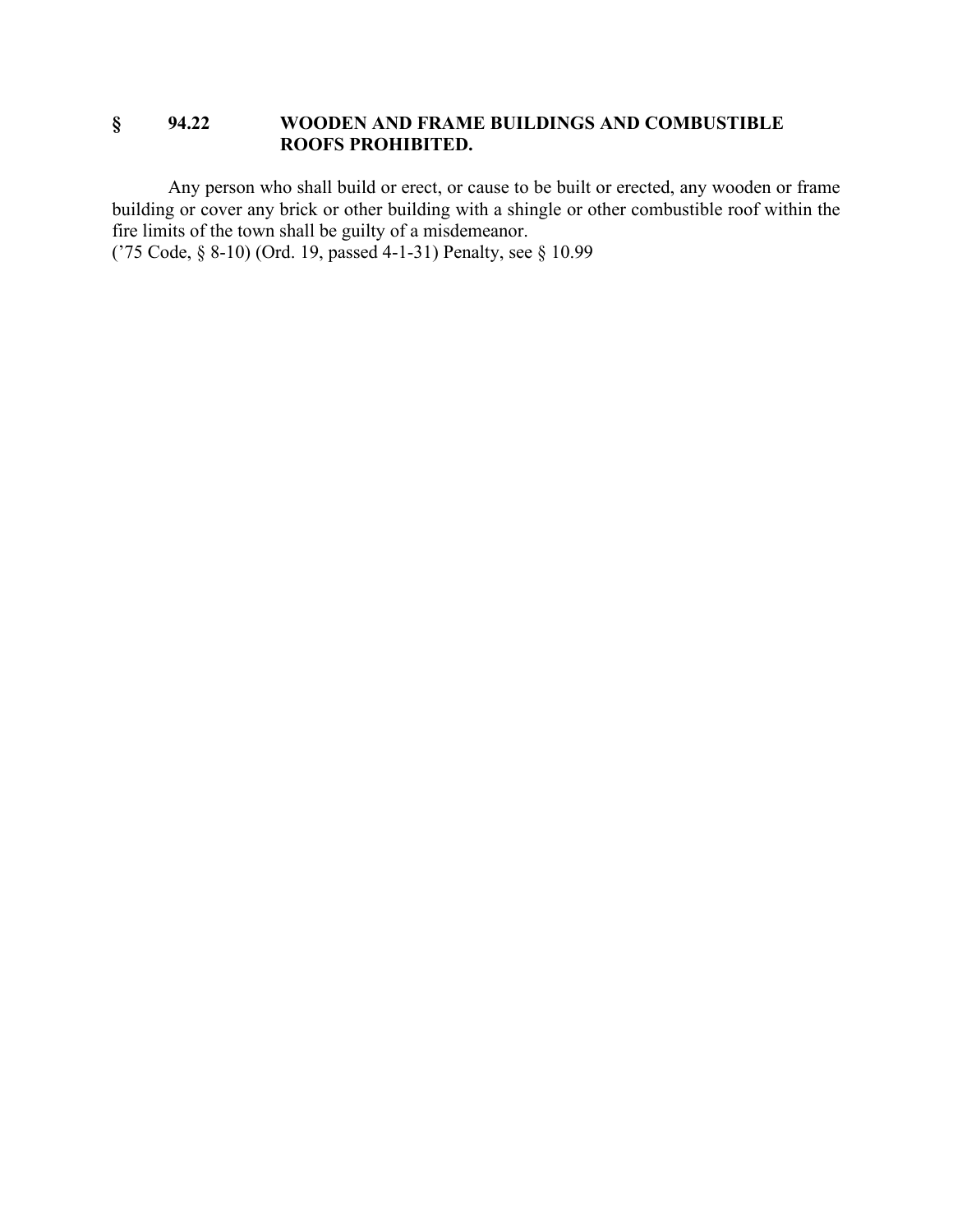### **§ 94.22 WOODEN AND FRAME BUILDINGS AND COMBUSTIBLE ROOFS PROHIBITED.**

Any person who shall build or erect, or cause to be built or erected, any wooden or frame building or cover any brick or other building with a shingle or other combustible roof within the fire limits of the town shall be guilty of a misdemeanor.

('75 Code, § 8-10) (Ord. 19, passed 4-1-31) Penalty, see § 10.99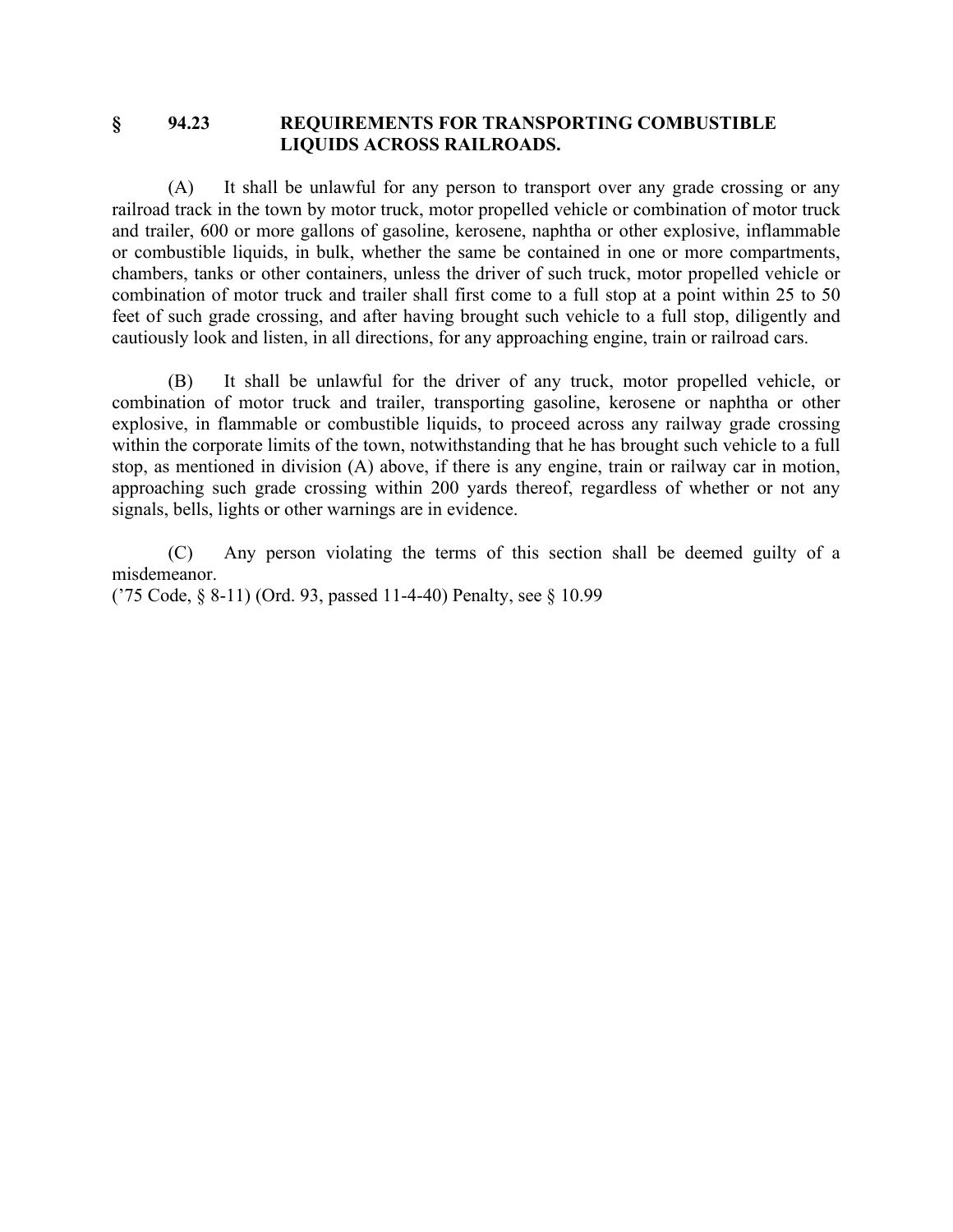#### **§ 94.23 REQUIREMENTS FOR TRANSPORTING COMBUSTIBLE LIQUIDS ACROSS RAILROADS.**

(A) It shall be unlawful for any person to transport over any grade crossing or any railroad track in the town by motor truck, motor propelled vehicle or combination of motor truck and trailer, 600 or more gallons of gasoline, kerosene, naphtha or other explosive, inflammable or combustible liquids, in bulk, whether the same be contained in one or more compartments, chambers, tanks or other containers, unless the driver of such truck, motor propelled vehicle or combination of motor truck and trailer shall first come to a full stop at a point within 25 to 50 feet of such grade crossing, and after having brought such vehicle to a full stop, diligently and cautiously look and listen, in all directions, for any approaching engine, train or railroad cars.

(B) It shall be unlawful for the driver of any truck, motor propelled vehicle, or combination of motor truck and trailer, transporting gasoline, kerosene or naphtha or other explosive, in flammable or combustible liquids, to proceed across any railway grade crossing within the corporate limits of the town, notwithstanding that he has brought such vehicle to a full stop, as mentioned in division (A) above, if there is any engine, train or railway car in motion, approaching such grade crossing within 200 yards thereof, regardless of whether or not any signals, bells, lights or other warnings are in evidence.

(C) Any person violating the terms of this section shall be deemed guilty of a misdemeanor.

('75 Code, § 8-11) (Ord. 93, passed 11-4-40) Penalty, see § 10.99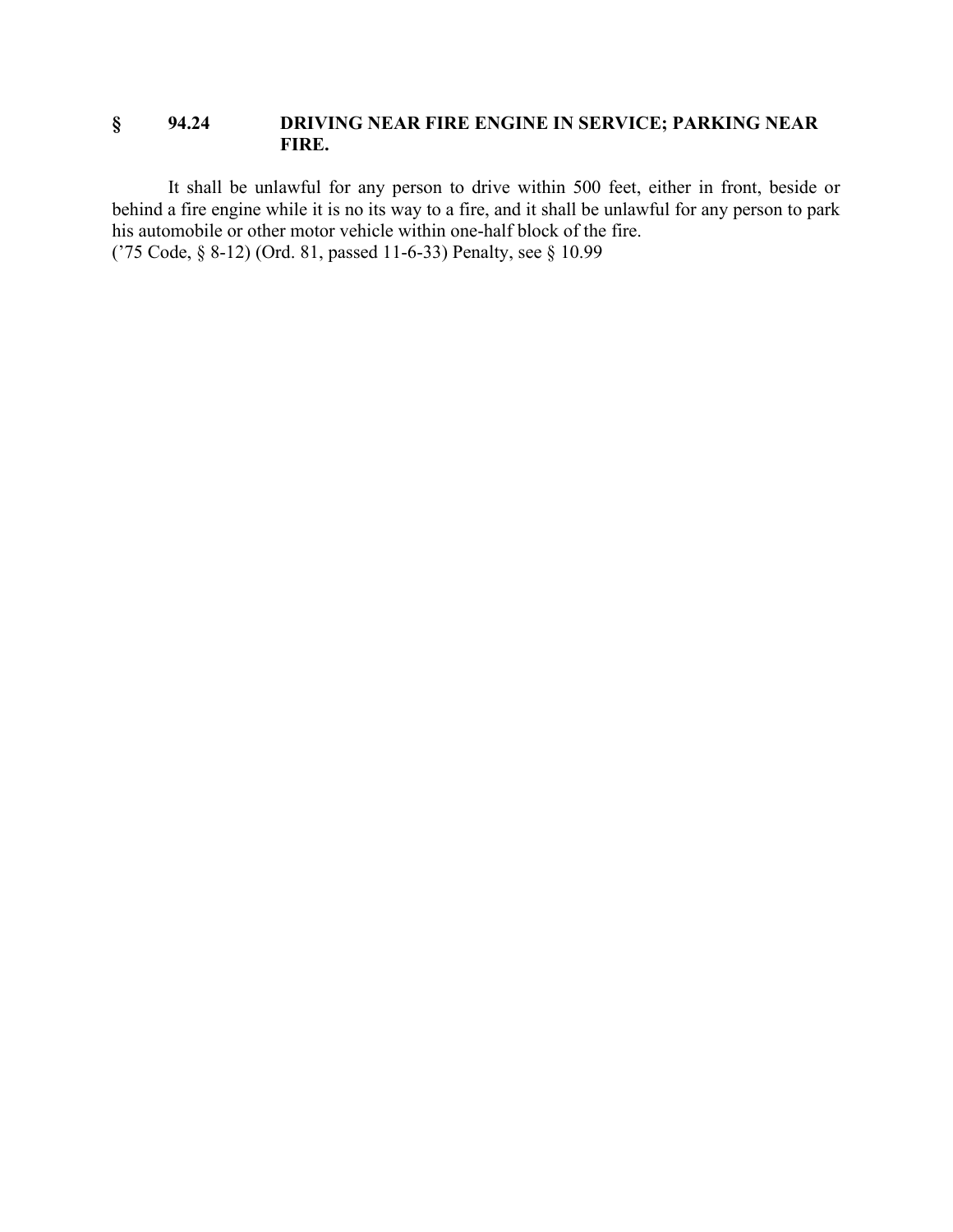### **§ 94.24 DRIVING NEAR FIRE ENGINE IN SERVICE; PARKING NEAR FIRE.**

It shall be unlawful for any person to drive within 500 feet, either in front, beside or behind a fire engine while it is no its way to a fire, and it shall be unlawful for any person to park his automobile or other motor vehicle within one-half block of the fire. ('75 Code, § 8-12) (Ord. 81, passed 11-6-33) Penalty, see § 10.99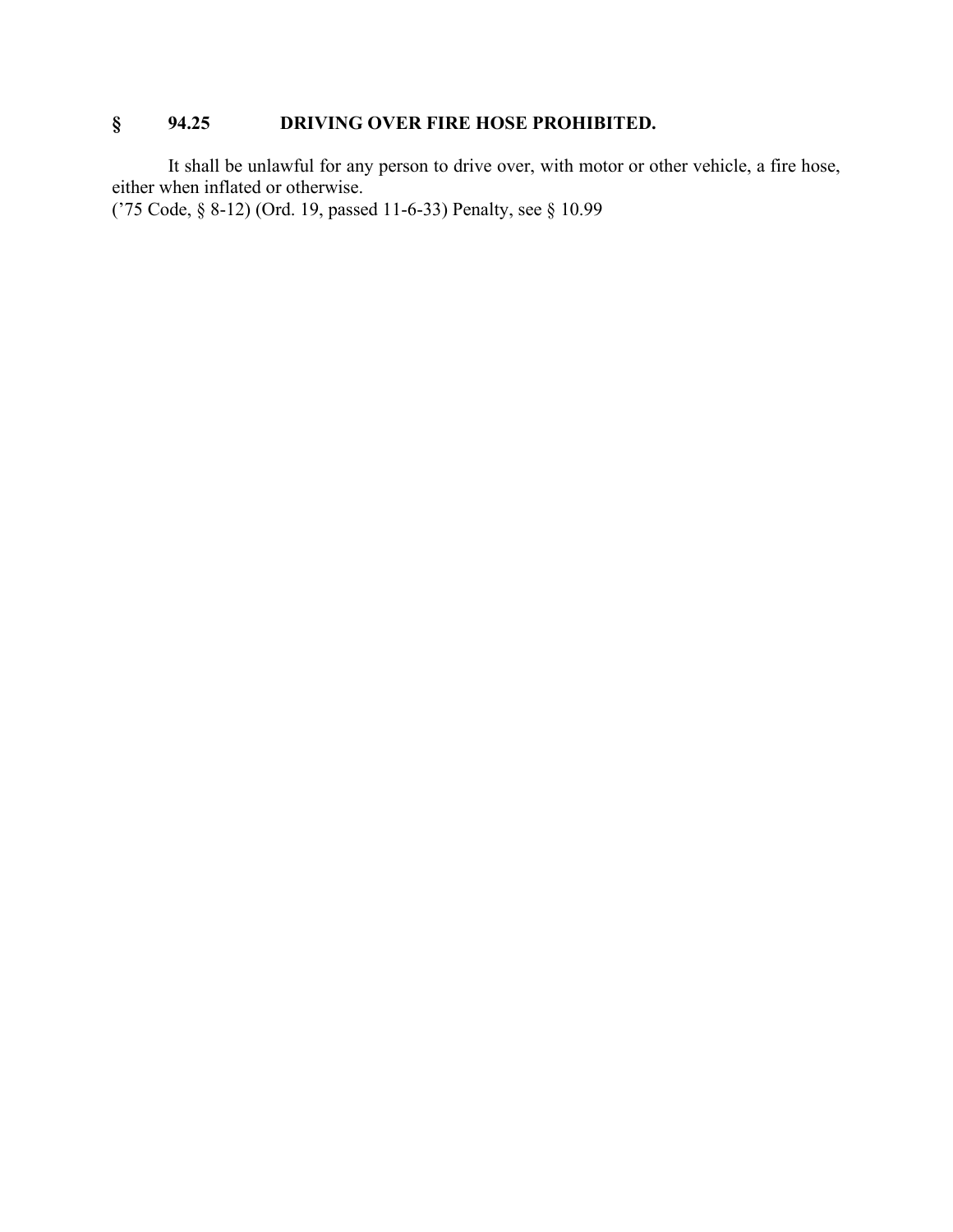# **§ 94.25 DRIVING OVER FIRE HOSE PROHIBITED.**

It shall be unlawful for any person to drive over, with motor or other vehicle, a fire hose, either when inflated or otherwise.

('75 Code, § 8-12) (Ord. 19, passed 11-6-33) Penalty, see § 10.99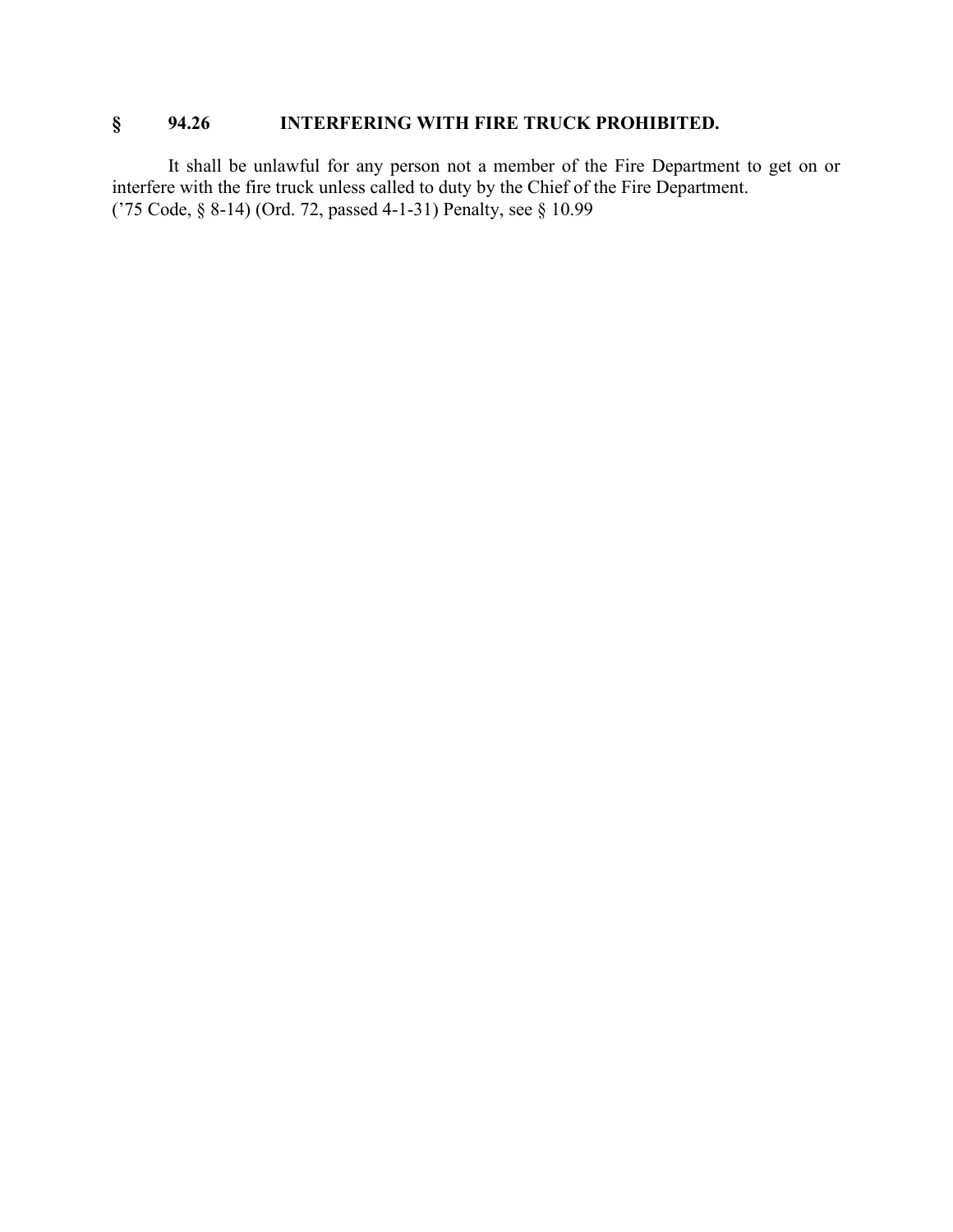# **§ 94.26 INTERFERING WITH FIRE TRUCK PROHIBITED.**

It shall be unlawful for any person not a member of the Fire Department to get on or interfere with the fire truck unless called to duty by the Chief of the Fire Department. ('75 Code, § 8-14) (Ord. 72, passed 4-1-31) Penalty, see § 10.99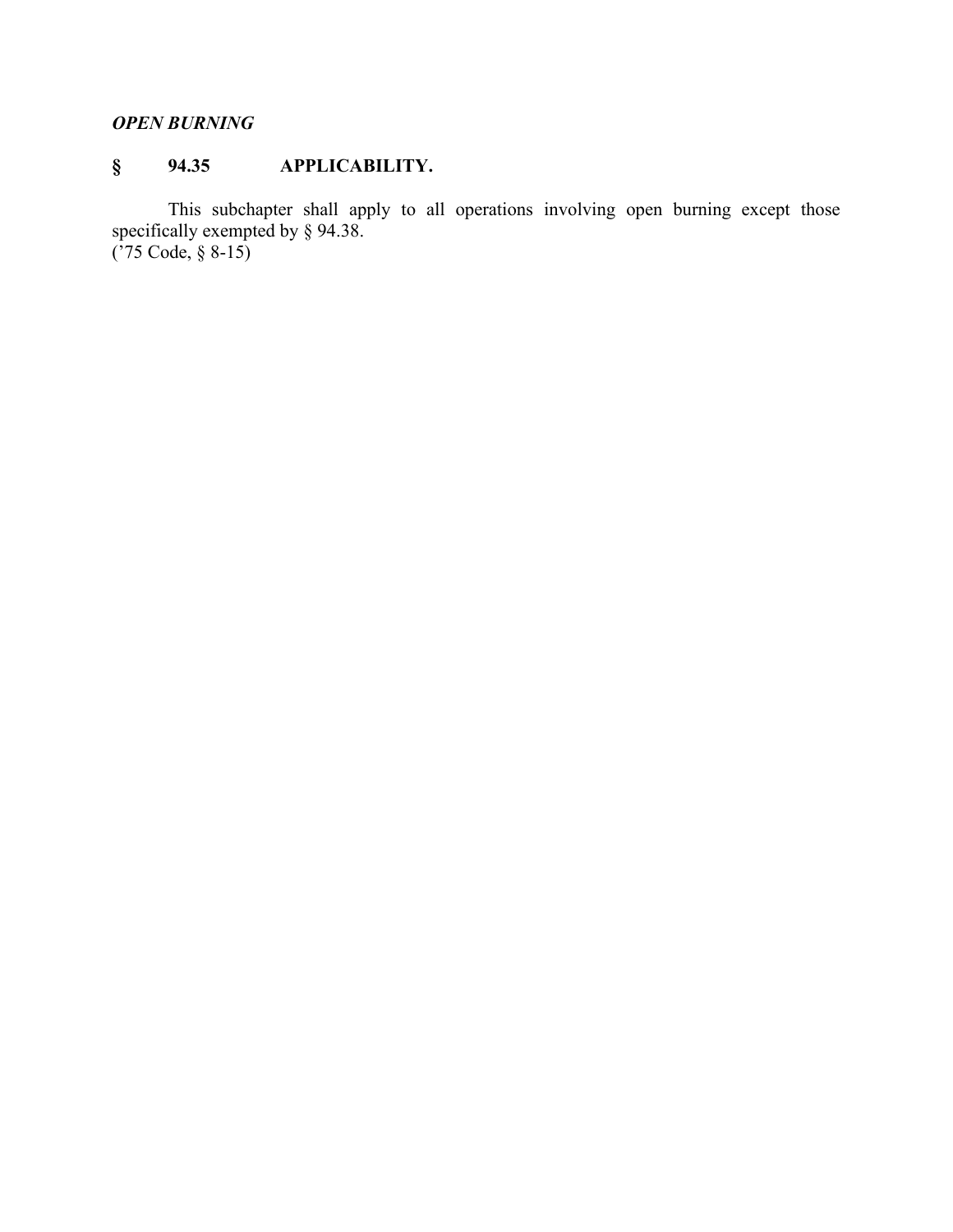# *OPEN BURNING*

# **§ 94.35 APPLICABILITY.**

This subchapter shall apply to all operations involving open burning except those specifically exempted by § 94.38. ('75 Code, § 8-15)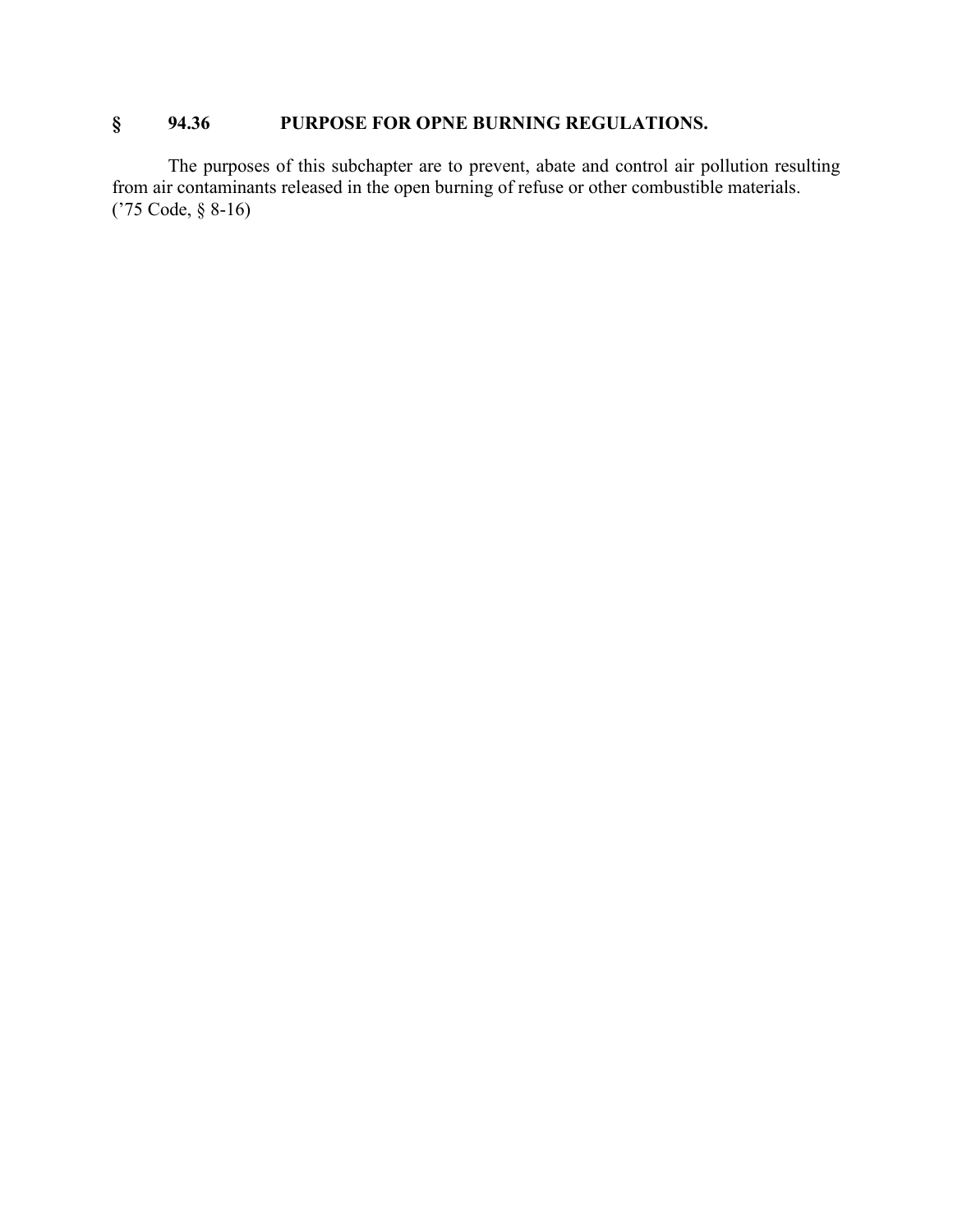# **§ 94.36 PURPOSE FOR OPNE BURNING REGULATIONS.**

The purposes of this subchapter are to prevent, abate and control air pollution resulting from air contaminants released in the open burning of refuse or other combustible materials. ('75 Code, § 8-16)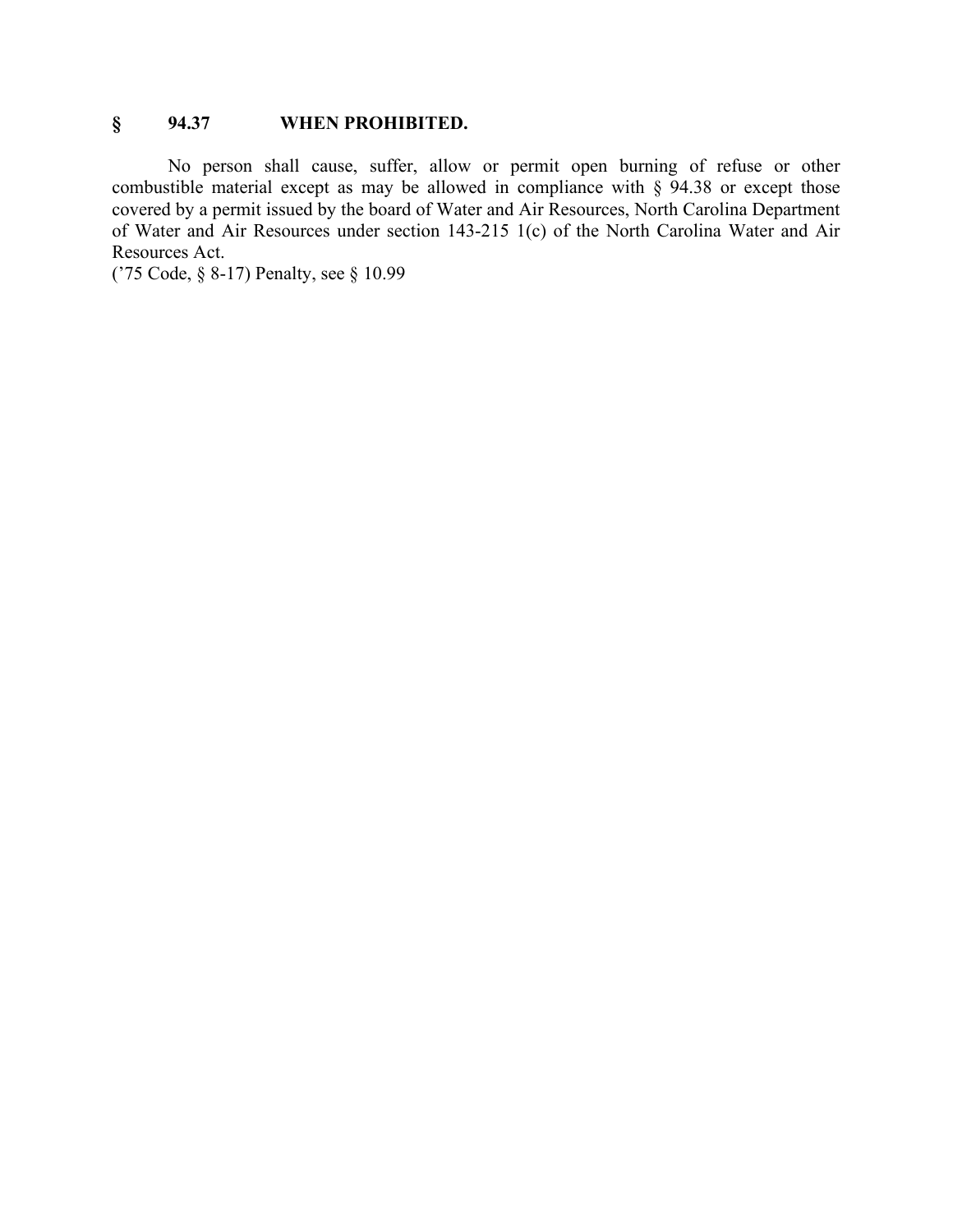## **§ 94.37 WHEN PROHIBITED.**

No person shall cause, suffer, allow or permit open burning of refuse or other combustible material except as may be allowed in compliance with § 94.38 or except those covered by a permit issued by the board of Water and Air Resources, North Carolina Department of Water and Air Resources under section 143-215 1(c) of the North Carolina Water and Air Resources Act.

('75 Code, § 8-17) Penalty, see § 10.99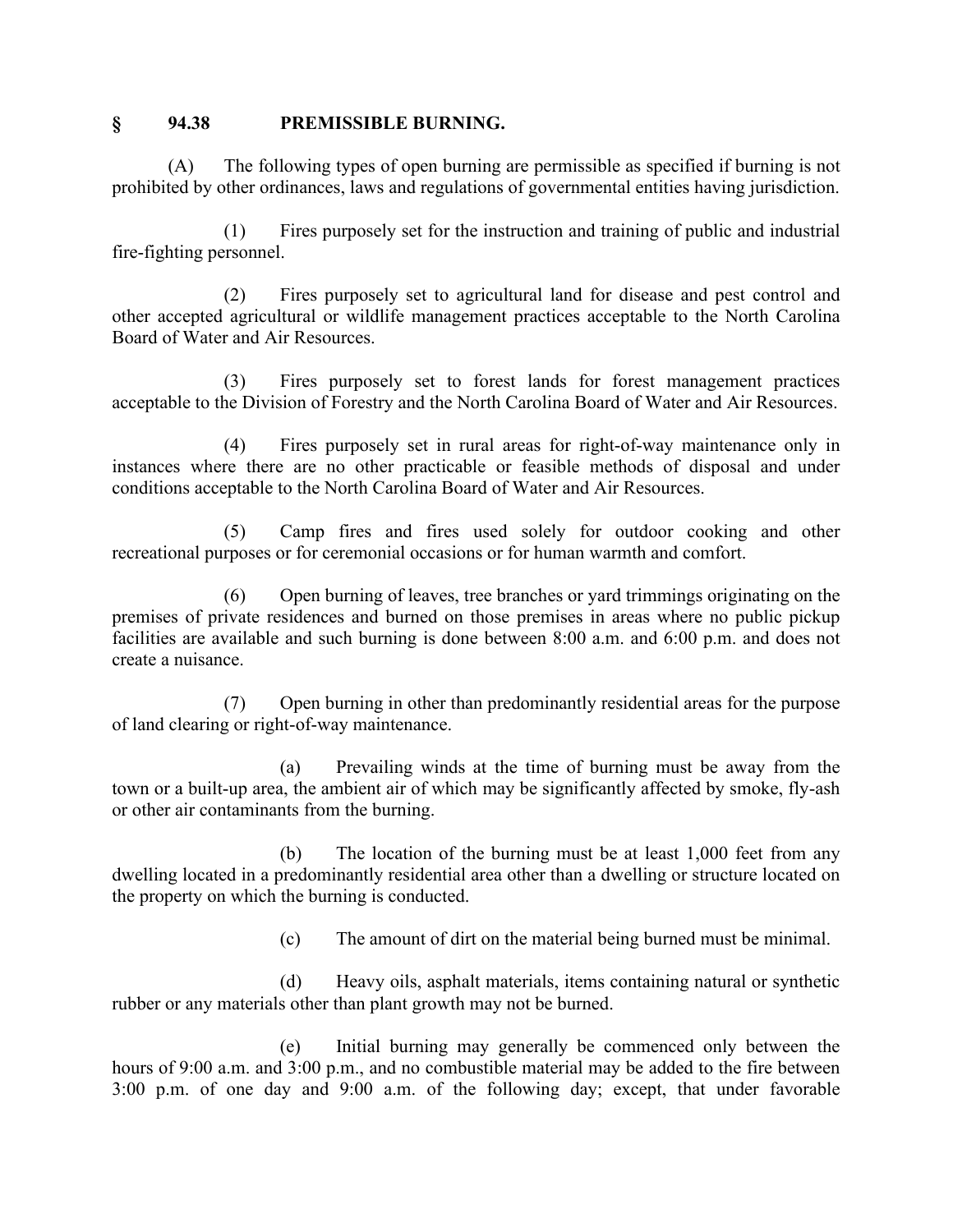#### **§ 94.38 PREMISSIBLE BURNING.**

(A) The following types of open burning are permissible as specified if burning is not prohibited by other ordinances, laws and regulations of governmental entities having jurisdiction.

(1) Fires purposely set for the instruction and training of public and industrial fire-fighting personnel.

(2) Fires purposely set to agricultural land for disease and pest control and other accepted agricultural or wildlife management practices acceptable to the North Carolina Board of Water and Air Resources.

(3) Fires purposely set to forest lands for forest management practices acceptable to the Division of Forestry and the North Carolina Board of Water and Air Resources.

(4) Fires purposely set in rural areas for right-of-way maintenance only in instances where there are no other practicable or feasible methods of disposal and under conditions acceptable to the North Carolina Board of Water and Air Resources.

(5) Camp fires and fires used solely for outdoor cooking and other recreational purposes or for ceremonial occasions or for human warmth and comfort.

(6) Open burning of leaves, tree branches or yard trimmings originating on the premises of private residences and burned on those premises in areas where no public pickup facilities are available and such burning is done between 8:00 a.m. and 6:00 p.m. and does not create a nuisance.

(7) Open burning in other than predominantly residential areas for the purpose of land clearing or right-of-way maintenance.

(a) Prevailing winds at the time of burning must be away from the town or a built-up area, the ambient air of which may be significantly affected by smoke, fly-ash or other air contaminants from the burning.

(b) The location of the burning must be at least 1,000 feet from any dwelling located in a predominantly residential area other than a dwelling or structure located on the property on which the burning is conducted.

(c) The amount of dirt on the material being burned must be minimal.

(d) Heavy oils, asphalt materials, items containing natural or synthetic rubber or any materials other than plant growth may not be burned.

(e) Initial burning may generally be commenced only between the hours of 9:00 a.m. and 3:00 p.m., and no combustible material may be added to the fire between 3:00 p.m. of one day and 9:00 a.m. of the following day; except, that under favorable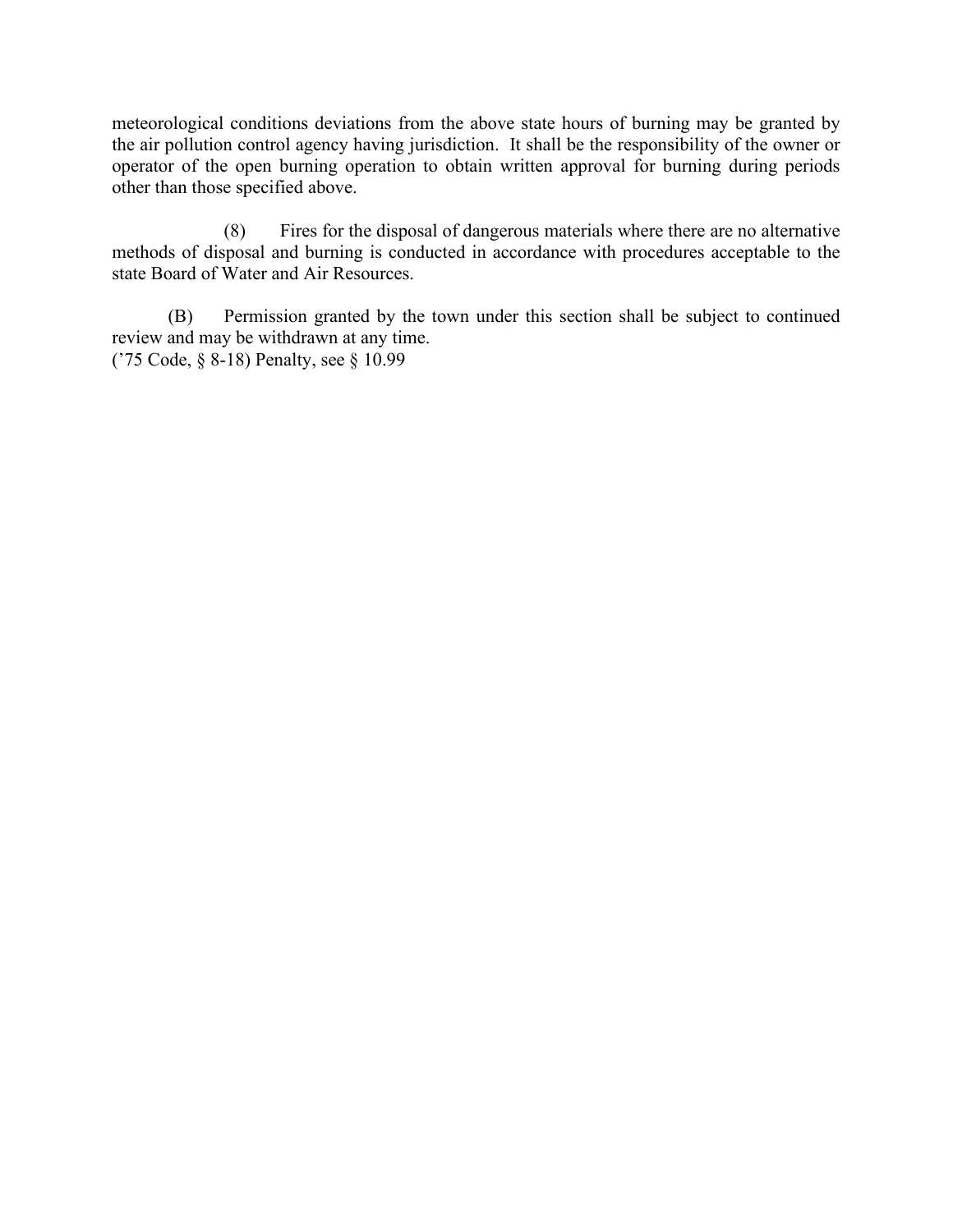meteorological conditions deviations from the above state hours of burning may be granted by the air pollution control agency having jurisdiction. It shall be the responsibility of the owner or operator of the open burning operation to obtain written approval for burning during periods other than those specified above.

(8) Fires for the disposal of dangerous materials where there are no alternative methods of disposal and burning is conducted in accordance with procedures acceptable to the state Board of Water and Air Resources.

(B) Permission granted by the town under this section shall be subject to continued review and may be withdrawn at any time. ('75 Code, § 8-18) Penalty, see § 10.99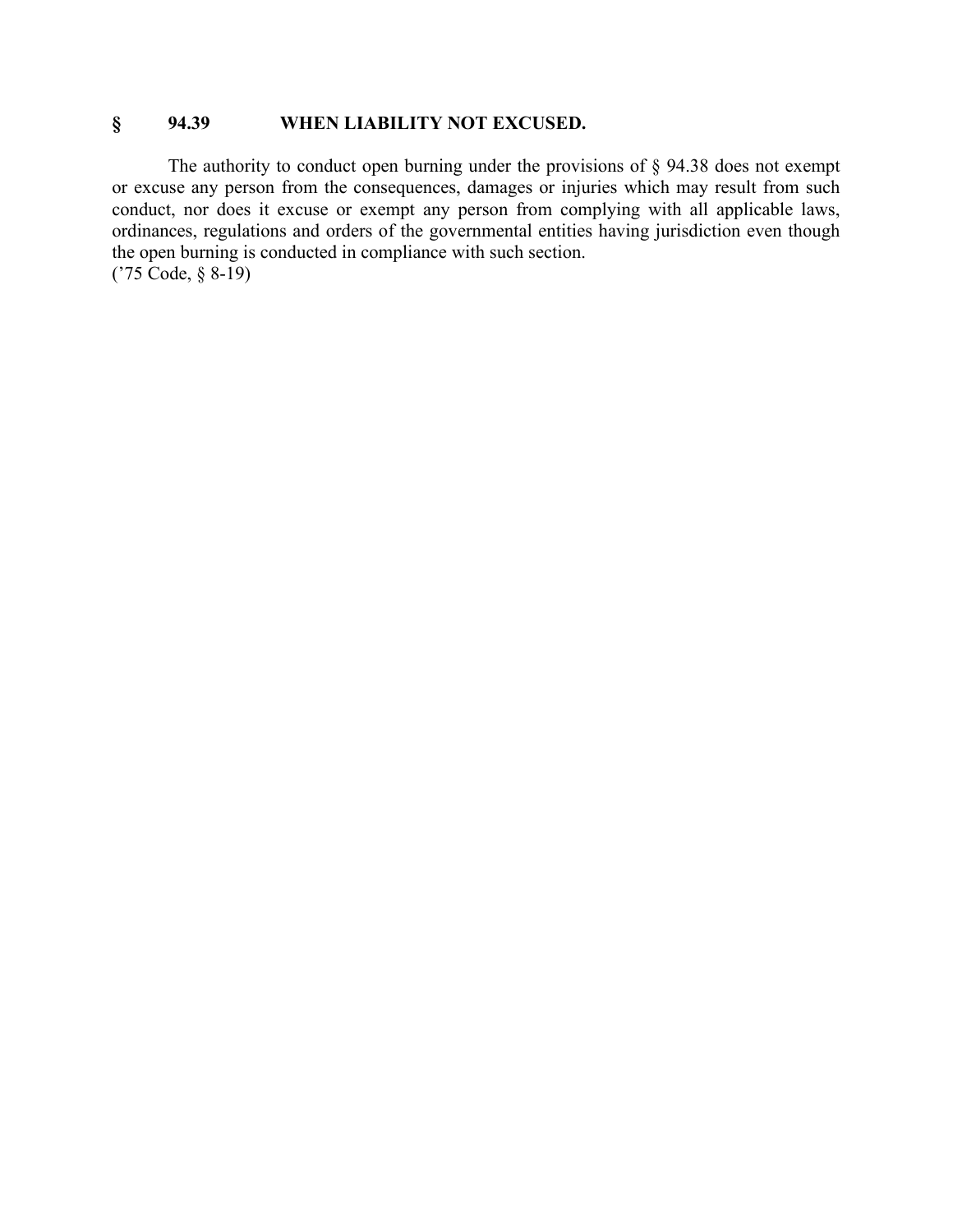## **§ 94.39 WHEN LIABILITY NOT EXCUSED.**

The authority to conduct open burning under the provisions of § 94.38 does not exempt or excuse any person from the consequences, damages or injuries which may result from such conduct, nor does it excuse or exempt any person from complying with all applicable laws, ordinances, regulations and orders of the governmental entities having jurisdiction even though the open burning is conducted in compliance with such section. ('75 Code, § 8-19)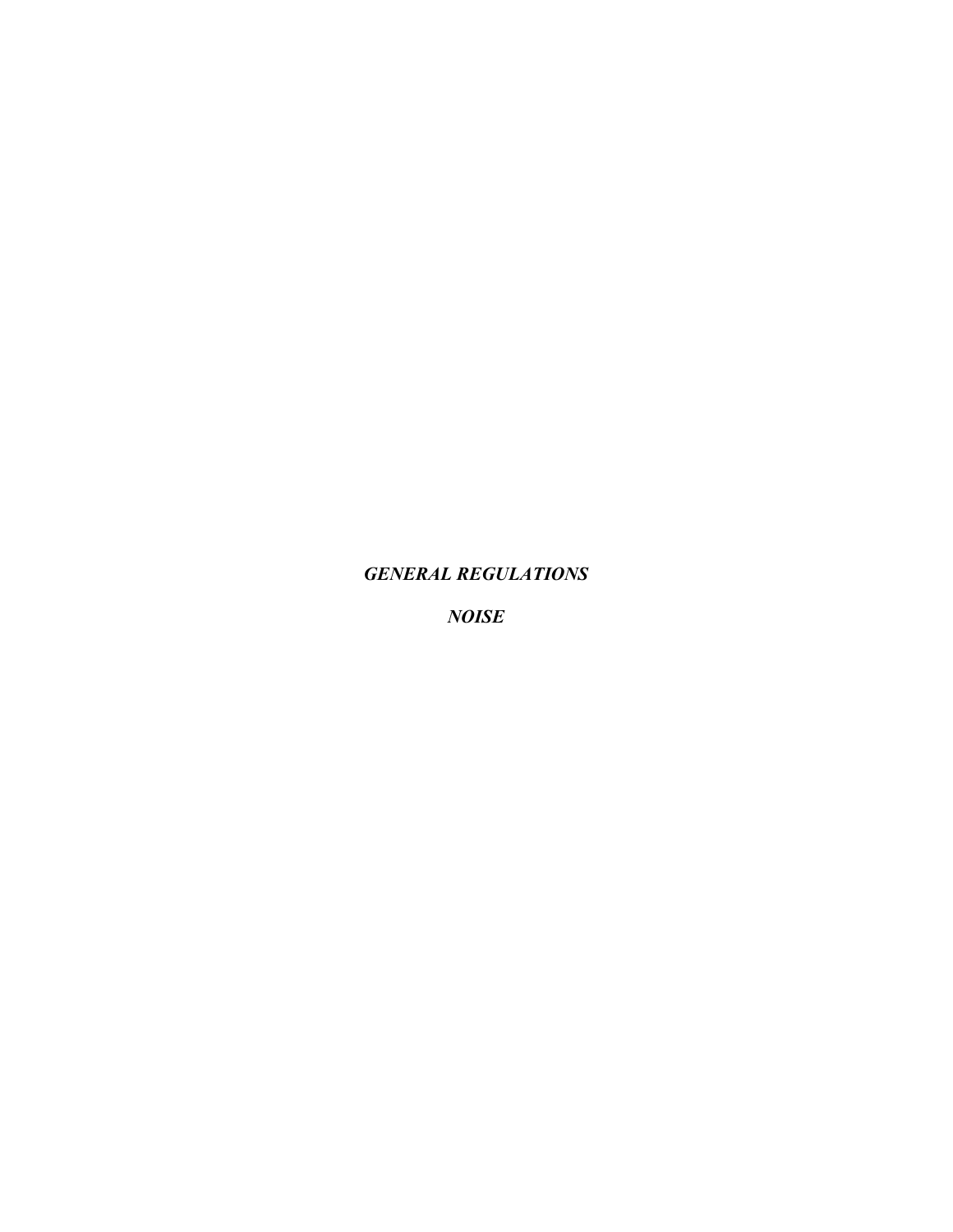#### *GENERAL REGULATIONS*

*NOISE*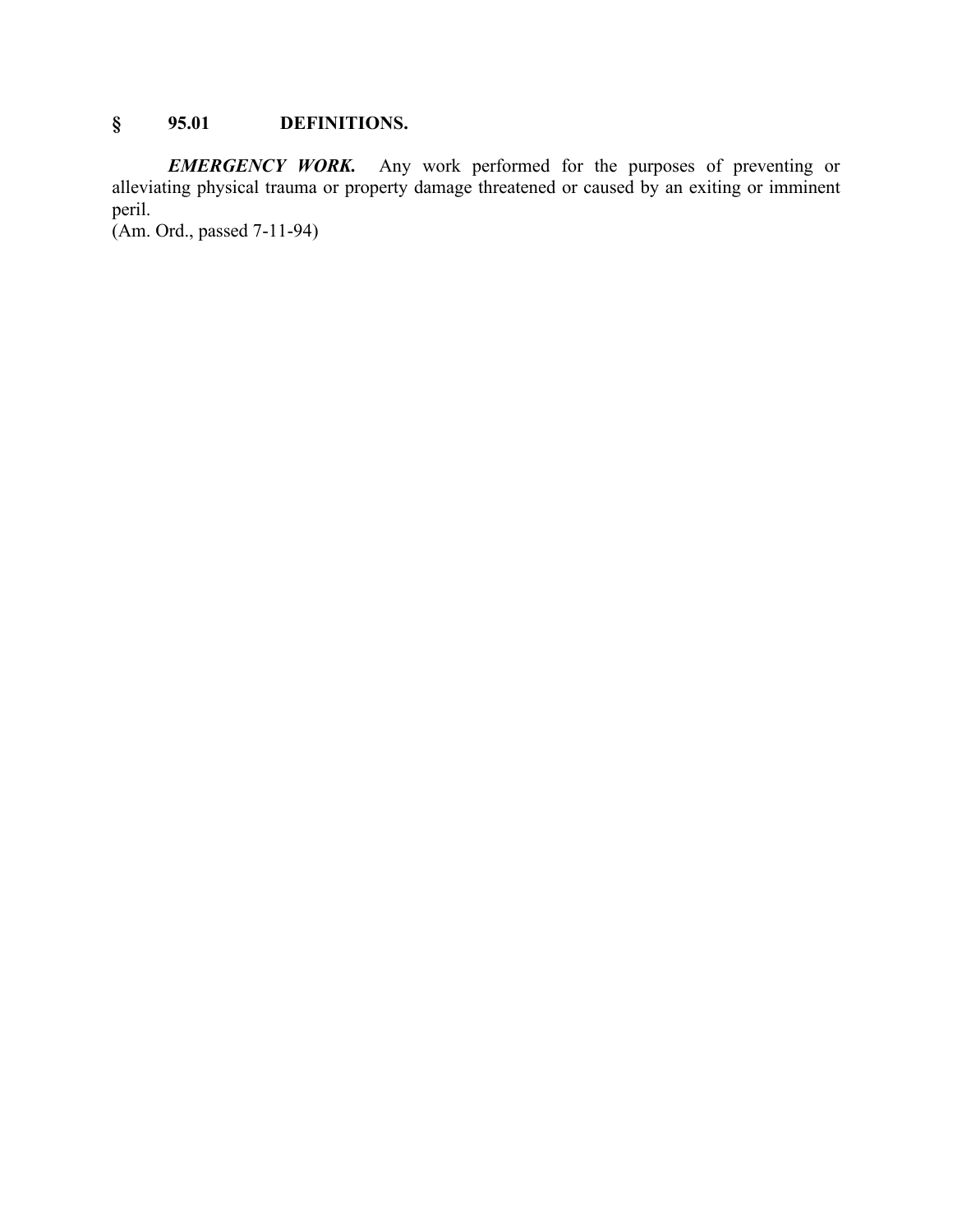# **§ 95.01 DEFINITIONS.**

*EMERGENCY WORK.* Any work performed for the purposes of preventing or alleviating physical trauma or property damage threatened or caused by an exiting or imminent peril.

(Am. Ord., passed 7-11-94)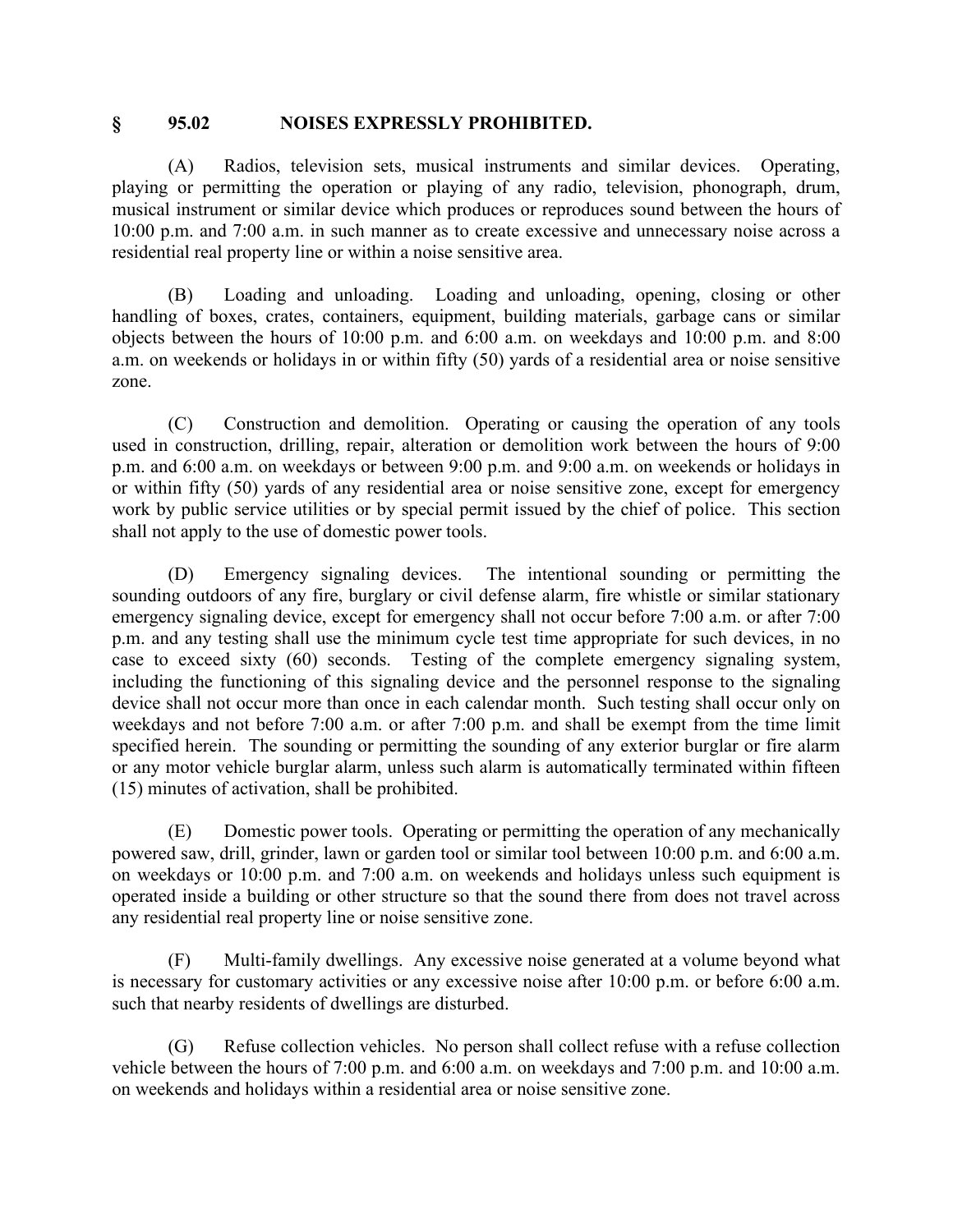#### **§ 95.02 NOISES EXPRESSLY PROHIBITED.**

(A) Radios, television sets, musical instruments and similar devices. Operating, playing or permitting the operation or playing of any radio, television, phonograph, drum, musical instrument or similar device which produces or reproduces sound between the hours of 10:00 p.m. and 7:00 a.m. in such manner as to create excessive and unnecessary noise across a residential real property line or within a noise sensitive area.

(B) Loading and unloading. Loading and unloading, opening, closing or other handling of boxes, crates, containers, equipment, building materials, garbage cans or similar objects between the hours of 10:00 p.m. and 6:00 a.m. on weekdays and 10:00 p.m. and 8:00 a.m. on weekends or holidays in or within fifty (50) yards of a residential area or noise sensitive zone.

(C) Construction and demolition. Operating or causing the operation of any tools used in construction, drilling, repair, alteration or demolition work between the hours of 9:00 p.m. and 6:00 a.m. on weekdays or between 9:00 p.m. and 9:00 a.m. on weekends or holidays in or within fifty (50) yards of any residential area or noise sensitive zone, except for emergency work by public service utilities or by special permit issued by the chief of police. This section shall not apply to the use of domestic power tools.

(D) Emergency signaling devices. The intentional sounding or permitting the sounding outdoors of any fire, burglary or civil defense alarm, fire whistle or similar stationary emergency signaling device, except for emergency shall not occur before 7:00 a.m. or after 7:00 p.m. and any testing shall use the minimum cycle test time appropriate for such devices, in no case to exceed sixty (60) seconds. Testing of the complete emergency signaling system, including the functioning of this signaling device and the personnel response to the signaling device shall not occur more than once in each calendar month. Such testing shall occur only on weekdays and not before 7:00 a.m. or after 7:00 p.m. and shall be exempt from the time limit specified herein. The sounding or permitting the sounding of any exterior burglar or fire alarm or any motor vehicle burglar alarm, unless such alarm is automatically terminated within fifteen (15) minutes of activation, shall be prohibited.

(E) Domestic power tools. Operating or permitting the operation of any mechanically powered saw, drill, grinder, lawn or garden tool or similar tool between 10:00 p.m. and 6:00 a.m. on weekdays or 10:00 p.m. and 7:00 a.m. on weekends and holidays unless such equipment is operated inside a building or other structure so that the sound there from does not travel across any residential real property line or noise sensitive zone.

(F) Multi-family dwellings. Any excessive noise generated at a volume beyond what is necessary for customary activities or any excessive noise after 10:00 p.m. or before 6:00 a.m. such that nearby residents of dwellings are disturbed.

(G) Refuse collection vehicles. No person shall collect refuse with a refuse collection vehicle between the hours of 7:00 p.m. and 6:00 a.m. on weekdays and 7:00 p.m. and 10:00 a.m. on weekends and holidays within a residential area or noise sensitive zone.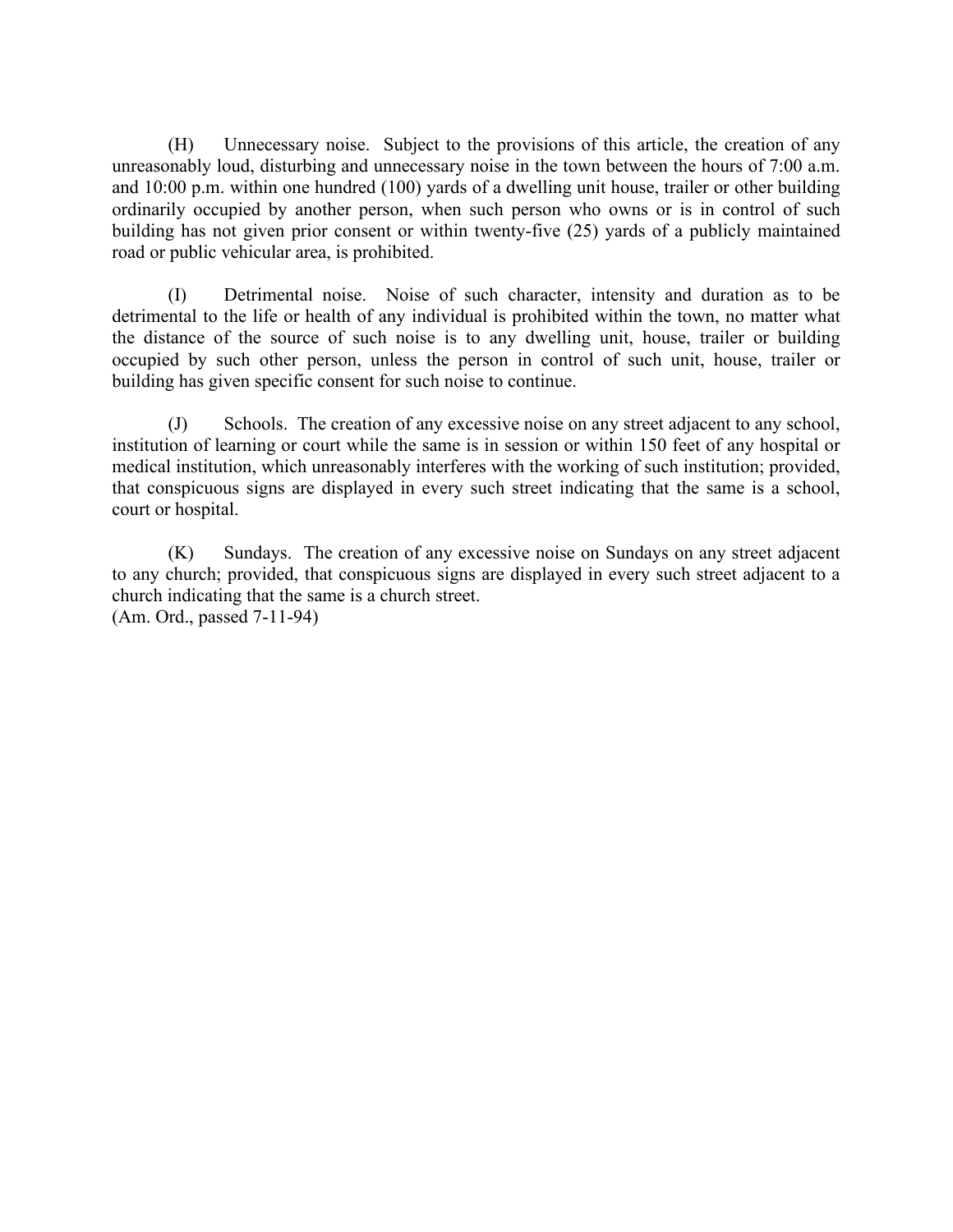(H) Unnecessary noise. Subject to the provisions of this article, the creation of any unreasonably loud, disturbing and unnecessary noise in the town between the hours of 7:00 a.m. and 10:00 p.m. within one hundred (100) yards of a dwelling unit house, trailer or other building ordinarily occupied by another person, when such person who owns or is in control of such building has not given prior consent or within twenty-five (25) yards of a publicly maintained road or public vehicular area, is prohibited.

(I) Detrimental noise. Noise of such character, intensity and duration as to be detrimental to the life or health of any individual is prohibited within the town, no matter what the distance of the source of such noise is to any dwelling unit, house, trailer or building occupied by such other person, unless the person in control of such unit, house, trailer or building has given specific consent for such noise to continue.

(J) Schools. The creation of any excessive noise on any street adjacent to any school, institution of learning or court while the same is in session or within 150 feet of any hospital or medical institution, which unreasonably interferes with the working of such institution; provided, that conspicuous signs are displayed in every such street indicating that the same is a school, court or hospital.

(K) Sundays. The creation of any excessive noise on Sundays on any street adjacent to any church; provided, that conspicuous signs are displayed in every such street adjacent to a church indicating that the same is a church street. (Am. Ord., passed 7-11-94)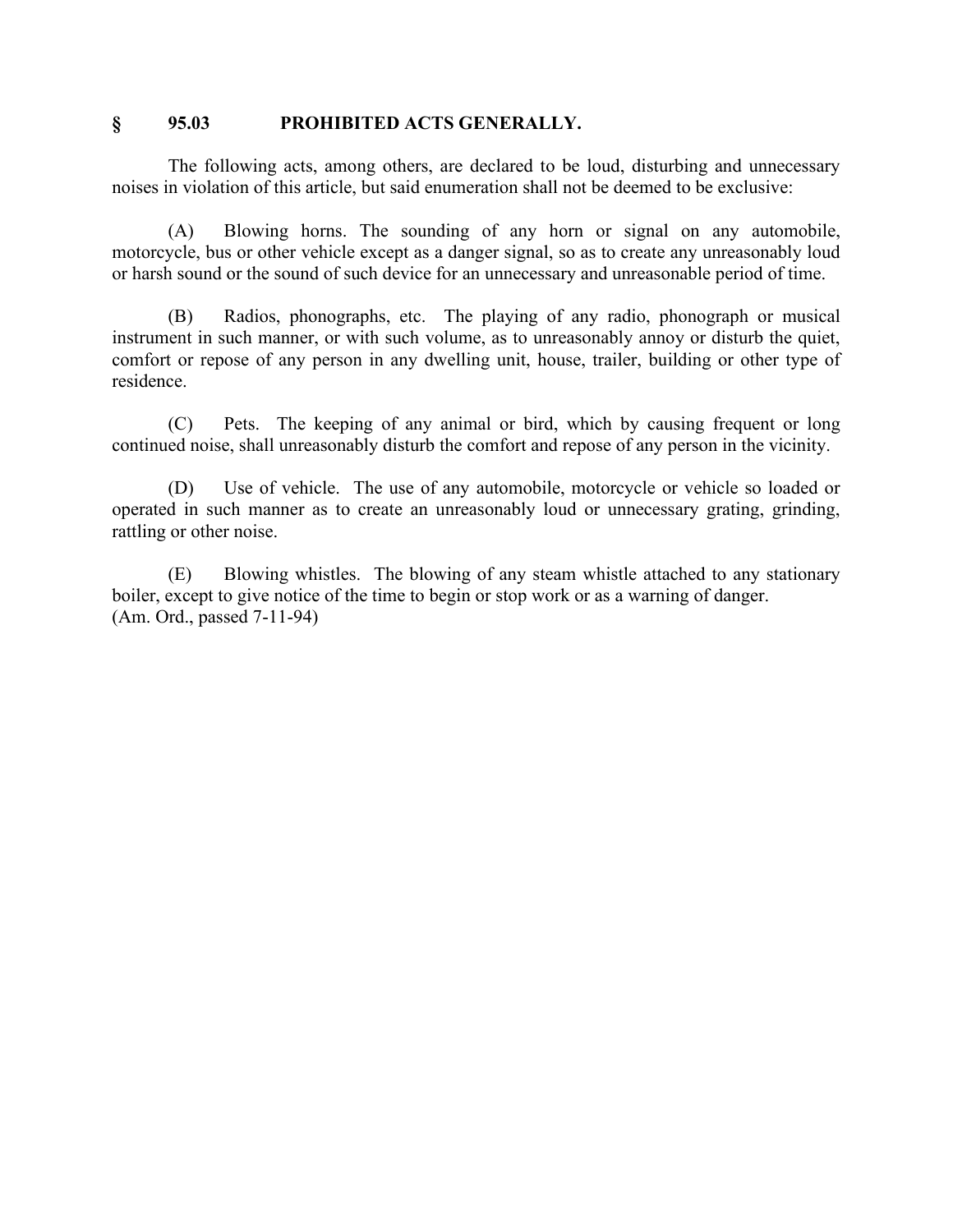#### **§ 95.03 PROHIBITED ACTS GENERALLY.**

The following acts, among others, are declared to be loud, disturbing and unnecessary noises in violation of this article, but said enumeration shall not be deemed to be exclusive:

(A) Blowing horns. The sounding of any horn or signal on any automobile, motorcycle, bus or other vehicle except as a danger signal, so as to create any unreasonably loud or harsh sound or the sound of such device for an unnecessary and unreasonable period of time.

(B) Radios, phonographs, etc. The playing of any radio, phonograph or musical instrument in such manner, or with such volume, as to unreasonably annoy or disturb the quiet, comfort or repose of any person in any dwelling unit, house, trailer, building or other type of residence.

(C) Pets. The keeping of any animal or bird, which by causing frequent or long continued noise, shall unreasonably disturb the comfort and repose of any person in the vicinity.

(D) Use of vehicle. The use of any automobile, motorcycle or vehicle so loaded or operated in such manner as to create an unreasonably loud or unnecessary grating, grinding, rattling or other noise.

(E) Blowing whistles. The blowing of any steam whistle attached to any stationary boiler, except to give notice of the time to begin or stop work or as a warning of danger. (Am. Ord., passed 7-11-94)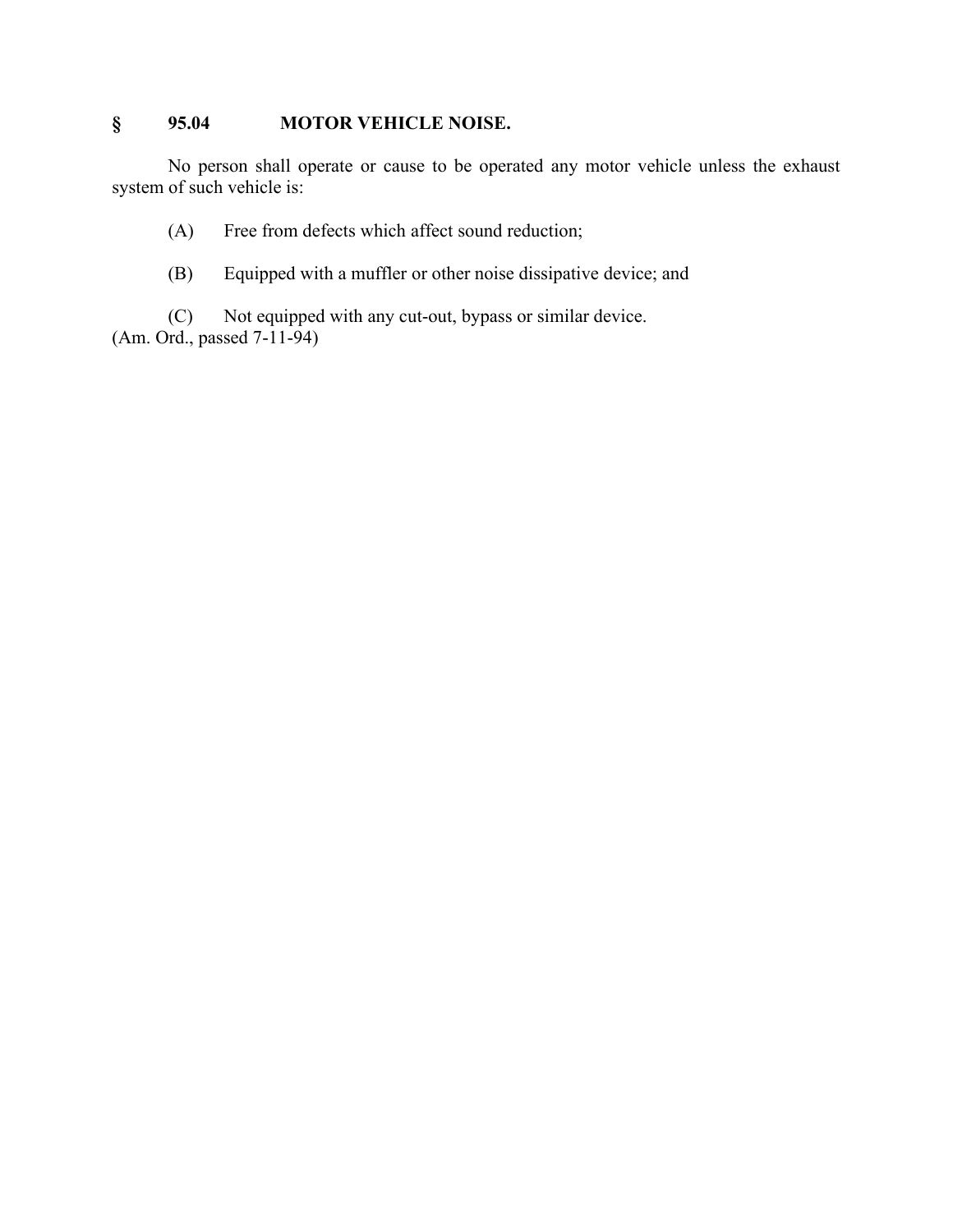## **§ 95.04 MOTOR VEHICLE NOISE.**

No person shall operate or cause to be operated any motor vehicle unless the exhaust system of such vehicle is:

(A) Free from defects which affect sound reduction;

(B) Equipped with a muffler or other noise dissipative device; and

(C) Not equipped with any cut-out, bypass or similar device. (Am. Ord., passed 7-11-94)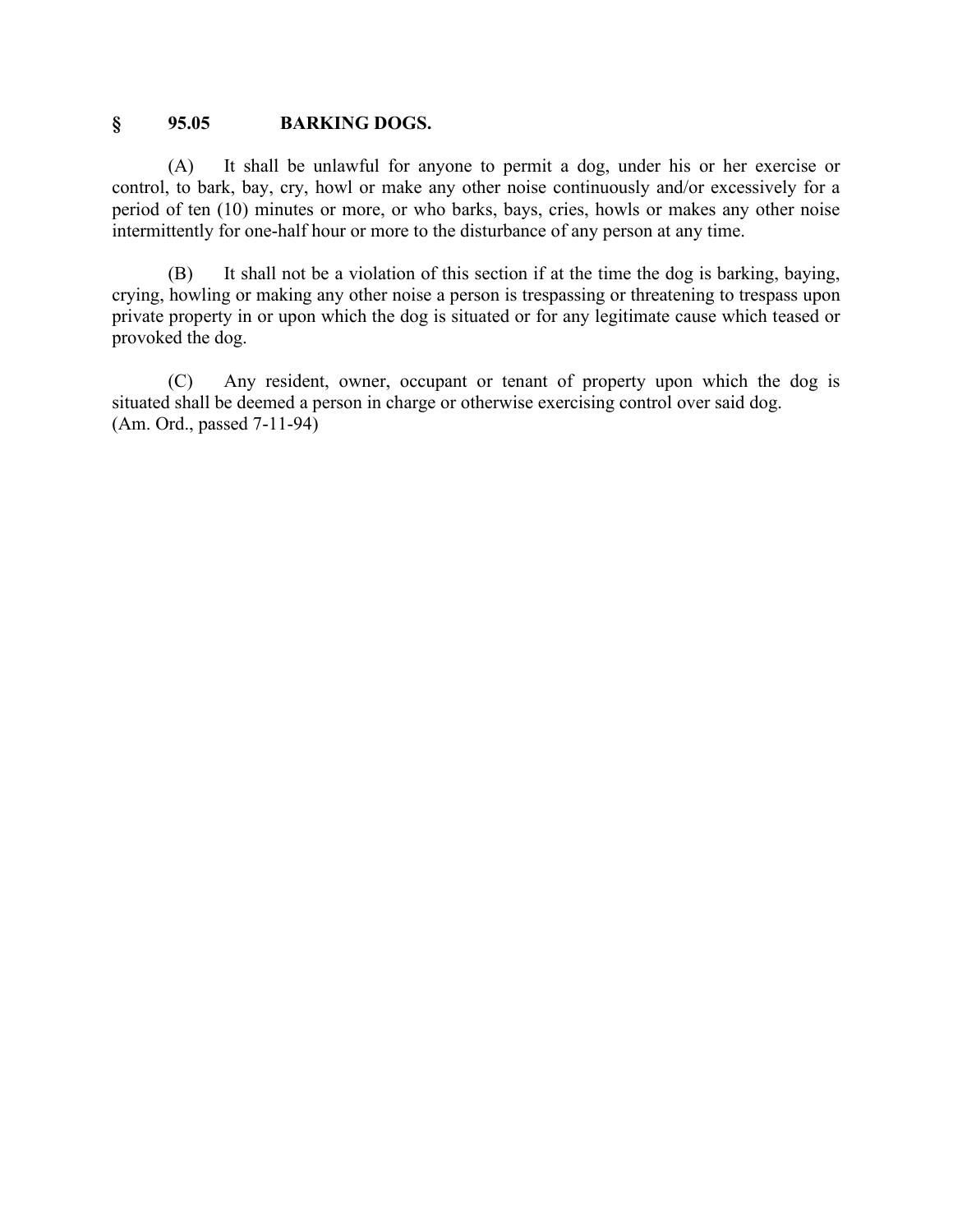### **§ 95.05 BARKING DOGS.**

(A) It shall be unlawful for anyone to permit a dog, under his or her exercise or control, to bark, bay, cry, howl or make any other noise continuously and/or excessively for a period of ten (10) minutes or more, or who barks, bays, cries, howls or makes any other noise intermittently for one-half hour or more to the disturbance of any person at any time.

(B) It shall not be a violation of this section if at the time the dog is barking, baying, crying, howling or making any other noise a person is trespassing or threatening to trespass upon private property in or upon which the dog is situated or for any legitimate cause which teased or provoked the dog.

(C) Any resident, owner, occupant or tenant of property upon which the dog is situated shall be deemed a person in charge or otherwise exercising control over said dog. (Am. Ord., passed 7-11-94)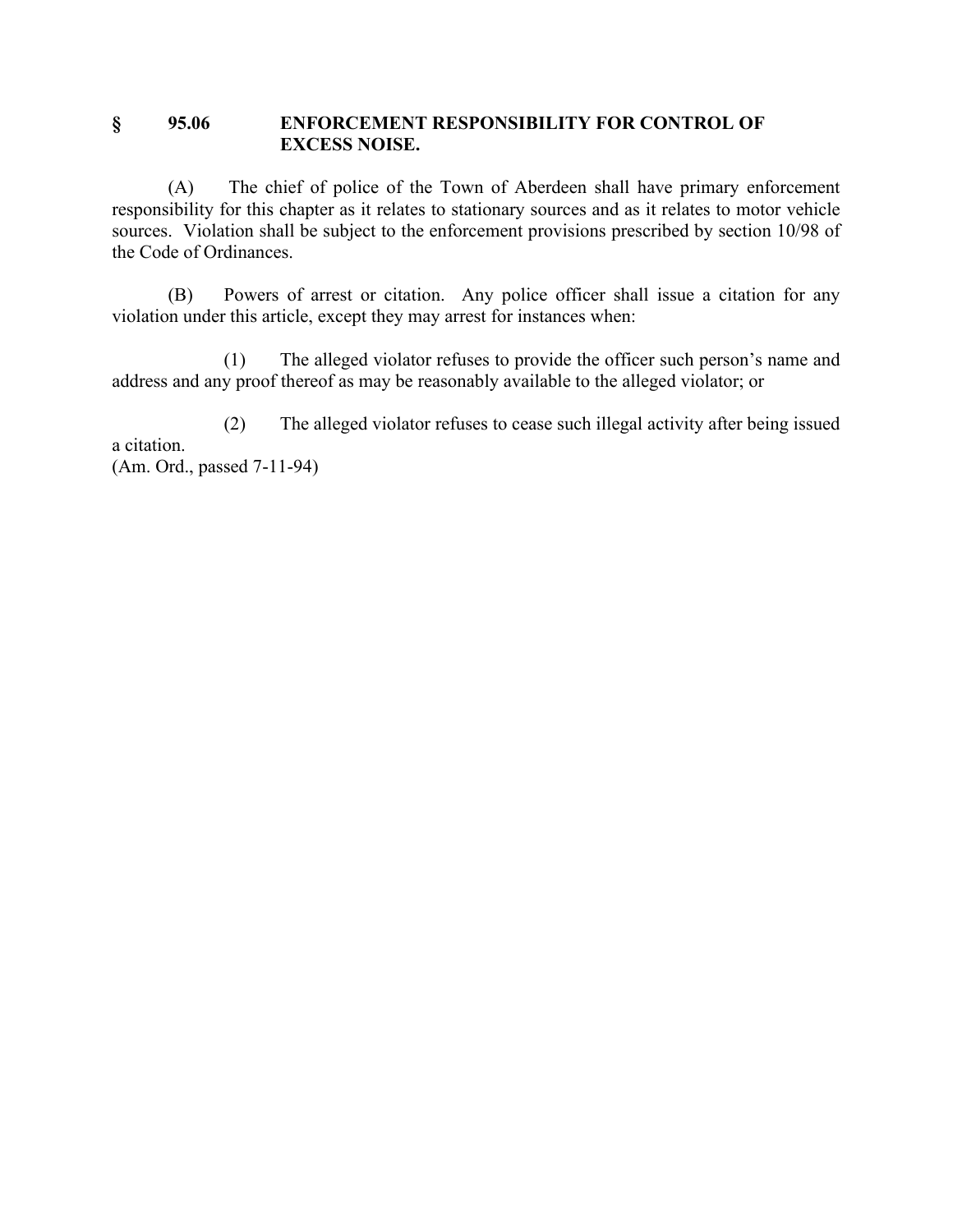### **§ 95.06 ENFORCEMENT RESPONSIBILITY FOR CONTROL OF EXCESS NOISE.**

(A) The chief of police of the Town of Aberdeen shall have primary enforcement responsibility for this chapter as it relates to stationary sources and as it relates to motor vehicle sources. Violation shall be subject to the enforcement provisions prescribed by section 10/98 of the Code of Ordinances.

(B) Powers of arrest or citation. Any police officer shall issue a citation for any violation under this article, except they may arrest for instances when:

(1) The alleged violator refuses to provide the officer such person's name and address and any proof thereof as may be reasonably available to the alleged violator; or

(2) The alleged violator refuses to cease such illegal activity after being issued a citation. (Am. Ord., passed 7-11-94)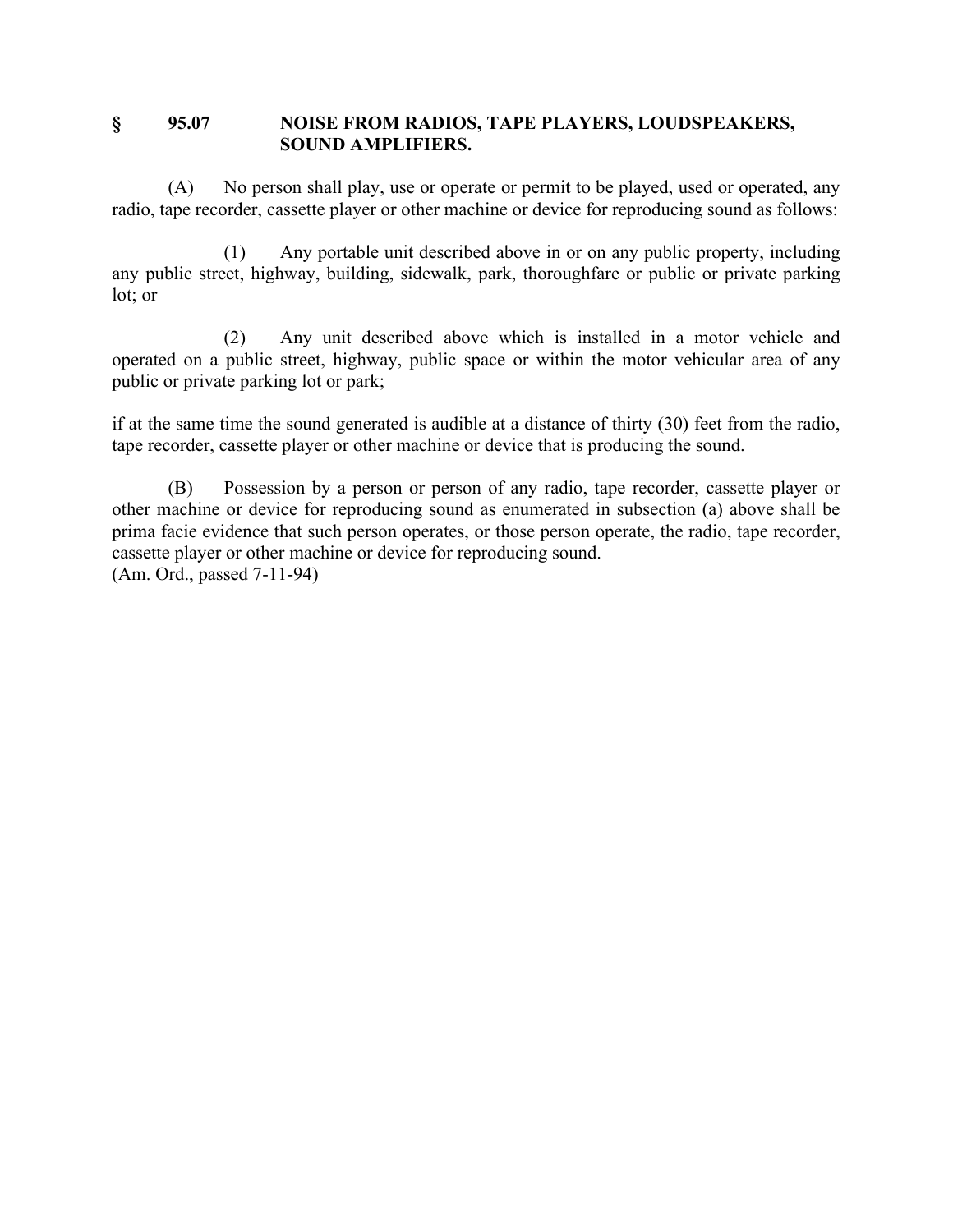### **§ 95.07 NOISE FROM RADIOS, TAPE PLAYERS, LOUDSPEAKERS, SOUND AMPLIFIERS.**

(A) No person shall play, use or operate or permit to be played, used or operated, any radio, tape recorder, cassette player or other machine or device for reproducing sound as follows:

(1) Any portable unit described above in or on any public property, including any public street, highway, building, sidewalk, park, thoroughfare or public or private parking lot; or

(2) Any unit described above which is installed in a motor vehicle and operated on a public street, highway, public space or within the motor vehicular area of any public or private parking lot or park;

if at the same time the sound generated is audible at a distance of thirty (30) feet from the radio, tape recorder, cassette player or other machine or device that is producing the sound.

(B) Possession by a person or person of any radio, tape recorder, cassette player or other machine or device for reproducing sound as enumerated in subsection (a) above shall be prima facie evidence that such person operates, or those person operate, the radio, tape recorder, cassette player or other machine or device for reproducing sound. (Am. Ord., passed 7-11-94)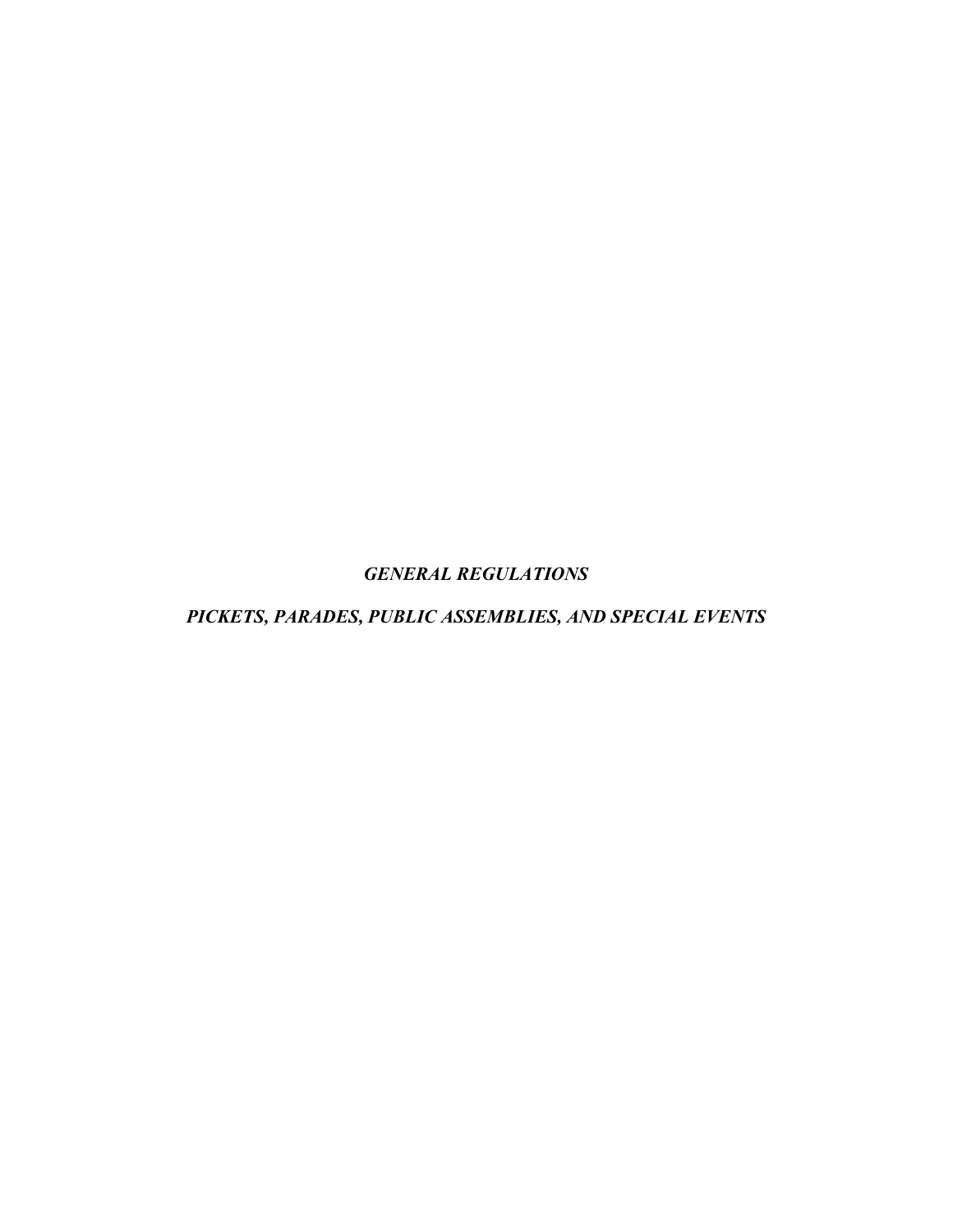*GENERAL REGULATIONS*

*PICKETS, PARADES, PUBLIC ASSEMBLIES, AND SPECIAL EVENTS*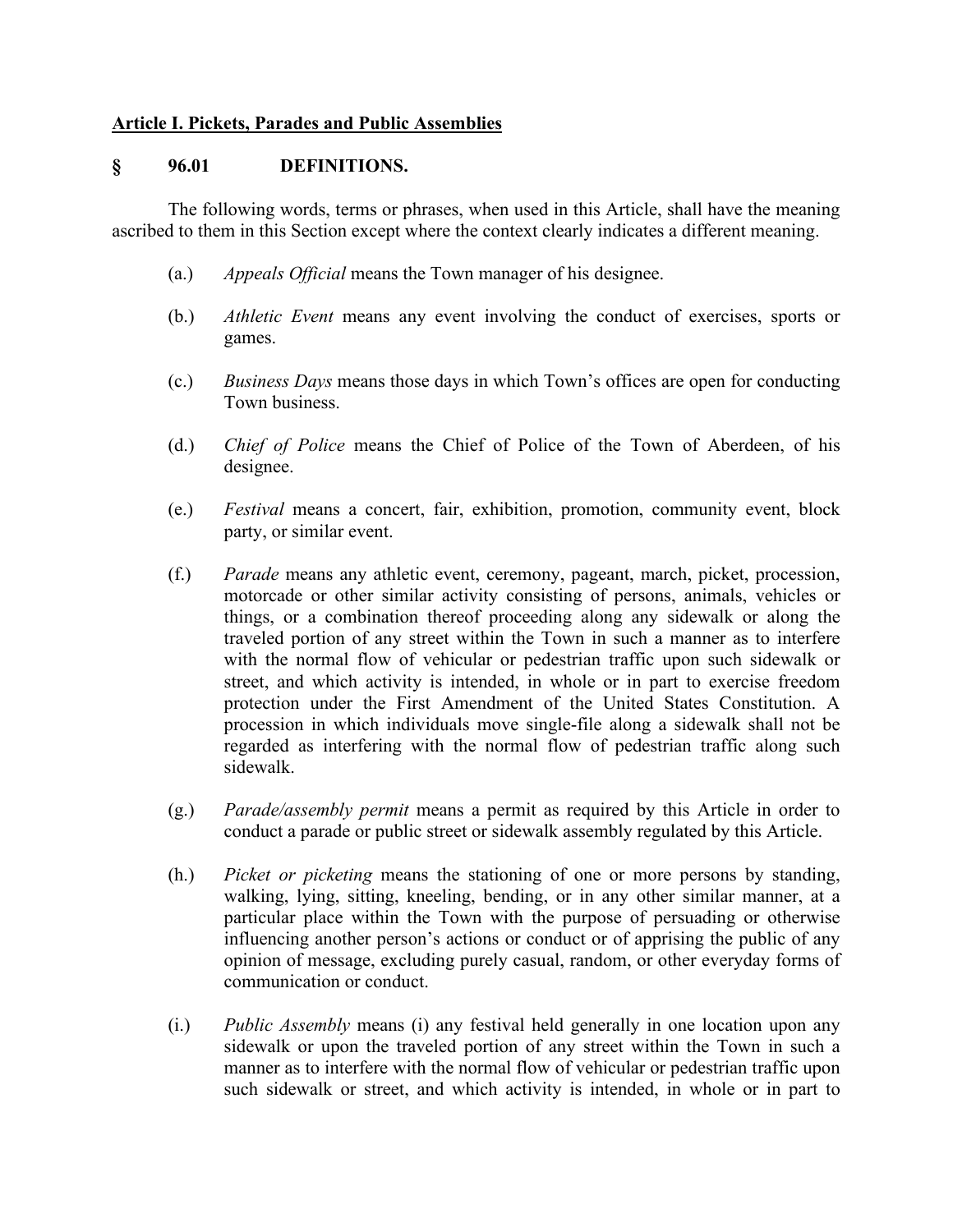### **Article I. Pickets, Parades and Public Assemblies**

#### **§ 96.01 DEFINITIONS.**

The following words, terms or phrases, when used in this Article, shall have the meaning ascribed to them in this Section except where the context clearly indicates a different meaning.

- (a.) *Appeals Official* means the Town manager of his designee.
- (b.) *Athletic Event* means any event involving the conduct of exercises, sports or games.
- (c.) *Business Days* means those days in which Town's offices are open for conducting Town business.
- (d.) *Chief of Police* means the Chief of Police of the Town of Aberdeen, of his designee.
- (e.) *Festival* means a concert, fair, exhibition, promotion, community event, block party, or similar event.
- (f.) *Parade* means any athletic event, ceremony, pageant, march, picket, procession, motorcade or other similar activity consisting of persons, animals, vehicles or things, or a combination thereof proceeding along any sidewalk or along the traveled portion of any street within the Town in such a manner as to interfere with the normal flow of vehicular or pedestrian traffic upon such sidewalk or street, and which activity is intended, in whole or in part to exercise freedom protection under the First Amendment of the United States Constitution. A procession in which individuals move single-file along a sidewalk shall not be regarded as interfering with the normal flow of pedestrian traffic along such sidewalk.
- (g.) *Parade/assembly permit* means a permit as required by this Article in order to conduct a parade or public street or sidewalk assembly regulated by this Article.
- (h.) *Picket or picketing* means the stationing of one or more persons by standing, walking, lying, sitting, kneeling, bending, or in any other similar manner, at a particular place within the Town with the purpose of persuading or otherwise influencing another person's actions or conduct or of apprising the public of any opinion of message, excluding purely casual, random, or other everyday forms of communication or conduct.
- (i.) *Public Assembly* means (i) any festival held generally in one location upon any sidewalk or upon the traveled portion of any street within the Town in such a manner as to interfere with the normal flow of vehicular or pedestrian traffic upon such sidewalk or street, and which activity is intended, in whole or in part to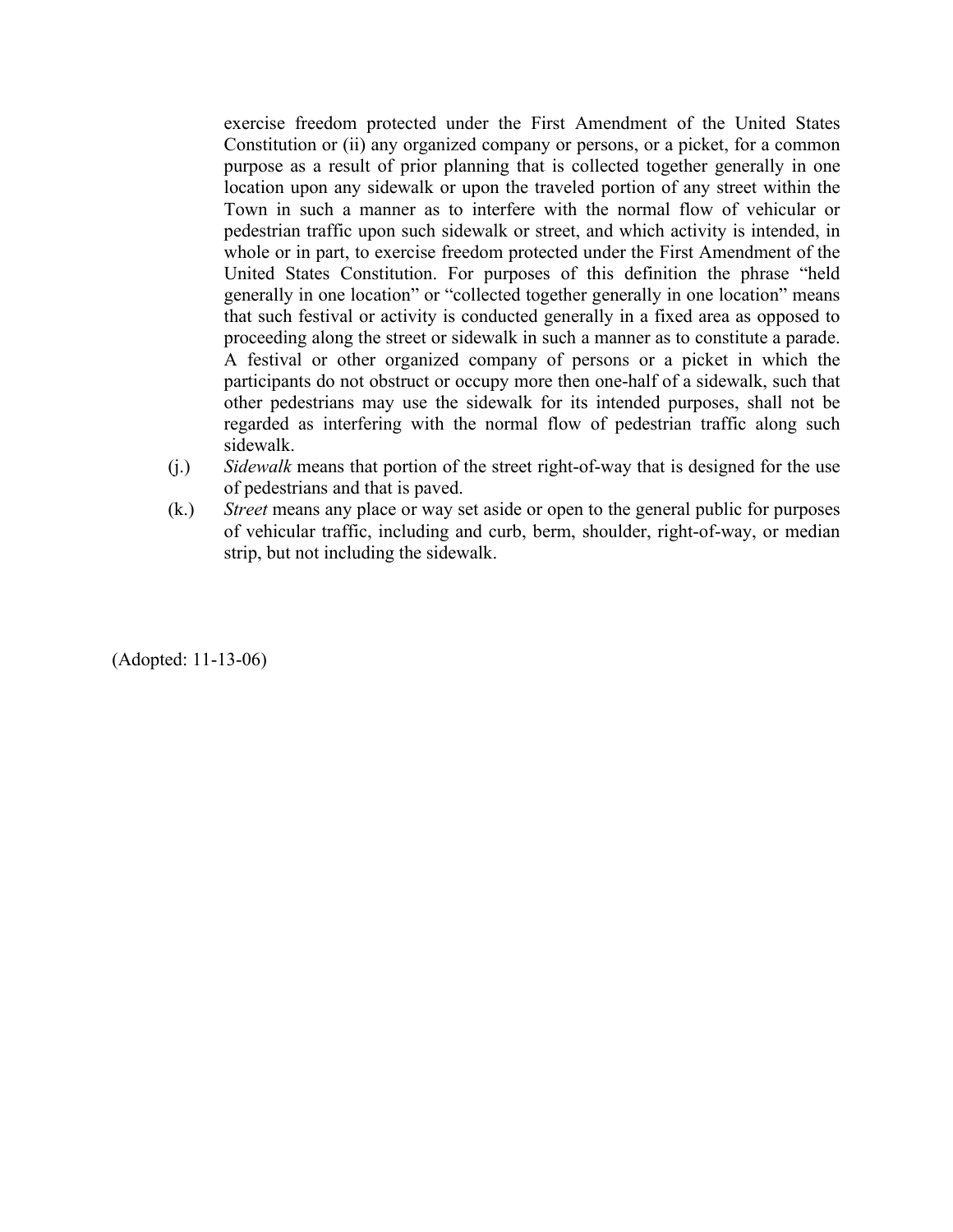exercise freedom protected under the First Amendment of the United States Constitution or (ii) any organized company or persons, or a picket, for a common purpose as a result of prior planning that is collected together generally in one location upon any sidewalk or upon the traveled portion of any street within the Town in such a manner as to interfere with the normal flow of vehicular or pedestrian traffic upon such sidewalk or street, and which activity is intended, in whole or in part, to exercise freedom protected under the First Amendment of the United States Constitution. For purposes of this definition the phrase "held generally in one location" or "collected together generally in one location" means that such festival or activity is conducted generally in a fixed area as opposed to proceeding along the street or sidewalk in such a manner as to constitute a parade. A festival or other organized company of persons or a picket in which the participants do not obstruct or occupy more then one-half of a sidewalk, such that other pedestrians may use the sidewalk for its intended purposes, shall not be regarded as interfering with the normal flow of pedestrian traffic along such sidewalk.

- (j.) *Sidewalk* means that portion of the street right-of-way that is designed for the use of pedestrians and that is paved.
- (k.) *Street* means any place or way set aside or open to the general public for purposes of vehicular traffic, including and curb, berm, shoulder, right-of-way, or median strip, but not including the sidewalk.

(Adopted: 11-13-06)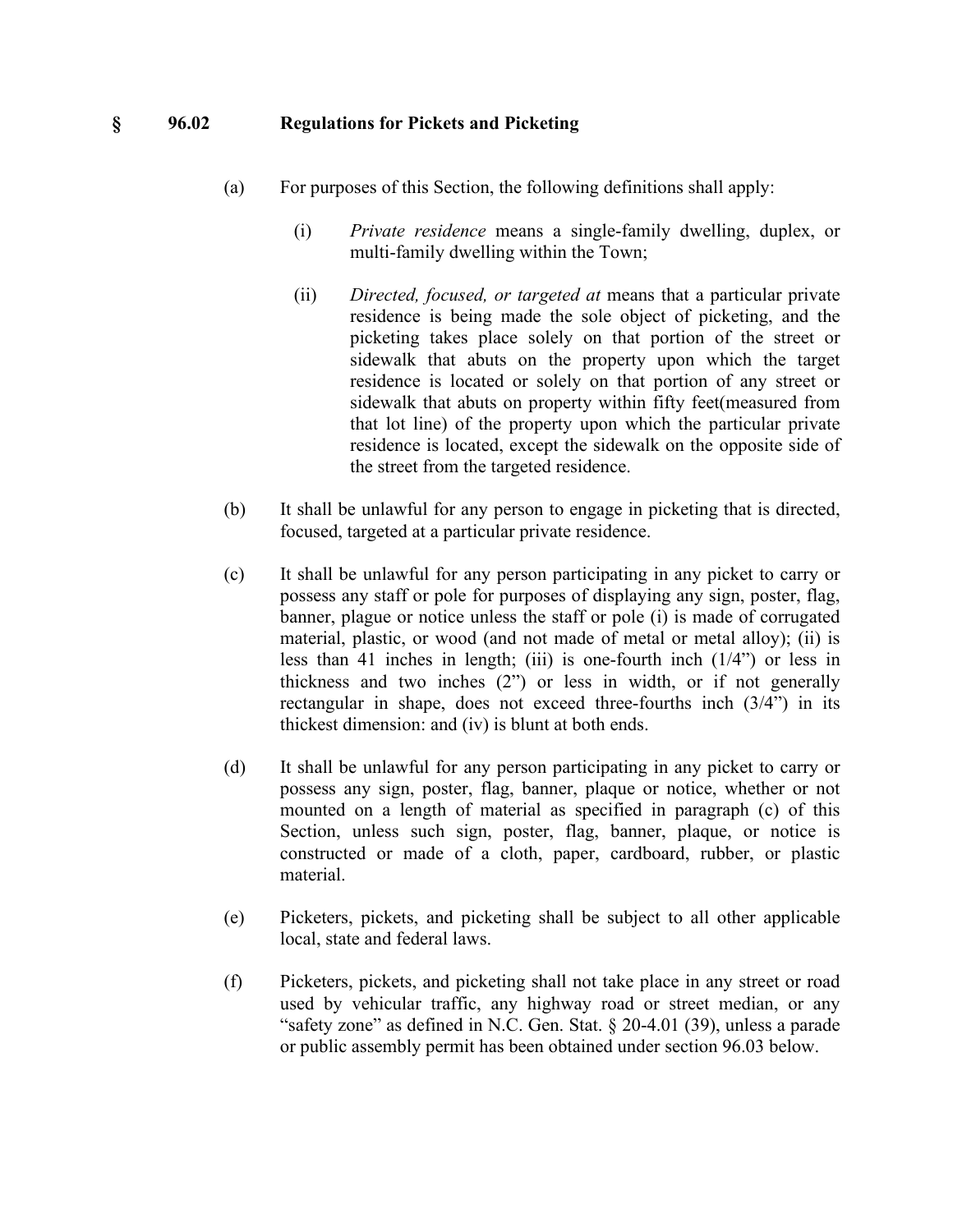#### **§ 96.02 Regulations for Pickets and Picketing**

- (a) For purposes of this Section, the following definitions shall apply:
	- (i) *Private residence* means a single-family dwelling, duplex, or multi-family dwelling within the Town;
	- (ii) *Directed, focused, or targeted at* means that a particular private residence is being made the sole object of picketing, and the picketing takes place solely on that portion of the street or sidewalk that abuts on the property upon which the target residence is located or solely on that portion of any street or sidewalk that abuts on property within fifty feet(measured from that lot line) of the property upon which the particular private residence is located, except the sidewalk on the opposite side of the street from the targeted residence.
- (b) It shall be unlawful for any person to engage in picketing that is directed, focused, targeted at a particular private residence.
- (c) It shall be unlawful for any person participating in any picket to carry or possess any staff or pole for purposes of displaying any sign, poster, flag, banner, plague or notice unless the staff or pole (i) is made of corrugated material, plastic, or wood (and not made of metal or metal alloy); (ii) is less than 41 inches in length; (iii) is one-fourth inch (1/4") or less in thickness and two inches (2") or less in width, or if not generally rectangular in shape, does not exceed three-fourths inch (3/4") in its thickest dimension: and (iv) is blunt at both ends.
- (d) It shall be unlawful for any person participating in any picket to carry or possess any sign, poster, flag, banner, plaque or notice, whether or not mounted on a length of material as specified in paragraph (c) of this Section, unless such sign, poster, flag, banner, plaque, or notice is constructed or made of a cloth, paper, cardboard, rubber, or plastic material.
- (e) Picketers, pickets, and picketing shall be subject to all other applicable local, state and federal laws.
- (f) Picketers, pickets, and picketing shall not take place in any street or road used by vehicular traffic, any highway road or street median, or any "safety zone" as defined in N.C. Gen. Stat. § 20-4.01 (39), unless a parade or public assembly permit has been obtained under section 96.03 below.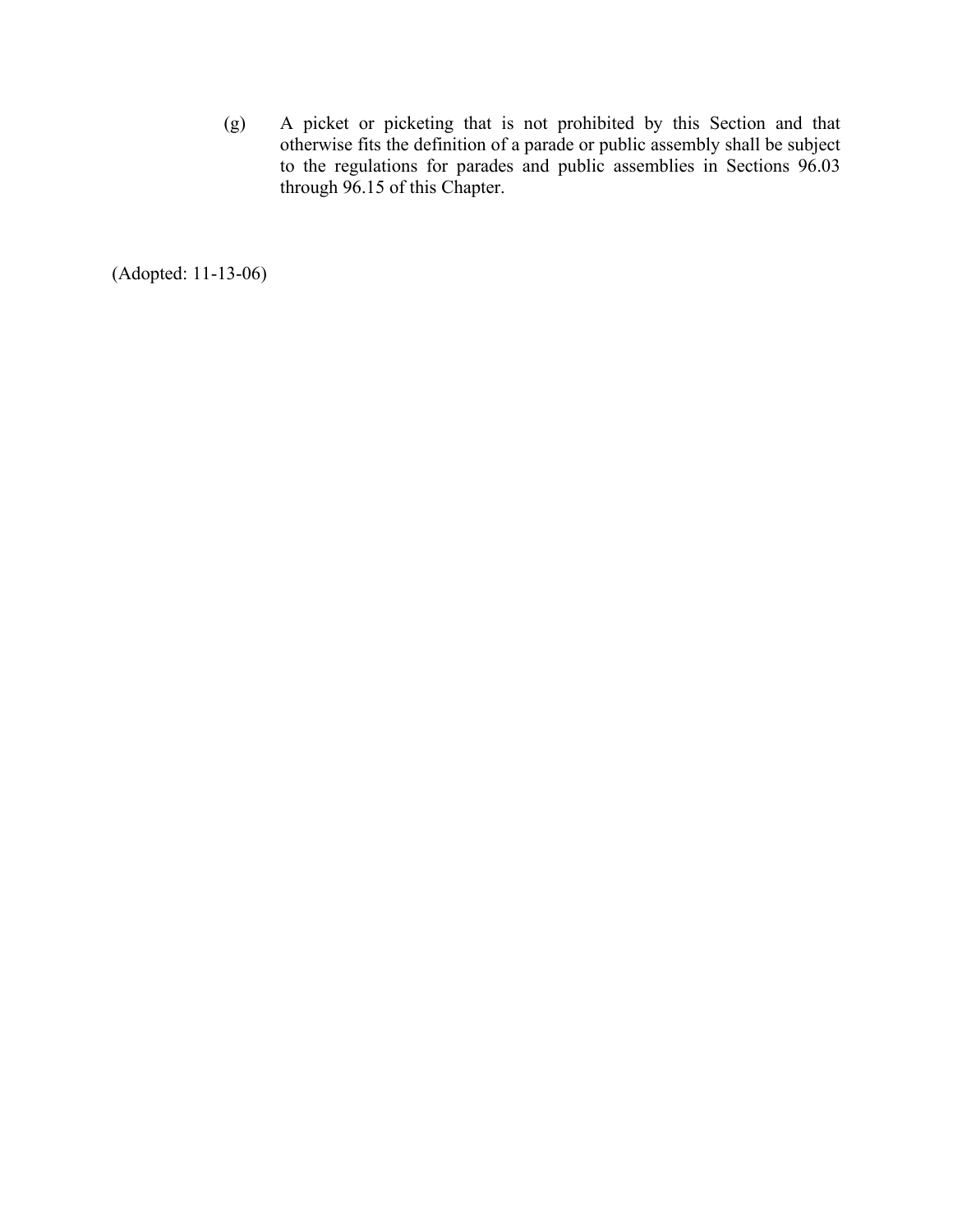(g) A picket or picketing that is not prohibited by this Section and that otherwise fits the definition of a parade or public assembly shall be subject to the regulations for parades and public assemblies in Sections 96.03 through 96.15 of this Chapter.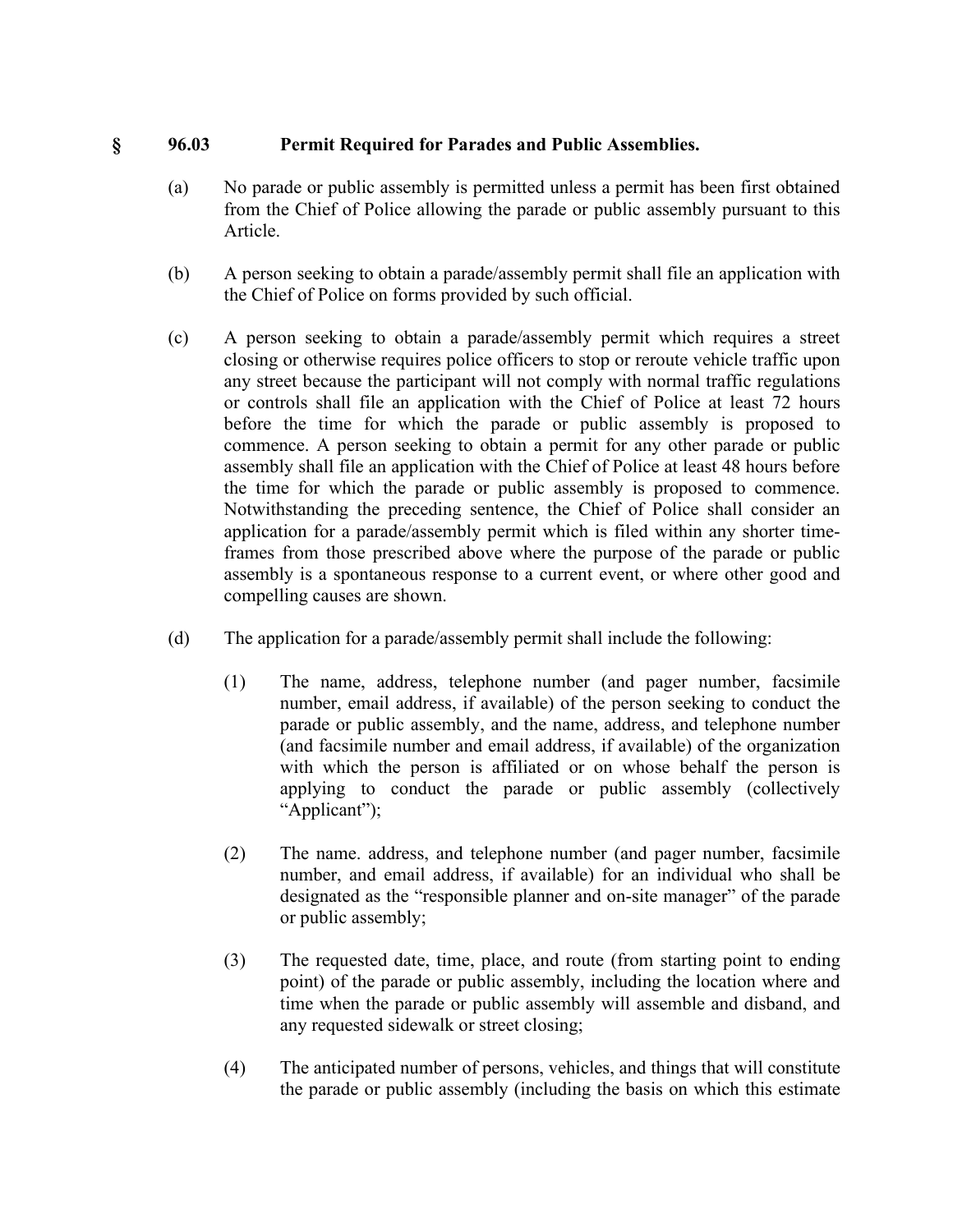# **§ 96.03 Permit Required for Parades and Public Assemblies.**

- (a) No parade or public assembly is permitted unless a permit has been first obtained from the Chief of Police allowing the parade or public assembly pursuant to this Article.
- (b) A person seeking to obtain a parade/assembly permit shall file an application with the Chief of Police on forms provided by such official.
- (c) A person seeking to obtain a parade/assembly permit which requires a street closing or otherwise requires police officers to stop or reroute vehicle traffic upon any street because the participant will not comply with normal traffic regulations or controls shall file an application with the Chief of Police at least 72 hours before the time for which the parade or public assembly is proposed to commence. A person seeking to obtain a permit for any other parade or public assembly shall file an application with the Chief of Police at least 48 hours before the time for which the parade or public assembly is proposed to commence. Notwithstanding the preceding sentence, the Chief of Police shall consider an application for a parade/assembly permit which is filed within any shorter timeframes from those prescribed above where the purpose of the parade or public assembly is a spontaneous response to a current event, or where other good and compelling causes are shown.
- (d) The application for a parade/assembly permit shall include the following:
	- (1) The name, address, telephone number (and pager number, facsimile number, email address, if available) of the person seeking to conduct the parade or public assembly, and the name, address, and telephone number (and facsimile number and email address, if available) of the organization with which the person is affiliated or on whose behalf the person is applying to conduct the parade or public assembly (collectively "Applicant");
	- (2) The name. address, and telephone number (and pager number, facsimile number, and email address, if available) for an individual who shall be designated as the "responsible planner and on-site manager" of the parade or public assembly;
	- (3) The requested date, time, place, and route (from starting point to ending point) of the parade or public assembly, including the location where and time when the parade or public assembly will assemble and disband, and any requested sidewalk or street closing;
	- (4) The anticipated number of persons, vehicles, and things that will constitute the parade or public assembly (including the basis on which this estimate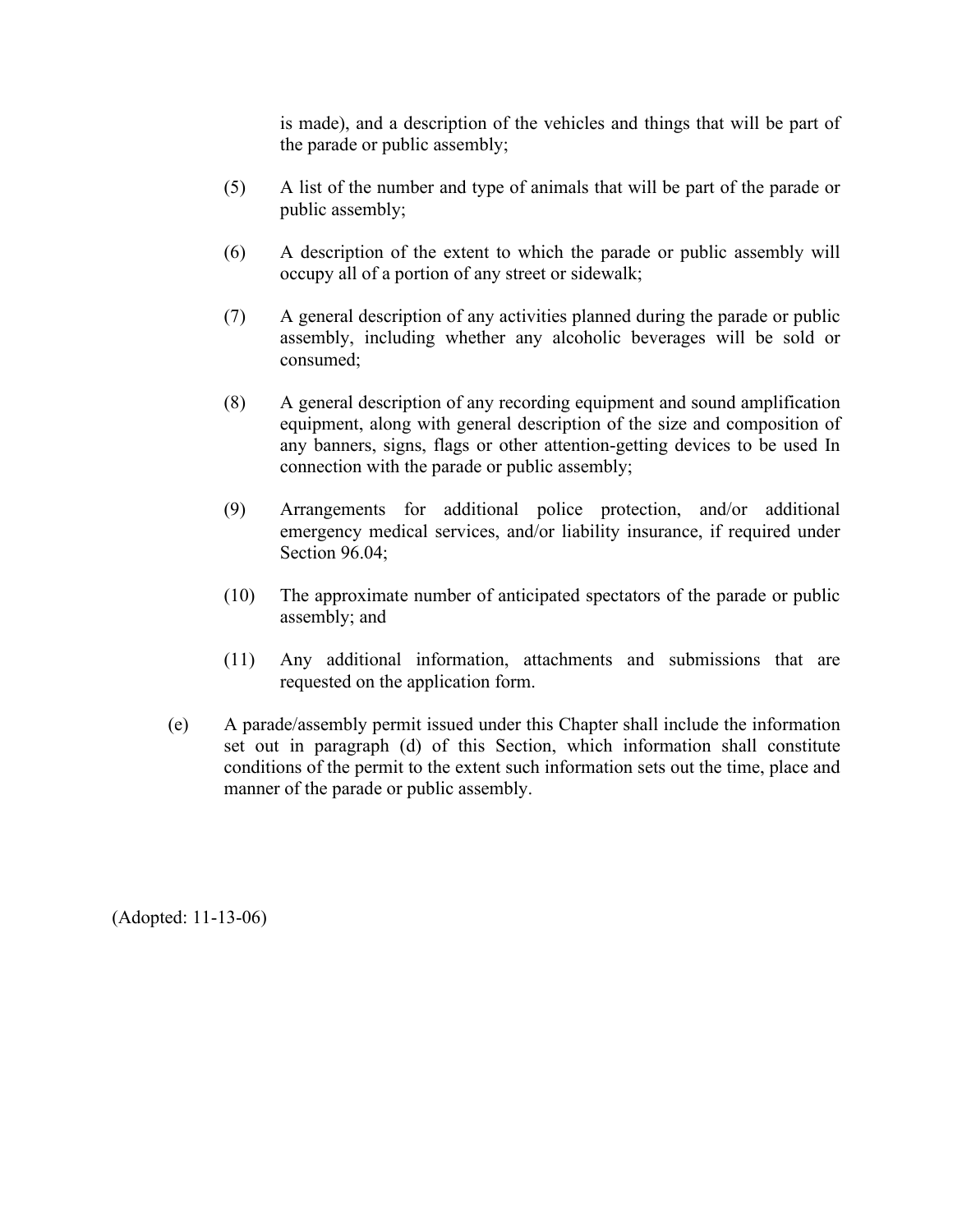is made), and a description of the vehicles and things that will be part of the parade or public assembly;

- (5) A list of the number and type of animals that will be part of the parade or public assembly;
- (6) A description of the extent to which the parade or public assembly will occupy all of a portion of any street or sidewalk;
- (7) A general description of any activities planned during the parade or public assembly, including whether any alcoholic beverages will be sold or consumed;
- (8) A general description of any recording equipment and sound amplification equipment, along with general description of the size and composition of any banners, signs, flags or other attention-getting devices to be used In connection with the parade or public assembly;
- (9) Arrangements for additional police protection, and/or additional emergency medical services, and/or liability insurance, if required under Section 96.04;
- (10) The approximate number of anticipated spectators of the parade or public assembly; and
- (11) Any additional information, attachments and submissions that are requested on the application form.
- (e) A parade/assembly permit issued under this Chapter shall include the information set out in paragraph (d) of this Section, which information shall constitute conditions of the permit to the extent such information sets out the time, place and manner of the parade or public assembly.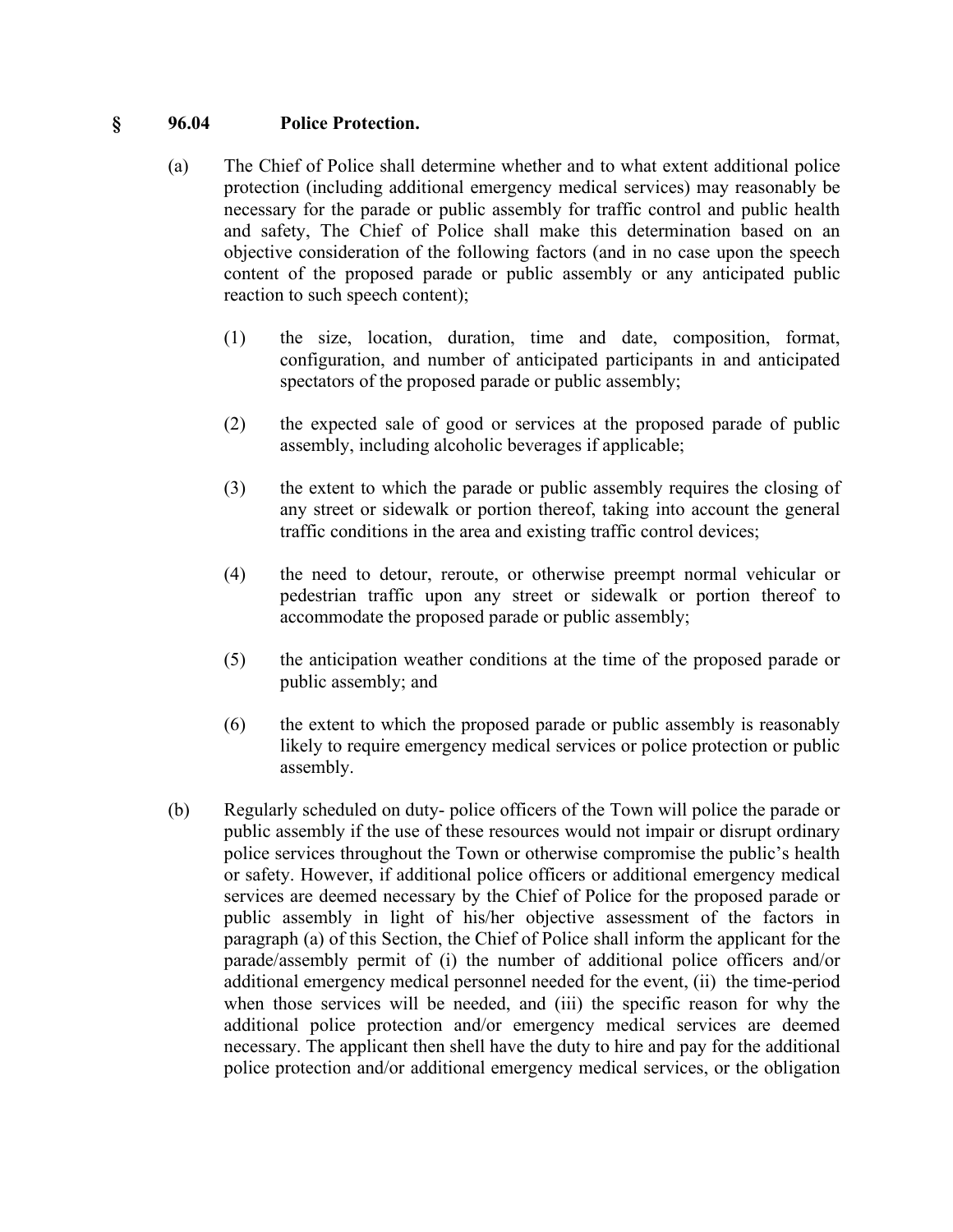#### **§ 96.04 Police Protection.**

- (a) The Chief of Police shall determine whether and to what extent additional police protection (including additional emergency medical services) may reasonably be necessary for the parade or public assembly for traffic control and public health and safety, The Chief of Police shall make this determination based on an objective consideration of the following factors (and in no case upon the speech content of the proposed parade or public assembly or any anticipated public reaction to such speech content);
	- (1) the size, location, duration, time and date, composition, format, configuration, and number of anticipated participants in and anticipated spectators of the proposed parade or public assembly;
	- (2) the expected sale of good or services at the proposed parade of public assembly, including alcoholic beverages if applicable;
	- (3) the extent to which the parade or public assembly requires the closing of any street or sidewalk or portion thereof, taking into account the general traffic conditions in the area and existing traffic control devices;
	- (4) the need to detour, reroute, or otherwise preempt normal vehicular or pedestrian traffic upon any street or sidewalk or portion thereof to accommodate the proposed parade or public assembly;
	- (5) the anticipation weather conditions at the time of the proposed parade or public assembly; and
	- (6) the extent to which the proposed parade or public assembly is reasonably likely to require emergency medical services or police protection or public assembly.
- (b) Regularly scheduled on duty- police officers of the Town will police the parade or public assembly if the use of these resources would not impair or disrupt ordinary police services throughout the Town or otherwise compromise the public's health or safety. However, if additional police officers or additional emergency medical services are deemed necessary by the Chief of Police for the proposed parade or public assembly in light of his/her objective assessment of the factors in paragraph (a) of this Section, the Chief of Police shall inform the applicant for the parade/assembly permit of (i) the number of additional police officers and/or additional emergency medical personnel needed for the event, (ii) the time-period when those services will be needed, and (iii) the specific reason for why the additional police protection and/or emergency medical services are deemed necessary. The applicant then shell have the duty to hire and pay for the additional police protection and/or additional emergency medical services, or the obligation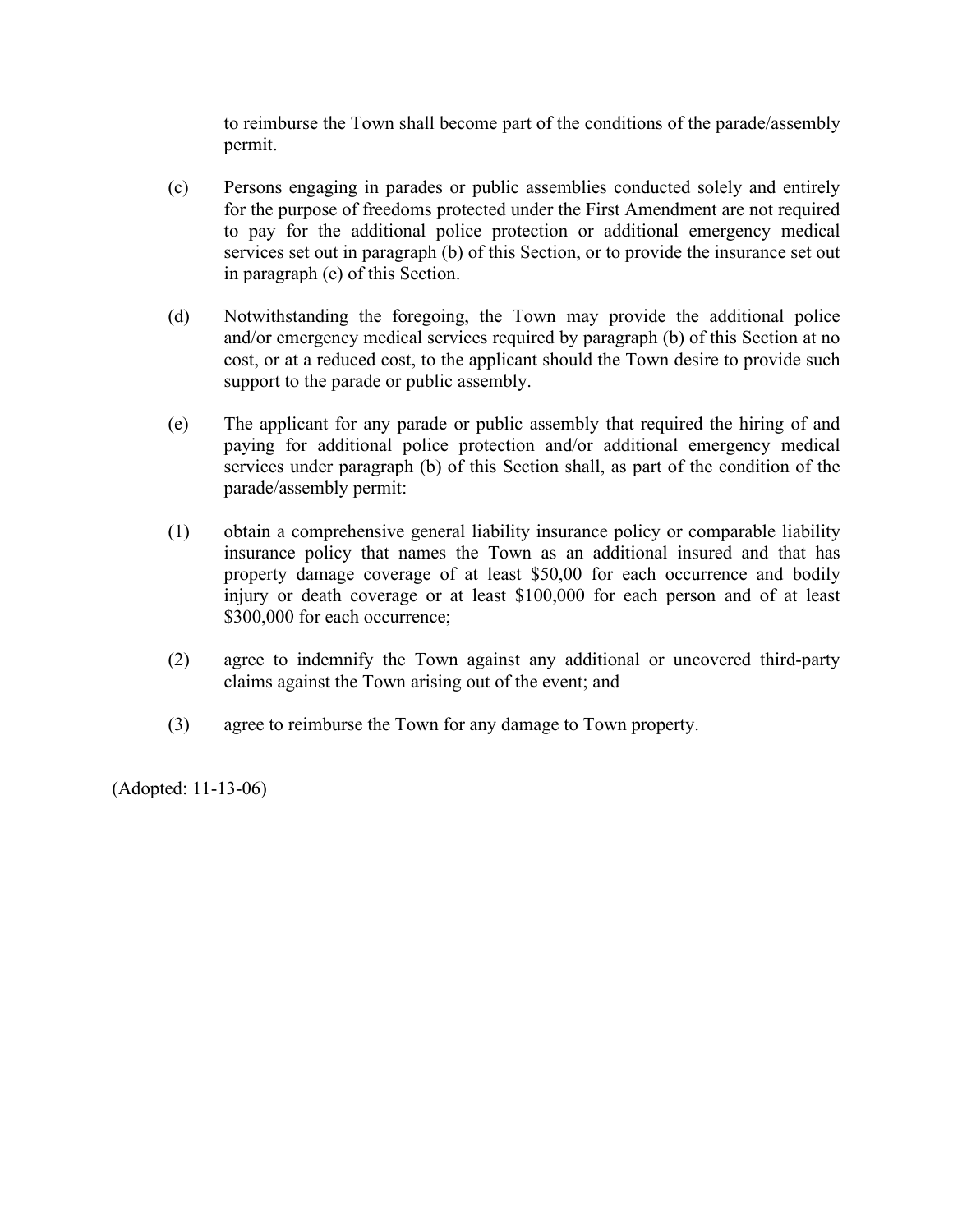to reimburse the Town shall become part of the conditions of the parade/assembly permit.

- (c) Persons engaging in parades or public assemblies conducted solely and entirely for the purpose of freedoms protected under the First Amendment are not required to pay for the additional police protection or additional emergency medical services set out in paragraph (b) of this Section, or to provide the insurance set out in paragraph (e) of this Section.
- (d) Notwithstanding the foregoing, the Town may provide the additional police and/or emergency medical services required by paragraph (b) of this Section at no cost, or at a reduced cost, to the applicant should the Town desire to provide such support to the parade or public assembly.
- (e) The applicant for any parade or public assembly that required the hiring of and paying for additional police protection and/or additional emergency medical services under paragraph (b) of this Section shall, as part of the condition of the parade/assembly permit:
- (1) obtain a comprehensive general liability insurance policy or comparable liability insurance policy that names the Town as an additional insured and that has property damage coverage of at least \$50,00 for each occurrence and bodily injury or death coverage or at least \$100,000 for each person and of at least \$300,000 for each occurrence;
- (2) agree to indemnify the Town against any additional or uncovered third-party claims against the Town arising out of the event; and
- (3) agree to reimburse the Town for any damage to Town property.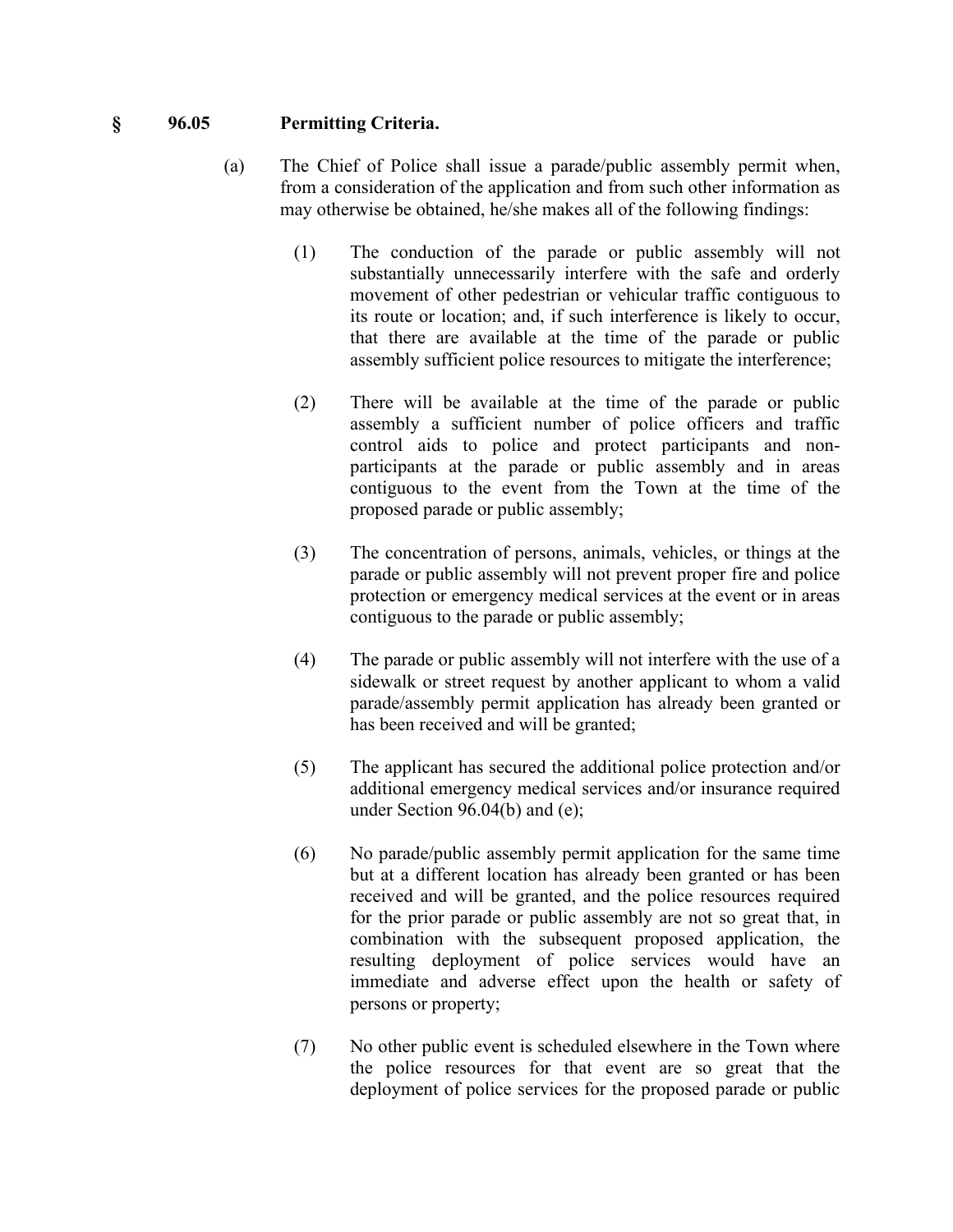## **§ 96.05 Permitting Criteria.**

- (a) The Chief of Police shall issue a parade/public assembly permit when, from a consideration of the application and from such other information as may otherwise be obtained, he/she makes all of the following findings:
	- (1) The conduction of the parade or public assembly will not substantially unnecessarily interfere with the safe and orderly movement of other pedestrian or vehicular traffic contiguous to its route or location; and, if such interference is likely to occur, that there are available at the time of the parade or public assembly sufficient police resources to mitigate the interference;
	- (2) There will be available at the time of the parade or public assembly a sufficient number of police officers and traffic control aids to police and protect participants and nonparticipants at the parade or public assembly and in areas contiguous to the event from the Town at the time of the proposed parade or public assembly;
	- (3) The concentration of persons, animals, vehicles, or things at the parade or public assembly will not prevent proper fire and police protection or emergency medical services at the event or in areas contiguous to the parade or public assembly;
	- (4) The parade or public assembly will not interfere with the use of a sidewalk or street request by another applicant to whom a valid parade/assembly permit application has already been granted or has been received and will be granted;
	- (5) The applicant has secured the additional police protection and/or additional emergency medical services and/or insurance required under Section 96.04(b) and (e);
	- (6) No parade/public assembly permit application for the same time but at a different location has already been granted or has been received and will be granted, and the police resources required for the prior parade or public assembly are not so great that, in combination with the subsequent proposed application, the resulting deployment of police services would have an immediate and adverse effect upon the health or safety of persons or property;
	- (7) No other public event is scheduled elsewhere in the Town where the police resources for that event are so great that the deployment of police services for the proposed parade or public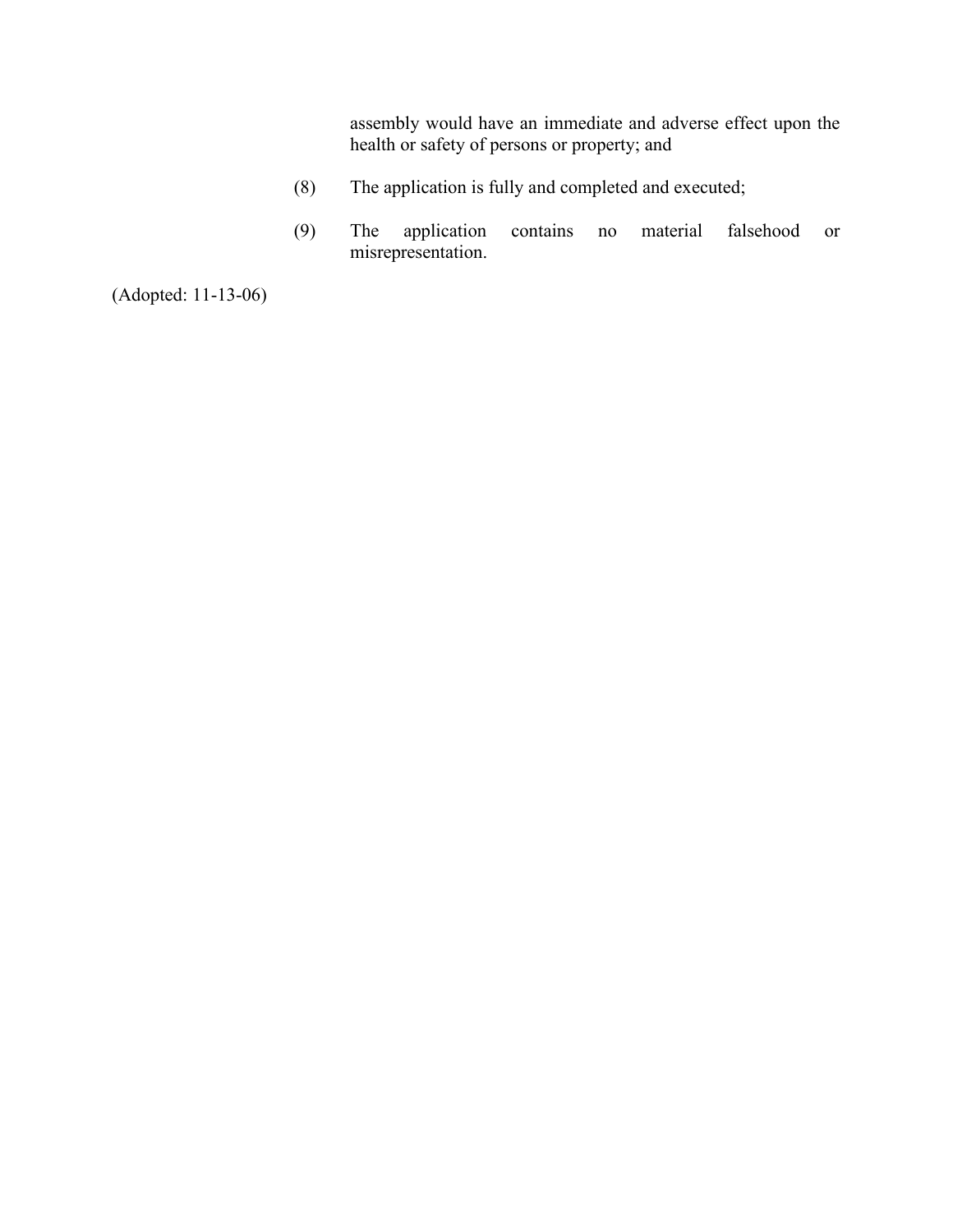assembly would have an immediate and adverse effect upon the health or safety of persons or property; and

- (8) The application is fully and completed and executed;
- (9) The application contains no material falsehood or misrepresentation.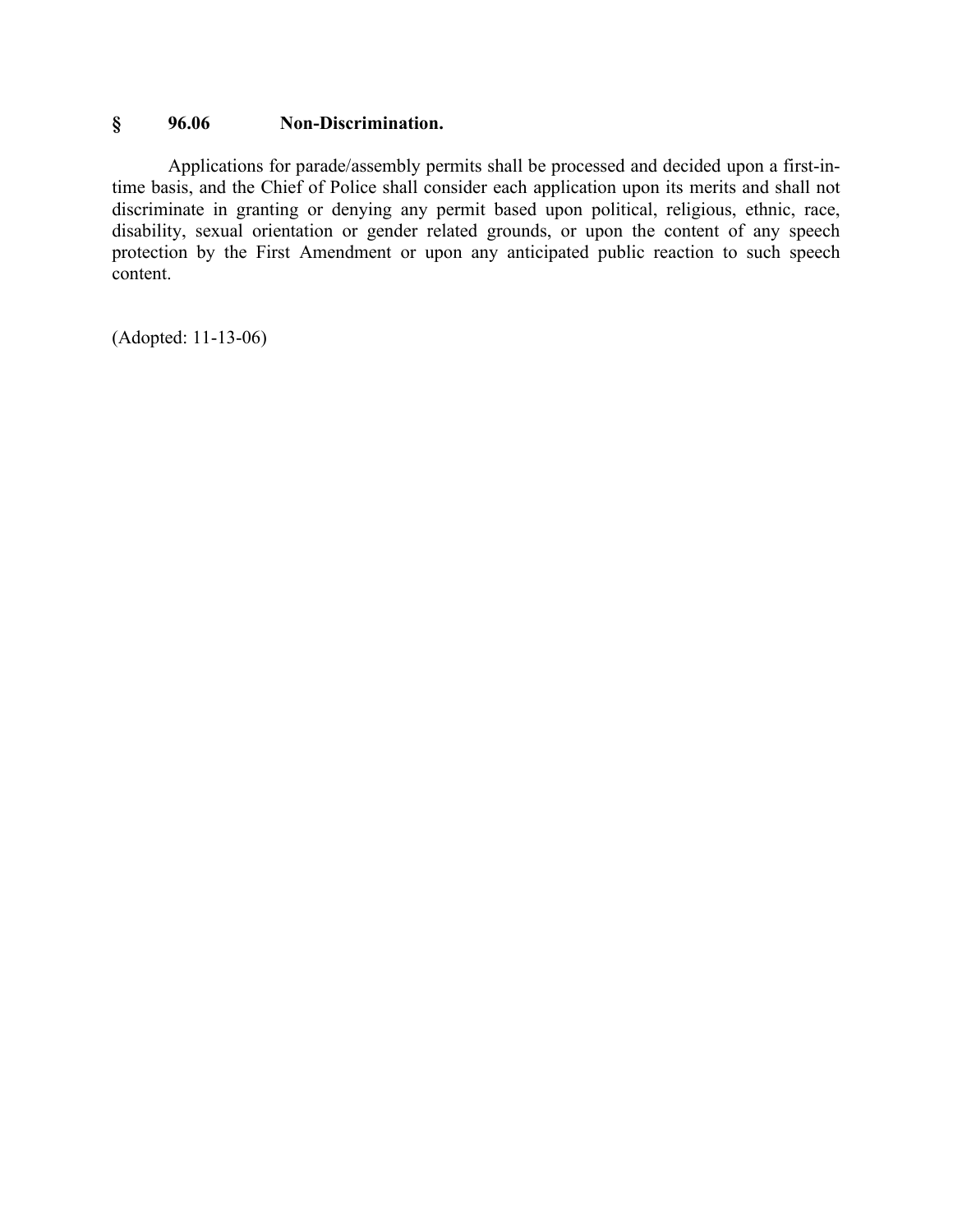## **§ 96.06 Non-Discrimination.**

Applications for parade/assembly permits shall be processed and decided upon a first-intime basis, and the Chief of Police shall consider each application upon its merits and shall not discriminate in granting or denying any permit based upon political, religious, ethnic, race, disability, sexual orientation or gender related grounds, or upon the content of any speech protection by the First Amendment or upon any anticipated public reaction to such speech content.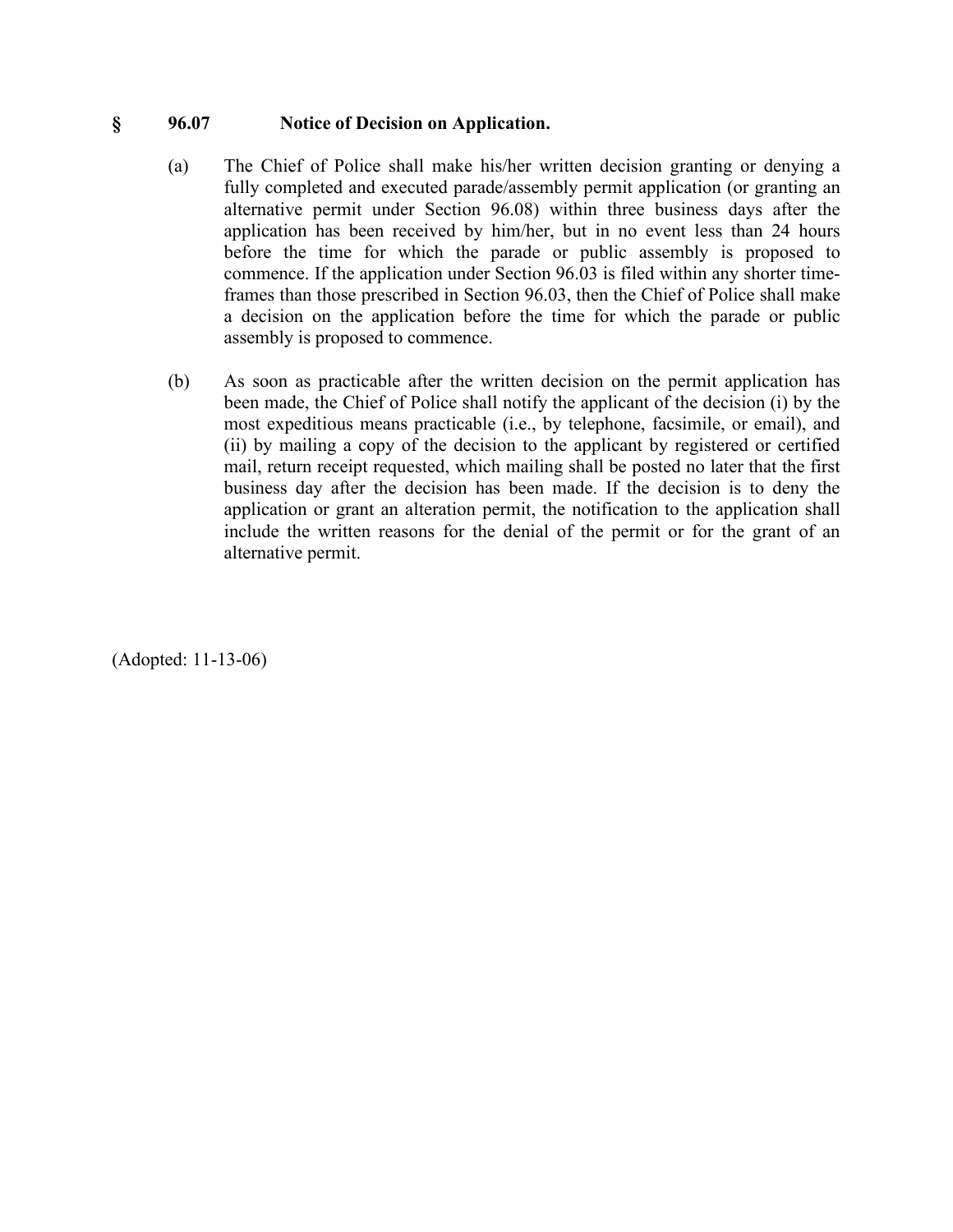#### **§ 96.07 Notice of Decision on Application.**

- (a) The Chief of Police shall make his/her written decision granting or denying a fully completed and executed parade/assembly permit application (or granting an alternative permit under Section 96.08) within three business days after the application has been received by him/her, but in no event less than 24 hours before the time for which the parade or public assembly is proposed to commence. If the application under Section 96.03 is filed within any shorter timeframes than those prescribed in Section 96.03, then the Chief of Police shall make a decision on the application before the time for which the parade or public assembly is proposed to commence.
- (b) As soon as practicable after the written decision on the permit application has been made, the Chief of Police shall notify the applicant of the decision (i) by the most expeditious means practicable (i.e., by telephone, facsimile, or email), and (ii) by mailing a copy of the decision to the applicant by registered or certified mail, return receipt requested, which mailing shall be posted no later that the first business day after the decision has been made. If the decision is to deny the application or grant an alteration permit, the notification to the application shall include the written reasons for the denial of the permit or for the grant of an alternative permit.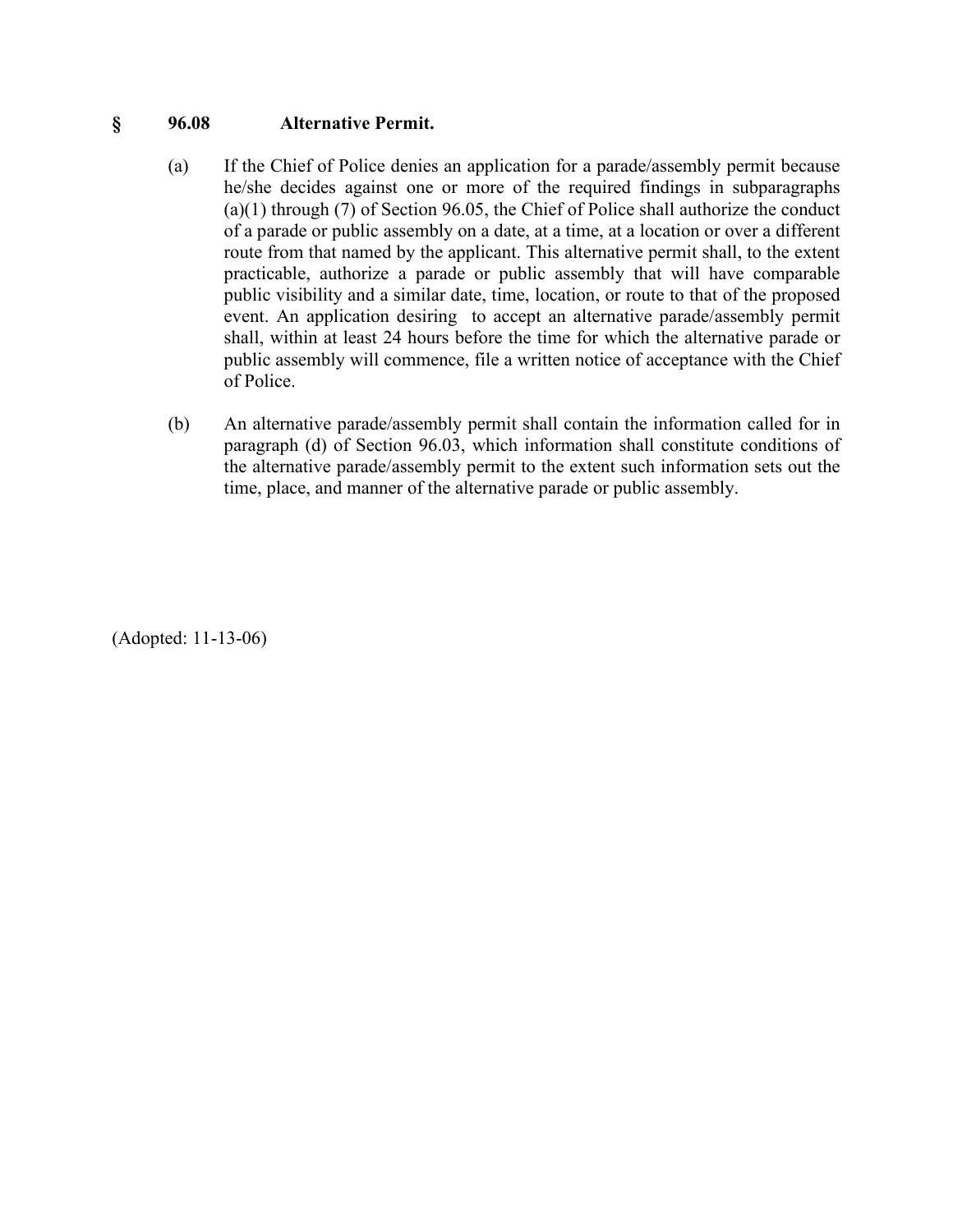#### **§ 96.08 Alternative Permit.**

- (a) If the Chief of Police denies an application for a parade/assembly permit because he/she decides against one or more of the required findings in subparagraphs (a)(1) through (7) of Section 96.05, the Chief of Police shall authorize the conduct of a parade or public assembly on a date, at a time, at a location or over a different route from that named by the applicant. This alternative permit shall, to the extent practicable, authorize a parade or public assembly that will have comparable public visibility and a similar date, time, location, or route to that of the proposed event. An application desiring to accept an alternative parade/assembly permit shall, within at least 24 hours before the time for which the alternative parade or public assembly will commence, file a written notice of acceptance with the Chief of Police.
- (b) An alternative parade/assembly permit shall contain the information called for in paragraph (d) of Section 96.03, which information shall constitute conditions of the alternative parade/assembly permit to the extent such information sets out the time, place, and manner of the alternative parade or public assembly.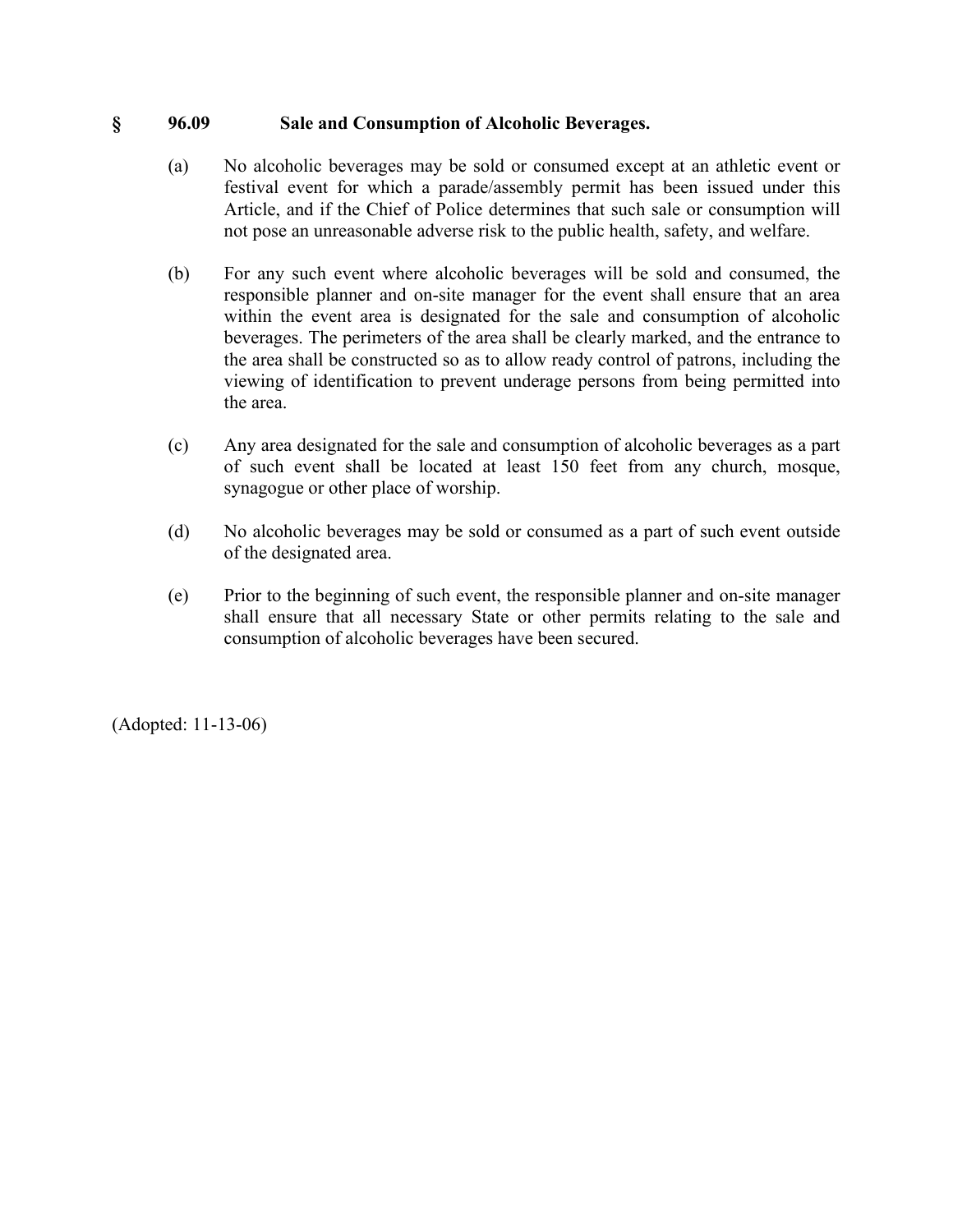#### **§ 96.09 Sale and Consumption of Alcoholic Beverages.**

- (a) No alcoholic beverages may be sold or consumed except at an athletic event or festival event for which a parade/assembly permit has been issued under this Article, and if the Chief of Police determines that such sale or consumption will not pose an unreasonable adverse risk to the public health, safety, and welfare.
- (b) For any such event where alcoholic beverages will be sold and consumed, the responsible planner and on-site manager for the event shall ensure that an area within the event area is designated for the sale and consumption of alcoholic beverages. The perimeters of the area shall be clearly marked, and the entrance to the area shall be constructed so as to allow ready control of patrons, including the viewing of identification to prevent underage persons from being permitted into the area.
- (c) Any area designated for the sale and consumption of alcoholic beverages as a part of such event shall be located at least 150 feet from any church, mosque, synagogue or other place of worship.
- (d) No alcoholic beverages may be sold or consumed as a part of such event outside of the designated area.
- (e) Prior to the beginning of such event, the responsible planner and on-site manager shall ensure that all necessary State or other permits relating to the sale and consumption of alcoholic beverages have been secured.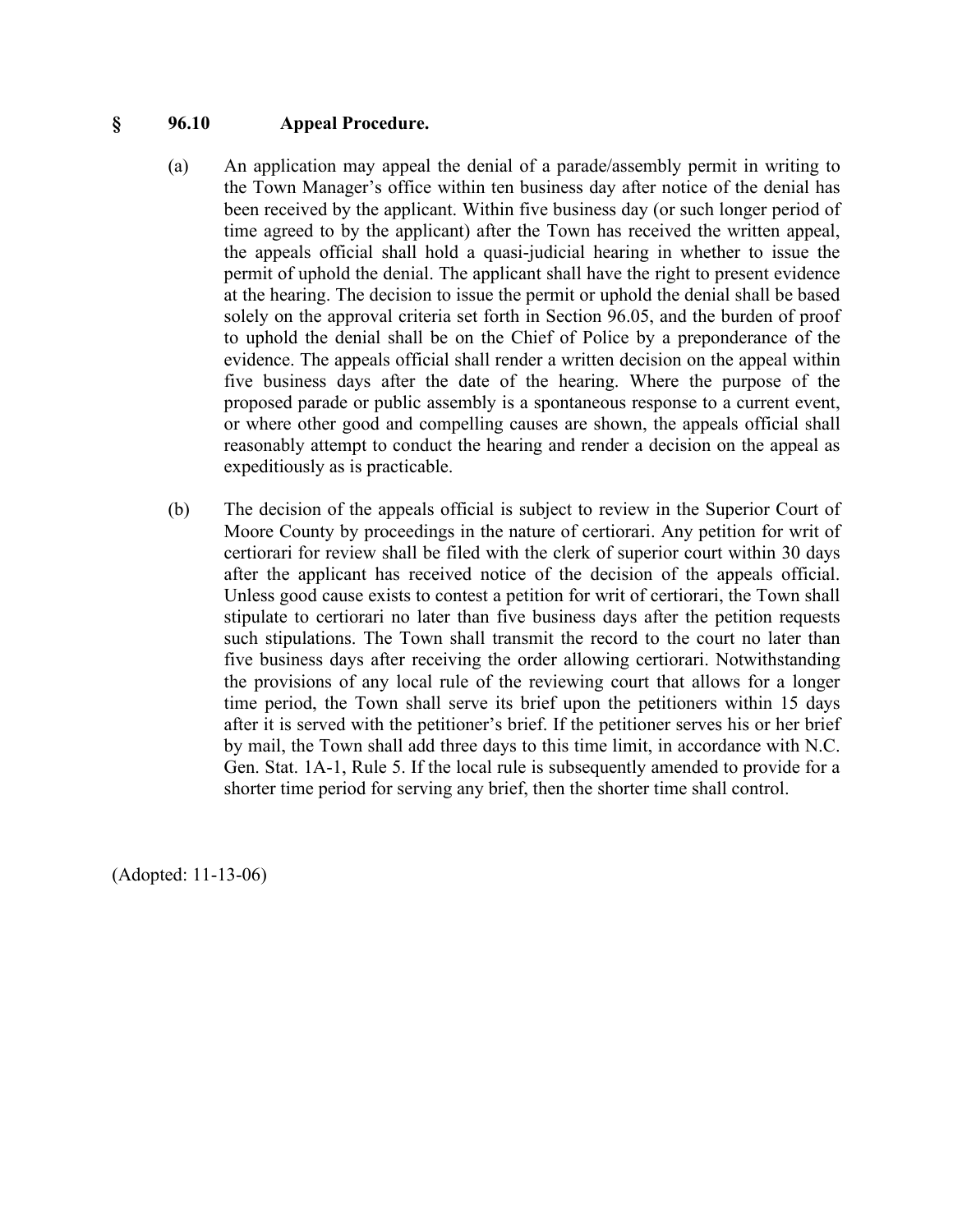#### **§ 96.10 Appeal Procedure.**

- (a) An application may appeal the denial of a parade/assembly permit in writing to the Town Manager's office within ten business day after notice of the denial has been received by the applicant. Within five business day (or such longer period of time agreed to by the applicant) after the Town has received the written appeal, the appeals official shall hold a quasi-judicial hearing in whether to issue the permit of uphold the denial. The applicant shall have the right to present evidence at the hearing. The decision to issue the permit or uphold the denial shall be based solely on the approval criteria set forth in Section 96.05, and the burden of proof to uphold the denial shall be on the Chief of Police by a preponderance of the evidence. The appeals official shall render a written decision on the appeal within five business days after the date of the hearing. Where the purpose of the proposed parade or public assembly is a spontaneous response to a current event, or where other good and compelling causes are shown, the appeals official shall reasonably attempt to conduct the hearing and render a decision on the appeal as expeditiously as is practicable.
- (b) The decision of the appeals official is subject to review in the Superior Court of Moore County by proceedings in the nature of certiorari. Any petition for writ of certiorari for review shall be filed with the clerk of superior court within 30 days after the applicant has received notice of the decision of the appeals official. Unless good cause exists to contest a petition for writ of certiorari, the Town shall stipulate to certiorari no later than five business days after the petition requests such stipulations. The Town shall transmit the record to the court no later than five business days after receiving the order allowing certiorari. Notwithstanding the provisions of any local rule of the reviewing court that allows for a longer time period, the Town shall serve its brief upon the petitioners within 15 days after it is served with the petitioner's brief. If the petitioner serves his or her brief by mail, the Town shall add three days to this time limit, in accordance with N.C. Gen. Stat. 1A-1, Rule 5. If the local rule is subsequently amended to provide for a shorter time period for serving any brief, then the shorter time shall control.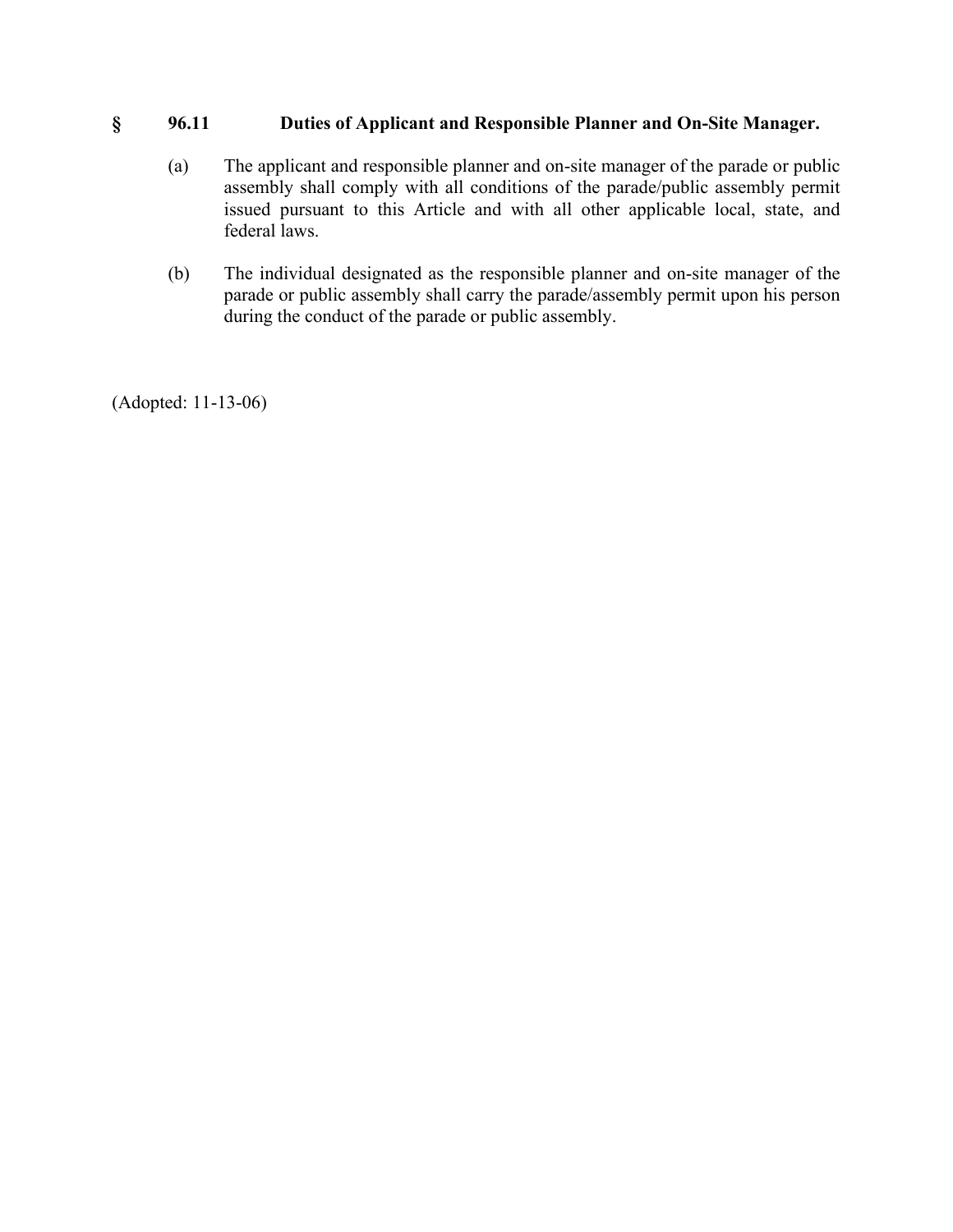## **§ 96.11 Duties of Applicant and Responsible Planner and On-Site Manager.**

- (a) The applicant and responsible planner and on-site manager of the parade or public assembly shall comply with all conditions of the parade/public assembly permit issued pursuant to this Article and with all other applicable local, state, and federal laws.
- (b) The individual designated as the responsible planner and on-site manager of the parade or public assembly shall carry the parade/assembly permit upon his person during the conduct of the parade or public assembly.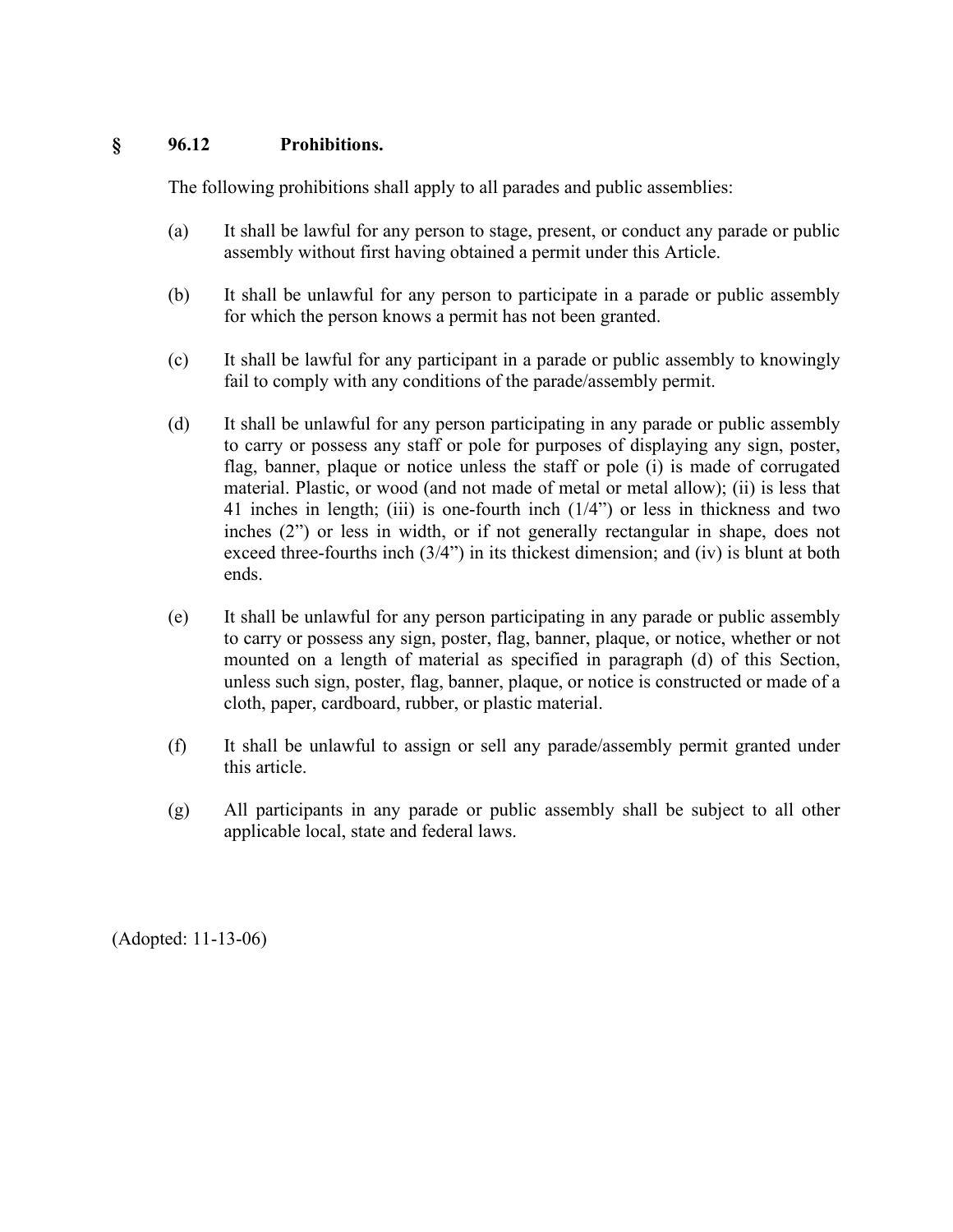# **§ 96.12 Prohibitions.**

The following prohibitions shall apply to all parades and public assemblies:

- (a) It shall be lawful for any person to stage, present, or conduct any parade or public assembly without first having obtained a permit under this Article.
- (b) It shall be unlawful for any person to participate in a parade or public assembly for which the person knows a permit has not been granted.
- (c) It shall be lawful for any participant in a parade or public assembly to knowingly fail to comply with any conditions of the parade/assembly permit.
- (d) It shall be unlawful for any person participating in any parade or public assembly to carry or possess any staff or pole for purposes of displaying any sign, poster, flag, banner, plaque or notice unless the staff or pole (i) is made of corrugated material. Plastic, or wood (and not made of metal or metal allow); (ii) is less that 41 inches in length; (iii) is one-fourth inch (1/4") or less in thickness and two inches (2") or less in width, or if not generally rectangular in shape, does not exceed three-fourths inch (3/4") in its thickest dimension; and (iv) is blunt at both ends.
- (e) It shall be unlawful for any person participating in any parade or public assembly to carry or possess any sign, poster, flag, banner, plaque, or notice, whether or not mounted on a length of material as specified in paragraph (d) of this Section, unless such sign, poster, flag, banner, plaque, or notice is constructed or made of a cloth, paper, cardboard, rubber, or plastic material.
- (f) It shall be unlawful to assign or sell any parade/assembly permit granted under this article.
- (g) All participants in any parade or public assembly shall be subject to all other applicable local, state and federal laws.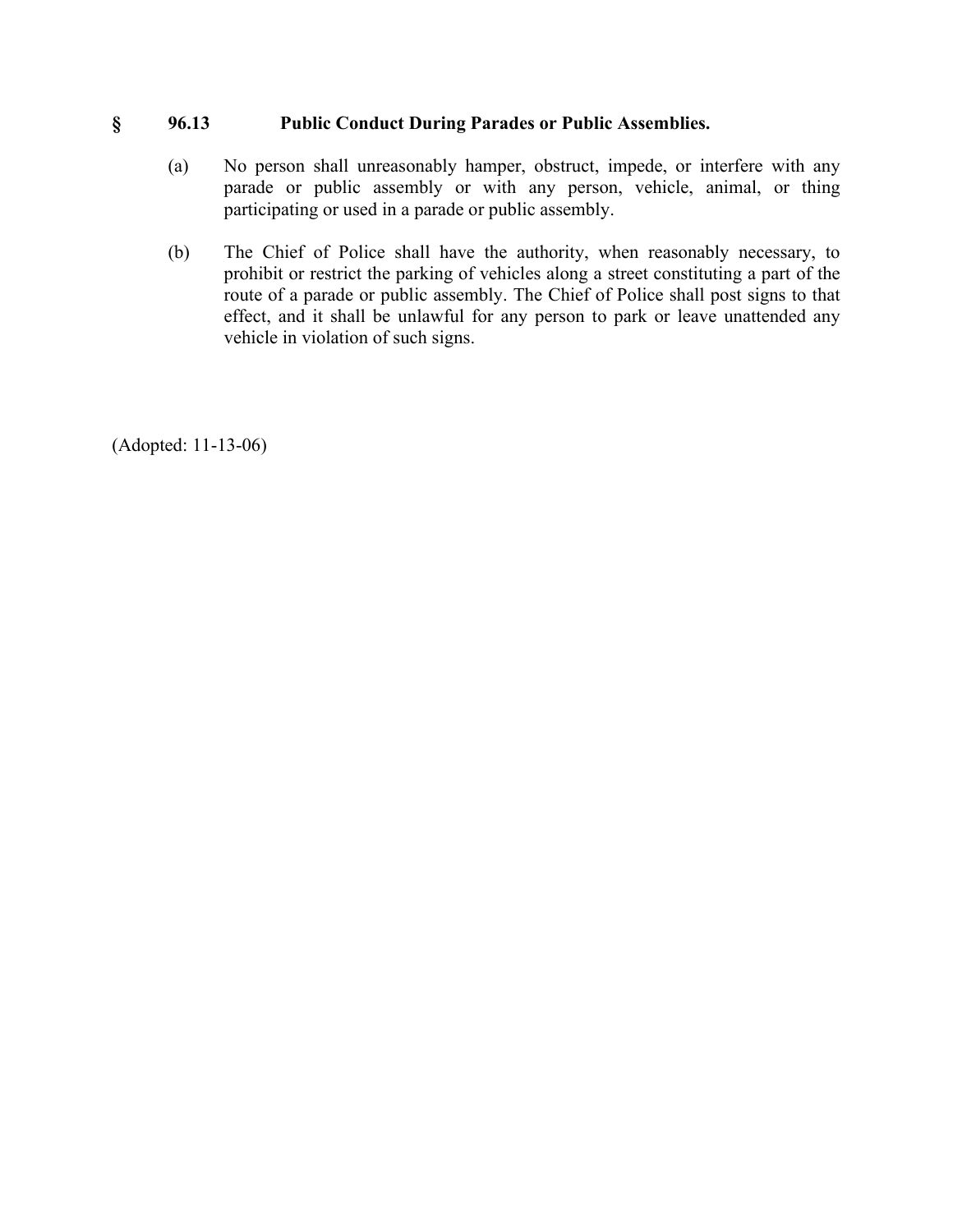### **§ 96.13 Public Conduct During Parades or Public Assemblies.**

- (a) No person shall unreasonably hamper, obstruct, impede, or interfere with any parade or public assembly or with any person, vehicle, animal, or thing participating or used in a parade or public assembly.
- (b) The Chief of Police shall have the authority, when reasonably necessary, to prohibit or restrict the parking of vehicles along a street constituting a part of the route of a parade or public assembly. The Chief of Police shall post signs to that effect, and it shall be unlawful for any person to park or leave unattended any vehicle in violation of such signs.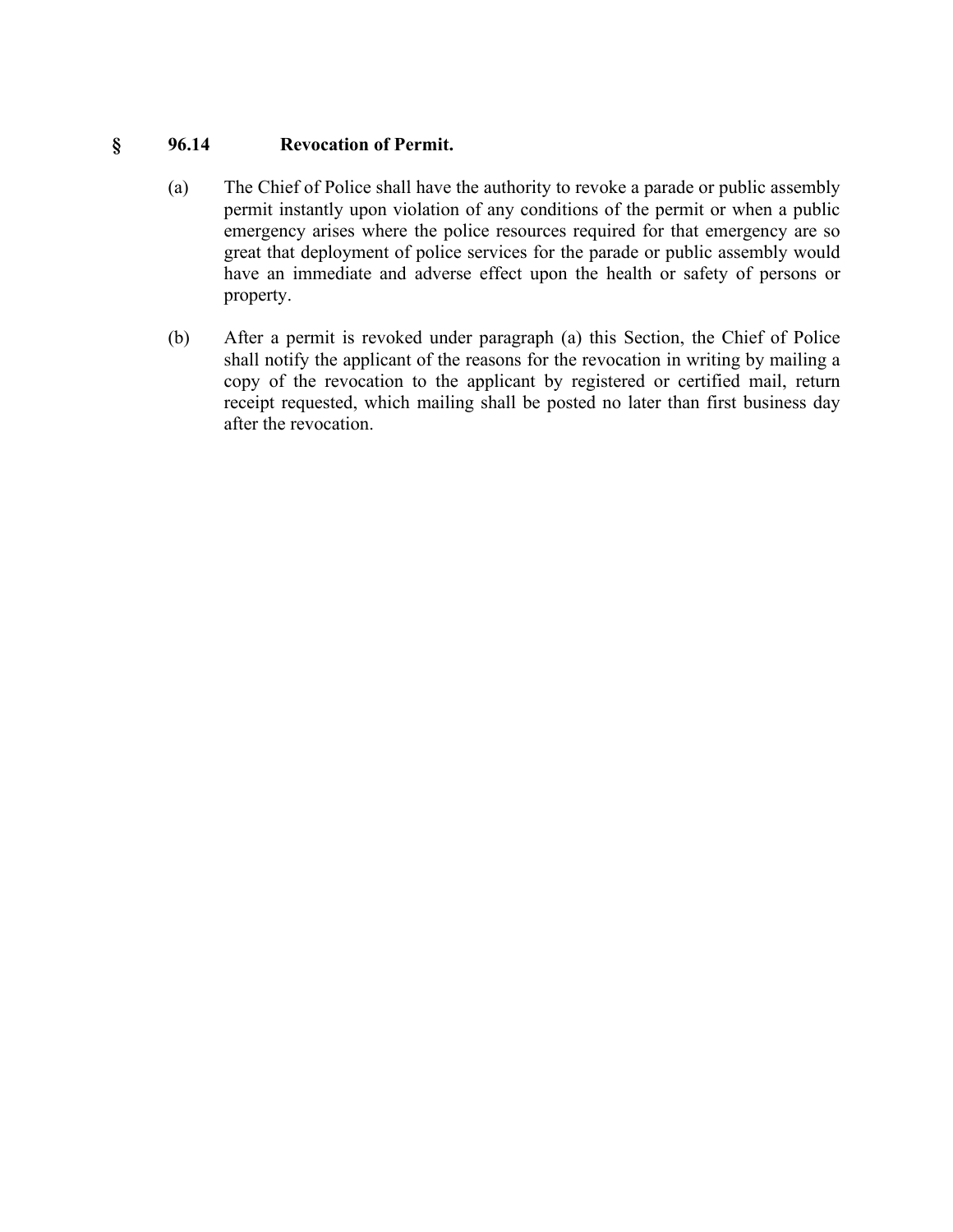# **§ 96.14 Revocation of Permit.**

- (a) The Chief of Police shall have the authority to revoke a parade or public assembly permit instantly upon violation of any conditions of the permit or when a public emergency arises where the police resources required for that emergency are so great that deployment of police services for the parade or public assembly would have an immediate and adverse effect upon the health or safety of persons or property.
- (b) After a permit is revoked under paragraph (a) this Section, the Chief of Police shall notify the applicant of the reasons for the revocation in writing by mailing a copy of the revocation to the applicant by registered or certified mail, return receipt requested, which mailing shall be posted no later than first business day after the revocation.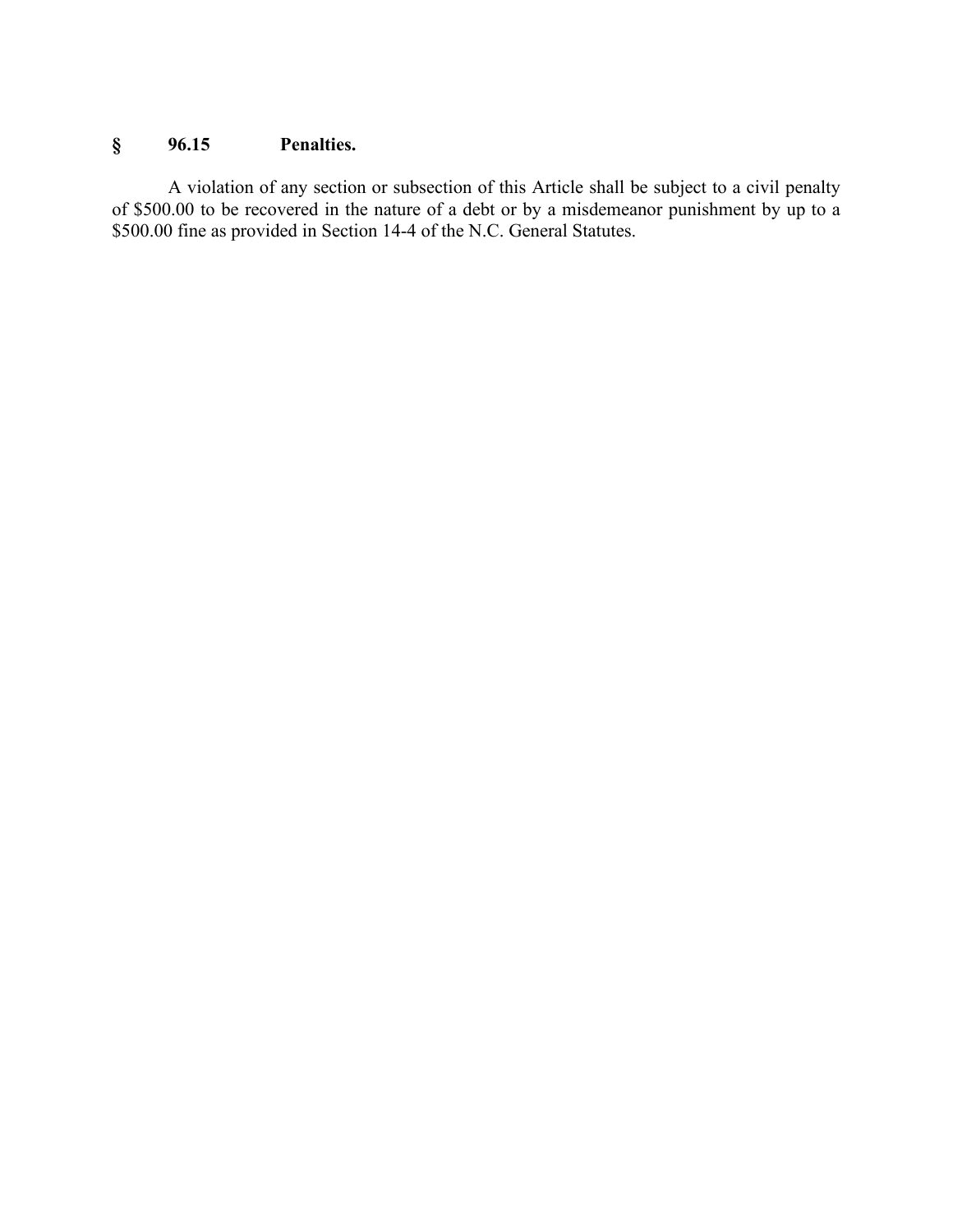# **§ 96.15 Penalties.**

A violation of any section or subsection of this Article shall be subject to a civil penalty of \$500.00 to be recovered in the nature of a debt or by a misdemeanor punishment by up to a \$500.00 fine as provided in Section 14-4 of the N.C. General Statutes.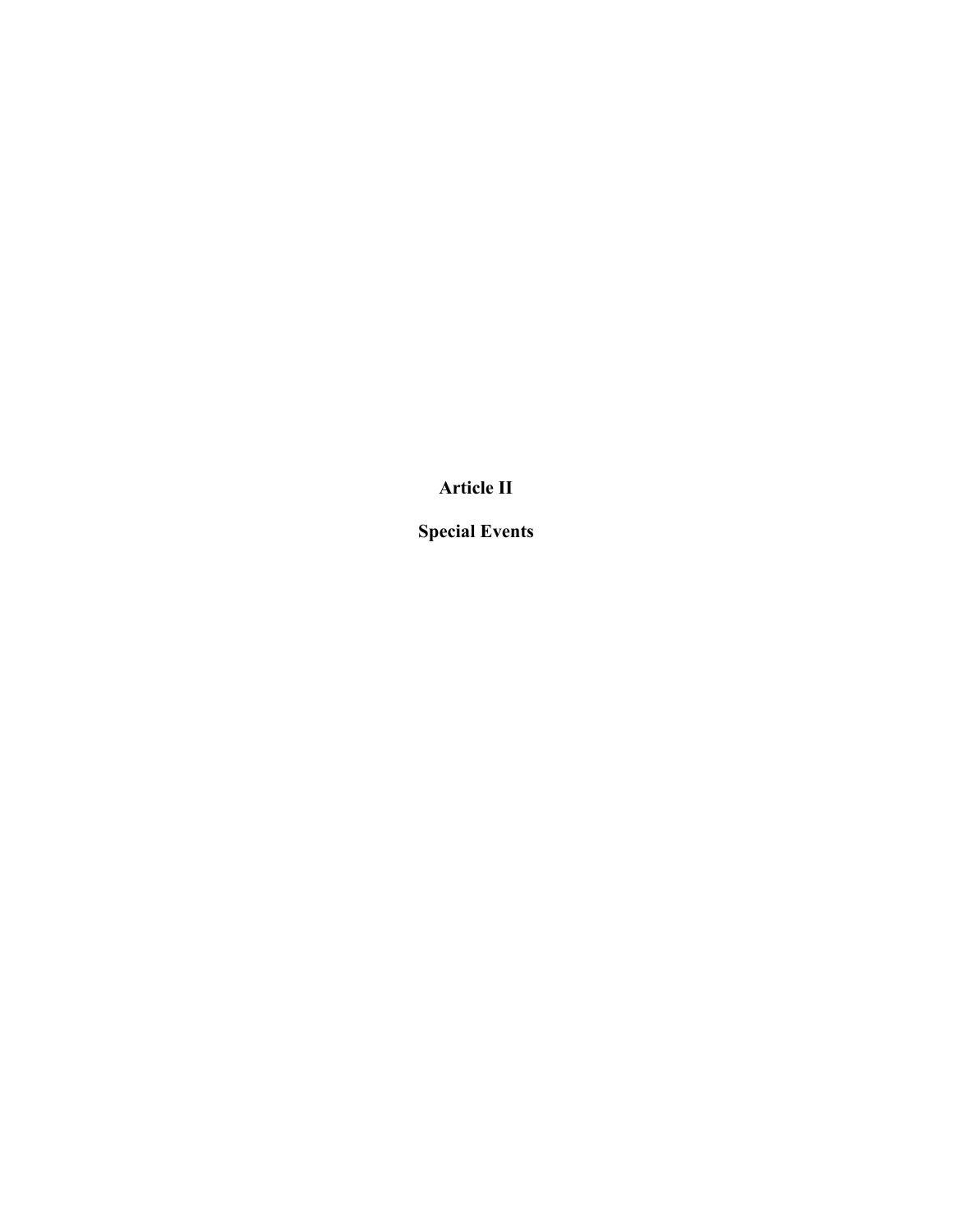**Article II**

**Special Events**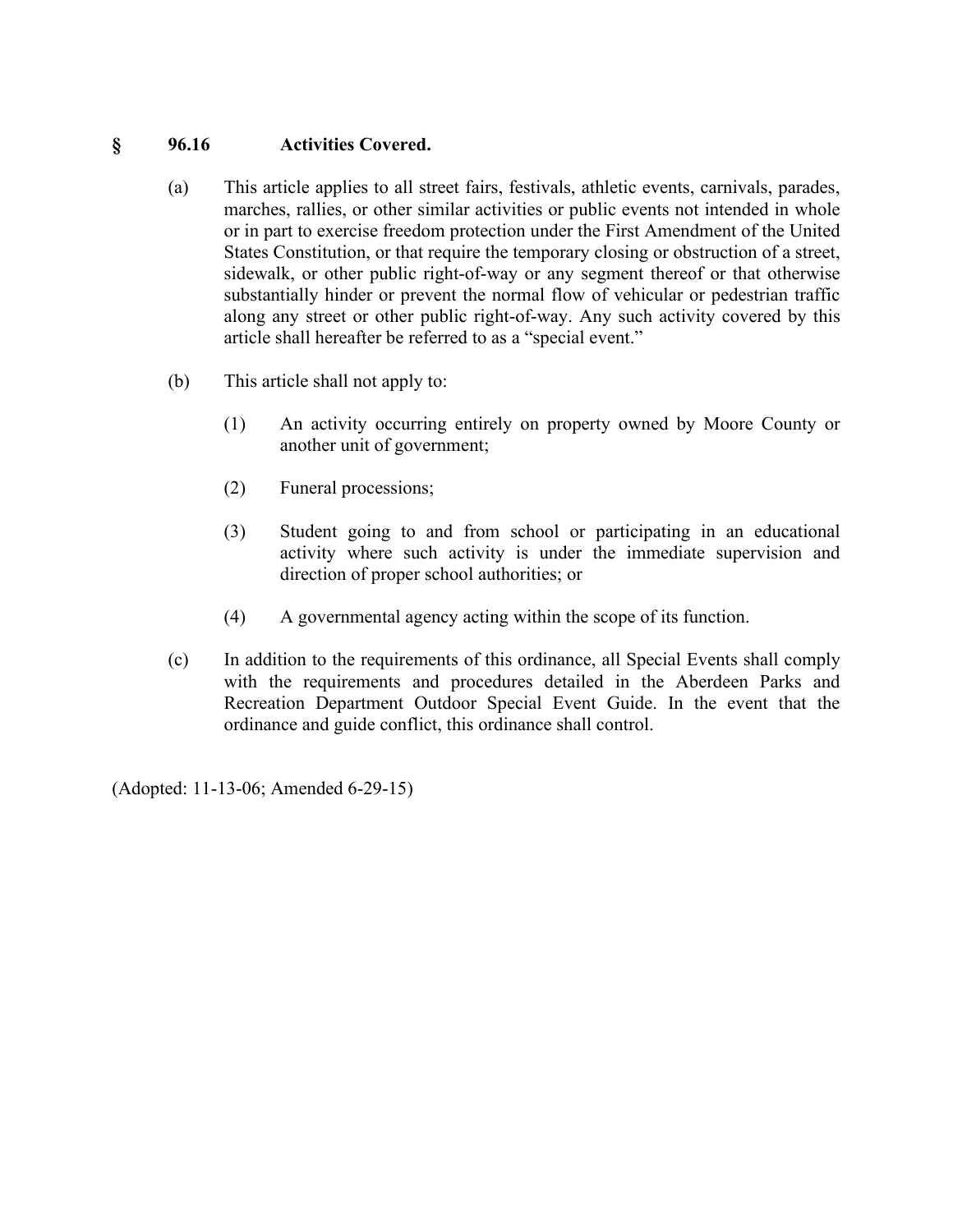#### **§ 96.16 Activities Covered.**

- (a) This article applies to all street fairs, festivals, athletic events, carnivals, parades, marches, rallies, or other similar activities or public events not intended in whole or in part to exercise freedom protection under the First Amendment of the United States Constitution, or that require the temporary closing or obstruction of a street, sidewalk, or other public right-of-way or any segment thereof or that otherwise substantially hinder or prevent the normal flow of vehicular or pedestrian traffic along any street or other public right-of-way. Any such activity covered by this article shall hereafter be referred to as a "special event."
- (b) This article shall not apply to:
	- (1) An activity occurring entirely on property owned by Moore County or another unit of government;
	- (2) Funeral processions;
	- (3) Student going to and from school or participating in an educational activity where such activity is under the immediate supervision and direction of proper school authorities; or
	- (4) A governmental agency acting within the scope of its function.
- (c) In addition to the requirements of this ordinance, all Special Events shall comply with the requirements and procedures detailed in the Aberdeen Parks and Recreation Department Outdoor Special Event Guide. In the event that the ordinance and guide conflict, this ordinance shall control.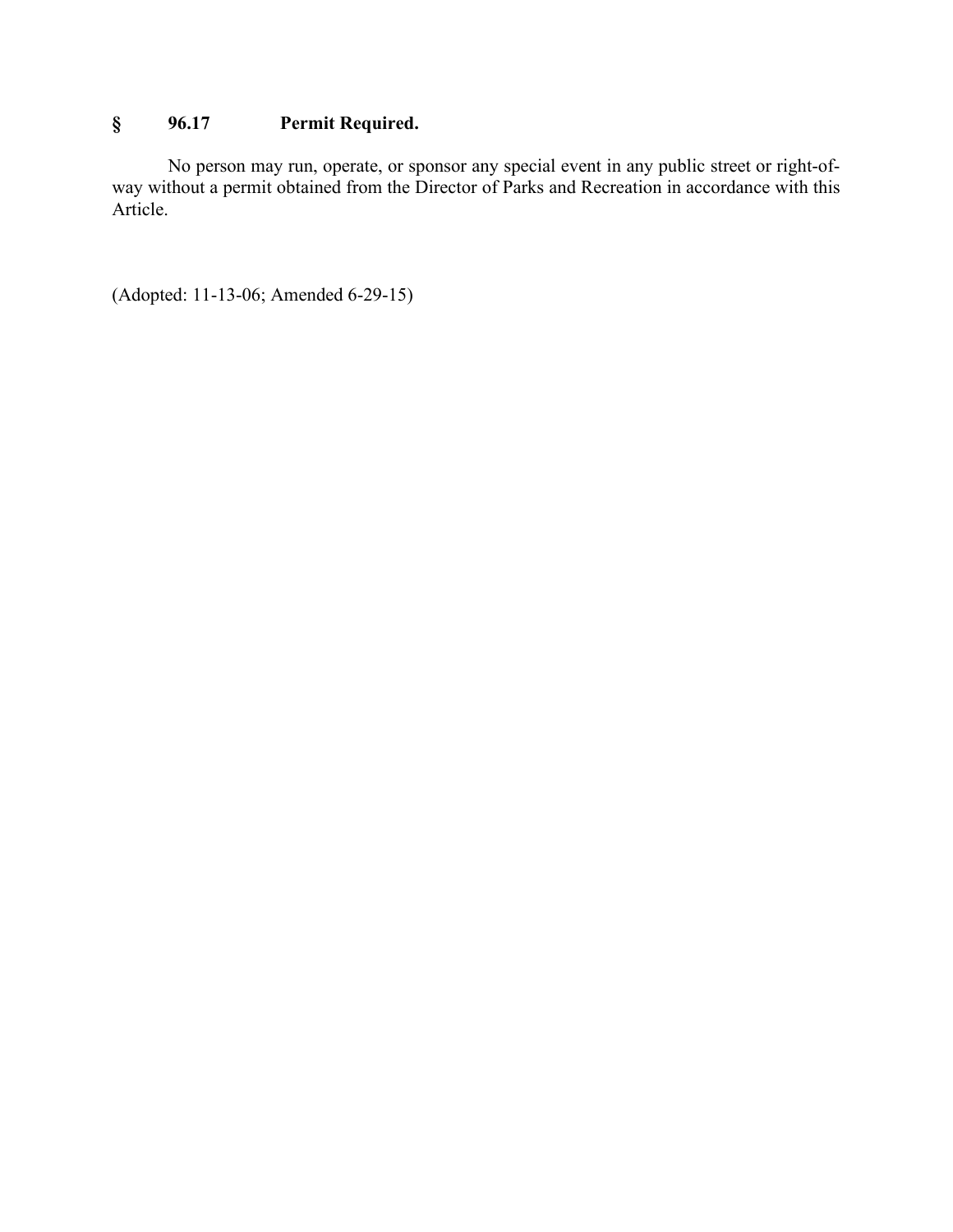# **§ 96.17 Permit Required.**

No person may run, operate, or sponsor any special event in any public street or right-ofway without a permit obtained from the Director of Parks and Recreation in accordance with this Article.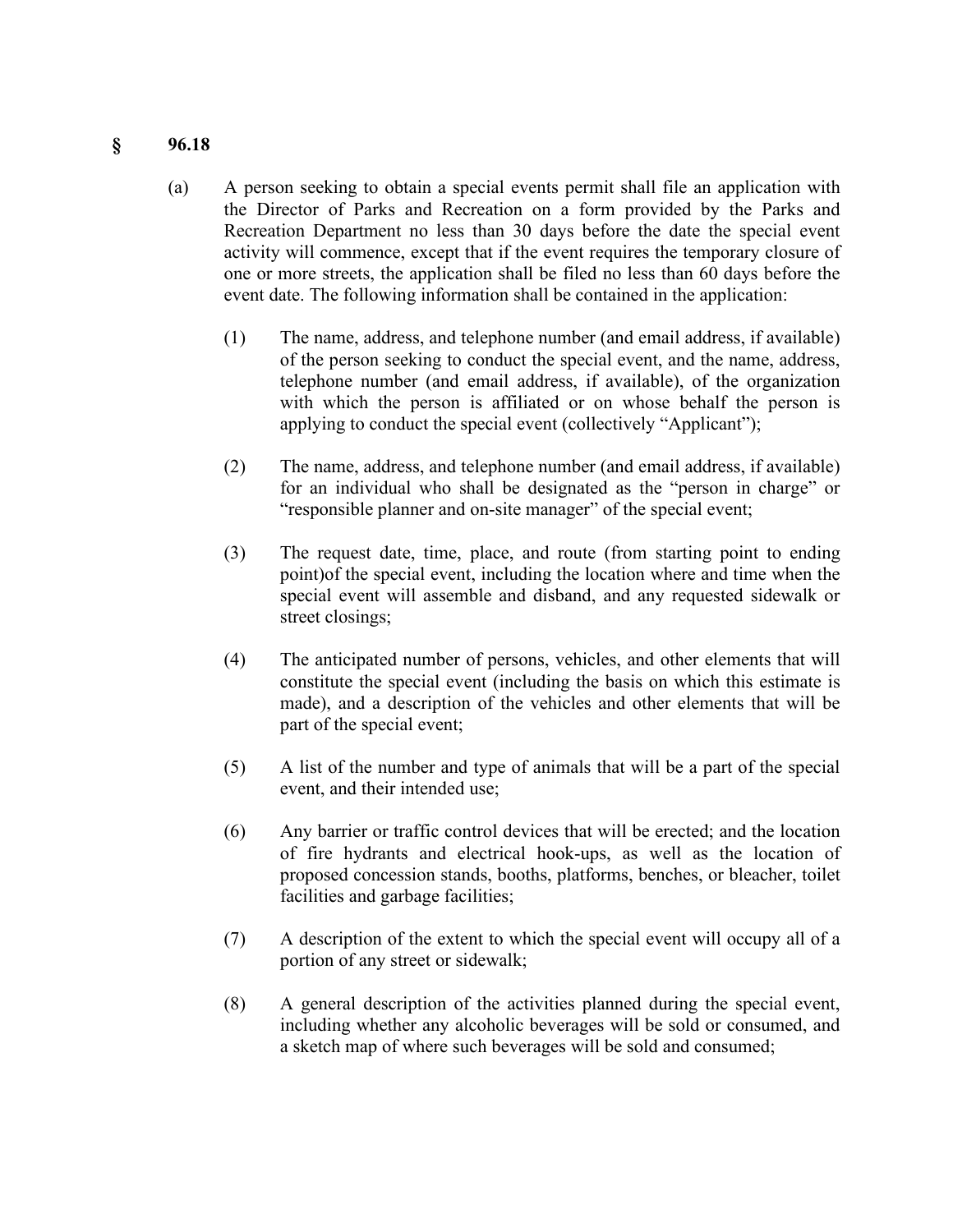#### **§ 96.18**

- (a) A person seeking to obtain a special events permit shall file an application with the Director of Parks and Recreation on a form provided by the Parks and Recreation Department no less than 30 days before the date the special event activity will commence, except that if the event requires the temporary closure of one or more streets, the application shall be filed no less than 60 days before the event date. The following information shall be contained in the application:
	- (1) The name, address, and telephone number (and email address, if available) of the person seeking to conduct the special event, and the name, address, telephone number (and email address, if available), of the organization with which the person is affiliated or on whose behalf the person is applying to conduct the special event (collectively "Applicant");
	- (2) The name, address, and telephone number (and email address, if available) for an individual who shall be designated as the "person in charge" or "responsible planner and on-site manager" of the special event;
	- (3) The request date, time, place, and route (from starting point to ending point)of the special event, including the location where and time when the special event will assemble and disband, and any requested sidewalk or street closings;
	- (4) The anticipated number of persons, vehicles, and other elements that will constitute the special event (including the basis on which this estimate is made), and a description of the vehicles and other elements that will be part of the special event;
	- (5) A list of the number and type of animals that will be a part of the special event, and their intended use;
	- (6) Any barrier or traffic control devices that will be erected; and the location of fire hydrants and electrical hook-ups, as well as the location of proposed concession stands, booths, platforms, benches, or bleacher, toilet facilities and garbage facilities;
	- (7) A description of the extent to which the special event will occupy all of a portion of any street or sidewalk;
	- (8) A general description of the activities planned during the special event, including whether any alcoholic beverages will be sold or consumed, and a sketch map of where such beverages will be sold and consumed;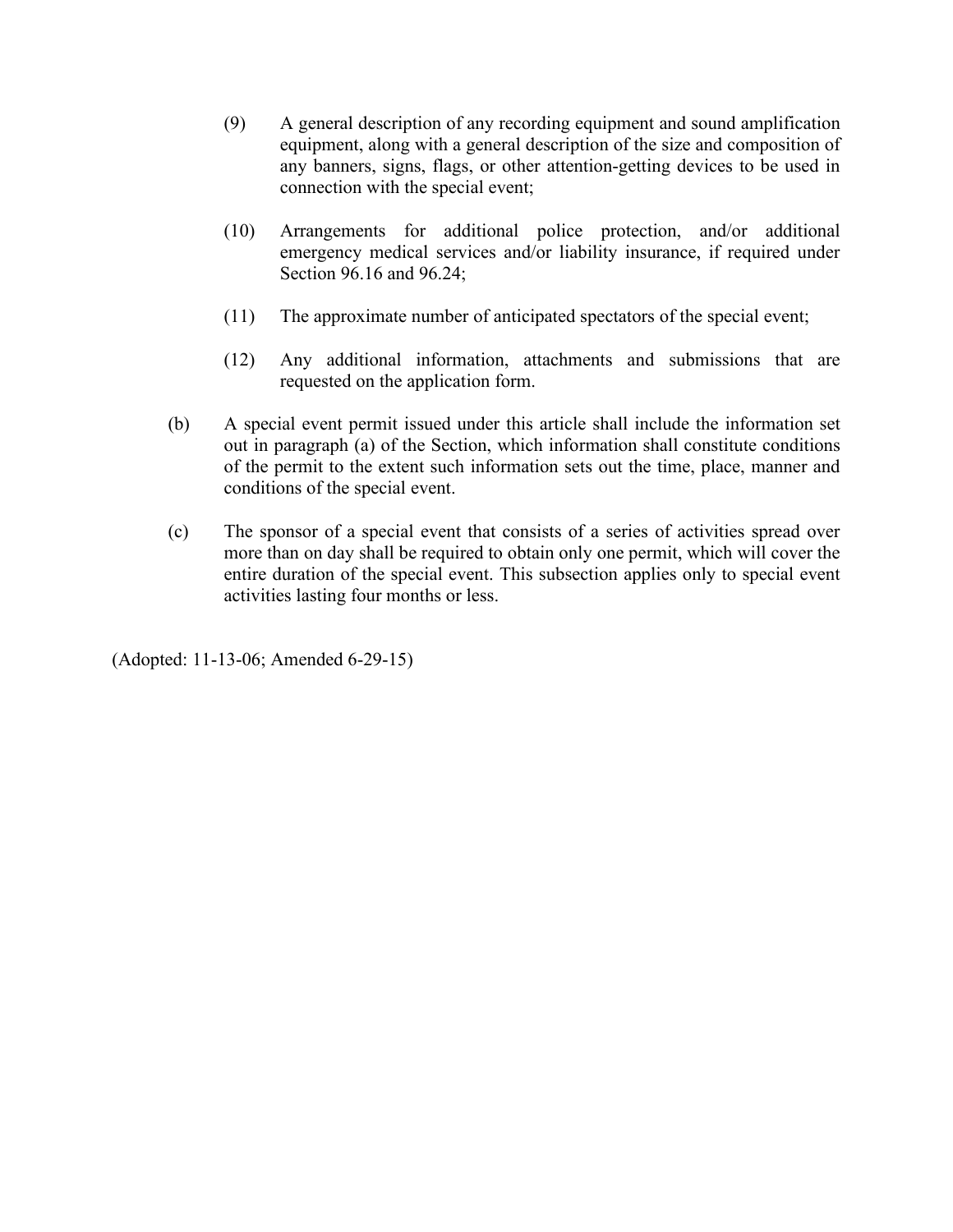- (9) A general description of any recording equipment and sound amplification equipment, along with a general description of the size and composition of any banners, signs, flags, or other attention-getting devices to be used in connection with the special event;
- (10) Arrangements for additional police protection, and/or additional emergency medical services and/or liability insurance, if required under Section 96.16 and 96.24;
- (11) The approximate number of anticipated spectators of the special event;
- (12) Any additional information, attachments and submissions that are requested on the application form.
- (b) A special event permit issued under this article shall include the information set out in paragraph (a) of the Section, which information shall constitute conditions of the permit to the extent such information sets out the time, place, manner and conditions of the special event.
- (c) The sponsor of a special event that consists of a series of activities spread over more than on day shall be required to obtain only one permit, which will cover the entire duration of the special event. This subsection applies only to special event activities lasting four months or less.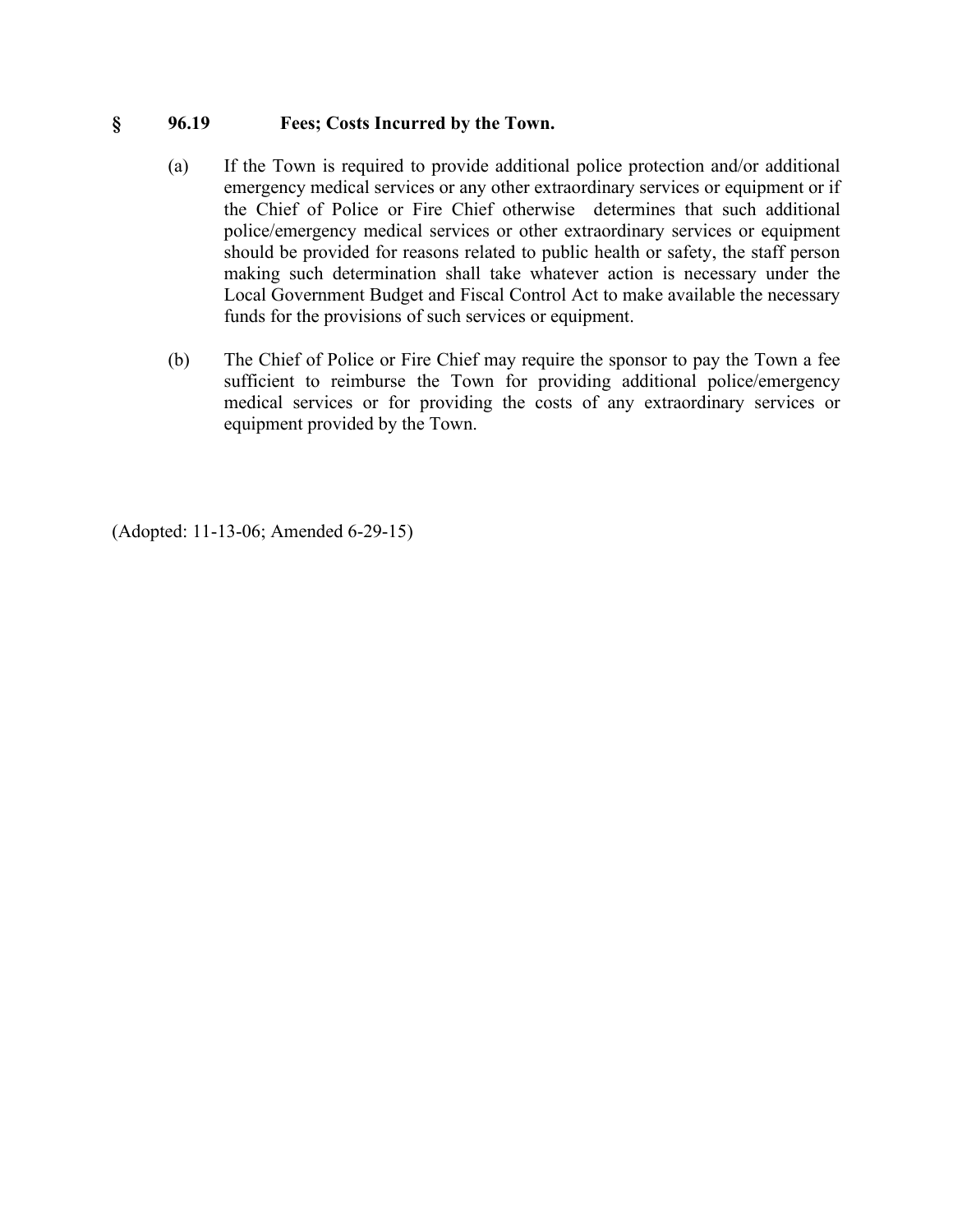#### **§ 96.19 Fees; Costs Incurred by the Town.**

- (a) If the Town is required to provide additional police protection and/or additional emergency medical services or any other extraordinary services or equipment or if the Chief of Police or Fire Chief otherwise determines that such additional police/emergency medical services or other extraordinary services or equipment should be provided for reasons related to public health or safety, the staff person making such determination shall take whatever action is necessary under the Local Government Budget and Fiscal Control Act to make available the necessary funds for the provisions of such services or equipment.
- (b) The Chief of Police or Fire Chief may require the sponsor to pay the Town a fee sufficient to reimburse the Town for providing additional police/emergency medical services or for providing the costs of any extraordinary services or equipment provided by the Town.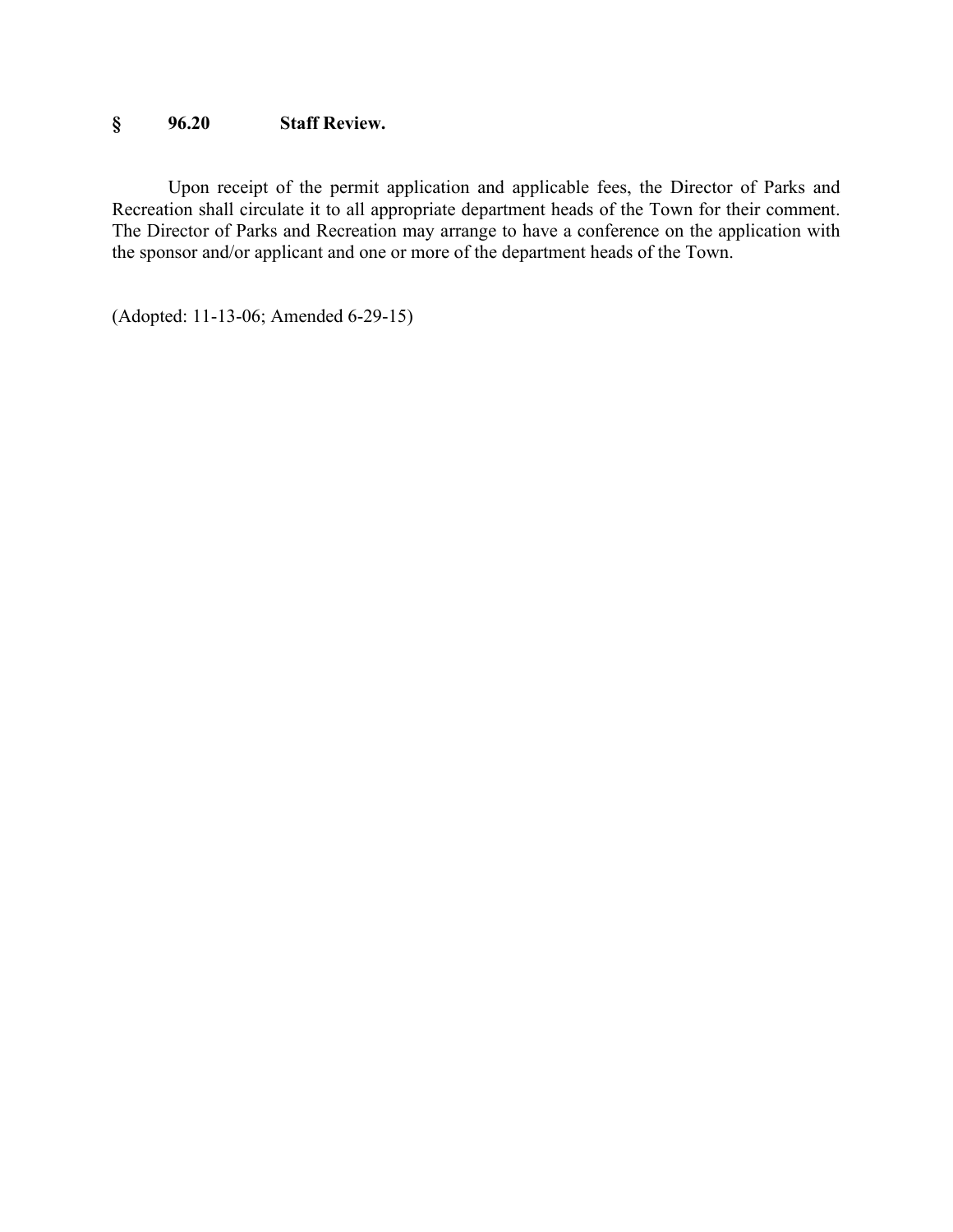# **§ 96.20 Staff Review.**

Upon receipt of the permit application and applicable fees, the Director of Parks and Recreation shall circulate it to all appropriate department heads of the Town for their comment. The Director of Parks and Recreation may arrange to have a conference on the application with the sponsor and/or applicant and one or more of the department heads of the Town.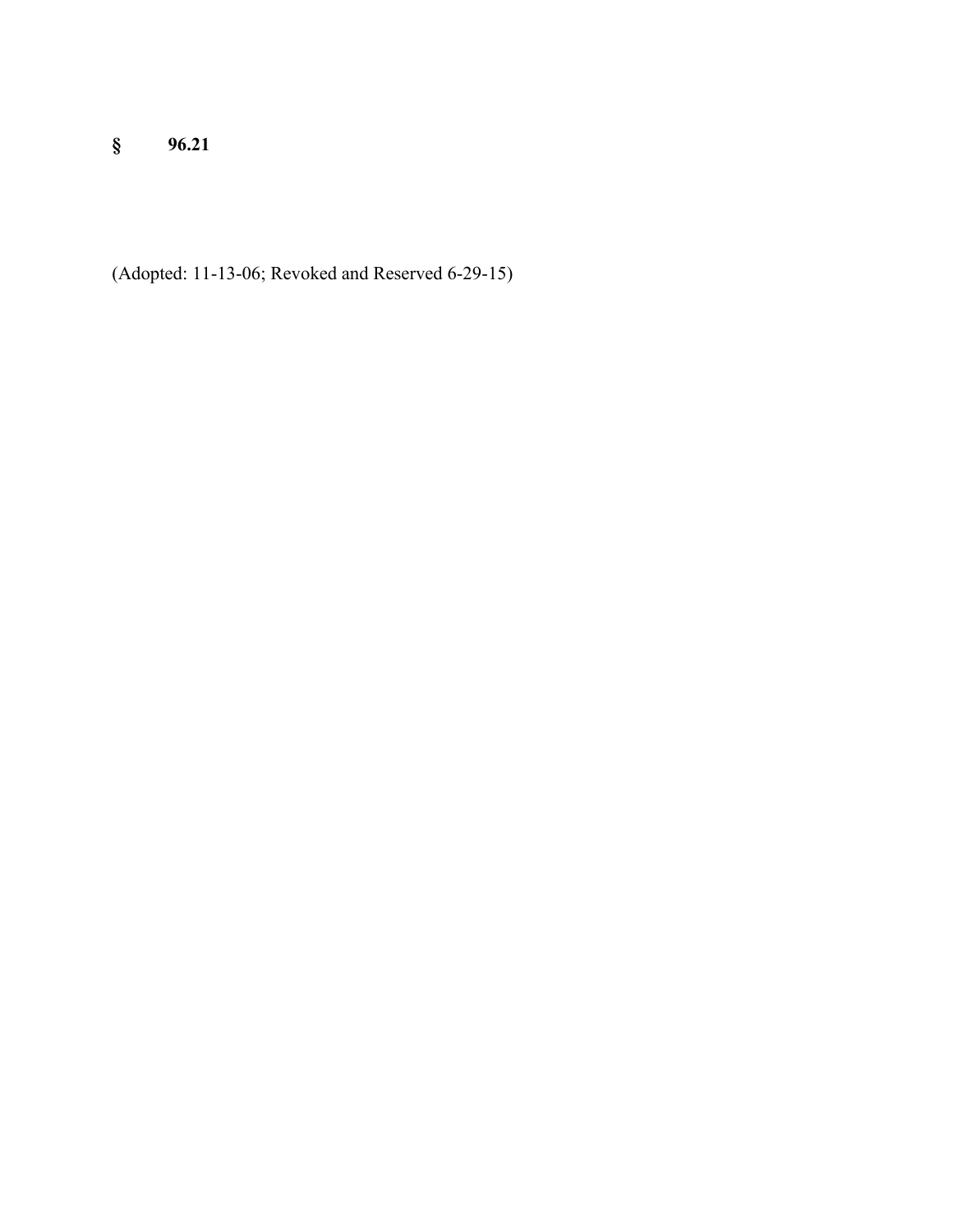**§ 96.21**

(Adopted: 11-13-06; Revoked and Reserved 6-29-15)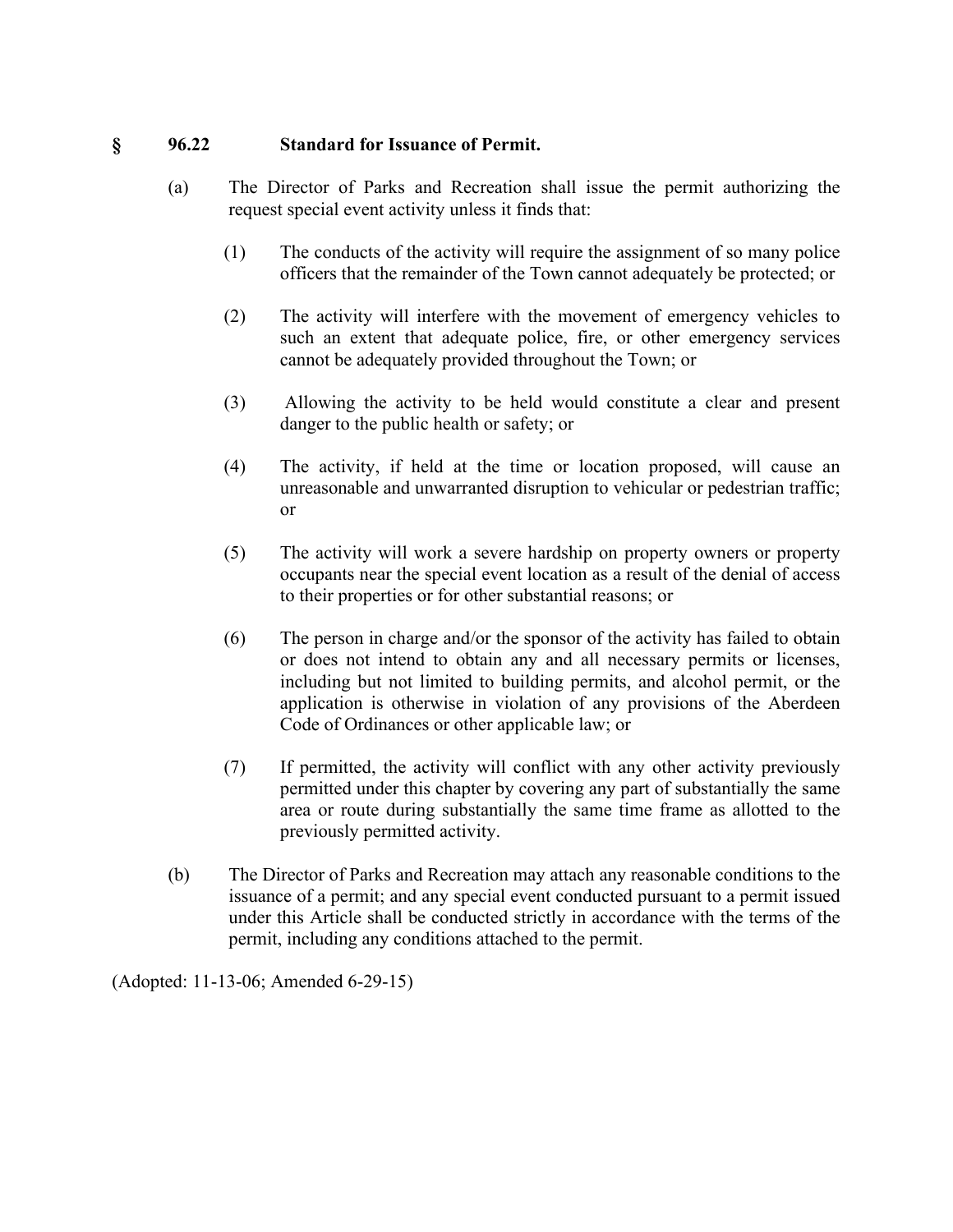#### **§ 96.22 Standard for Issuance of Permit.**

- (a) The Director of Parks and Recreation shall issue the permit authorizing the request special event activity unless it finds that:
	- (1) The conducts of the activity will require the assignment of so many police officers that the remainder of the Town cannot adequately be protected; or
	- (2) The activity will interfere with the movement of emergency vehicles to such an extent that adequate police, fire, or other emergency services cannot be adequately provided throughout the Town; or
	- (3) Allowing the activity to be held would constitute a clear and present danger to the public health or safety; or
	- (4) The activity, if held at the time or location proposed, will cause an unreasonable and unwarranted disruption to vehicular or pedestrian traffic; or
	- (5) The activity will work a severe hardship on property owners or property occupants near the special event location as a result of the denial of access to their properties or for other substantial reasons; or
	- (6) The person in charge and/or the sponsor of the activity has failed to obtain or does not intend to obtain any and all necessary permits or licenses, including but not limited to building permits, and alcohol permit, or the application is otherwise in violation of any provisions of the Aberdeen Code of Ordinances or other applicable law; or
	- (7) If permitted, the activity will conflict with any other activity previously permitted under this chapter by covering any part of substantially the same area or route during substantially the same time frame as allotted to the previously permitted activity.
- (b) The Director of Parks and Recreation may attach any reasonable conditions to the issuance of a permit; and any special event conducted pursuant to a permit issued under this Article shall be conducted strictly in accordance with the terms of the permit, including any conditions attached to the permit.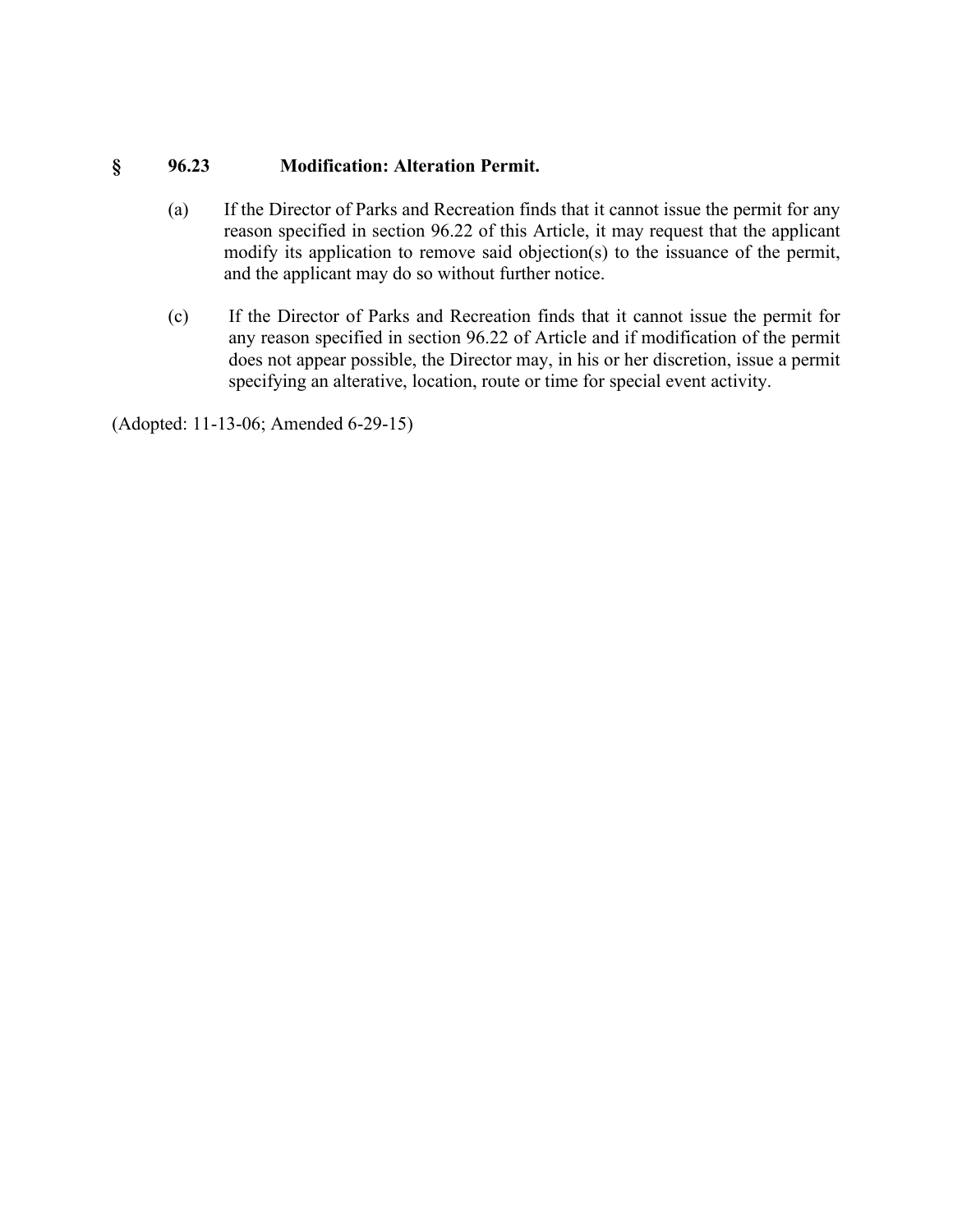# **§ 96.23 Modification: Alteration Permit.**

- (a) If the Director of Parks and Recreation finds that it cannot issue the permit for any reason specified in section 96.22 of this Article, it may request that the applicant modify its application to remove said objection(s) to the issuance of the permit, and the applicant may do so without further notice.
- (c) If the Director of Parks and Recreation finds that it cannot issue the permit for any reason specified in section 96.22 of Article and if modification of the permit does not appear possible, the Director may, in his or her discretion, issue a permit specifying an alterative, location, route or time for special event activity.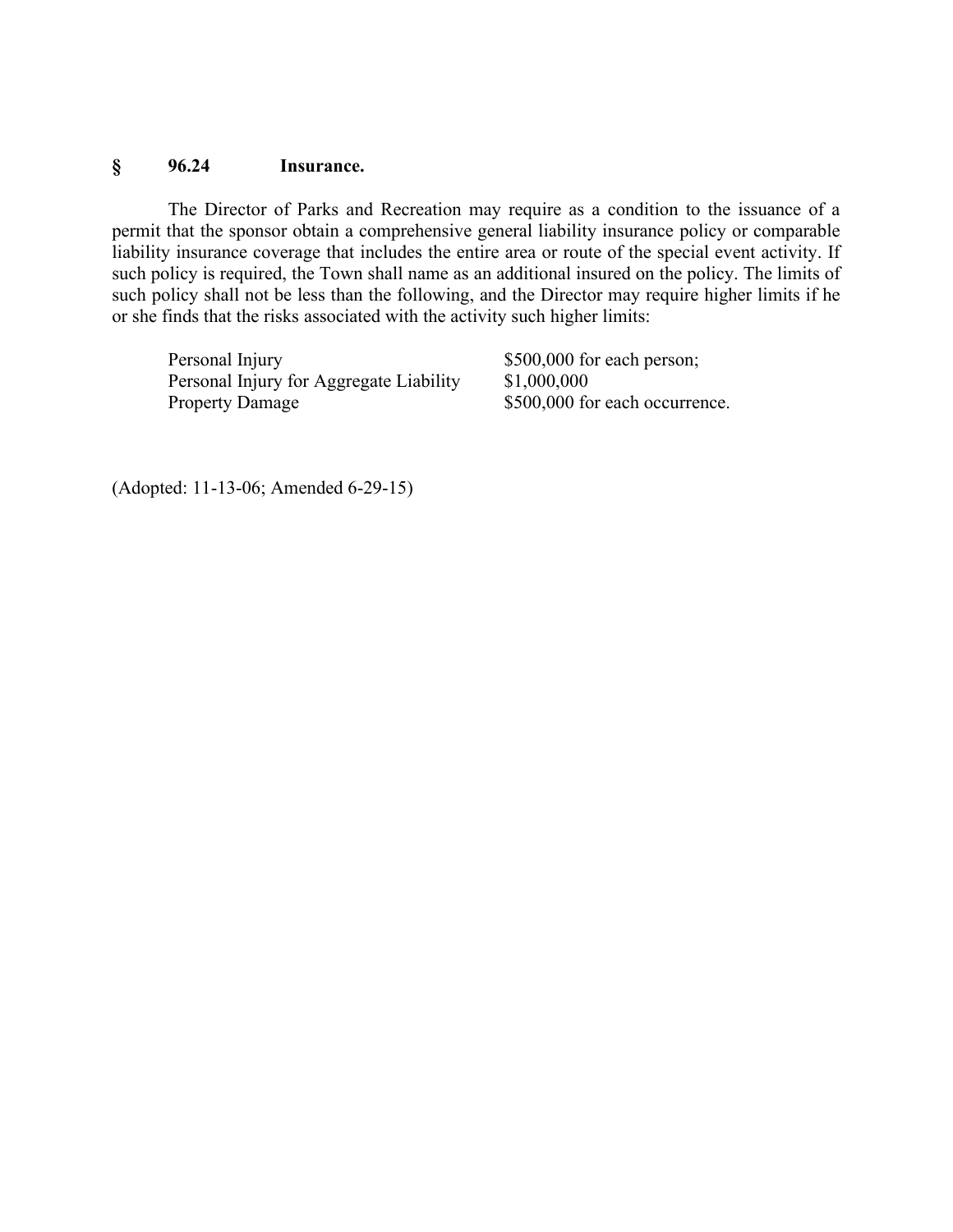#### **§ 96.24 Insurance.**

The Director of Parks and Recreation may require as a condition to the issuance of a permit that the sponsor obtain a comprehensive general liability insurance policy or comparable liability insurance coverage that includes the entire area or route of the special event activity. If such policy is required, the Town shall name as an additional insured on the policy. The limits of such policy shall not be less than the following, and the Director may require higher limits if he or she finds that the risks associated with the activity such higher limits:

Personal Injury \$500,000 for each person; Personal Injury for Aggregate Liability \$1,000,000 Property Damage \$500,000 for each occurrence.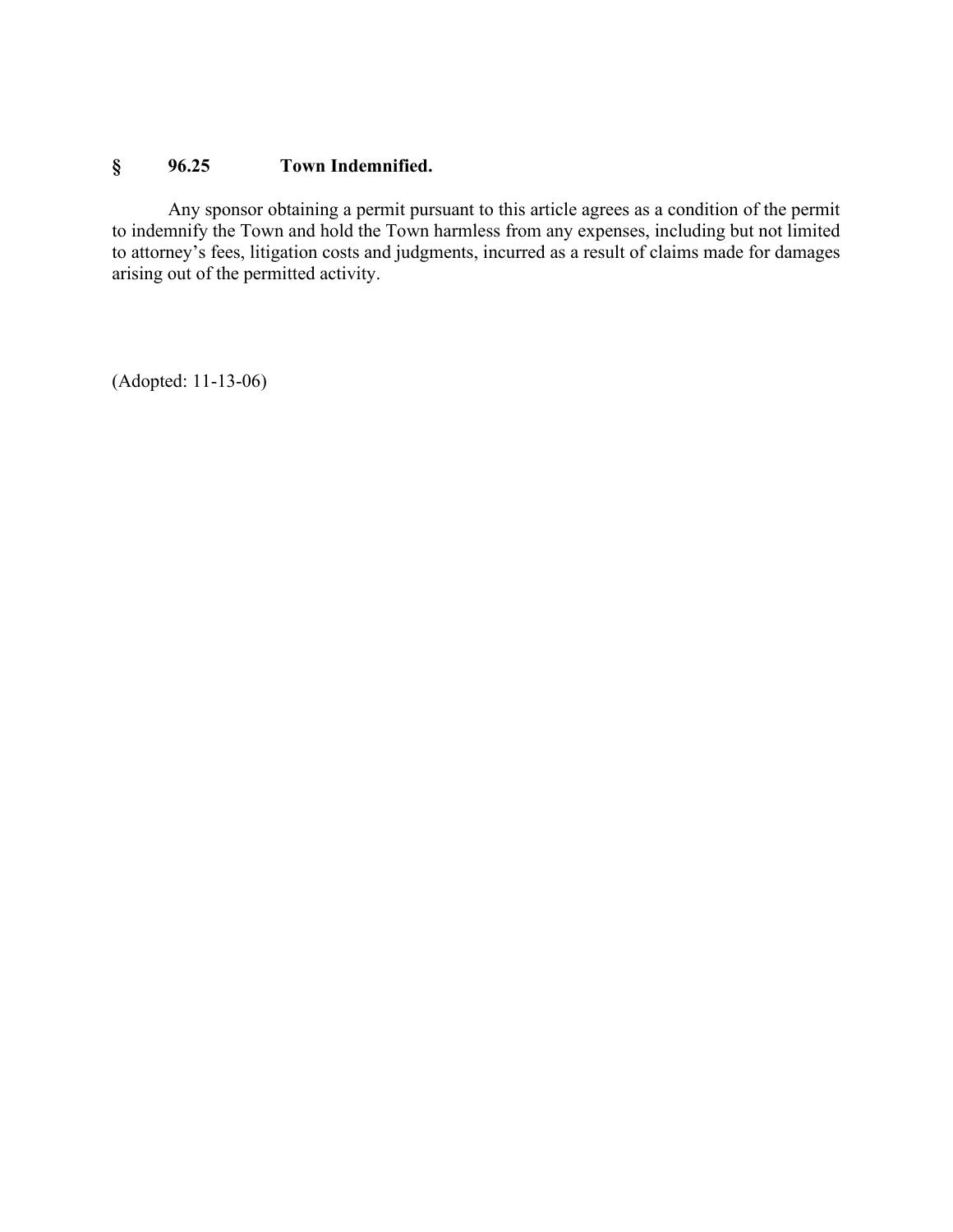# **§ 96.25 Town Indemnified.**

Any sponsor obtaining a permit pursuant to this article agrees as a condition of the permit to indemnify the Town and hold the Town harmless from any expenses, including but not limited to attorney's fees, litigation costs and judgments, incurred as a result of claims made for damages arising out of the permitted activity.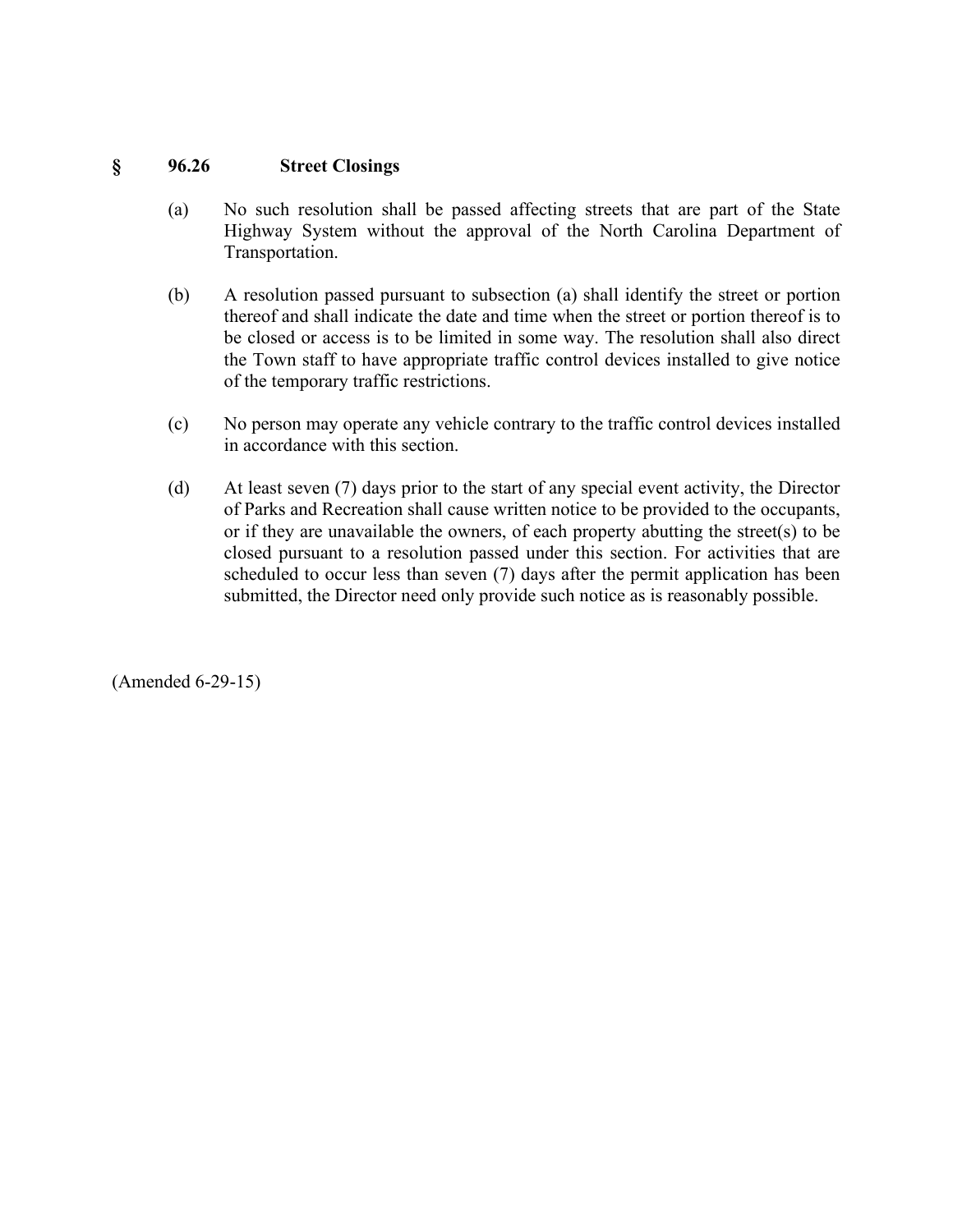#### **§ 96.26 Street Closings**

- (a) No such resolution shall be passed affecting streets that are part of the State Highway System without the approval of the North Carolina Department of Transportation.
- (b) A resolution passed pursuant to subsection (a) shall identify the street or portion thereof and shall indicate the date and time when the street or portion thereof is to be closed or access is to be limited in some way. The resolution shall also direct the Town staff to have appropriate traffic control devices installed to give notice of the temporary traffic restrictions.
- (c) No person may operate any vehicle contrary to the traffic control devices installed in accordance with this section.
- (d) At least seven (7) days prior to the start of any special event activity, the Director of Parks and Recreation shall cause written notice to be provided to the occupants, or if they are unavailable the owners, of each property abutting the street(s) to be closed pursuant to a resolution passed under this section. For activities that are scheduled to occur less than seven (7) days after the permit application has been submitted, the Director need only provide such notice as is reasonably possible.

(Amended 6-29-15)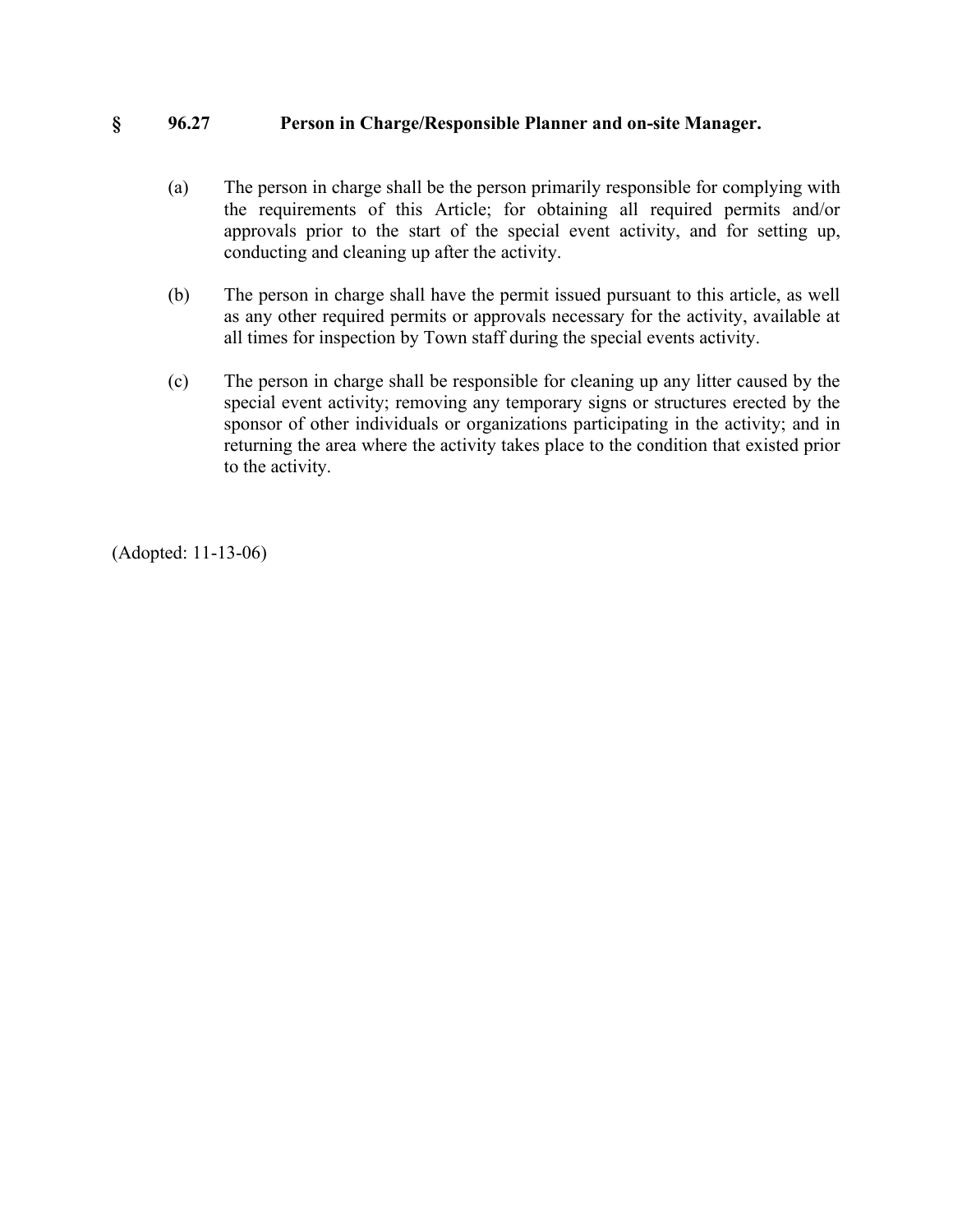### **§ 96.27 Person in Charge/Responsible Planner and on-site Manager.**

- (a) The person in charge shall be the person primarily responsible for complying with the requirements of this Article; for obtaining all required permits and/or approvals prior to the start of the special event activity, and for setting up, conducting and cleaning up after the activity.
- (b) The person in charge shall have the permit issued pursuant to this article, as well as any other required permits or approvals necessary for the activity, available at all times for inspection by Town staff during the special events activity.
- (c) The person in charge shall be responsible for cleaning up any litter caused by the special event activity; removing any temporary signs or structures erected by the sponsor of other individuals or organizations participating in the activity; and in returning the area where the activity takes place to the condition that existed prior to the activity.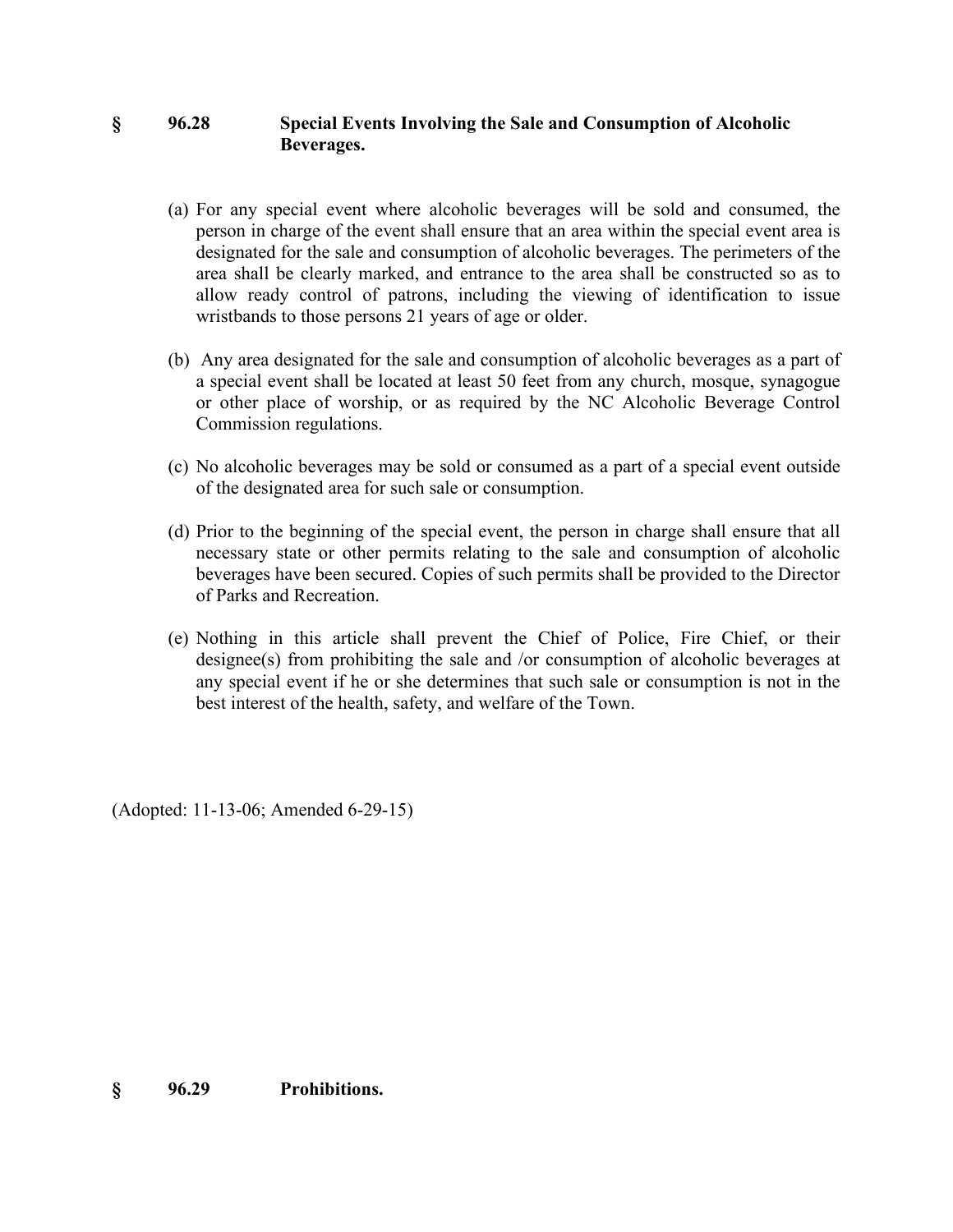#### **§ 96.28 Special Events Involving the Sale and Consumption of Alcoholic Beverages.**

- (a) For any special event where alcoholic beverages will be sold and consumed, the person in charge of the event shall ensure that an area within the special event area is designated for the sale and consumption of alcoholic beverages. The perimeters of the area shall be clearly marked, and entrance to the area shall be constructed so as to allow ready control of patrons, including the viewing of identification to issue wristbands to those persons 21 years of age or older.
- (b) Any area designated for the sale and consumption of alcoholic beverages as a part of a special event shall be located at least 50 feet from any church, mosque, synagogue or other place of worship, or as required by the NC Alcoholic Beverage Control Commission regulations.
- (c) No alcoholic beverages may be sold or consumed as a part of a special event outside of the designated area for such sale or consumption.
- (d) Prior to the beginning of the special event, the person in charge shall ensure that all necessary state or other permits relating to the sale and consumption of alcoholic beverages have been secured. Copies of such permits shall be provided to the Director of Parks and Recreation.
- (e) Nothing in this article shall prevent the Chief of Police, Fire Chief, or their designee(s) from prohibiting the sale and /or consumption of alcoholic beverages at any special event if he or she determines that such sale or consumption is not in the best interest of the health, safety, and welfare of the Town.

(Adopted: 11-13-06; Amended 6-29-15)

**§ 96.29 Prohibitions.**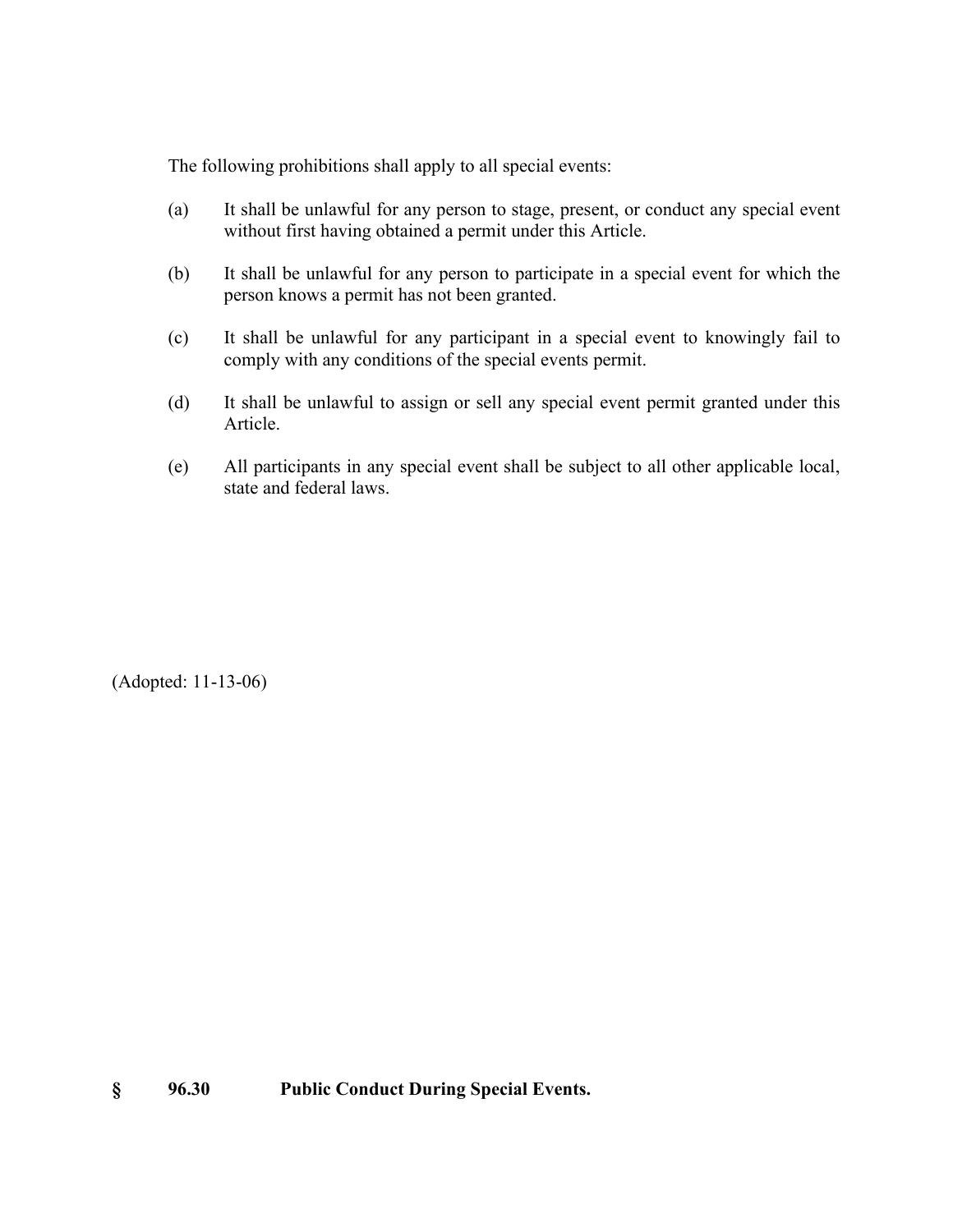The following prohibitions shall apply to all special events:

- (a) It shall be unlawful for any person to stage, present, or conduct any special event without first having obtained a permit under this Article.
- (b) It shall be unlawful for any person to participate in a special event for which the person knows a permit has not been granted.
- (c) It shall be unlawful for any participant in a special event to knowingly fail to comply with any conditions of the special events permit.
- (d) It shall be unlawful to assign or sell any special event permit granted under this Article.
- (e) All participants in any special event shall be subject to all other applicable local, state and federal laws.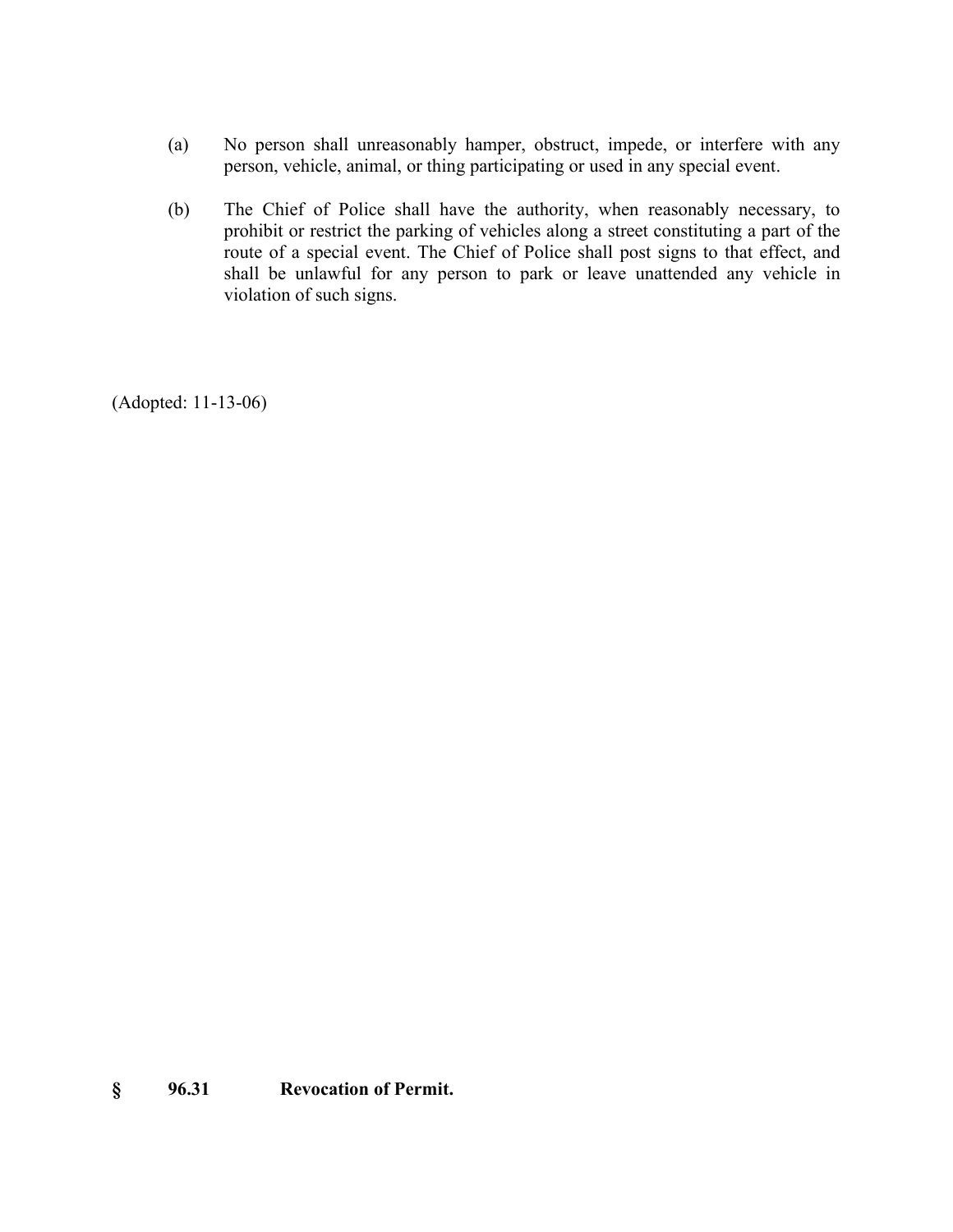- (a) No person shall unreasonably hamper, obstruct, impede, or interfere with any person, vehicle, animal, or thing participating or used in any special event.
- (b) The Chief of Police shall have the authority, when reasonably necessary, to prohibit or restrict the parking of vehicles along a street constituting a part of the route of a special event. The Chief of Police shall post signs to that effect, and shall be unlawful for any person to park or leave unattended any vehicle in violation of such signs.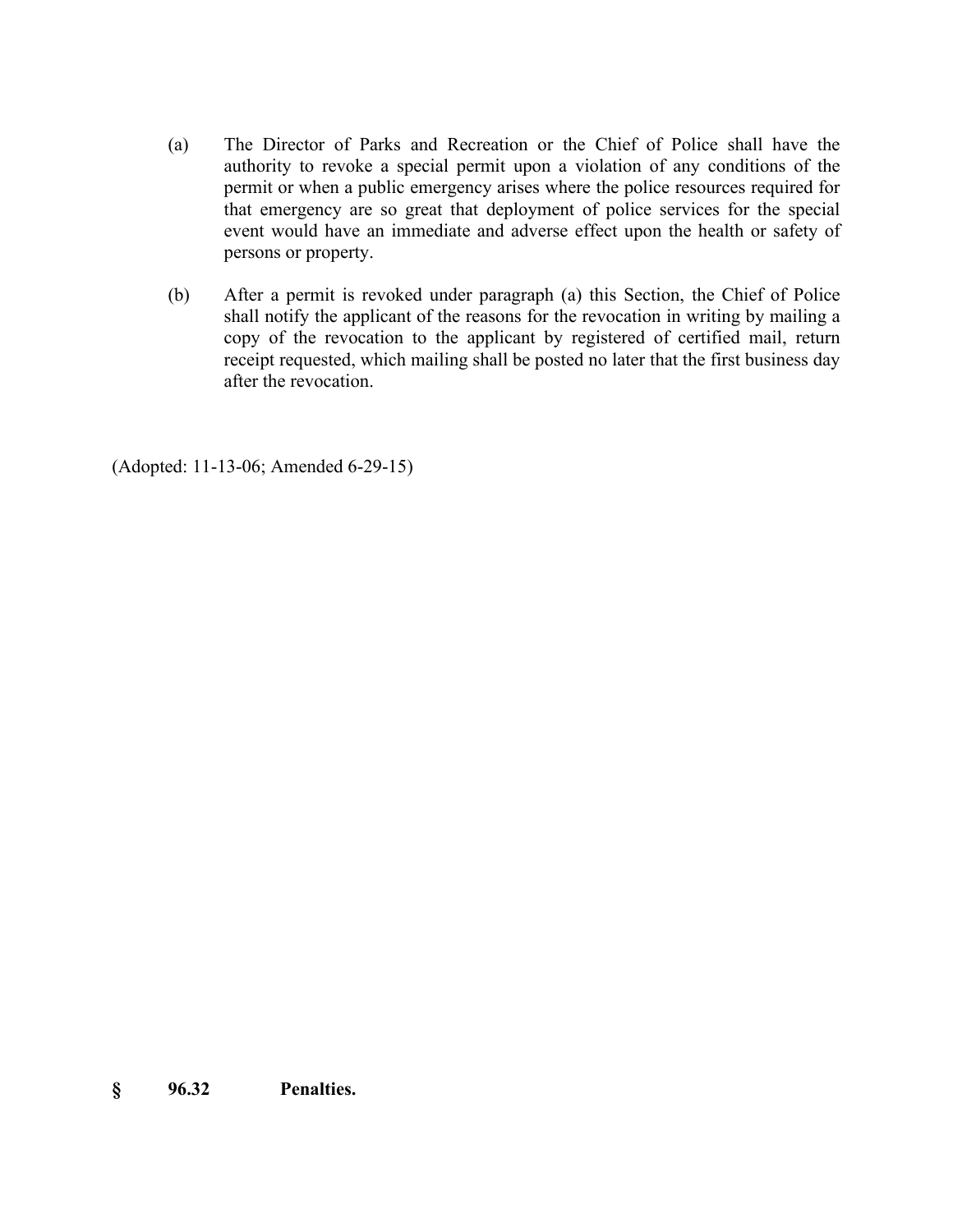- (a) The Director of Parks and Recreation or the Chief of Police shall have the authority to revoke a special permit upon a violation of any conditions of the permit or when a public emergency arises where the police resources required for that emergency are so great that deployment of police services for the special event would have an immediate and adverse effect upon the health or safety of persons or property.
- (b) After a permit is revoked under paragraph (a) this Section, the Chief of Police shall notify the applicant of the reasons for the revocation in writing by mailing a copy of the revocation to the applicant by registered of certified mail, return receipt requested, which mailing shall be posted no later that the first business day after the revocation.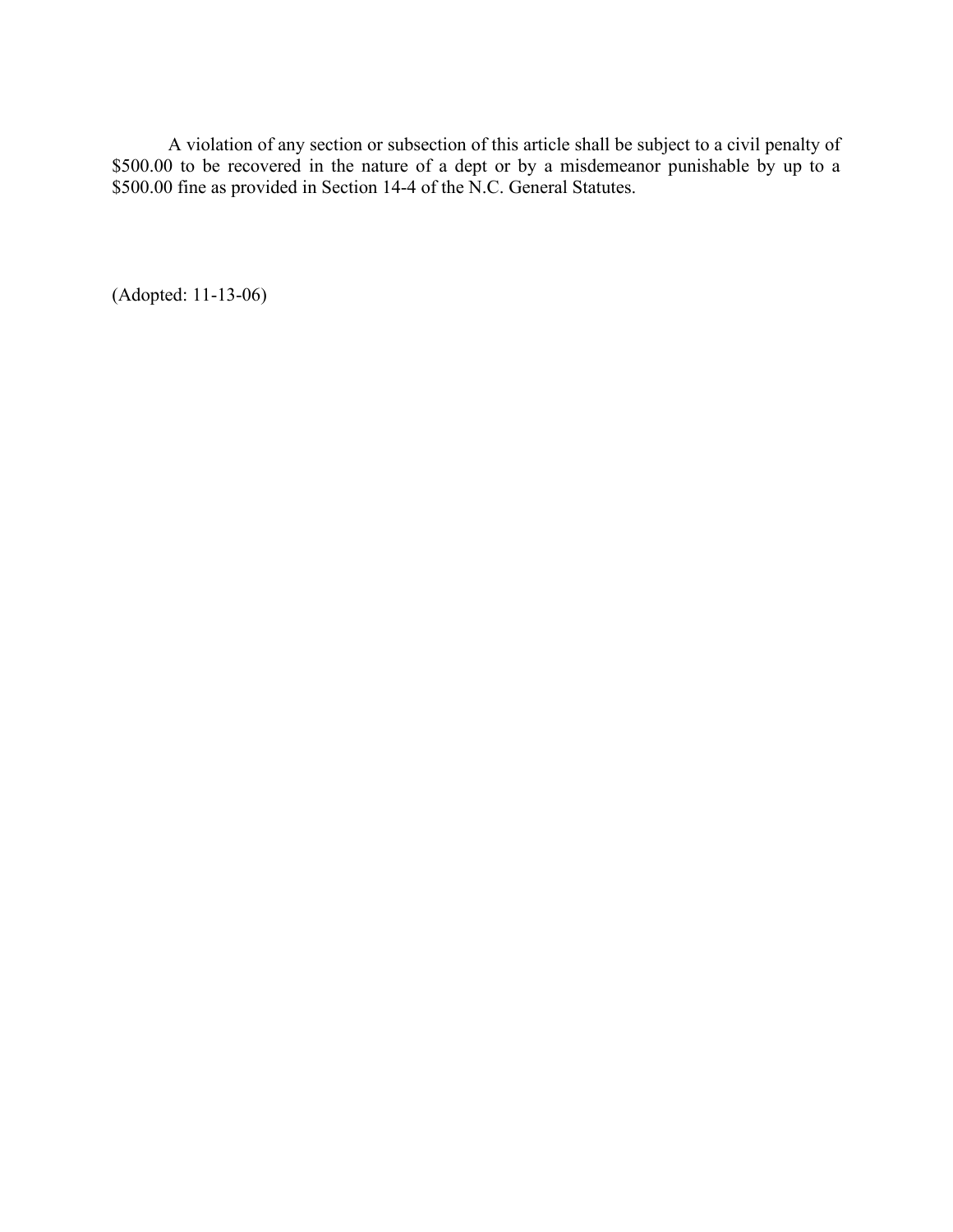A violation of any section or subsection of this article shall be subject to a civil penalty of \$500.00 to be recovered in the nature of a dept or by a misdemeanor punishable by up to a \$500.00 fine as provided in Section 14-4 of the N.C. General Statutes.

(Adopted: 11-13-06)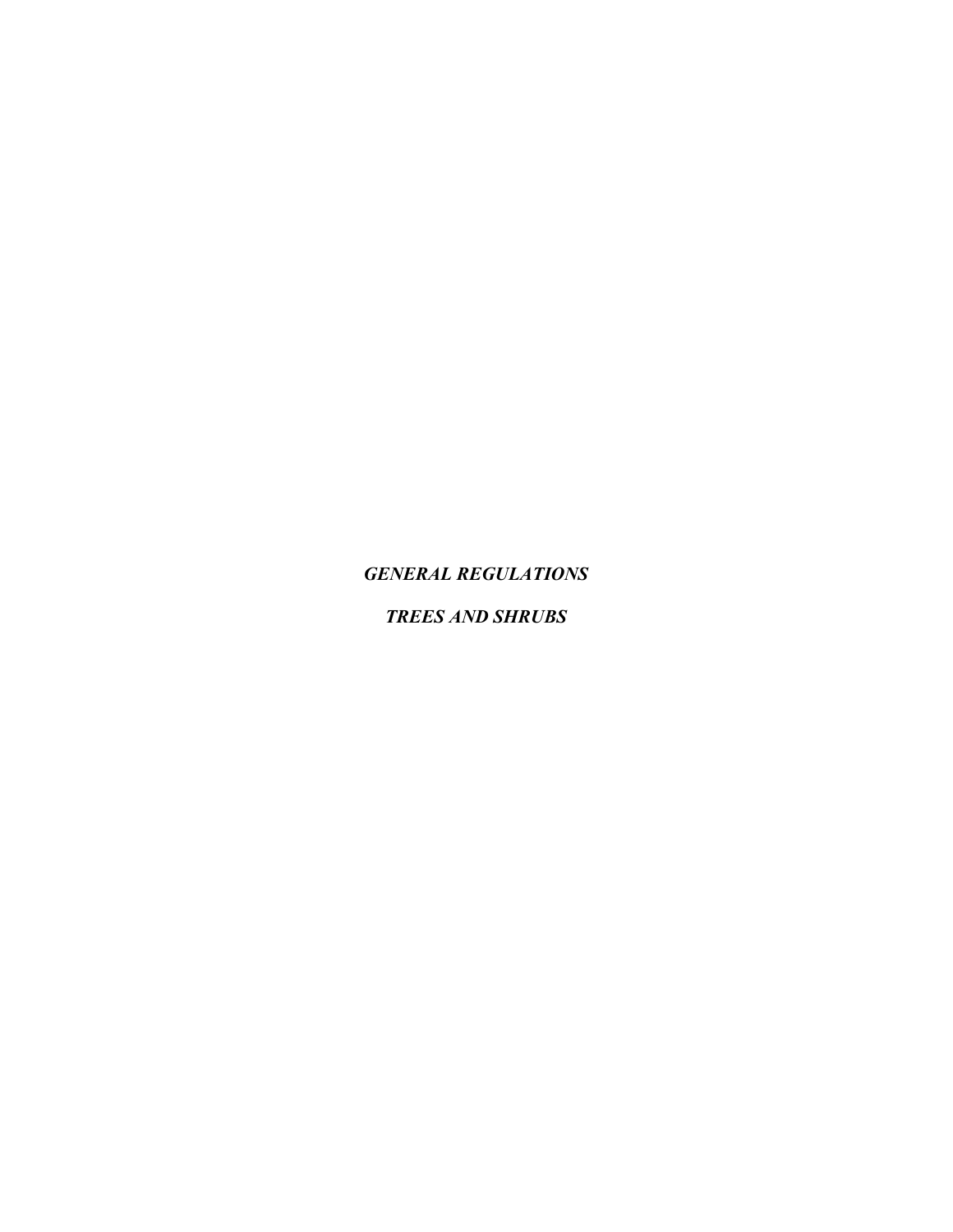*GENERAL REGULATIONS*

*TREES AND SHRUBS*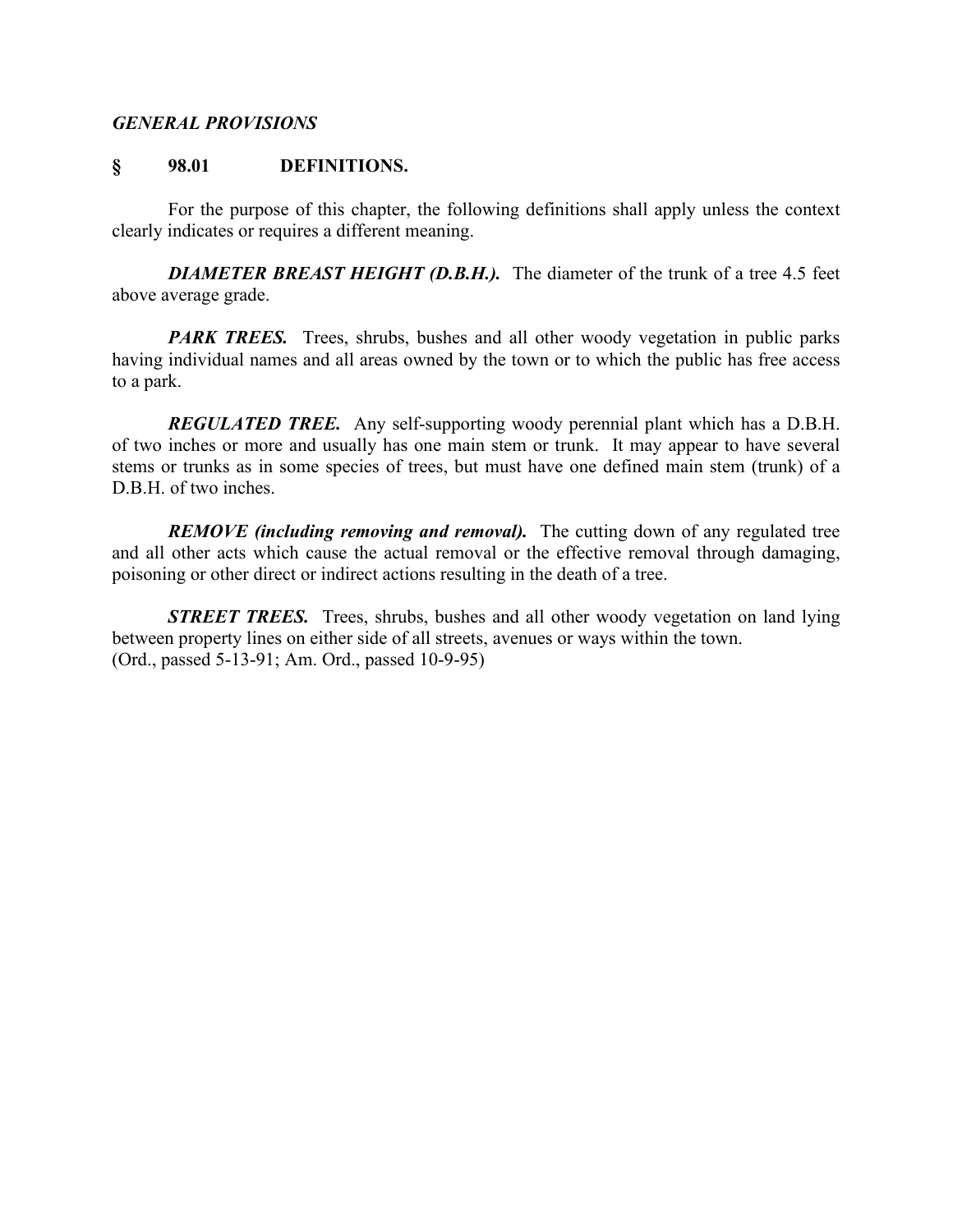#### *GENERAL PROVISIONS*

#### **§ 98.01 DEFINITIONS.**

For the purpose of this chapter, the following definitions shall apply unless the context clearly indicates or requires a different meaning.

*DIAMETER BREAST HEIGHT (D.B.H.).* The diameter of the trunk of a tree 4.5 feet above average grade.

*PARK TREES.* Trees, shrubs, bushes and all other woody vegetation in public parks having individual names and all areas owned by the town or to which the public has free access to a park.

*REGULATED TREE.* Any self-supporting woody perennial plant which has a D.B.H. of two inches or more and usually has one main stem or trunk. It may appear to have several stems or trunks as in some species of trees, but must have one defined main stem (trunk) of a D.B.H. of two inches.

*REMOVE (including removing and removal).* The cutting down of any regulated tree and all other acts which cause the actual removal or the effective removal through damaging, poisoning or other direct or indirect actions resulting in the death of a tree.

*STREET TREES.* Trees, shrubs, bushes and all other woody vegetation on land lying between property lines on either side of all streets, avenues or ways within the town. (Ord., passed 5-13-91; Am. Ord., passed 10-9-95)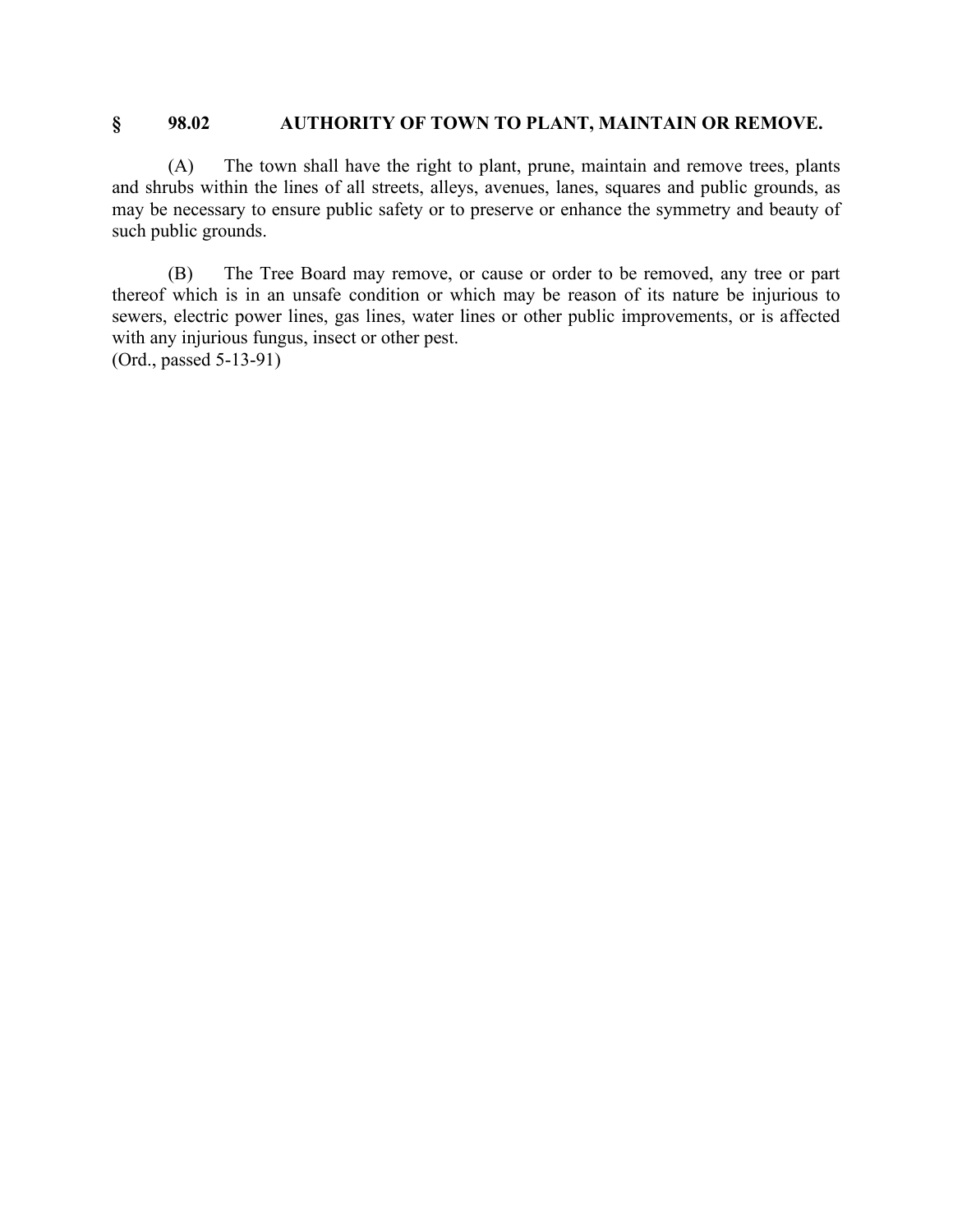#### **§ 98.02 AUTHORITY OF TOWN TO PLANT, MAINTAIN OR REMOVE.**

(A) The town shall have the right to plant, prune, maintain and remove trees, plants and shrubs within the lines of all streets, alleys, avenues, lanes, squares and public grounds, as may be necessary to ensure public safety or to preserve or enhance the symmetry and beauty of such public grounds.

(B) The Tree Board may remove, or cause or order to be removed, any tree or part thereof which is in an unsafe condition or which may be reason of its nature be injurious to sewers, electric power lines, gas lines, water lines or other public improvements, or is affected with any injurious fungus, insect or other pest. (Ord., passed 5-13-91)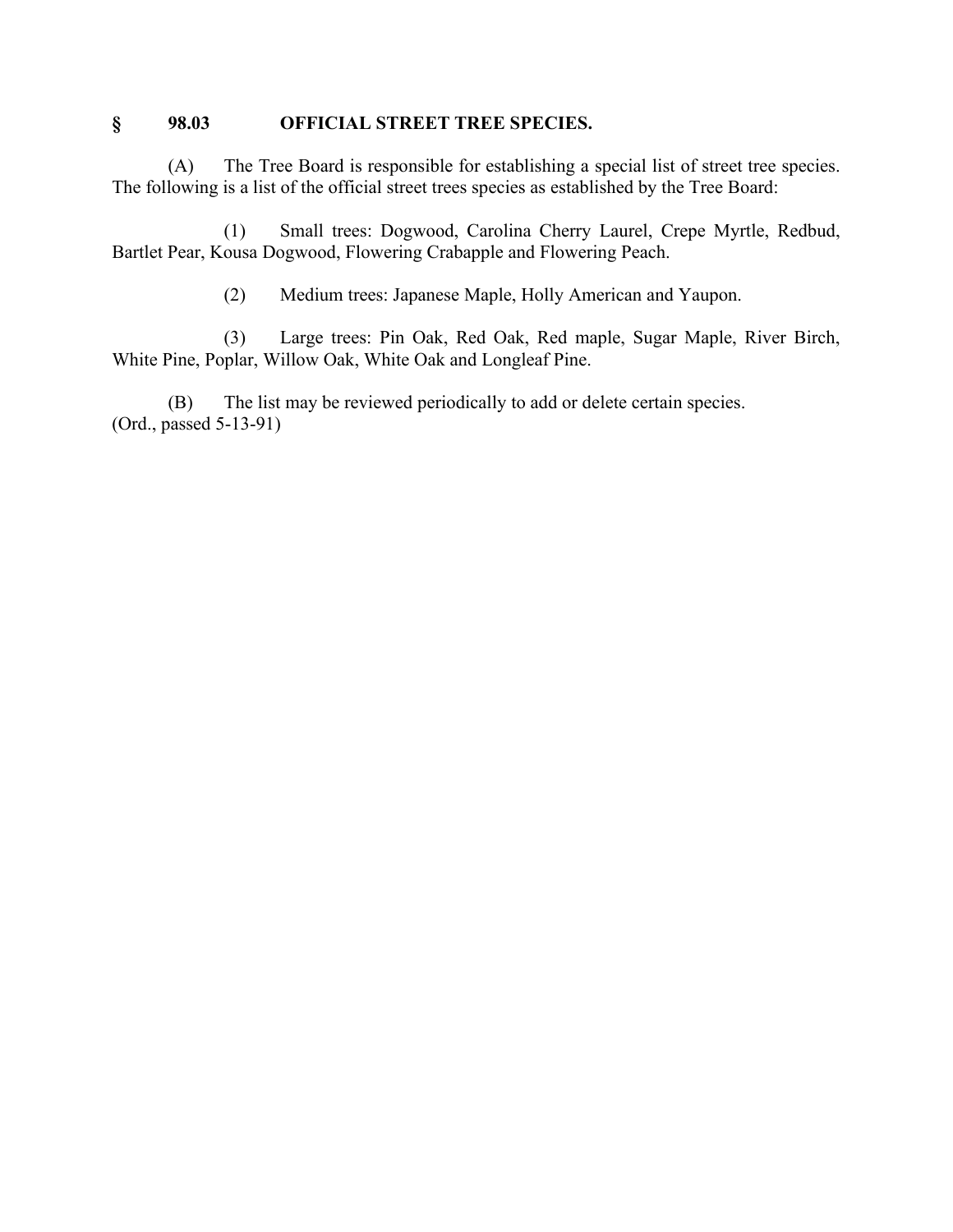### **§ 98.03 OFFICIAL STREET TREE SPECIES.**

(A) The Tree Board is responsible for establishing a special list of street tree species. The following is a list of the official street trees species as established by the Tree Board:

(1) Small trees: Dogwood, Carolina Cherry Laurel, Crepe Myrtle, Redbud, Bartlet Pear, Kousa Dogwood, Flowering Crabapple and Flowering Peach.

(2) Medium trees: Japanese Maple, Holly American and Yaupon.

(3) Large trees: Pin Oak, Red Oak, Red maple, Sugar Maple, River Birch, White Pine, Poplar, Willow Oak, White Oak and Longleaf Pine.

(B) The list may be reviewed periodically to add or delete certain species. (Ord., passed 5-13-91)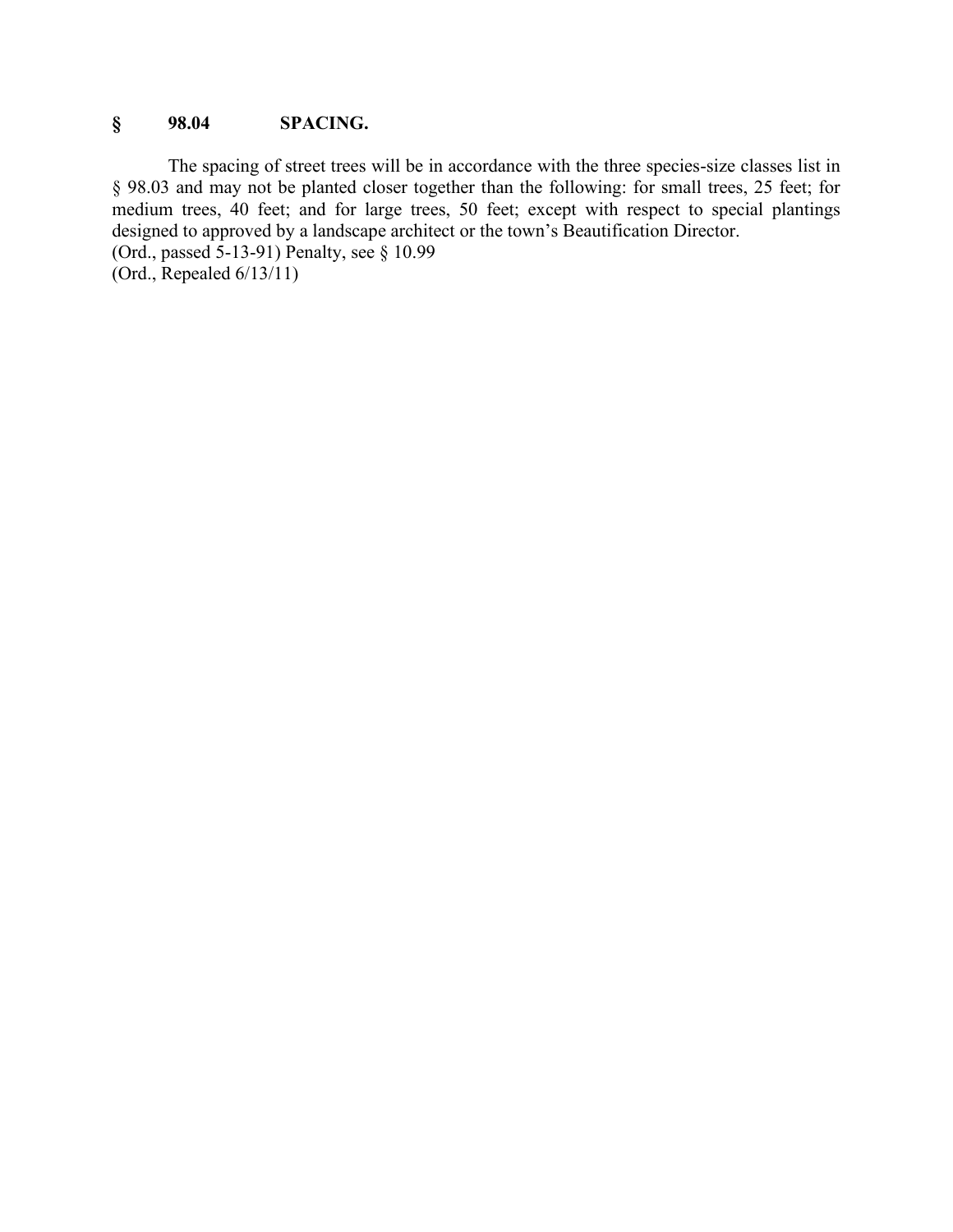## **§ 98.04 SPACING.**

The spacing of street trees will be in accordance with the three species-size classes list in § 98.03 and may not be planted closer together than the following: for small trees, 25 feet; for medium trees, 40 feet; and for large trees, 50 feet; except with respect to special plantings designed to approved by a landscape architect or the town's Beautification Director. (Ord., passed 5-13-91) Penalty, see § 10.99 (Ord., Repealed 6/13/11)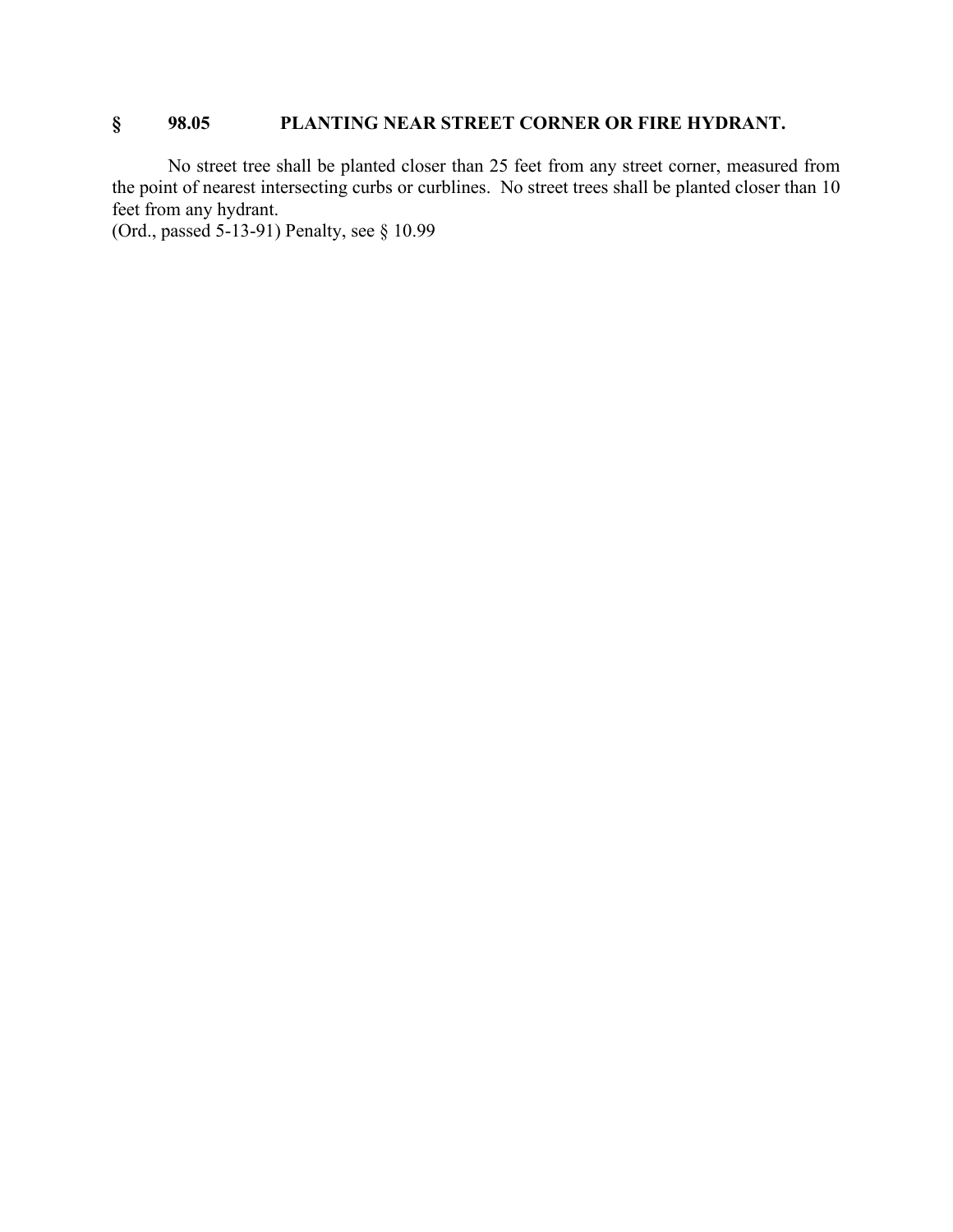## **§ 98.05 PLANTING NEAR STREET CORNER OR FIRE HYDRANT.**

No street tree shall be planted closer than 25 feet from any street corner, measured from the point of nearest intersecting curbs or curblines. No street trees shall be planted closer than 10 feet from any hydrant.

(Ord., passed 5-13-91) Penalty, see § 10.99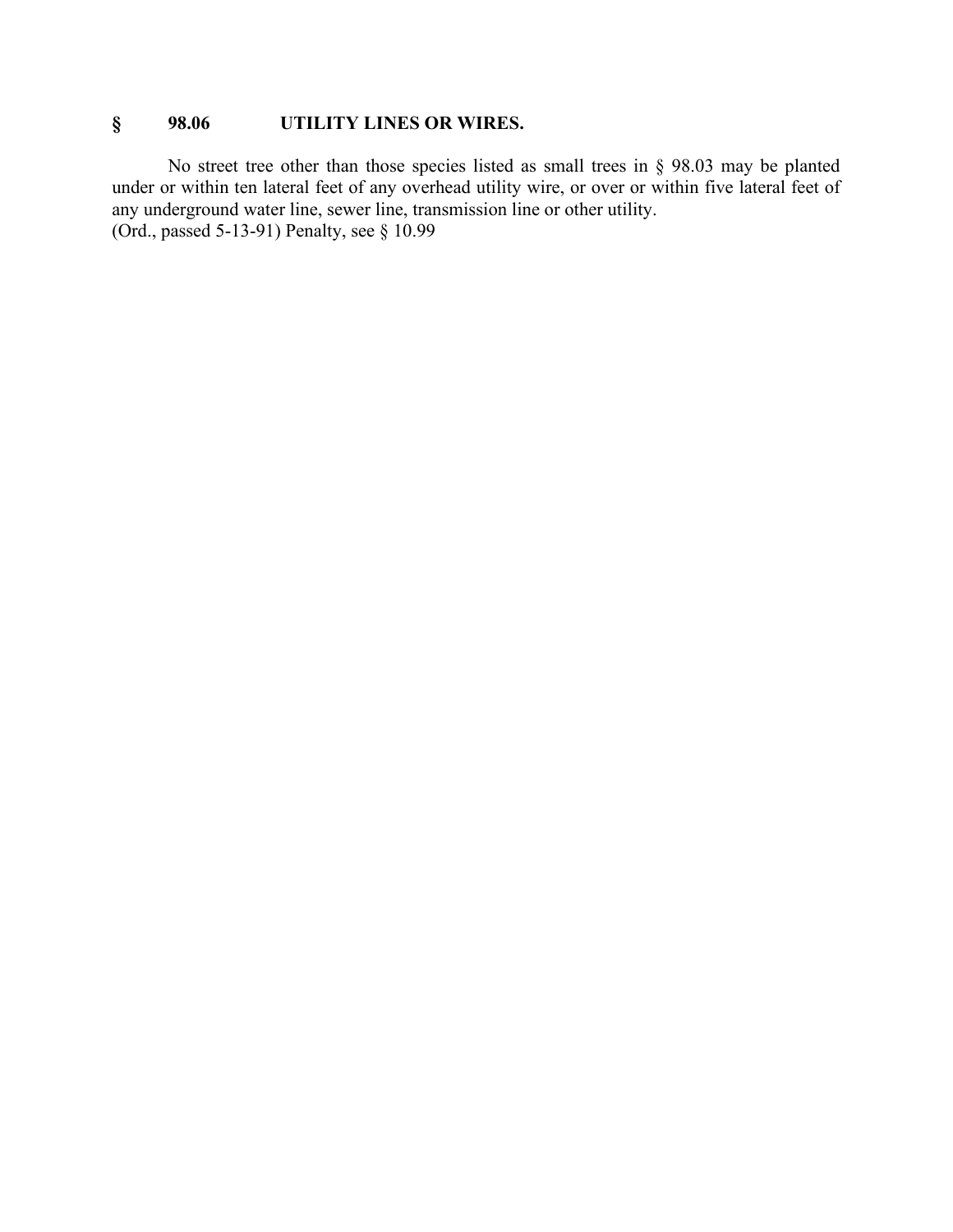## **§ 98.06 UTILITY LINES OR WIRES.**

No street tree other than those species listed as small trees in § 98.03 may be planted under or within ten lateral feet of any overhead utility wire, or over or within five lateral feet of any underground water line, sewer line, transmission line or other utility. (Ord., passed 5-13-91) Penalty, see § 10.99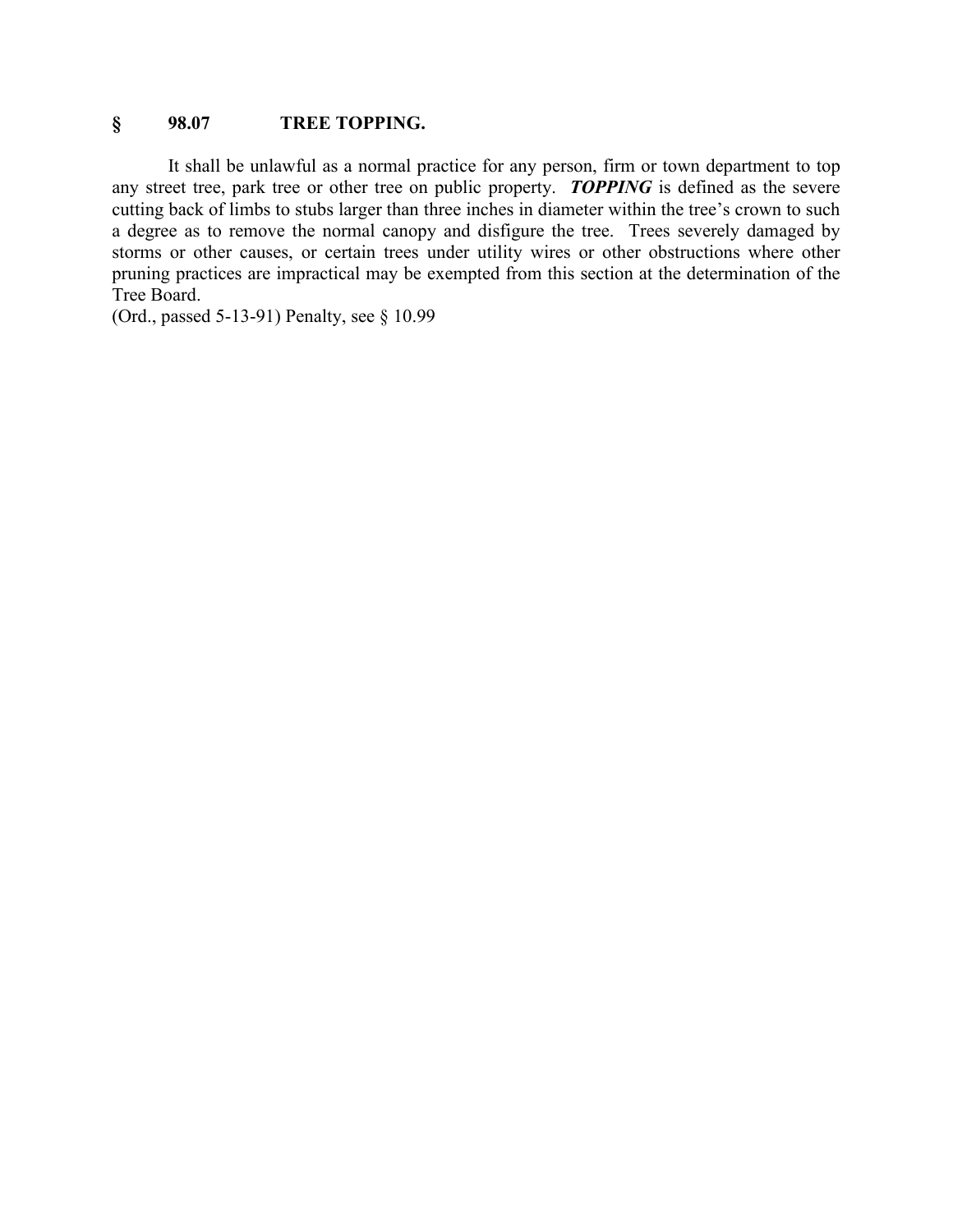### **§ 98.07 TREE TOPPING.**

It shall be unlawful as a normal practice for any person, firm or town department to top any street tree, park tree or other tree on public property. *TOPPING* is defined as the severe cutting back of limbs to stubs larger than three inches in diameter within the tree's crown to such a degree as to remove the normal canopy and disfigure the tree. Trees severely damaged by storms or other causes, or certain trees under utility wires or other obstructions where other pruning practices are impractical may be exempted from this section at the determination of the Tree Board.

(Ord., passed 5-13-91) Penalty, see § 10.99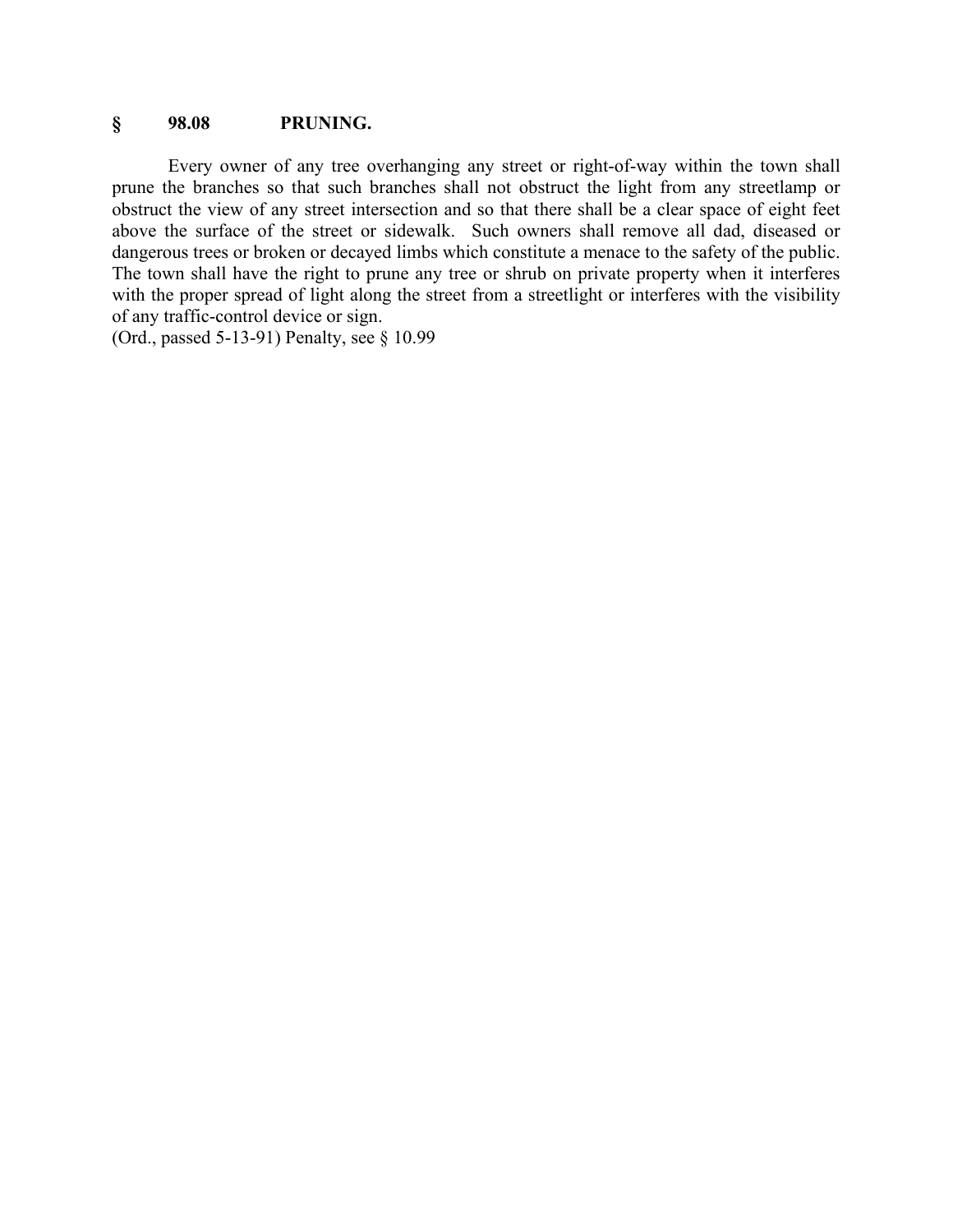### **§ 98.08 PRUNING.**

Every owner of any tree overhanging any street or right-of-way within the town shall prune the branches so that such branches shall not obstruct the light from any streetlamp or obstruct the view of any street intersection and so that there shall be a clear space of eight feet above the surface of the street or sidewalk. Such owners shall remove all dad, diseased or dangerous trees or broken or decayed limbs which constitute a menace to the safety of the public. The town shall have the right to prune any tree or shrub on private property when it interferes with the proper spread of light along the street from a streetlight or interferes with the visibility of any traffic-control device or sign.

(Ord., passed 5-13-91) Penalty, see § 10.99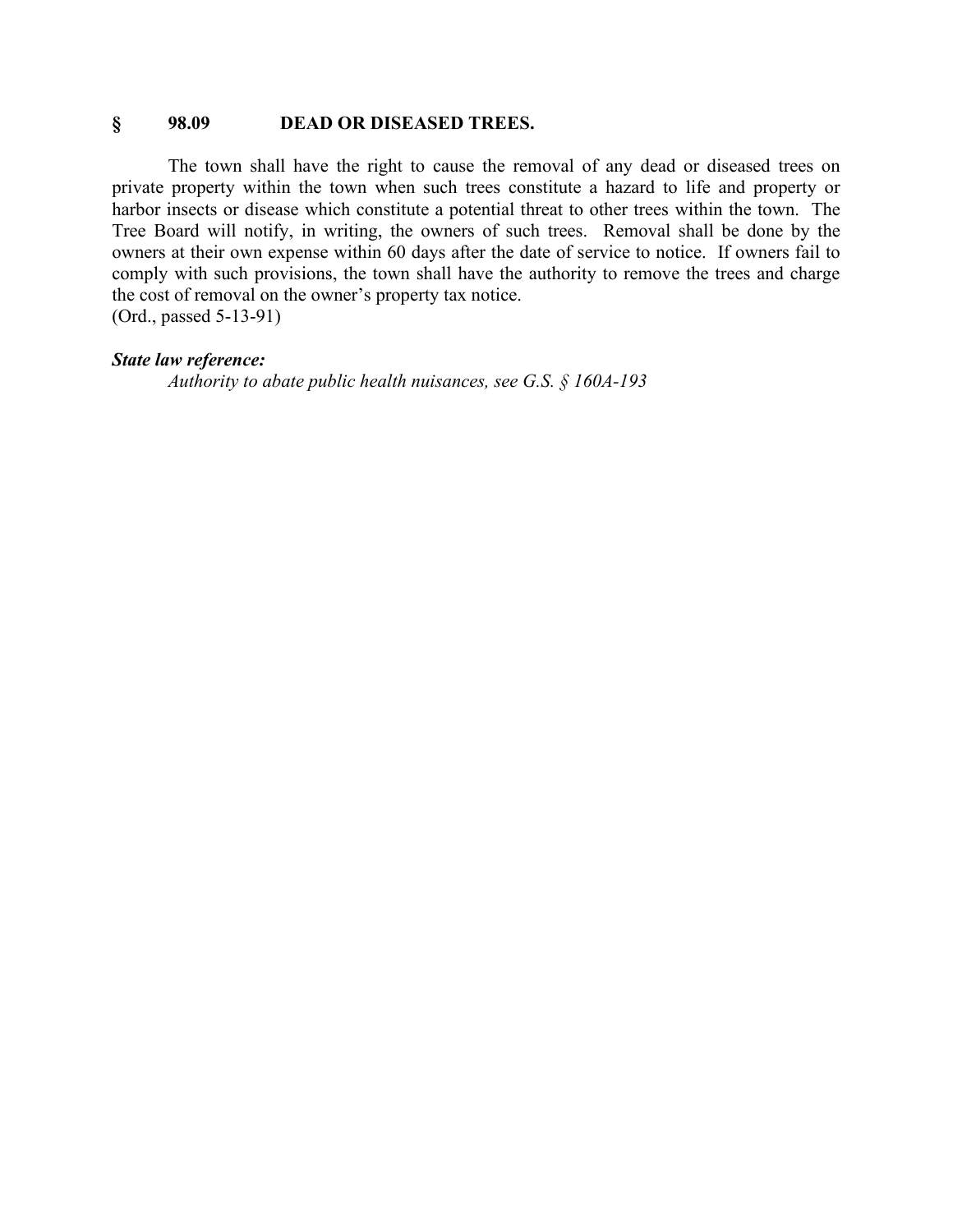#### **§ 98.09 DEAD OR DISEASED TREES.**

The town shall have the right to cause the removal of any dead or diseased trees on private property within the town when such trees constitute a hazard to life and property or harbor insects or disease which constitute a potential threat to other trees within the town. The Tree Board will notify, in writing, the owners of such trees. Removal shall be done by the owners at their own expense within 60 days after the date of service to notice. If owners fail to comply with such provisions, the town shall have the authority to remove the trees and charge the cost of removal on the owner's property tax notice. (Ord., passed 5-13-91)

#### *State law reference:*

*Authority to abate public health nuisances, see G.S. § 160A-193*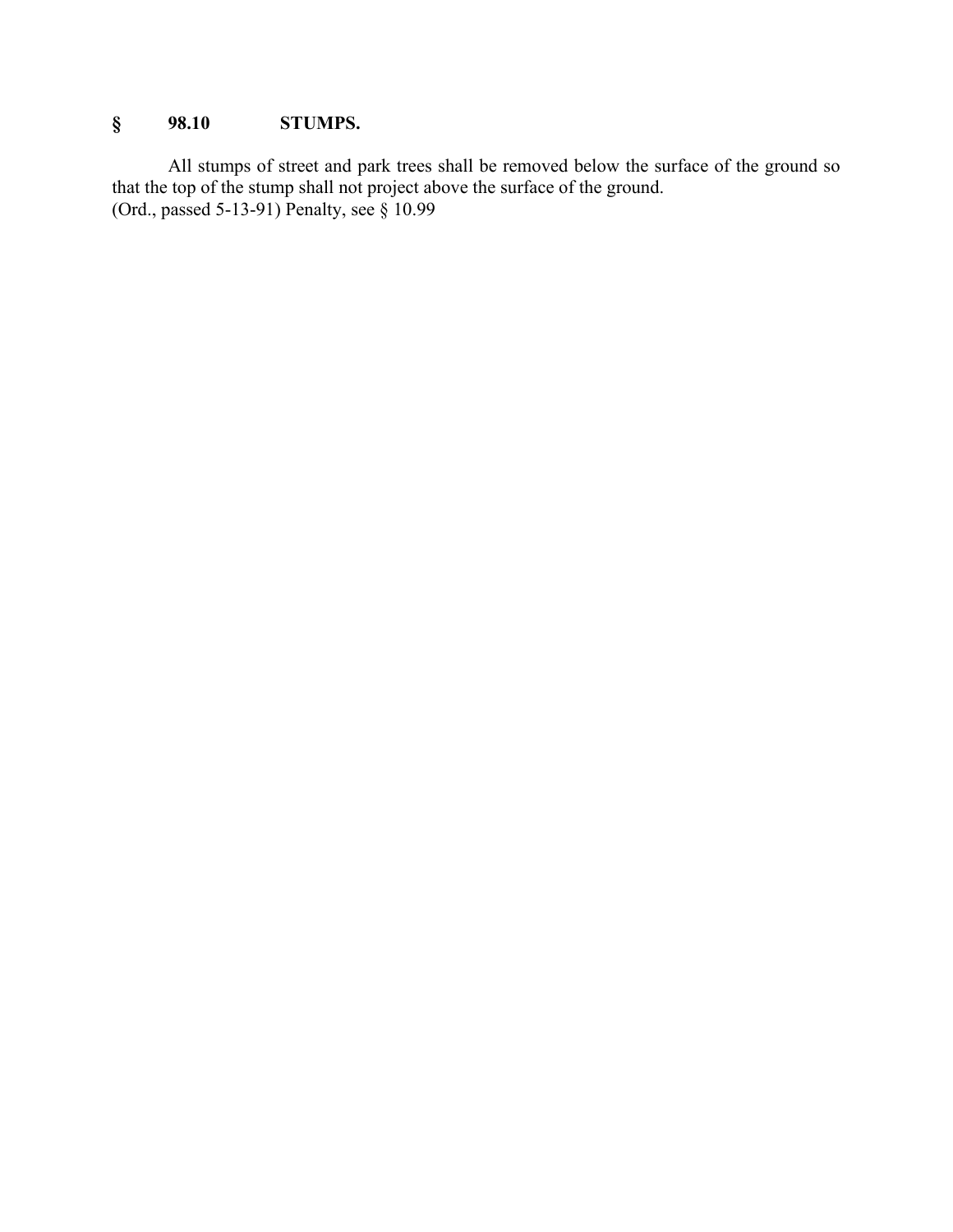## **§ 98.10 STUMPS.**

All stumps of street and park trees shall be removed below the surface of the ground so that the top of the stump shall not project above the surface of the ground. (Ord., passed 5-13-91) Penalty, see § 10.99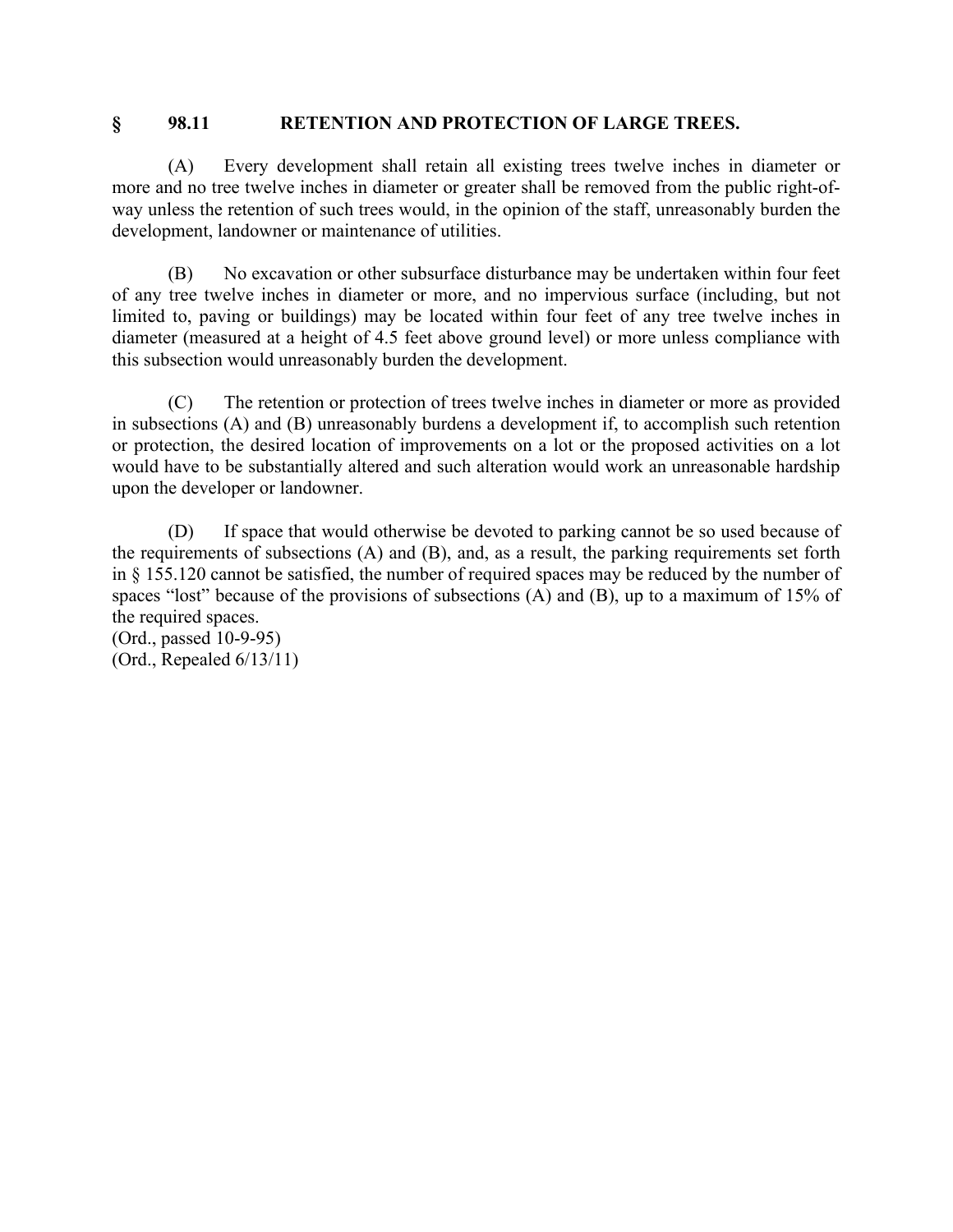#### **§ 98.11 RETENTION AND PROTECTION OF LARGE TREES.**

(A) Every development shall retain all existing trees twelve inches in diameter or more and no tree twelve inches in diameter or greater shall be removed from the public right-ofway unless the retention of such trees would, in the opinion of the staff, unreasonably burden the development, landowner or maintenance of utilities.

(B) No excavation or other subsurface disturbance may be undertaken within four feet of any tree twelve inches in diameter or more, and no impervious surface (including, but not limited to, paving or buildings) may be located within four feet of any tree twelve inches in diameter (measured at a height of 4.5 feet above ground level) or more unless compliance with this subsection would unreasonably burden the development.

(C) The retention or protection of trees twelve inches in diameter or more as provided in subsections (A) and (B) unreasonably burdens a development if, to accomplish such retention or protection, the desired location of improvements on a lot or the proposed activities on a lot would have to be substantially altered and such alteration would work an unreasonable hardship upon the developer or landowner.

(D) If space that would otherwise be devoted to parking cannot be so used because of the requirements of subsections (A) and (B), and, as a result, the parking requirements set forth in § 155.120 cannot be satisfied, the number of required spaces may be reduced by the number of spaces "lost" because of the provisions of subsections (A) and (B), up to a maximum of 15% of the required spaces.

(Ord., passed 10-9-95) (Ord., Repealed 6/13/11)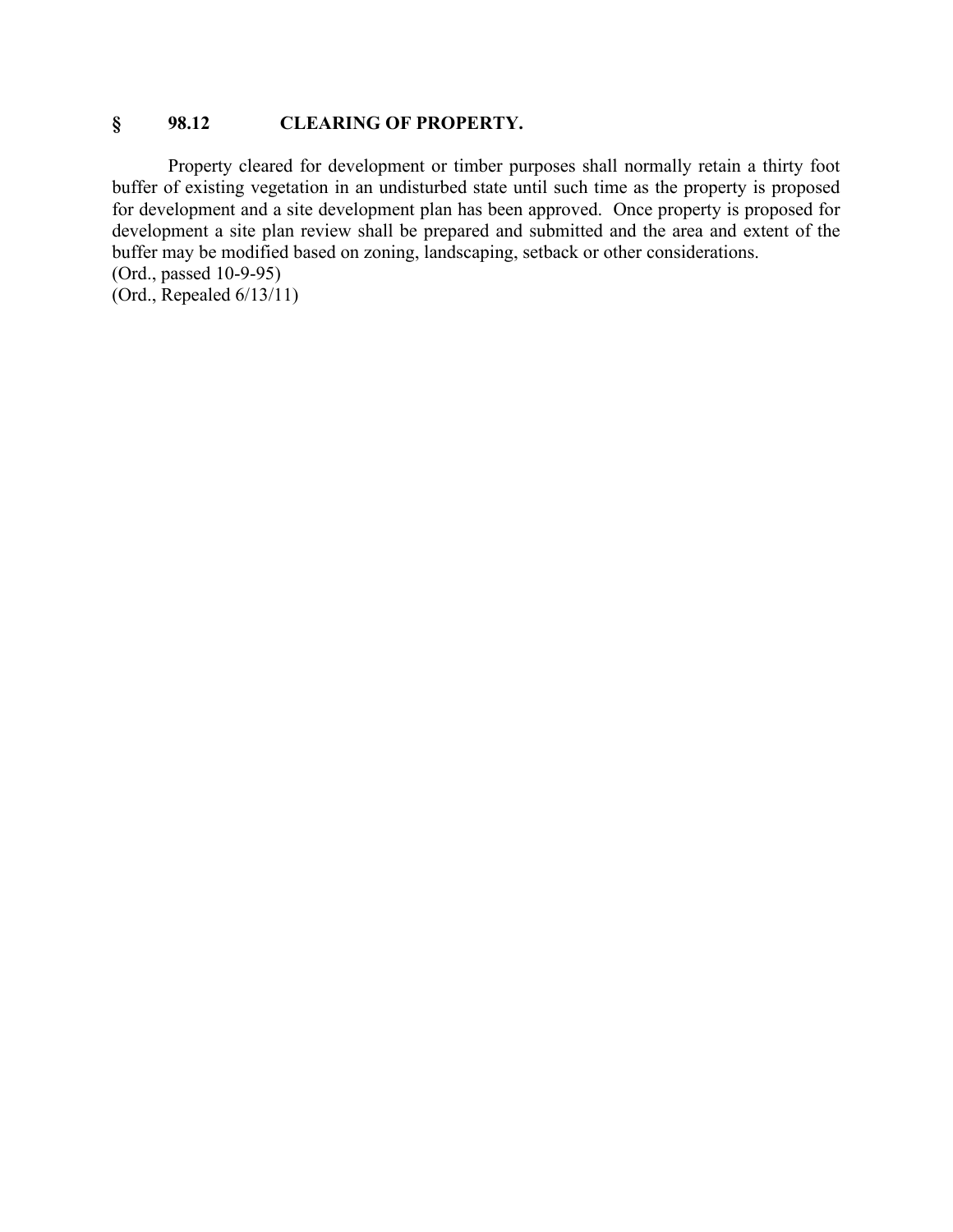#### **§ 98.12 CLEARING OF PROPERTY.**

Property cleared for development or timber purposes shall normally retain a thirty foot buffer of existing vegetation in an undisturbed state until such time as the property is proposed for development and a site development plan has been approved. Once property is proposed for development a site plan review shall be prepared and submitted and the area and extent of the buffer may be modified based on zoning, landscaping, setback or other considerations. (Ord., passed 10-9-95)

(Ord., Repealed 6/13/11)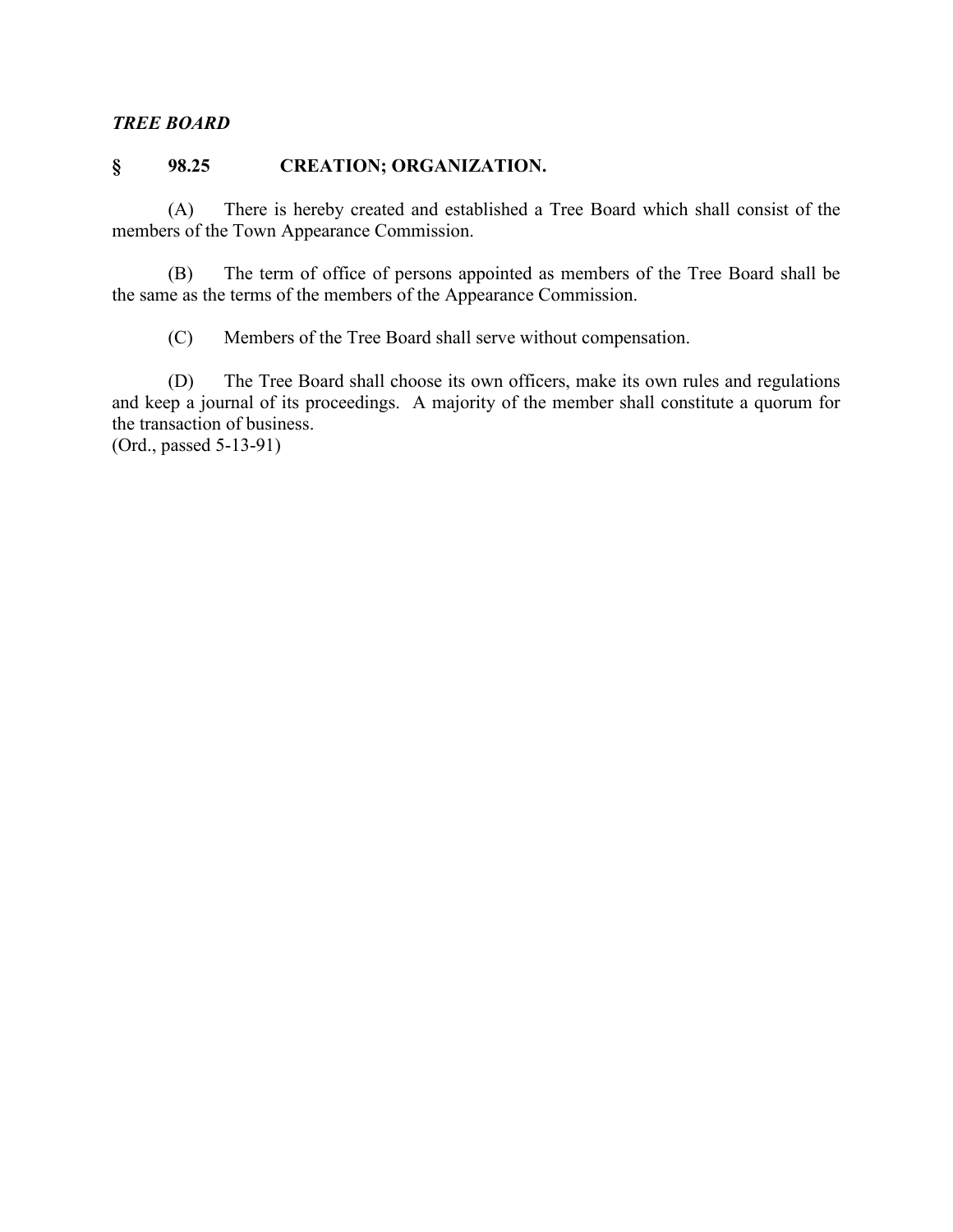#### *TREE BOARD*

### **§ 98.25 CREATION; ORGANIZATION.**

(A) There is hereby created and established a Tree Board which shall consist of the members of the Town Appearance Commission.

(B) The term of office of persons appointed as members of the Tree Board shall be the same as the terms of the members of the Appearance Commission.

(C) Members of the Tree Board shall serve without compensation.

(D) The Tree Board shall choose its own officers, make its own rules and regulations and keep a journal of its proceedings. A majority of the member shall constitute a quorum for the transaction of business.

(Ord., passed 5-13-91)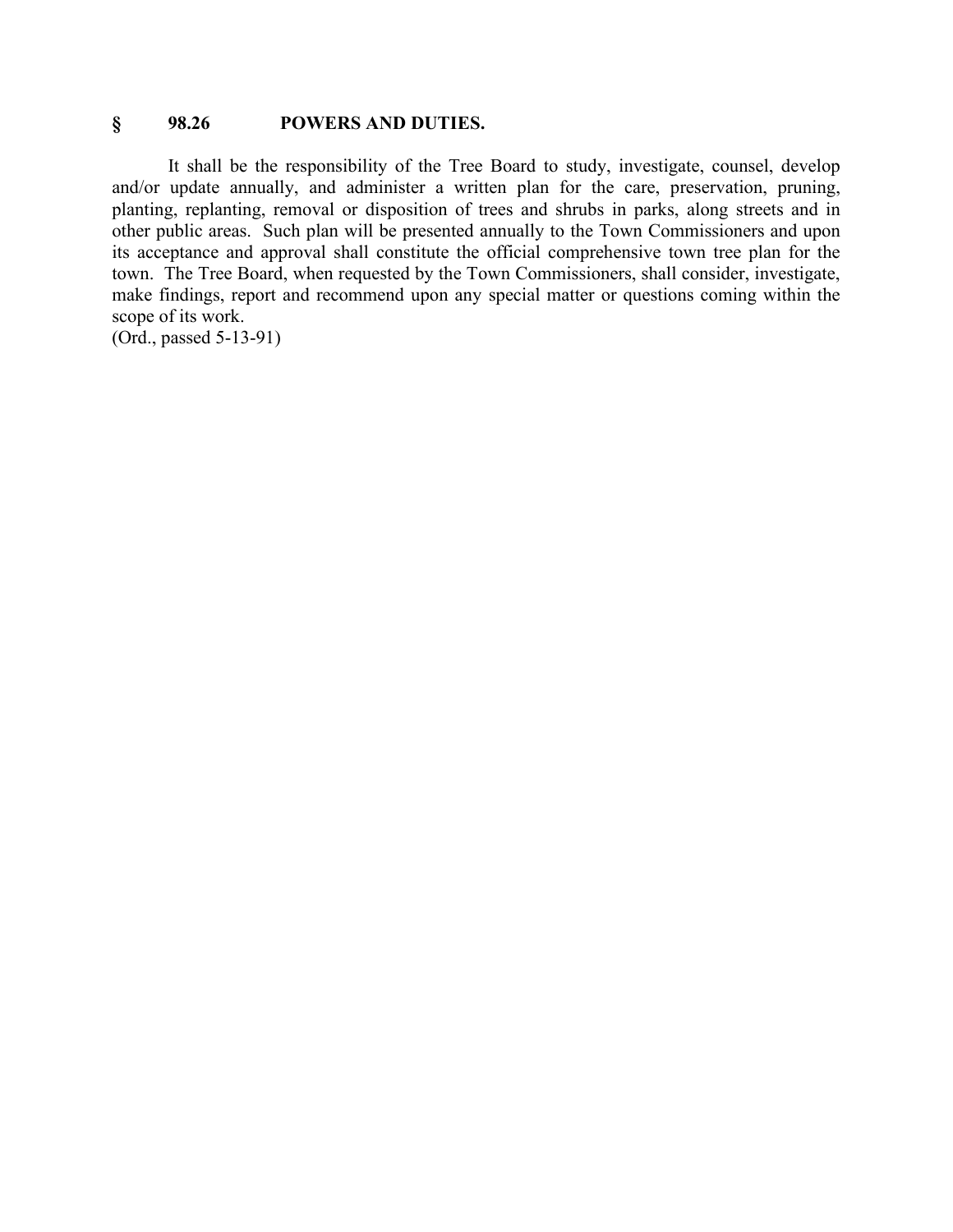#### **§ 98.26 POWERS AND DUTIES.**

It shall be the responsibility of the Tree Board to study, investigate, counsel, develop and/or update annually, and administer a written plan for the care, preservation, pruning, planting, replanting, removal or disposition of trees and shrubs in parks, along streets and in other public areas. Such plan will be presented annually to the Town Commissioners and upon its acceptance and approval shall constitute the official comprehensive town tree plan for the town. The Tree Board, when requested by the Town Commissioners, shall consider, investigate, make findings, report and recommend upon any special matter or questions coming within the scope of its work.

(Ord., passed 5-13-91)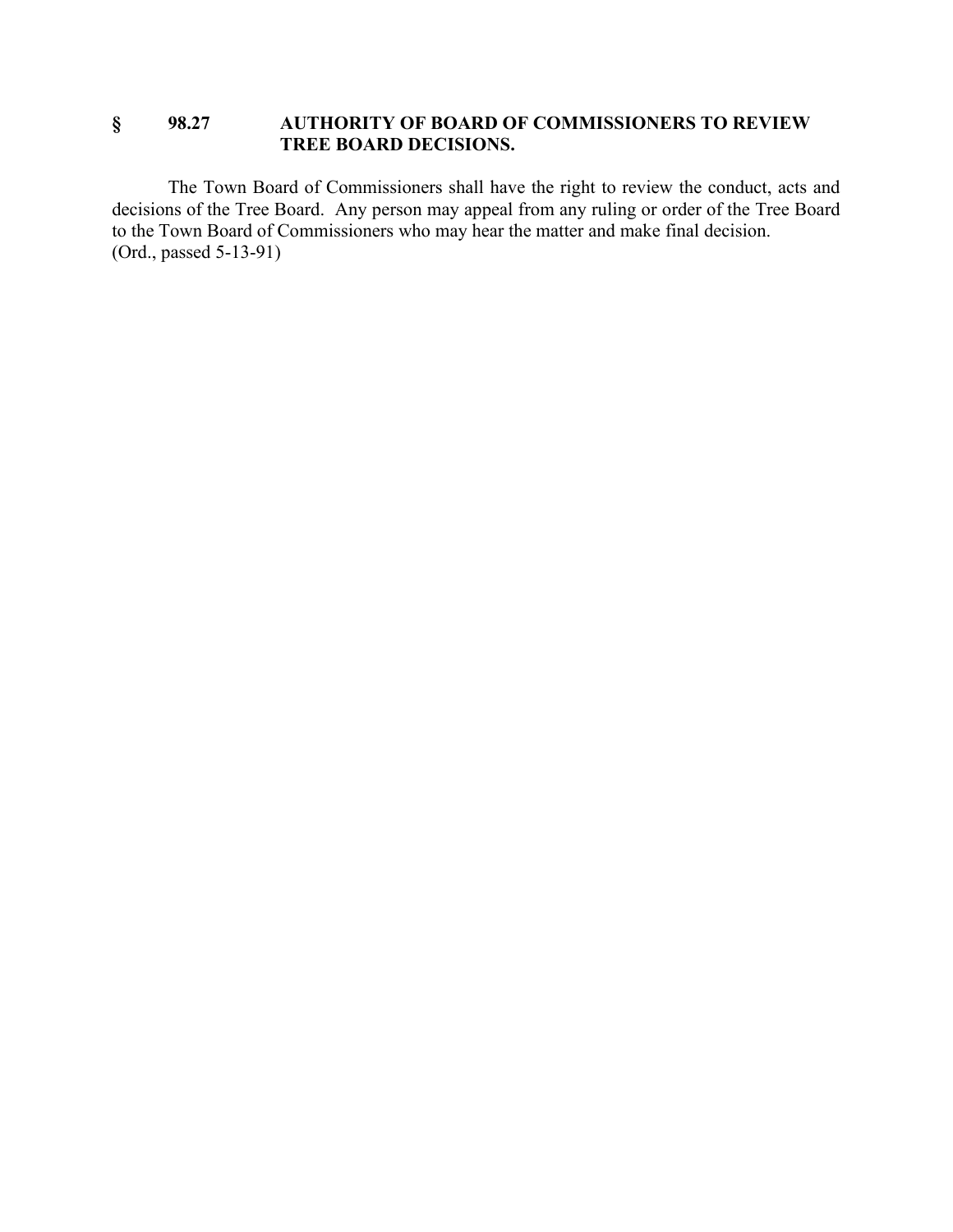### **§ 98.27 AUTHORITY OF BOARD OF COMMISSIONERS TO REVIEW TREE BOARD DECISIONS.**

The Town Board of Commissioners shall have the right to review the conduct, acts and decisions of the Tree Board. Any person may appeal from any ruling or order of the Tree Board to the Town Board of Commissioners who may hear the matter and make final decision. (Ord., passed 5-13-91)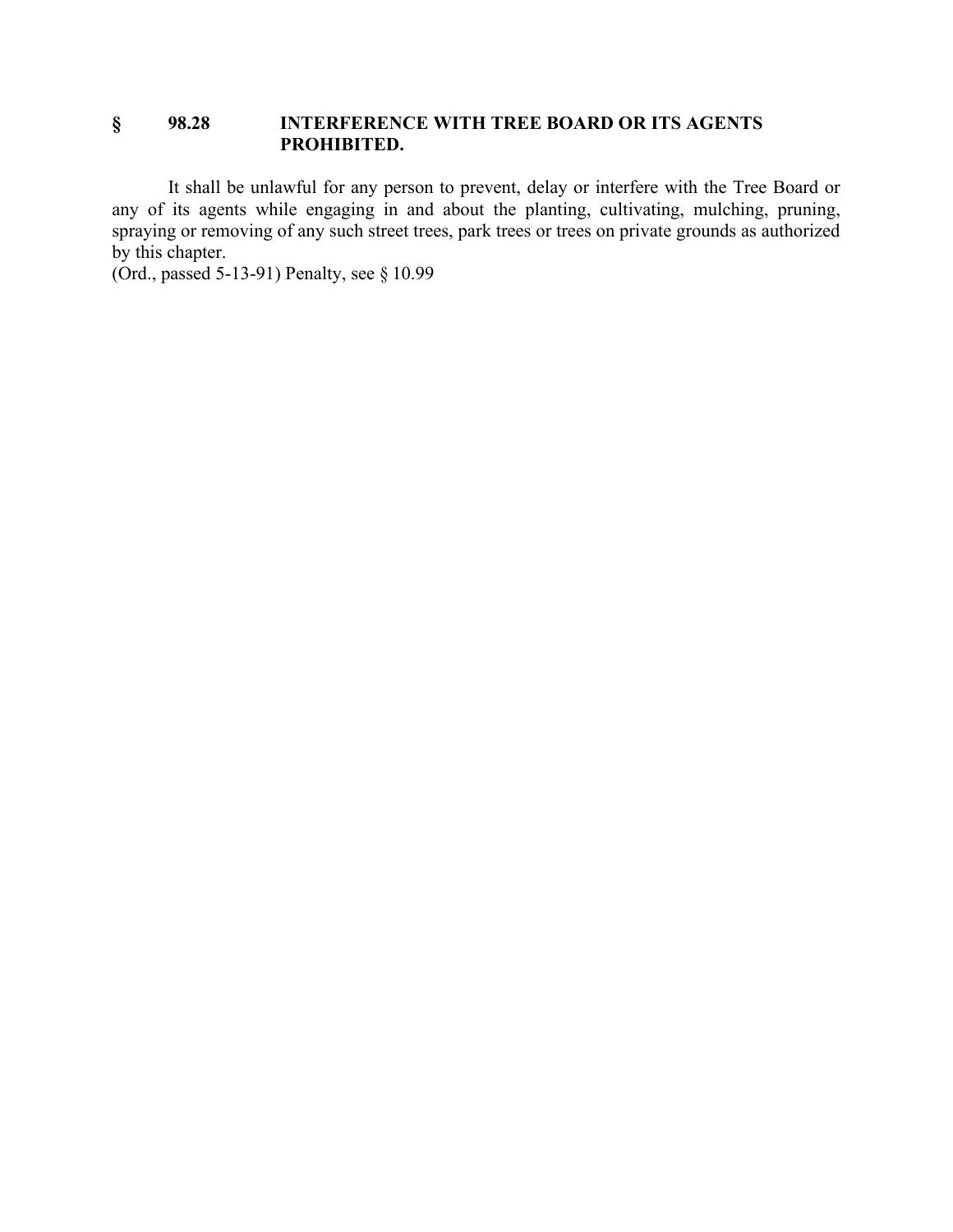### **§ 98.28 INTERFERENCE WITH TREE BOARD OR ITS AGENTS PROHIBITED.**

It shall be unlawful for any person to prevent, delay or interfere with the Tree Board or any of its agents while engaging in and about the planting, cultivating, mulching, pruning, spraying or removing of any such street trees, park trees or trees on private grounds as authorized by this chapter.

(Ord., passed 5-13-91) Penalty, see § 10.99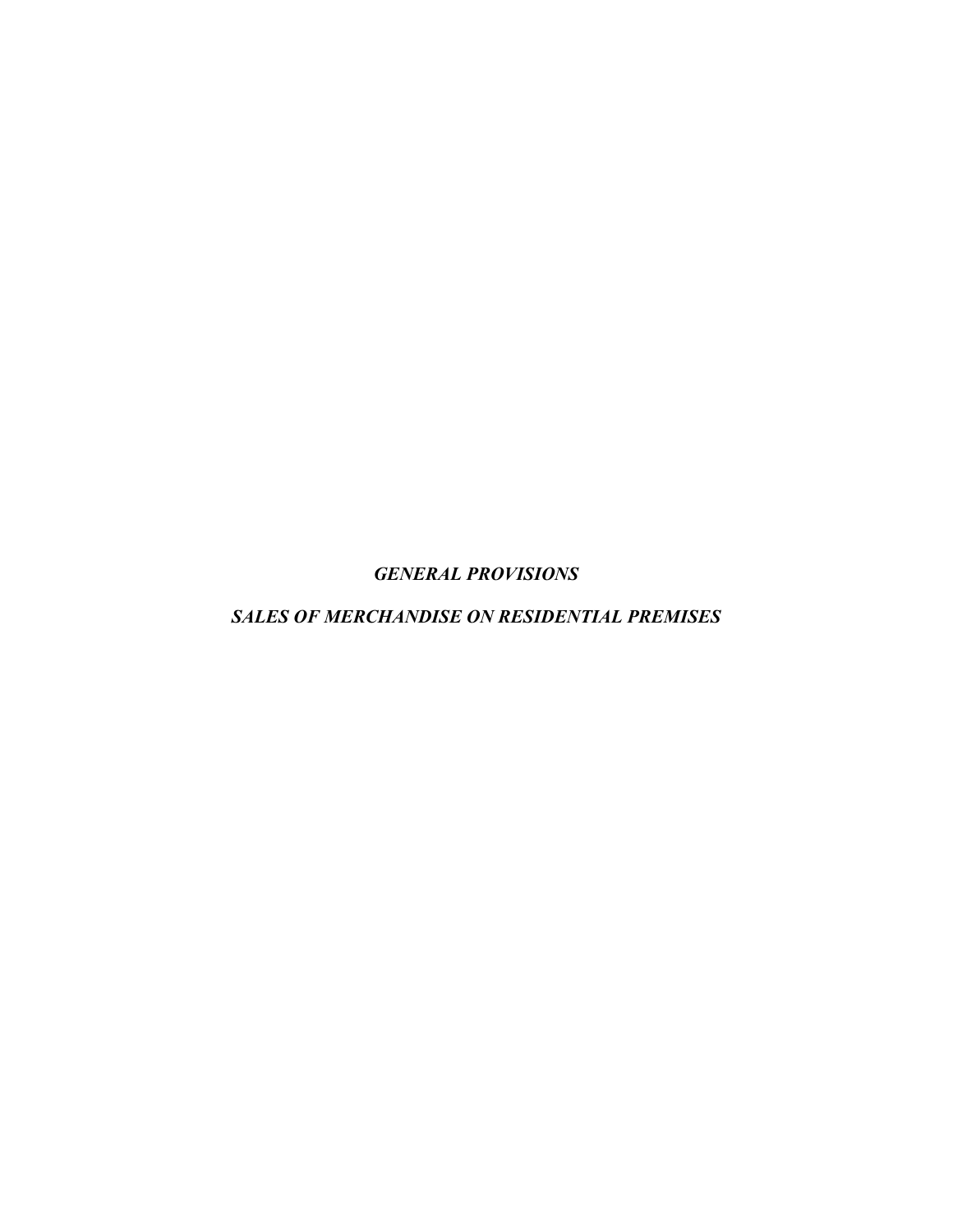*GENERAL PROVISIONS*

*SALES OF MERCHANDISE ON RESIDENTIAL PREMISES*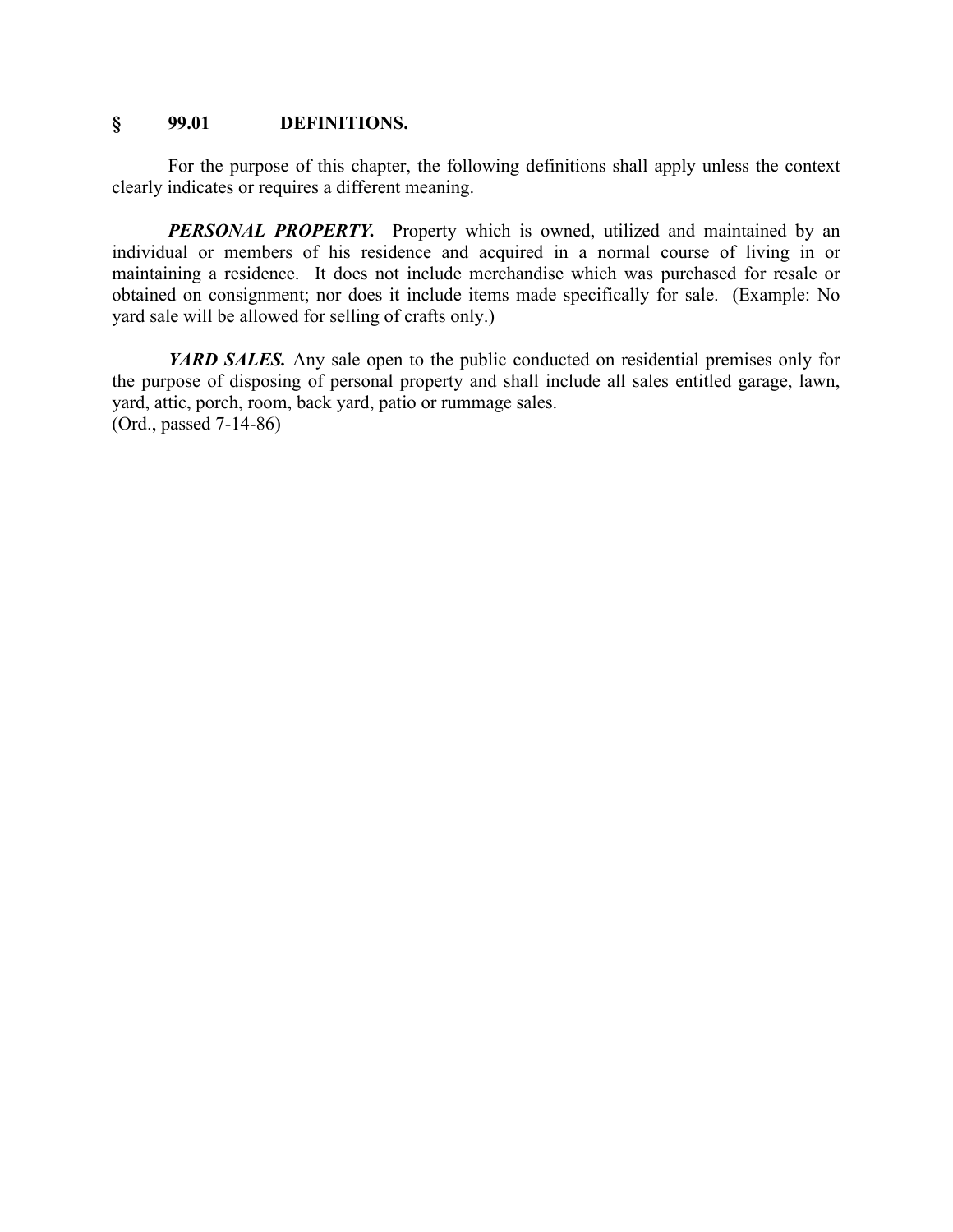### **§ 99.01 DEFINITIONS.**

For the purpose of this chapter, the following definitions shall apply unless the context clearly indicates or requires a different meaning.

**PERSONAL PROPERTY.** Property which is owned, utilized and maintained by an individual or members of his residence and acquired in a normal course of living in or maintaining a residence. It does not include merchandise which was purchased for resale or obtained on consignment; nor does it include items made specifically for sale. (Example: No yard sale will be allowed for selling of crafts only.)

*YARD SALES.* Any sale open to the public conducted on residential premises only for the purpose of disposing of personal property and shall include all sales entitled garage, lawn, yard, attic, porch, room, back yard, patio or rummage sales. (Ord., passed 7-14-86)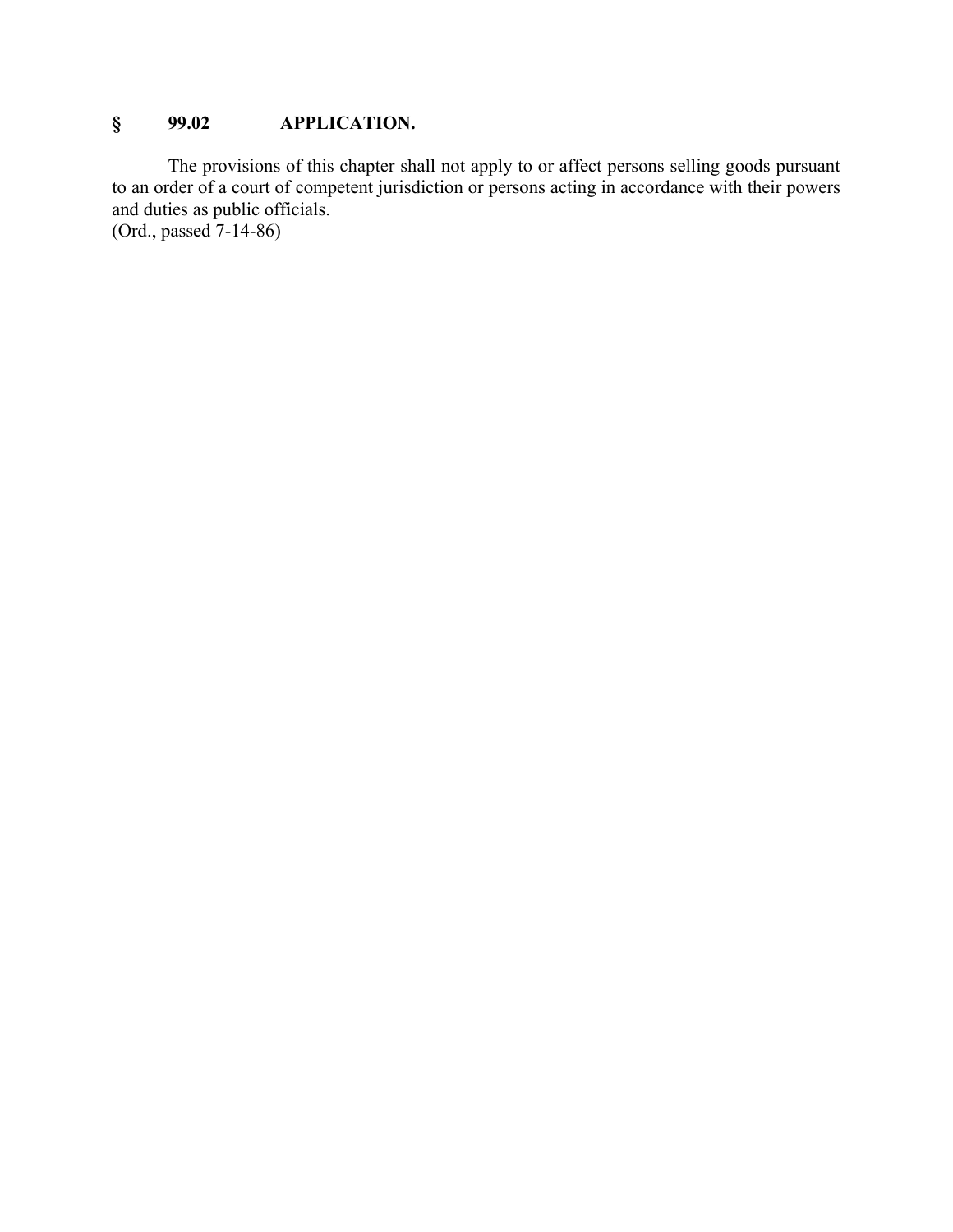## **§ 99.02 APPLICATION.**

The provisions of this chapter shall not apply to or affect persons selling goods pursuant to an order of a court of competent jurisdiction or persons acting in accordance with their powers and duties as public officials.

(Ord., passed 7-14-86)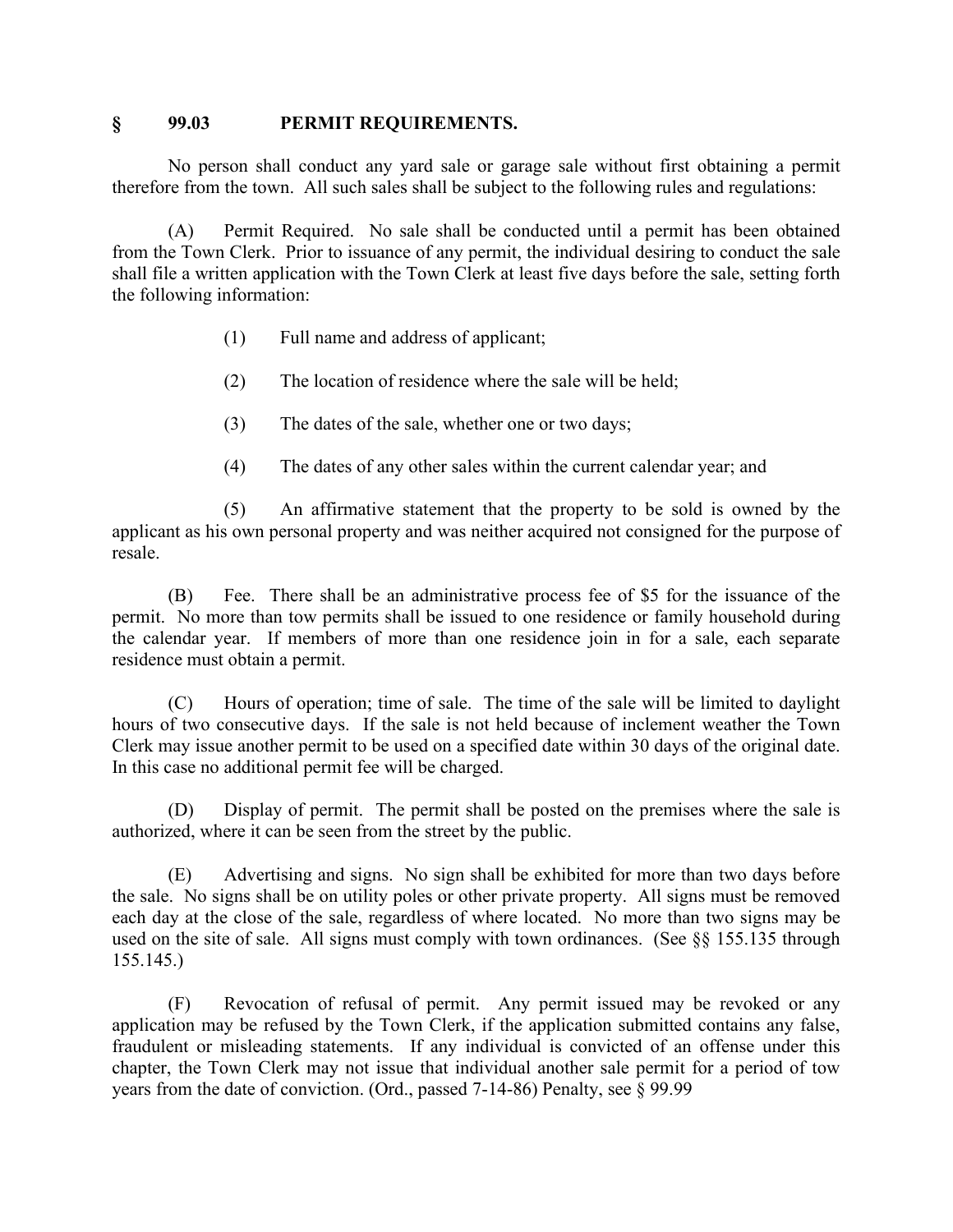#### **§ 99.03 PERMIT REQUIREMENTS.**

No person shall conduct any yard sale or garage sale without first obtaining a permit therefore from the town. All such sales shall be subject to the following rules and regulations:

(A) Permit Required. No sale shall be conducted until a permit has been obtained from the Town Clerk. Prior to issuance of any permit, the individual desiring to conduct the sale shall file a written application with the Town Clerk at least five days before the sale, setting forth the following information:

- (1) Full name and address of applicant;
- (2) The location of residence where the sale will be held;
- (3) The dates of the sale, whether one or two days;
- (4) The dates of any other sales within the current calendar year; and

(5) An affirmative statement that the property to be sold is owned by the applicant as his own personal property and was neither acquired not consigned for the purpose of resale.

(B) Fee. There shall be an administrative process fee of \$5 for the issuance of the permit. No more than tow permits shall be issued to one residence or family household during the calendar year. If members of more than one residence join in for a sale, each separate residence must obtain a permit.

(C) Hours of operation; time of sale. The time of the sale will be limited to daylight hours of two consecutive days. If the sale is not held because of inclement weather the Town Clerk may issue another permit to be used on a specified date within 30 days of the original date. In this case no additional permit fee will be charged.

(D) Display of permit. The permit shall be posted on the premises where the sale is authorized, where it can be seen from the street by the public.

(E) Advertising and signs. No sign shall be exhibited for more than two days before the sale. No signs shall be on utility poles or other private property. All signs must be removed each day at the close of the sale, regardless of where located. No more than two signs may be used on the site of sale. All signs must comply with town ordinances. (See §§ 155.135 through 155.145.)

(F) Revocation of refusal of permit. Any permit issued may be revoked or any application may be refused by the Town Clerk, if the application submitted contains any false, fraudulent or misleading statements. If any individual is convicted of an offense under this chapter, the Town Clerk may not issue that individual another sale permit for a period of tow years from the date of conviction. (Ord., passed 7-14-86) Penalty, see § 99.99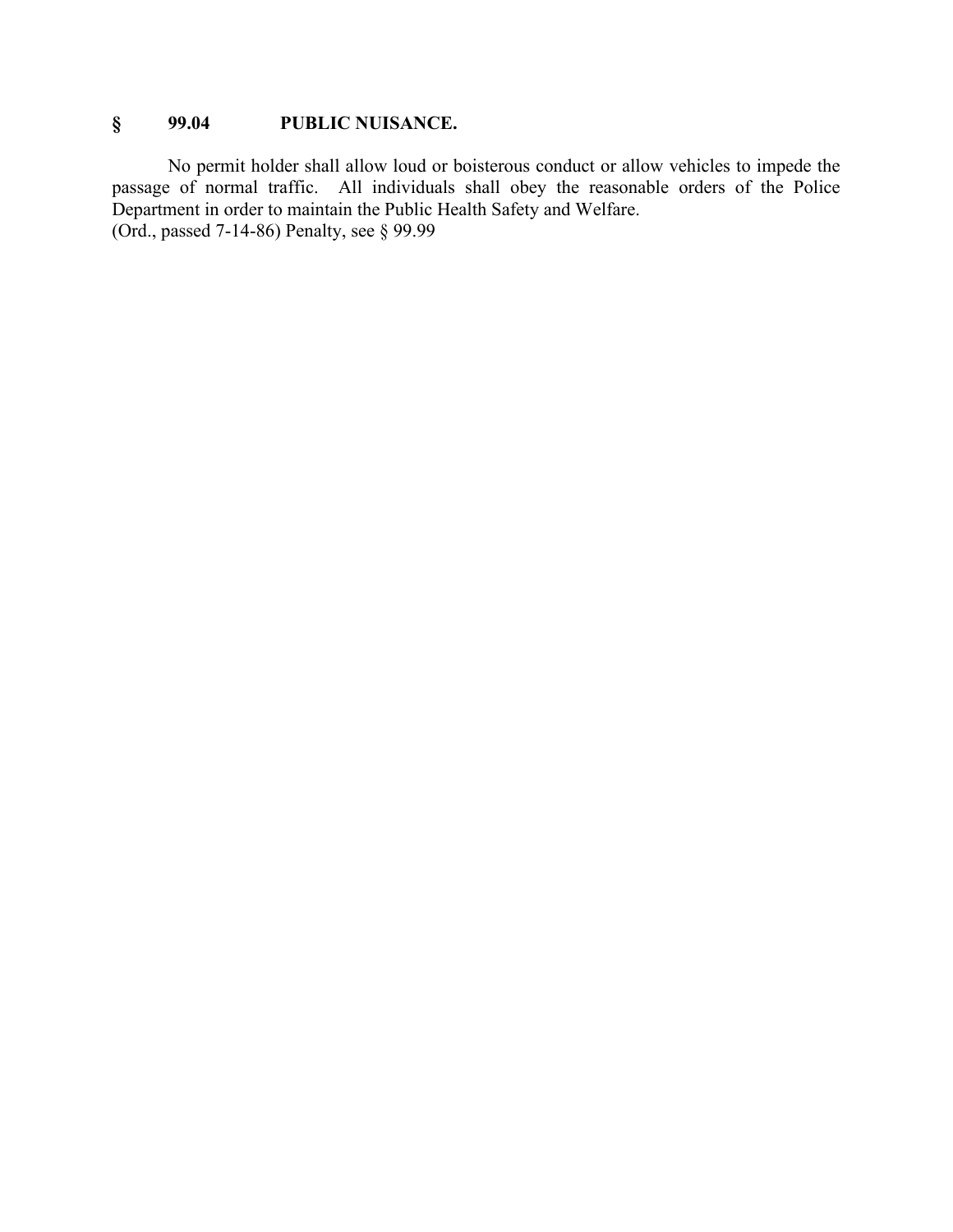## **§ 99.04 PUBLIC NUISANCE.**

No permit holder shall allow loud or boisterous conduct or allow vehicles to impede the passage of normal traffic. All individuals shall obey the reasonable orders of the Police Department in order to maintain the Public Health Safety and Welfare. (Ord., passed 7-14-86) Penalty, see § 99.99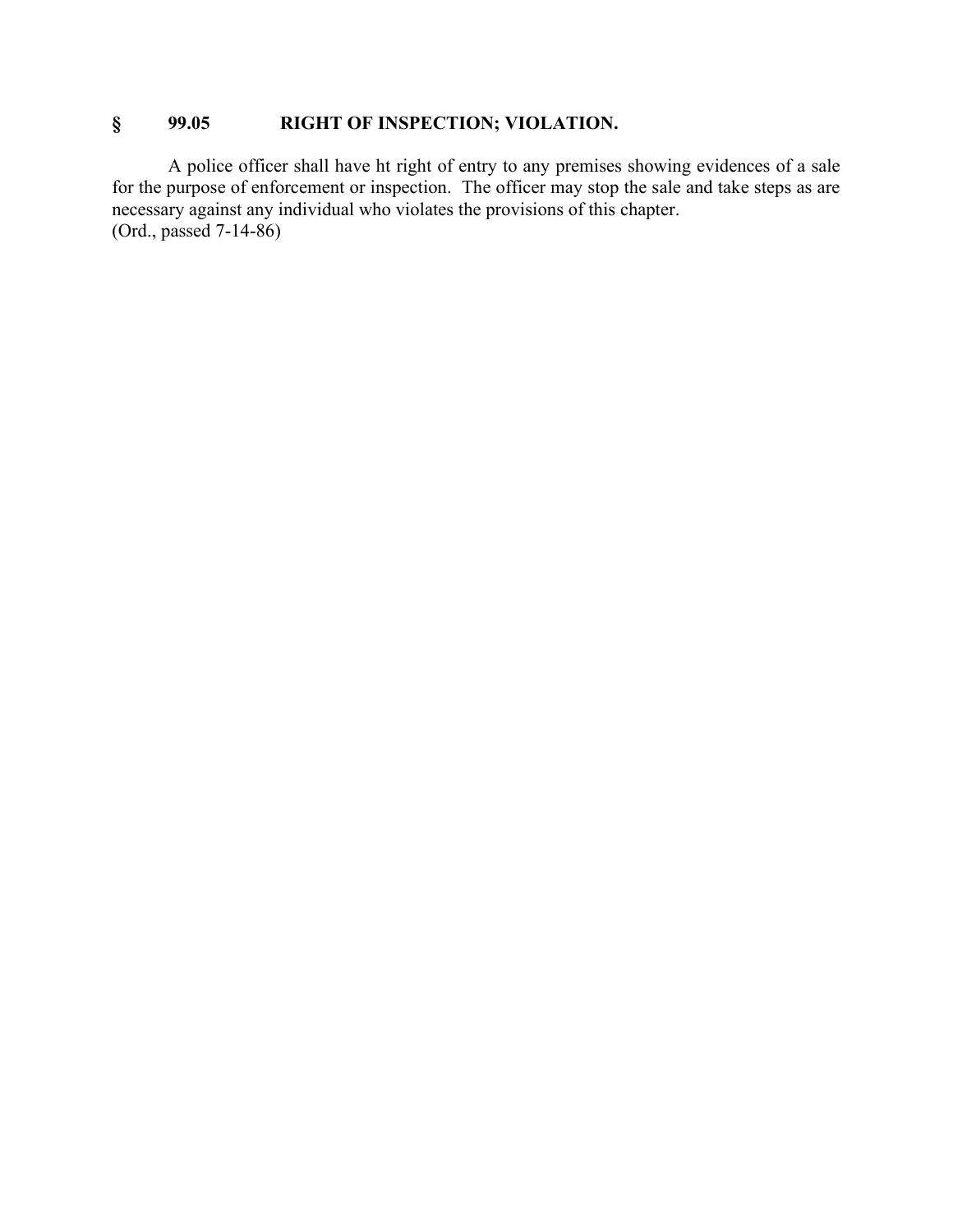# **§ 99.05 RIGHT OF INSPECTION; VIOLATION.**

A police officer shall have ht right of entry to any premises showing evidences of a sale for the purpose of enforcement or inspection. The officer may stop the sale and take steps as are necessary against any individual who violates the provisions of this chapter. (Ord., passed 7-14-86)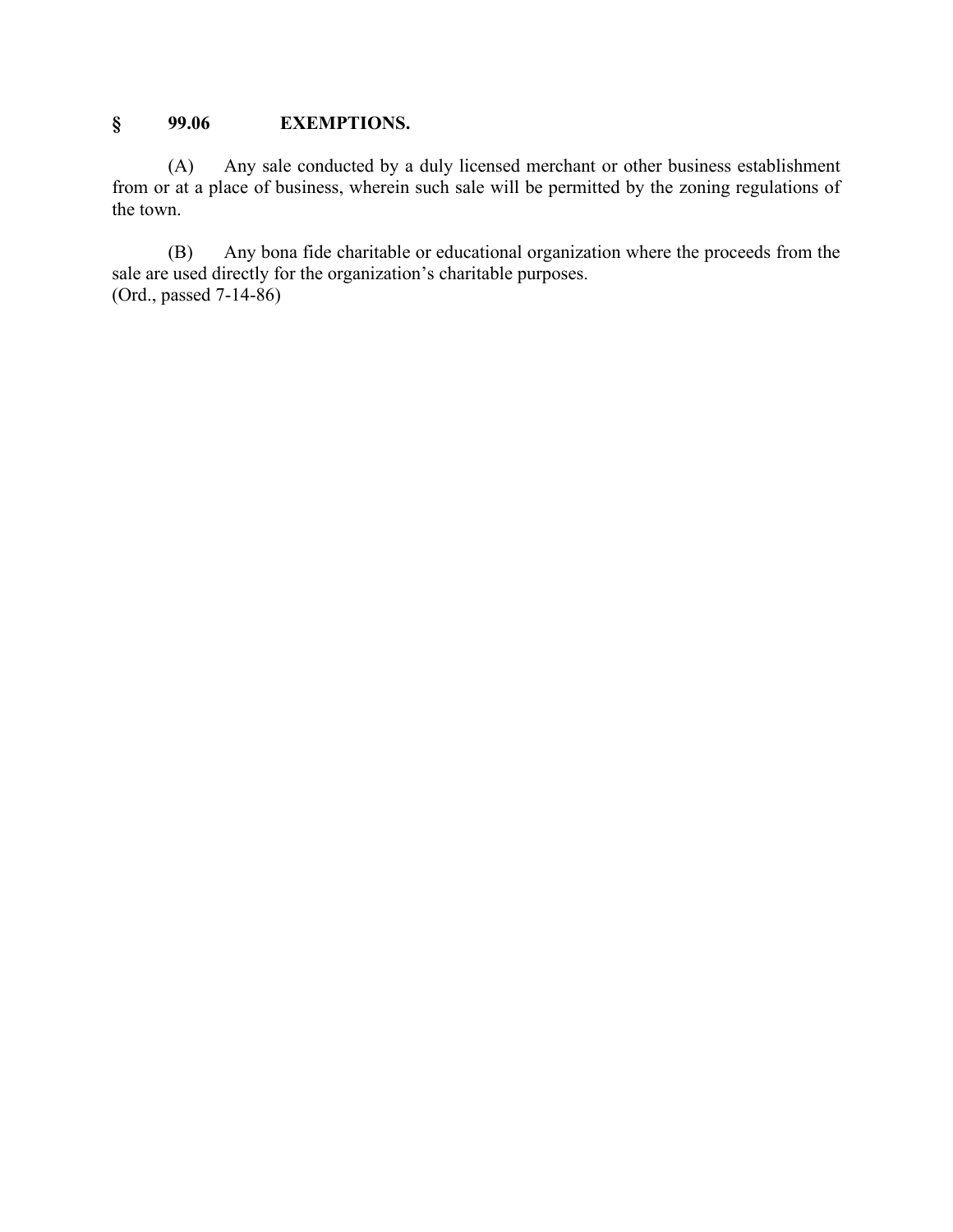## **§ 99.06 EXEMPTIONS.**

(A) Any sale conducted by a duly licensed merchant or other business establishment from or at a place of business, wherein such sale will be permitted by the zoning regulations of the town.

(B) Any bona fide charitable or educational organization where the proceeds from the sale are used directly for the organization's charitable purposes. (Ord., passed 7-14-86)